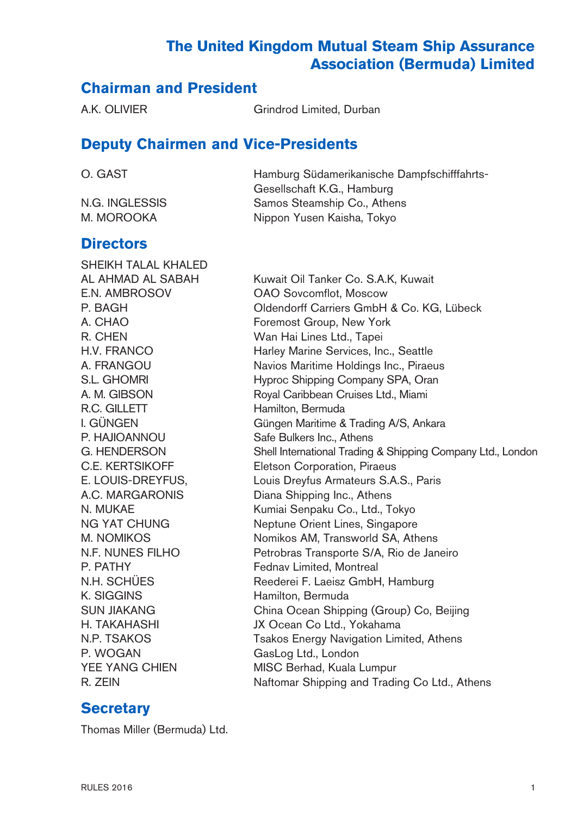## **The United Kingdom Mutual Steam Ship Assurance Association (Bermuda) Limited**

## **Chairman and President**

A.K. OLIVIER Grindrod Limited, Durban

## **Deputy Chairmen and Vice-Presidents**

O. GAST 
Hamburg Südamerikanische Dampfschifffahrts-Gesellschaft K.G., Hamburg N.G. INGLESSIS Samos Steamship Co., Athens M. MOROOKA Nippon Yusen Kaisha, Tokyo

## **Directors**

SHEIKH TALAL KHALED R.C. GILLETT Hamilton, Bermuda P. HAJIOANNOU Safe Bulkers Inc., Athens P. PATHY Fednav Limited, Montreal K. SIGGINS Hamilton, Bermuda P. WOGAN GasLog Ltd., London

AL AHMAD AL SABAH Kuwait Oil Tanker Co. S.A.K. Kuwait E.N. AMBROSOV OAO Sovcomflot, Moscow P. BAGH Oldendorff Carriers GmbH & Co. KG, Lübeck A. CHAO **Foremost Group, New York** R. CHEN Wan Hai Lines Ltd., Tapei H.V. FRANCO Harley Marine Services, Inc., Seattle A. FRANGOU Navios Maritime Holdings Inc., Piraeus S.L. GHOMRI Hyproc Shipping Company SPA, Oran A. M. GIBSON Royal Caribbean Cruises Ltd., Miami I. GÜNGEN Güngen Maritime & Trading A/S, Ankara G. HENDERSON Shell International Trading & Shipping Company Ltd., London C.E. KERTSIKOFF Eletson Corporation, Piraeus E. LOUIS-DREYFUS, Louis Dreyfus Armateurs S.A.S., Paris A.C. MARGARONIS Diana Shipping Inc., Athens N. MUKAE Kumiai Senpaku Co., Ltd., Tokyo NG YAT CHUNG Neptune Orient Lines, Singapore M. NOMIKOS Nomikos AM, Transworld SA, Athens N.F. NUNES FILHO Petrobras Transporte S/A, Rio de Janeiro N.H. SCHÜES Reederei F. Laeisz GmbH, Hamburg SUN JIAKANG China Ocean Shipping (Group) Co, Beijing H. TAKAHASHI JX Ocean Co Ltd., Yokahama N.P. TSAKOS Tsakos Energy Navigation Limited, Athens YEE YANG CHIEN MISC Berhad, Kuala Lumpur R. ZEIN **Naftomar Shipping and Trading Co Ltd., Athens** 

## **Secretary**

Thomas Miller (Bermuda) Ltd.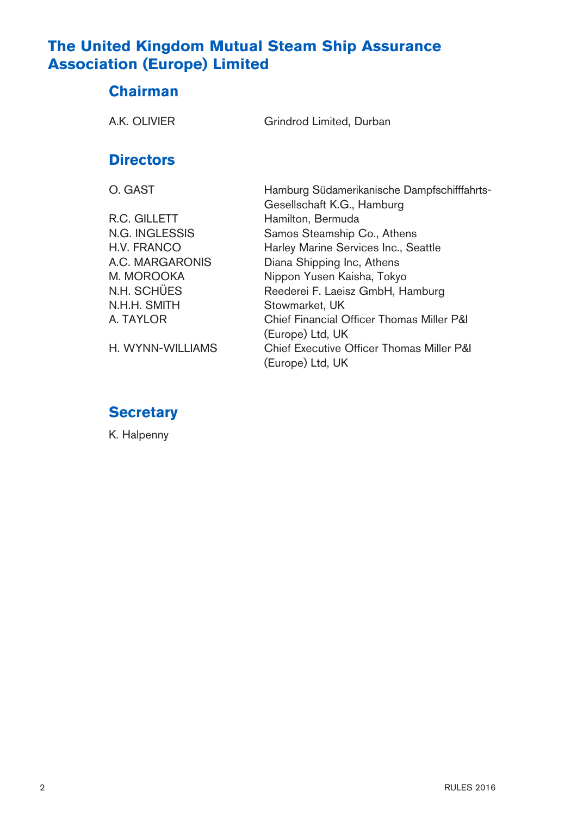## **The United Kingdom Mutual Steam Ship Assurance Association (Europe) Limited**

## **Chairman**

| A.K. OLIVIER     | Grindrod Limited, Durban                                                  |
|------------------|---------------------------------------------------------------------------|
| <b>Directors</b> |                                                                           |
| O. GAST          | Hamburg Südamerikanische Dampfschifffahrts-<br>Gesellschaft K.G., Hamburg |
| R.C. GILLETT     | Hamilton, Bermuda                                                         |
| N.G. INGLESSIS   | Samos Steamship Co., Athens                                               |
| H.V. FRANCO      | Harley Marine Services Inc., Seattle                                      |
| A.C. MARGARONIS  | Diana Shipping Inc, Athens                                                |
| M. MOROOKA       | Nippon Yusen Kaisha, Tokyo                                                |
| N.H. SCHÜES      | Reederei F. Laeisz GmbH, Hamburg                                          |
| N.H.H. SMITH     | Stowmarket, UK                                                            |
| A. TAYLOR        | Chief Financial Officer Thomas Miller P&I<br>(Europe) Ltd, UK             |
| H. WYNN-WILLIAMS | Chief Executive Officer Thomas Miller P&I<br>(Europe) Ltd, UK             |

## **Secretary**

K. Halpenny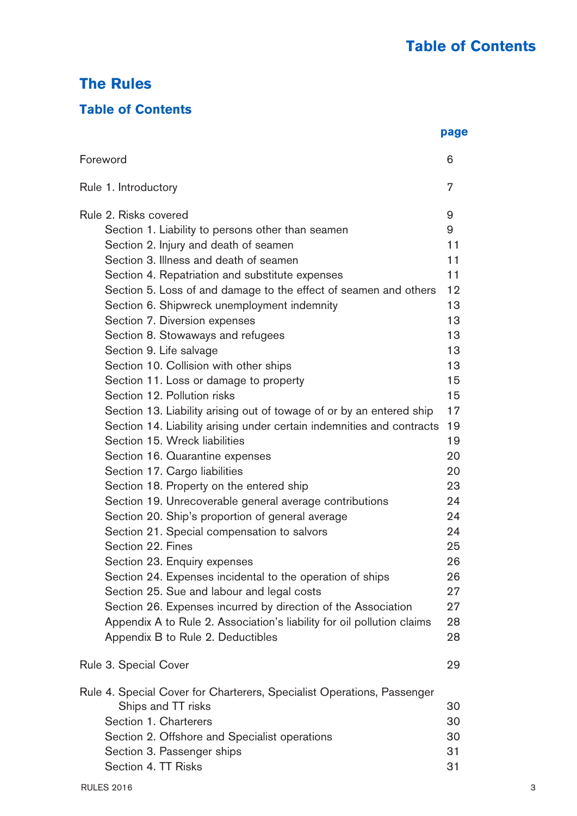# **The Rules**

## **Table of Contents**

|                                                                        | page |
|------------------------------------------------------------------------|------|
| Foreword                                                               | 6    |
| Rule 1. Introductory                                                   | 7    |
| Rule 2. Risks covered                                                  | 9    |
| Section 1. Liability to persons other than seamen                      | 9    |
| Section 2. Injury and death of seamen                                  | 11   |
| Section 3. Illness and death of seamen                                 | 11   |
| Section 4. Repatriation and substitute expenses                        | 11   |
| Section 5. Loss of and damage to the effect of seamen and others       | 12   |
| Section 6. Shipwreck unemployment indemnity                            | 13   |
| Section 7. Diversion expenses                                          | 13   |
| Section 8. Stowaways and refugees                                      | 13   |
| Section 9. Life salvage                                                | 13   |
| Section 10. Collision with other ships                                 | 13   |
| Section 11. Loss or damage to property                                 | 15   |
| Section 12. Pollution risks                                            | 15   |
| Section 13. Liability arising out of towage of or by an entered ship   | 17   |
| Section 14. Liability arising under certain indemnities and contracts  | 19   |
| Section 15. Wreck liabilities                                          | 19   |
| Section 16. Quarantine expenses                                        | 20   |
| Section 17. Cargo liabilities                                          | 20   |
| Section 18. Property on the entered ship                               | 23   |
| Section 19. Unrecoverable general average contributions                | 24   |
| Section 20. Ship's proportion of general average                       | 24   |
| Section 21. Special compensation to salvors                            | 24   |
| Section 22. Fines                                                      | 25   |
| Section 23. Enquiry expenses                                           | 26   |
| Section 24. Expenses incidental to the operation of ships              | 26   |
| Section 25. Sue and labour and legal costs                             | 27   |
| Section 26. Expenses incurred by direction of the Association          | 27   |
| Appendix A to Rule 2. Association's liability for oil pollution claims | 28   |
| Appendix B to Rule 2. Deductibles                                      | 28   |
| Rule 3. Special Cover                                                  | 29   |
| Rule 4. Special Cover for Charterers, Specialist Operations, Passenger |      |
| Ships and TT risks                                                     | 30   |
| Section 1. Charterers                                                  | 30   |
| Section 2. Offshore and Specialist operations                          | 30   |
| Section 3. Passenger ships                                             | 31   |
| Section 4. TT Risks                                                    | 31   |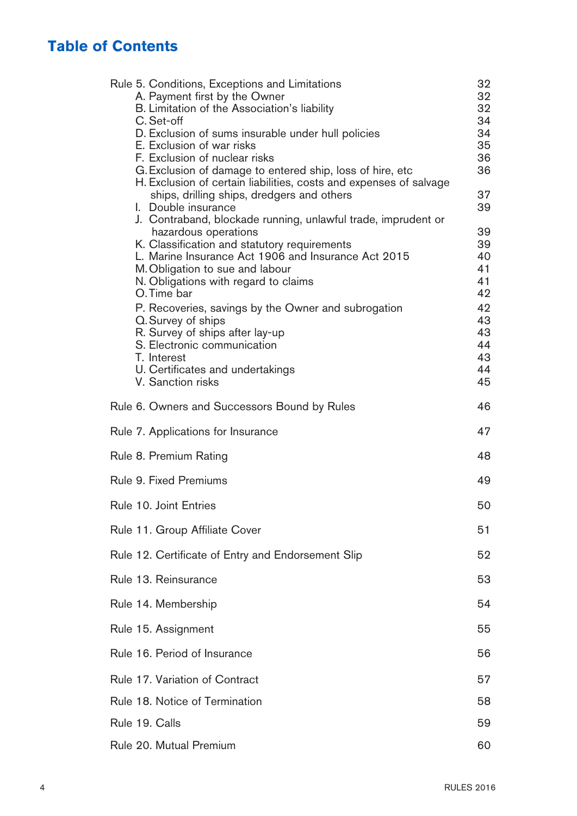# **Table of Contents**

| Rule 5. Conditions, Exceptions and Limitations                                                                                  | 32       |
|---------------------------------------------------------------------------------------------------------------------------------|----------|
| A. Payment first by the Owner                                                                                                   | 32       |
| B. Limitation of the Association's liability                                                                                    | 32       |
| C. Set-off                                                                                                                      | 34       |
| D. Exclusion of sums insurable under hull policies                                                                              | 34       |
| E. Exclusion of war risks                                                                                                       | 35       |
| F. Exclusion of nuclear risks                                                                                                   | 36       |
| G. Exclusion of damage to entered ship, loss of hire, etc<br>H. Exclusion of certain liabilities, costs and expenses of salvage | 36<br>37 |
| ships, drilling ships, dredgers and others<br>I. Double insurance                                                               | 39       |
| J. Contraband, blockade running, unlawful trade, imprudent or                                                                   |          |
| hazardous operations                                                                                                            | 39       |
| K. Classification and statutory requirements                                                                                    | 39       |
| L. Marine Insurance Act 1906 and Insurance Act 2015                                                                             | 40       |
| M. Obligation to sue and labour                                                                                                 | 41       |
| N. Obligations with regard to claims                                                                                            | 41       |
| O. Time bar                                                                                                                     | 42       |
| P. Recoveries, savings by the Owner and subrogation                                                                             | 42       |
| Q. Survey of ships                                                                                                              | 43       |
| R. Survey of ships after lay-up                                                                                                 | 43       |
| S. Electronic communication                                                                                                     | 44       |
| T. Interest                                                                                                                     | 43       |
| U. Certificates and undertakings                                                                                                | 44       |
| V. Sanction risks                                                                                                               | 45       |
| Rule 6. Owners and Successors Bound by Rules                                                                                    | 46       |
| Rule 7. Applications for Insurance                                                                                              | 47       |
| Rule 8. Premium Rating                                                                                                          | 48       |
| Rule 9. Fixed Premiums                                                                                                          | 49       |
| Rule 10. Joint Entries                                                                                                          | 50       |
| Rule 11. Group Affiliate Cover                                                                                                  | 51       |
| Rule 12. Certificate of Entry and Endorsement Slip                                                                              | 52       |
| Rule 13. Reinsurance                                                                                                            | 53       |
| Rule 14. Membership                                                                                                             | 54       |
| Rule 15. Assignment                                                                                                             | 55       |
| Rule 16, Period of Insurance                                                                                                    | 56       |
| Rule 17. Variation of Contract                                                                                                  | 57       |
| Rule 18. Notice of Termination                                                                                                  | 58       |
| Rule 19, Calls                                                                                                                  | 59       |
| Rule 20. Mutual Premium                                                                                                         | 60       |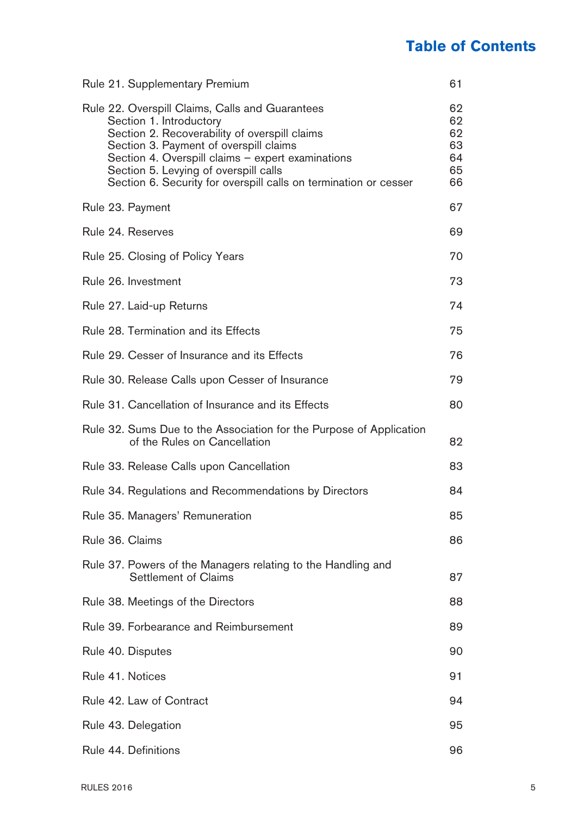# **Table of Contents**

| Rule 21. Supplementary Premium                                                                                                                                                                                                                                                                                                          | 61                                     |
|-----------------------------------------------------------------------------------------------------------------------------------------------------------------------------------------------------------------------------------------------------------------------------------------------------------------------------------------|----------------------------------------|
| Rule 22. Overspill Claims, Calls and Guarantees<br>Section 1. Introductory<br>Section 2. Recoverability of overspill claims<br>Section 3. Payment of overspill claims<br>Section 4. Overspill claims - expert examinations<br>Section 5. Levying of overspill calls<br>Section 6. Security for overspill calls on termination or cesser | 62<br>62<br>62<br>63<br>64<br>65<br>66 |
| Rule 23. Payment                                                                                                                                                                                                                                                                                                                        | 67                                     |
| Rule 24. Reserves                                                                                                                                                                                                                                                                                                                       | 69                                     |
| Rule 25. Closing of Policy Years                                                                                                                                                                                                                                                                                                        | 70                                     |
| Rule 26. Investment                                                                                                                                                                                                                                                                                                                     | 73                                     |
| Rule 27. Laid-up Returns                                                                                                                                                                                                                                                                                                                | 74                                     |
| Rule 28. Termination and its Effects                                                                                                                                                                                                                                                                                                    | 75                                     |
| Rule 29. Cesser of Insurance and its Effects                                                                                                                                                                                                                                                                                            | 76                                     |
| Rule 30. Release Calls upon Cesser of Insurance                                                                                                                                                                                                                                                                                         | 79                                     |
| Rule 31. Cancellation of Insurance and its Effects                                                                                                                                                                                                                                                                                      | 80                                     |
| Rule 32. Sums Due to the Association for the Purpose of Application<br>of the Rules on Cancellation                                                                                                                                                                                                                                     | 82                                     |
| Rule 33. Release Calls upon Cancellation                                                                                                                                                                                                                                                                                                | 83                                     |
| Rule 34. Regulations and Recommendations by Directors                                                                                                                                                                                                                                                                                   | 84                                     |
| Rule 35. Managers' Remuneration                                                                                                                                                                                                                                                                                                         | 85                                     |
| Rule 36, Claims                                                                                                                                                                                                                                                                                                                         | 86                                     |
| Rule 37. Powers of the Managers relating to the Handling and<br>Settlement of Claims                                                                                                                                                                                                                                                    | 87                                     |
| Rule 38. Meetings of the Directors                                                                                                                                                                                                                                                                                                      | 88                                     |
| Rule 39. Forbearance and Reimbursement                                                                                                                                                                                                                                                                                                  | 89                                     |
| Rule 40. Disputes                                                                                                                                                                                                                                                                                                                       | 90                                     |
| Rule 41. Notices                                                                                                                                                                                                                                                                                                                        | 91                                     |
| Rule 42. Law of Contract                                                                                                                                                                                                                                                                                                                | 94                                     |
| Rule 43. Delegation                                                                                                                                                                                                                                                                                                                     | 95                                     |
| Rule 44. Definitions                                                                                                                                                                                                                                                                                                                    | 96                                     |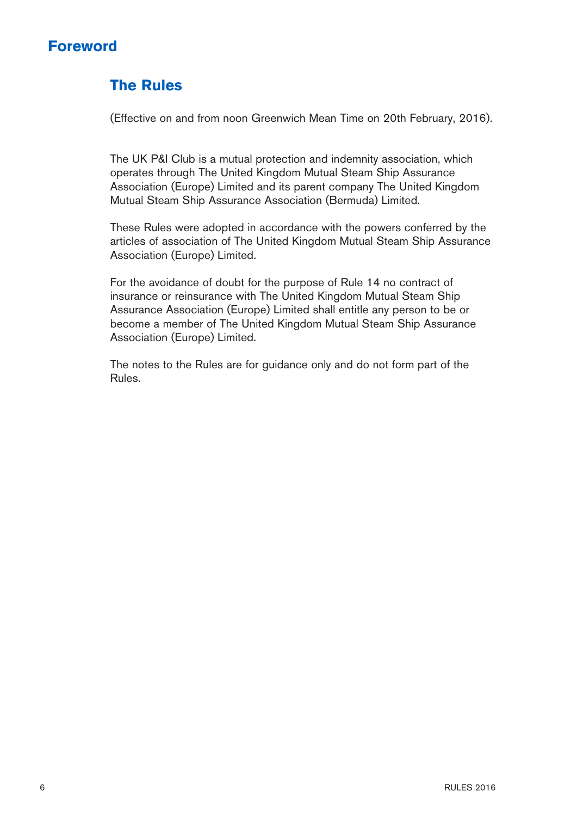## **Foreword**

# **The Rules**

(Effective on and from noon Greenwich Mean Time on 20th February, 2016).

The UK P&I Club is a mutual protection and indemnity association, which operates through The United Kingdom Mutual Steam Ship Assurance Association (Europe) Limited and its parent company The United Kingdom Mutual Steam Ship Assurance Association (Bermuda) Limited.

These Rules were adopted in accordance with the powers conferred by the articles of association of The United Kingdom Mutual Steam Ship Assurance Association (Europe) Limited.

For the avoidance of doubt for the purpose of Rule 14 no contract of insurance or reinsurance with The United Kingdom Mutual Steam Ship Assurance Association (Europe) Limited shall entitle any person to be or become a member of The United Kingdom Mutual Steam Ship Assurance Association (Europe) Limited.

The notes to the Rules are for guidance only and do not form part of the Rules.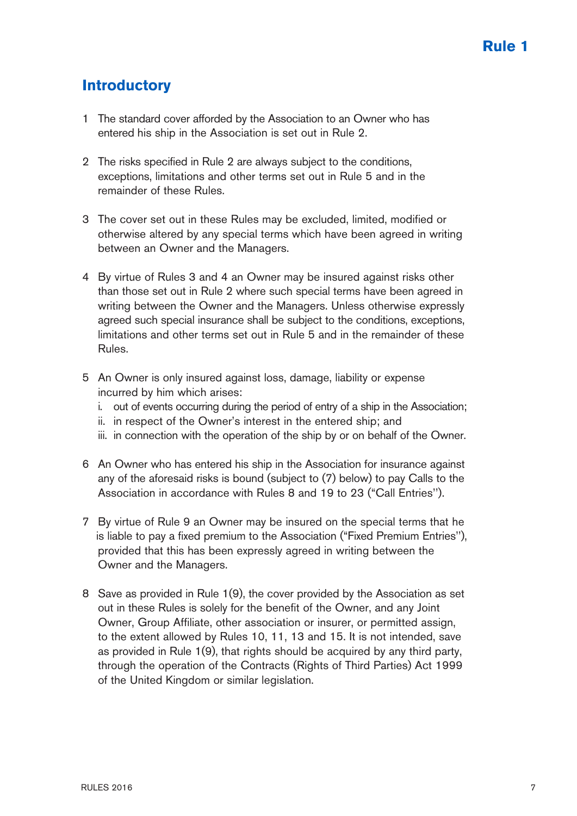## **Introductory**

- 1 The standard cover afforded by the Association to an Owner who has entered his ship in the Association is set out in Rule 2.
- 2 The risks specified in Rule 2 are always subject to the conditions, exceptions, limitations and other terms set out in Rule 5 and in the remainder of these Rules.
- 3 The cover set out in these Rules may be excluded, limited, modified or otherwise altered by any special terms which have been agreed in writing between an Owner and the Managers.
- 4 By virtue of Rules 3 and 4 an Owner may be insured against risks other than those set out in Rule 2 where such special terms have been agreed in writing between the Owner and the Managers. Unless otherwise expressly agreed such special insurance shall be subject to the conditions, exceptions, limitations and other terms set out in Rule 5 and in the remainder of these Rules.
- 5 An Owner is only insured against loss, damage, liability or expense incurred by him which arises:
	- i. out of events occurring during the period of entry of a ship in the Association;
	- ii. in respect of the Owner's interest in the entered ship; and
	- iii. in connection with the operation of the ship by or on behalf of the Owner.
- 6 An Owner who has entered his ship in the Association for insurance against any of the aforesaid risks is bound (subject to (7) below) to pay Calls to the Association in accordance with Rules 8 and 19 to 23 ("Call Entries'').
- 7 By virtue of Rule 9 an Owner may be insured on the special terms that he is liable to pay a fixed premium to the Association ("Fixed Premium Entries''), provided that this has been expressly agreed in writing between the Owner and the Managers.
- 8 Save as provided in Rule 1(9), the cover provided by the Association as set out in these Rules is solely for the benefit of the Owner, and any Joint Owner, Group Affiliate, other association or insurer, or permitted assign, to the extent allowed by Rules 10, 11, 13 and 15. It is not intended, save as provided in Rule 1(9), that rights should be acquired by any third party, through the operation of the Contracts (Rights of Third Parties) Act 1999 of the United Kingdom or similar legislation.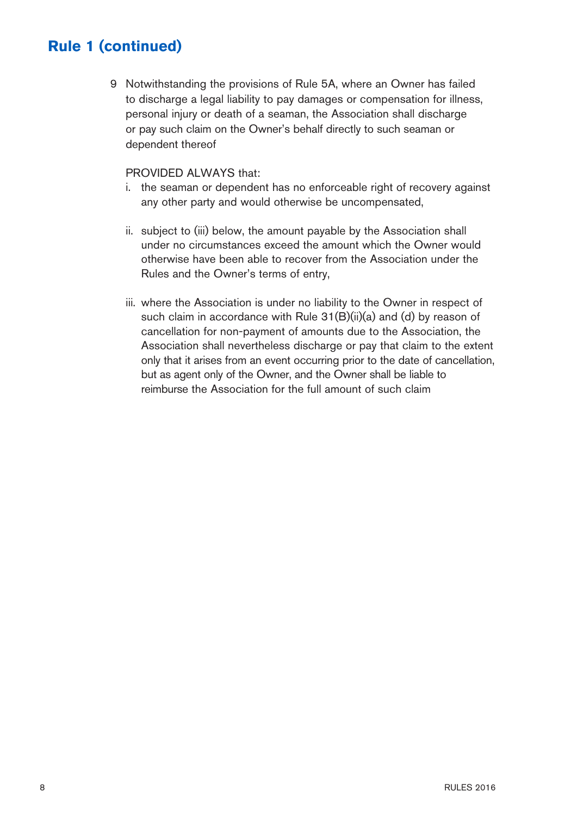9 Notwithstanding the provisions of Rule 5A, where an Owner has failed to discharge a legal liability to pay damages or compensation for illness, personal injury or death of a seaman, the Association shall discharge or pay such claim on the Owner's behalf directly to such seaman or dependent thereof

#### PROVIDED ALWAYS that:

- i. the seaman or dependent has no enforceable right of recovery against any other party and would otherwise be uncompensated,
- ii. subject to (iii) below, the amount payable by the Association shall under no circumstances exceed the amount which the Owner would otherwise have been able to recover from the Association under the Rules and the Owner's terms of entry,
- iii. where the Association is under no liability to the Owner in respect of such claim in accordance with Rule 31(B)(ii)(a) and (d) by reason of cancellation for non-payment of amounts due to the Association, the Association shall nevertheless discharge or pay that claim to the extent only that it arises from an event occurring prior to the date of cancellation, but as agent only of the Owner, and the Owner shall be liable to reimburse the Association for the full amount of such claim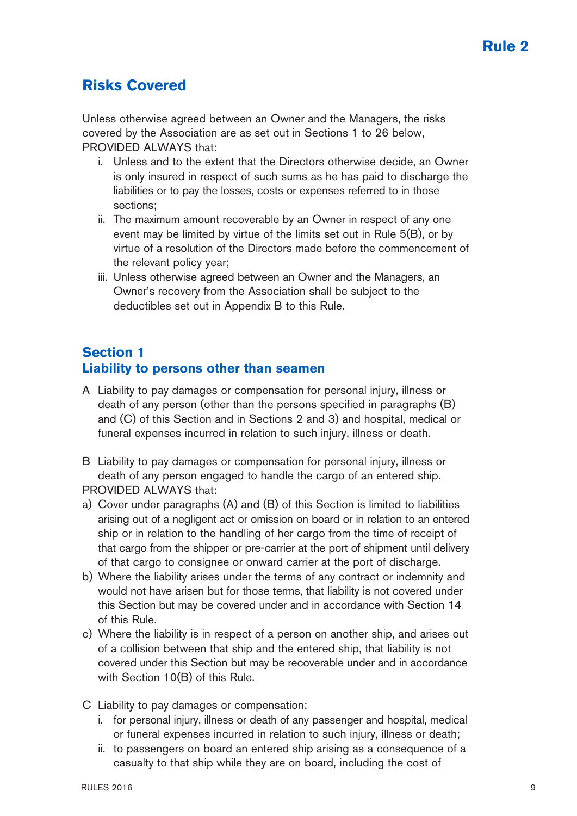## **Risks Covered**

Unless otherwise agreed between an Owner and the Managers, the risks covered by the Association are as set out in Sections 1 to 26 below, PROVIDED ALWAYS that:

- i. Unless and to the extent that the Directors otherwise decide, an Owner is only insured in respect of such sums as he has paid to discharge the liabilities or to pay the losses, costs or expenses referred to in those sections;
- ii. The maximum amount recoverable by an Owner in respect of any one event may be limited by virtue of the limits set out in Rule 5(B), or by virtue of a resolution of the Directors made before the commencement of the relevant policy year;
- iii. Unless otherwise agreed between an Owner and the Managers, an Owner's recovery from the Association shall be subject to the deductibles set out in Appendix B to this Rule.

## **Section 1 Liability to persons other than seamen**

- A Liability to pay damages or compensation for personal injury, illness or death of any person (other than the persons specified in paragraphs (B) and (C) of this Section and in Sections 2 and 3) and hospital, medical or funeral expenses incurred in relation to such injury, illness or death.
- B Liability to pay damages or compensation for personal injury, illness or death of any person engaged to handle the cargo of an entered ship. PROVIDED ALWAYS that:
- a) Cover under paragraphs (A) and (B) of this Section is limited to liabilities arising out of a negligent act or omission on board or in relation to an entered ship or in relation to the handling of her cargo from the time of receipt of that cargo from the shipper or pre-carrier at the port of shipment until delivery of that cargo to consignee or onward carrier at the port of discharge.
- b) Where the liability arises under the terms of any contract or indemnity and would not have arisen but for those terms, that liability is not covered under this Section but may be covered under and in accordance with Section 14 of this Rule.
- c) Where the liability is in respect of a person on another ship, and arises out of a collision between that ship and the entered ship, that liability is not covered under this Section but may be recoverable under and in accordance with Section 10(B) of this Rule.
- C Liability to pay damages or compensation:
	- i. for personal injury, illness or death of any passenger and hospital, medical or funeral expenses incurred in relation to such injury, illness or death;
	- ii. to passengers on board an entered ship arising as a consequence of a casualty to that ship while they are on board, including the cost of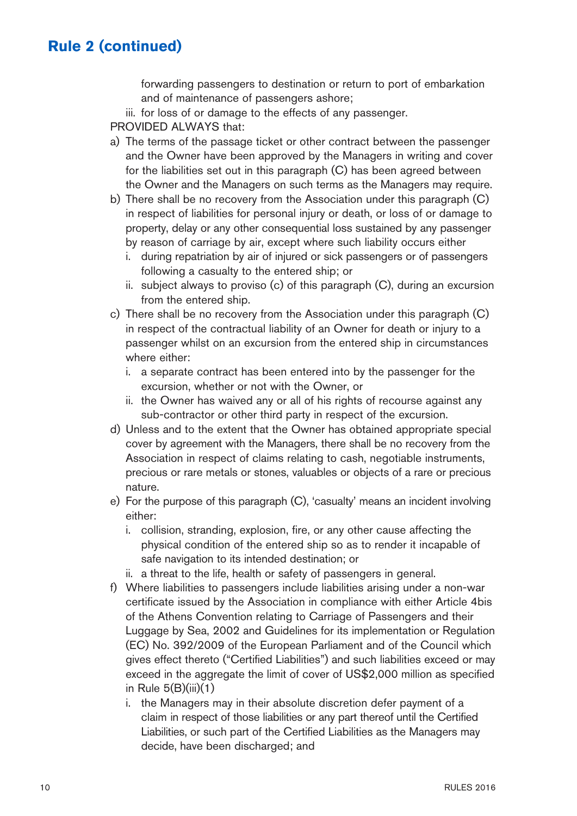forwarding passengers to destination or return to port of embarkation and of maintenance of passengers ashore;

iii. for loss of or damage to the effects of any passenger.

PROVIDED AI WAYS that:

- a) The terms of the passage ticket or other contract between the passenger and the Owner have been approved by the Managers in writing and cover for the liabilities set out in this paragraph (C) has been agreed between the Owner and the Managers on such terms as the Managers may require.
- b) There shall be no recovery from the Association under this paragraph (C) in respect of liabilities for personal injury or death, or loss of or damage to property, delay or any other consequential loss sustained by any passenger by reason of carriage by air, except where such liability occurs either
	- i. during repatriation by air of injured or sick passengers or of passengers following a casualty to the entered ship; or
	- ii. subject always to proviso (c) of this paragraph (C), during an excursion from the entered ship.
- c) There shall be no recovery from the Association under this paragraph (C) in respect of the contractual liability of an Owner for death or injury to a passenger whilst on an excursion from the entered ship in circumstances where either:
	- i. a separate contract has been entered into by the passenger for the excursion, whether or not with the Owner, or
	- ii. the Owner has waived any or all of his rights of recourse against any sub-contractor or other third party in respect of the excursion.
- d) Unless and to the extent that the Owner has obtained appropriate special cover by agreement with the Managers, there shall be no recovery from the Association in respect of claims relating to cash, negotiable instruments, precious or rare metals or stones, valuables or objects of a rare or precious nature.
- e) For the purpose of this paragraph (C), 'casualty' means an incident involving either:
	- i. collision, stranding, explosion, fire, or any other cause affecting the physical condition of the entered ship so as to render it incapable of safe navigation to its intended destination; or
	- ii. a threat to the life, health or safety of passengers in general.
- f) Where liabilities to passengers include liabilities arising under a non-war certificate issued by the Association in compliance with either Article 4bis of the Athens Convention relating to Carriage of Passengers and their Luggage by Sea, 2002 and Guidelines for its implementation or Regulation (EC) No. 392/2009 of the European Parliament and of the Council which gives effect thereto ("Certified Liabilities") and such liabilities exceed or may exceed in the aggregate the limit of cover of US\$2,000 million as specified in Rule 5(B)(iii)(1)
	- i. the Managers may in their absolute discretion defer payment of a claim in respect of those liabilities or any part thereof until the Certified Liabilities, or such part of the Certified Liabilities as the Managers may decide, have been discharged; and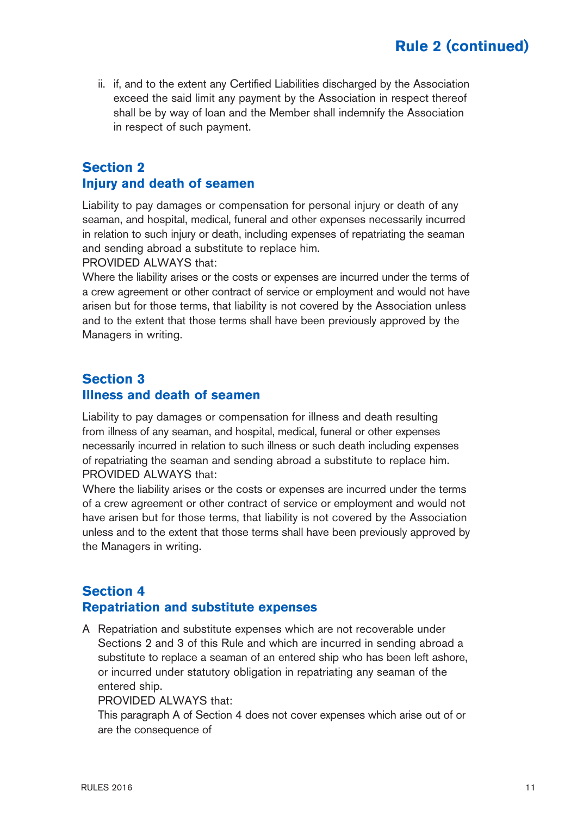ii. if, and to the extent any Certified Liabilities discharged by the Association exceed the said limit any payment by the Association in respect thereof shall be by way of loan and the Member shall indemnify the Association in respect of such payment.

## **Section 2 Injury and death of seamen**

Liability to pay damages or compensation for personal injury or death of any seaman, and hospital, medical, funeral and other expenses necessarily incurred in relation to such injury or death, including expenses of repatriating the seaman and sending abroad a substitute to replace him.

PROVIDED ALWAYS that:

Where the liability arises or the costs or expenses are incurred under the terms of a crew agreement or other contract of service or employment and would not have arisen but for those terms, that liability is not covered by the Association unless and to the extent that those terms shall have been previously approved by the Managers in writing.

### **Section 3 Illness and death of seamen**

Liability to pay damages or compensation for illness and death resulting from illness of any seaman, and hospital, medical, funeral or other expenses necessarily incurred in relation to such illness or such death including expenses of repatriating the seaman and sending abroad a substitute to replace him. PROVIDED ALWAYS that:

Where the liability arises or the costs or expenses are incurred under the terms of a crew agreement or other contract of service or employment and would not have arisen but for those terms, that liability is not covered by the Association unless and to the extent that those terms shall have been previously approved by the Managers in writing.

### **Section 4 Repatriation and substitute expenses**

A Repatriation and substitute expenses which are not recoverable under Sections 2 and 3 of this Rule and which are incurred in sending abroad a substitute to replace a seaman of an entered ship who has been left ashore, or incurred under statutory obligation in repatriating any seaman of the entered ship.

PROVIDED ALWAYS that:

This paragraph A of Section 4 does not cover expenses which arise out of or are the consequence of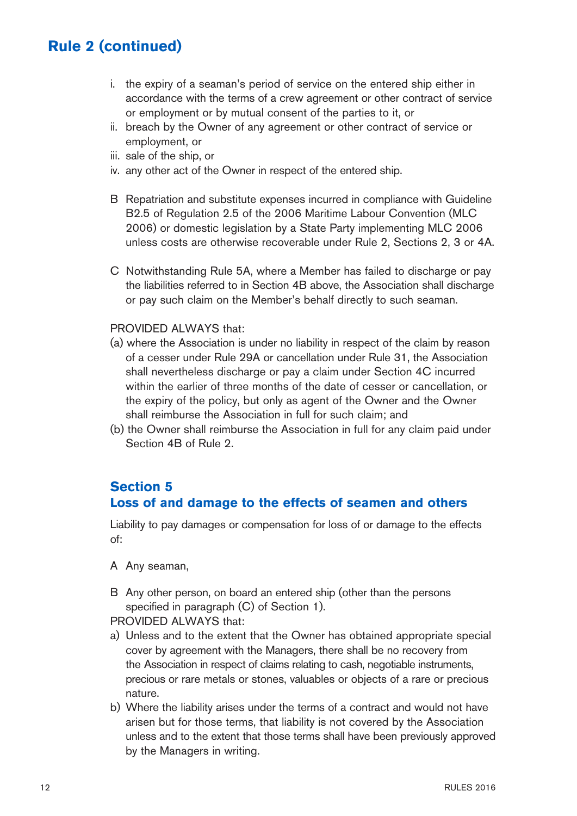- i. the expiry of a seaman's period of service on the entered ship either in accordance with the terms of a crew agreement or other contract of service or employment or by mutual consent of the parties to it, or
- ii. breach by the Owner of any agreement or other contract of service or employment, or
- iii. sale of the ship, or
- iv. any other act of the Owner in respect of the entered ship.
- B Repatriation and substitute expenses incurred in compliance with Guideline B2.5 of Regulation 2.5 of the 2006 Maritime Labour Convention (MLC 2006) or domestic legislation by a State Party implementing MLC 2006 unless costs are otherwise recoverable under Rule 2, Sections 2, 3 or 4A.
- C Notwithstanding Rule 5A, where a Member has failed to discharge or pay the liabilities referred to in Section 4B above, the Association shall discharge or pay such claim on the Member's behalf directly to such seaman.

#### PROVIDED ALWAYS that:

- (a) where the Association is under no liability in respect of the claim by reason of a cesser under Rule 29A or cancellation under Rule 31, the Association shall nevertheless discharge or pay a claim under Section 4C incurred within the earlier of three months of the date of cesser or cancellation, or the expiry of the policy, but only as agent of the Owner and the Owner shall reimburse the Association in full for such claim; and
- (b) the Owner shall reimburse the Association in full for any claim paid under Section 4B of Rule 2.

### **Section 5**

### **Loss of and damage to the effects of seamen and others**

Liability to pay damages or compensation for loss of or damage to the effects of:

- A Any seaman,
- B Any other person, on board an entered ship (other than the persons specified in paragraph (C) of Section 1).

PROVIDED AI WAYS that:

- a) Unless and to the extent that the Owner has obtained appropriate special cover by agreement with the Managers, there shall be no recovery from the Association in respect of claims relating to cash, negotiable instruments, precious or rare metals or stones, valuables or objects of a rare or precious nature.
- b) Where the liability arises under the terms of a contract and would not have arisen but for those terms, that liability is not covered by the Association unless and to the extent that those terms shall have been previously approved by the Managers in writing.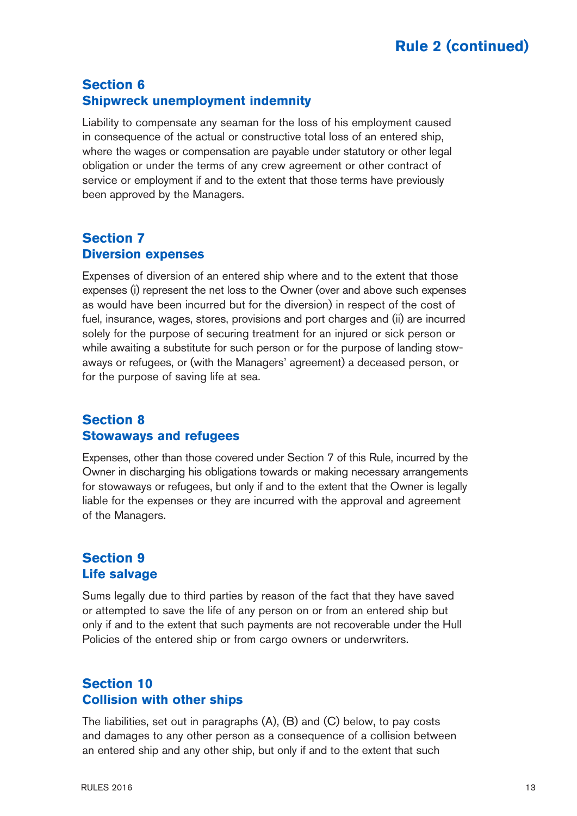### **Section 6 Shipwreck unemployment indemnity**

Liability to compensate any seaman for the loss of his employment caused in consequence of the actual or constructive total loss of an entered ship, where the wages or compensation are payable under statutory or other legal obligation or under the terms of any crew agreement or other contract of service or employment if and to the extent that those terms have previously been approved by the Managers.

## **Section 7 Diversion expenses**

Expenses of diversion of an entered ship where and to the extent that those expenses (i) represent the net loss to the Owner (over and above such expenses as would have been incurred but for the diversion) in respect of the cost of fuel, insurance, wages, stores, provisions and port charges and (ii) are incurred solely for the purpose of securing treatment for an injured or sick person or while awaiting a substitute for such person or for the purpose of landing stowaways or refugees, or (with the Managers' agreement) a deceased person, or for the purpose of saving life at sea.

### **Section 8 Stowaways and refugees**

Expenses, other than those covered under Section 7 of this Rule, incurred by the Owner in discharging his obligations towards or making necessary arrangements for stowaways or refugees, but only if and to the extent that the Owner is legally liable for the expenses or they are incurred with the approval and agreement of the Managers.

### **Section 9 Life salvage**

Sums legally due to third parties by reason of the fact that they have saved or attempted to save the life of any person on or from an entered ship but only if and to the extent that such payments are not recoverable under the Hull Policies of the entered ship or from cargo owners or underwriters.

### **Section 10 Collision with other ships**

The liabilities, set out in paragraphs (A), (B) and (C) below, to pay costs and damages to any other person as a consequence of a collision between an entered ship and any other ship, but only if and to the extent that such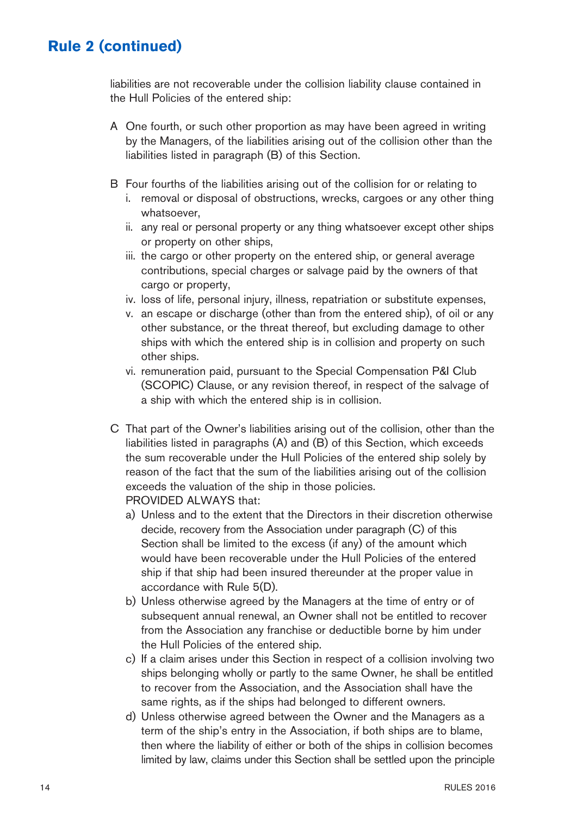liabilities are not recoverable under the collision liability clause contained in the Hull Policies of the entered ship:

- A One fourth, or such other proportion as may have been agreed in writing by the Managers, of the liabilities arising out of the collision other than the liabilities listed in paragraph (B) of this Section.
- B Four fourths of the liabilities arising out of the collision for or relating to
	- i. removal or disposal of obstructions, wrecks, cargoes or any other thing whatsoever,
	- ii. any real or personal property or any thing whatsoever except other ships or property on other ships,
	- iii. the cargo or other property on the entered ship, or general average contributions, special charges or salvage paid by the owners of that cargo or property,
	- iv. loss of life, personal injury, illness, repatriation or substitute expenses,
	- v. an escape or discharge (other than from the entered ship), of oil or any other substance, or the threat thereof, but excluding damage to other ships with which the entered ship is in collision and property on such other ships.
	- vi. remuneration paid, pursuant to the Special Compensation P&I Club (SCOPIC) Clause, or any revision thereof, in respect of the salvage of a ship with which the entered ship is in collision.
- C That part of the Owner's liabilities arising out of the collision, other than the liabilities listed in paragraphs (A) and (B) of this Section, which exceeds the sum recoverable under the Hull Policies of the entered ship solely by reason of the fact that the sum of the liabilities arising out of the collision exceeds the valuation of the ship in those policies. PROVIDED ALWAYS that:
	- a) Unless and to the extent that the Directors in their discretion otherwise decide, recovery from the Association under paragraph (C) of this Section shall be limited to the excess (if any) of the amount which would have been recoverable under the Hull Policies of the entered ship if that ship had been insured thereunder at the proper value in accordance with Rule 5(D).
	- b) Unless otherwise agreed by the Managers at the time of entry or of subsequent annual renewal, an Owner shall not be entitled to recover from the Association any franchise or deductible borne by him under the Hull Policies of the entered ship.
	- c) If a claim arises under this Section in respect of a collision involving two ships belonging wholly or partly to the same Owner, he shall be entitled to recover from the Association, and the Association shall have the same rights, as if the ships had belonged to different owners.
	- d) Unless otherwise agreed between the Owner and the Managers as a term of the ship's entry in the Association, if both ships are to blame, then where the liability of either or both of the ships in collision becomes limited by law, claims under this Section shall be settled upon the principle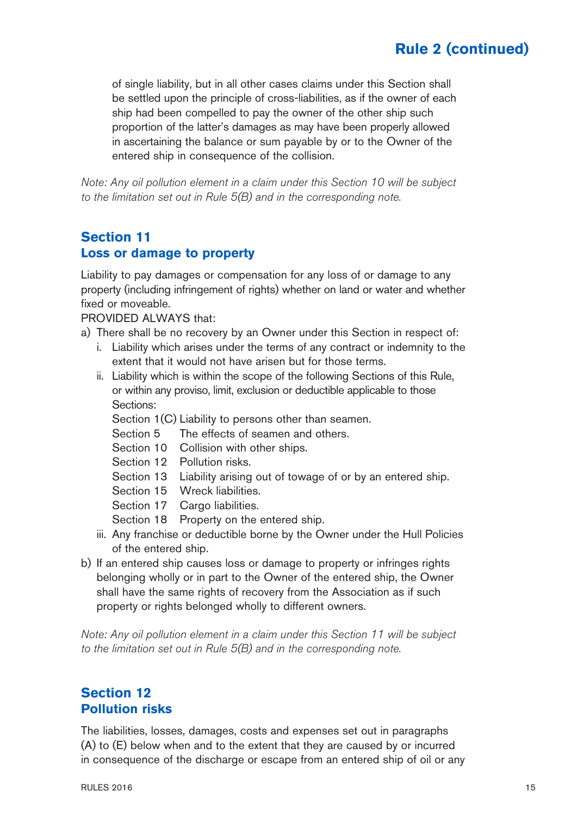of single liability, but in all other cases claims under this Section shall be settled upon the principle of cross-liabilities, as if the owner of each ship had been compelled to pay the owner of the other ship such proportion of the latter's damages as may have been properly allowed in ascertaining the balance or sum payable by or to the Owner of the entered ship in consequence of the collision.

*Note: Any oil pollution element in a claim under this Section 10 will be subject to the limitation set out in Rule 5(B) and in the corresponding note.*

### **Section 11 Loss or damage to property**

Liability to pay damages or compensation for any loss of or damage to any property (including infringement of rights) whether on land or water and whether fixed or moveable.

PROVIDED ALWAYS that:

- a) There shall be no recovery by an Owner under this Section in respect of:
	- i. Liability which arises under the terms of any contract or indemnity to the extent that it would not have arisen but for those terms.
	- ii. Liability which is within the scope of the following Sections of this Rule, or within any proviso, limit, exclusion or deductible applicable to those Sections:

Section 1(C) Liability to persons other than seamen.

- Section 5 The effects of seamen and others.
- Section 10 Collision with other ships.
- Section 12 Pollution risks.
- Section 13 Liability arising out of towage of or by an entered ship.
- Section 15 Wreck liabilities.
- Section 17 Cargo liabilities.
- Section 18 Property on the entered ship.
- iii. Any franchise or deductible borne by the Owner under the Hull Policies of the entered ship.
- b) If an entered ship causes loss or damage to property or infringes rights belonging wholly or in part to the Owner of the entered ship, the Owner shall have the same rights of recovery from the Association as if such property or rights belonged wholly to different owners.

*Note: Any oil pollution element in a claim under this Section 11 will be subject to the limitation set out in Rule 5(B) and in the corresponding note.*

#### **Section 12 Pollution risks**

The liabilities, losses, damages, costs and expenses set out in paragraphs (A) to (E) below when and to the extent that they are caused by or incurred in consequence of the discharge or escape from an entered ship of oil or any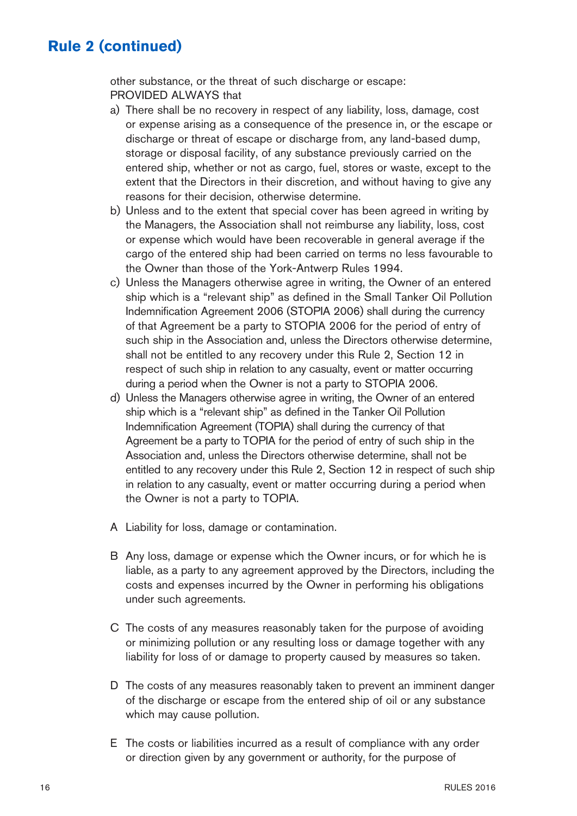other substance, or the threat of such discharge or escape: PROVIDED ALWAYS that

- a) There shall be no recovery in respect of any liability, loss, damage, cost or expense arising as a consequence of the presence in, or the escape or discharge or threat of escape or discharge from, any land-based dump, storage or disposal facility, of any substance previously carried on the entered ship, whether or not as cargo, fuel, stores or waste, except to the extent that the Directors in their discretion, and without having to give any reasons for their decision, otherwise determine.
- b) Unless and to the extent that special cover has been agreed in writing by the Managers, the Association shall not reimburse any liability, loss, cost or expense which would have been recoverable in general average if the cargo of the entered ship had been carried on terms no less favourable to the Owner than those of the York-Antwerp Rules 1994.
- c) Unless the Managers otherwise agree in writing, the Owner of an entered ship which is a "relevant ship" as defined in the Small Tanker Oil Pollution Indemnification Agreement 2006 (STOPIA 2006) shall during the currency of that Agreement be a party to STOPIA 2006 for the period of entry of such ship in the Association and, unless the Directors otherwise determine, shall not be entitled to any recovery under this Rule 2, Section 12 in respect of such ship in relation to any casualty, event or matter occurring during a period when the Owner is not a party to STOPIA 2006.
- d) Unless the Managers otherwise agree in writing, the Owner of an entered ship which is a "relevant ship" as defined in the Tanker Oil Pollution Indemnification Agreement (TOPIA) shall during the currency of that Agreement be a party to TOPIA for the period of entry of such ship in the Association and, unless the Directors otherwise determine, shall not be entitled to any recovery under this Rule 2, Section 12 in respect of such ship in relation to any casualty, event or matter occurring during a period when the Owner is not a party to TOPIA.
- A Liability for loss, damage or contamination.
- B Any loss, damage or expense which the Owner incurs, or for which he is liable, as a party to any agreement approved by the Directors, including the costs and expenses incurred by the Owner in performing his obligations under such agreements.
- C The costs of any measures reasonably taken for the purpose of avoiding or minimizing pollution or any resulting loss or damage together with any liability for loss of or damage to property caused by measures so taken.
- D The costs of any measures reasonably taken to prevent an imminent danger of the discharge or escape from the entered ship of oil or any substance which may cause pollution.
- E The costs or liabilities incurred as a result of compliance with any order or direction given by any government or authority, for the purpose of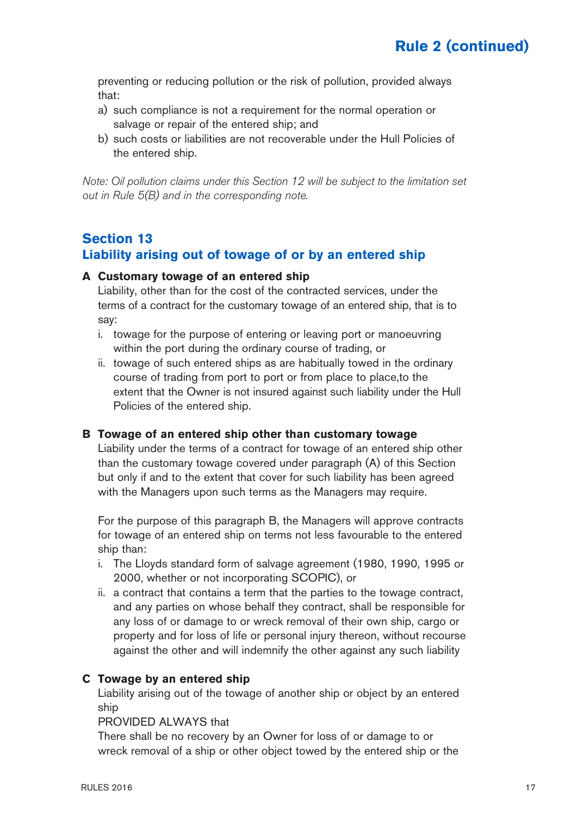preventing or reducing pollution or the risk of pollution, provided always that:

- a) such compliance is not a requirement for the normal operation or salvage or repair of the entered ship; and
- b) such costs or liabilities are not recoverable under the Hull Policies of the entered ship.

*Note: Oil pollution claims under this Section 12 will be subject to the limitation set out in Rule 5(B) and in the corresponding note.*

### **Section 13 Liability arising out of towage of or by an entered ship**

#### **A Customary towage of an entered ship**

Liability, other than for the cost of the contracted services, under the terms of a contract for the customary towage of an entered ship, that is to say:

- i. towage for the purpose of entering or leaving port or manoeuvring within the port during the ordinary course of trading, or
- ii. towage of such entered ships as are habitually towed in the ordinary course of trading from port to port or from place to place,to the extent that the Owner is not insured against such liability under the Hull Policies of the entered ship.

#### **B Towage of an entered ship other than customary towage**

Liability under the terms of a contract for towage of an entered ship other than the customary towage covered under paragraph (A) of this Section but only if and to the extent that cover for such liability has been agreed with the Managers upon such terms as the Managers may require.

For the purpose of this paragraph B, the Managers will approve contracts for towage of an entered ship on terms not less favourable to the entered ship than:

- i. The Lloyds standard form of salvage agreement (1980, 1990, 1995 or 2000, whether or not incorporating SCOPIC), or
- ii. a contract that contains a term that the parties to the towage contract, and any parties on whose behalf they contract, shall be responsible for any loss of or damage to or wreck removal of their own ship, cargo or property and for loss of life or personal injury thereon, without recourse against the other and will indemnify the other against any such liability

#### **C Towage by an entered ship**

Liability arising out of the towage of another ship or object by an entered ship

PROVIDED ALWAYS that

There shall be no recovery by an Owner for loss of or damage to or wreck removal of a ship or other object towed by the entered ship or the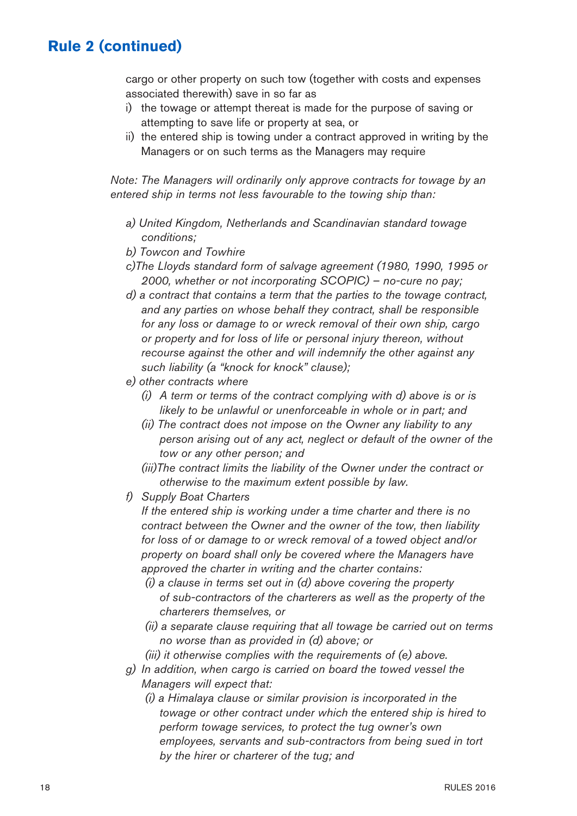cargo or other property on such tow (together with costs and expenses associated therewith) save in so far as

- i) the towage or attempt thereat is made for the purpose of saving or attempting to save life or property at sea, or
- ii) the entered ship is towing under a contract approved in writing by the Managers or on such terms as the Managers may require

*Note: The Managers will ordinarily only approve contracts for towage by an entered ship in terms not less favourable to the towing ship than:*

- *a) United Kingdom, Netherlands and Scandinavian standard towage conditions;*
- *b) Towcon and Towhire*
- *c)The Lloyds standard form of salvage agreement (1980, 1990, 1995 or 2000, whether or not incorporating SCOPIC) – no-cure no pay;*
- *d) a contract that contains a term that the parties to the towage contract, and any parties on whose behalf they contract, shall be responsible for any loss or damage to or wreck removal of their own ship, cargo or property and for loss of life or personal injury thereon, without recourse against the other and will indemnify the other against any such liability (a "knock for knock" clause);*
- *e) other contracts where*
	- *(i) A term or terms of the contract complying with d) above is or is likely to be unlawful or unenforceable in whole or in part; and*
	- *(ii) The contract does not impose on the Owner any liability to any person arising out of any act, neglect or default of the owner of the tow or any other person; and*
	- *(iii)The contract limits the liability of the Owner under the contract or otherwise to the maximum extent possible by law.*
- *f) Supply Boat Charters*

 *If the entered ship is working under a time charter and there is no contract between the Owner and the owner of the tow, then liability for loss of or damage to or wreck removal of a towed object and/or property on board shall only be covered where the Managers have approved the charter in writing and the charter contains:*

- *(i) a clause in terms set out in (d) above covering the property of sub-contractors of the charterers as well as the property of the charterers themselves, or*
- *(ii) a separate clause requiring that all towage be carried out on terms no worse than as provided in (d) above; or*
- *(iii) it otherwise complies with the requirements of (e) above.*
- *g) In addition, when cargo is carried on board the towed vessel the Managers will expect that:*
	- *(i) a Himalaya clause or similar provision is incorporated in the towage or other contract under which the entered ship is hired to perform towage services, to protect the tug owner's own employees, servants and sub-contractors from being sued in tort by the hirer or charterer of the tug; and*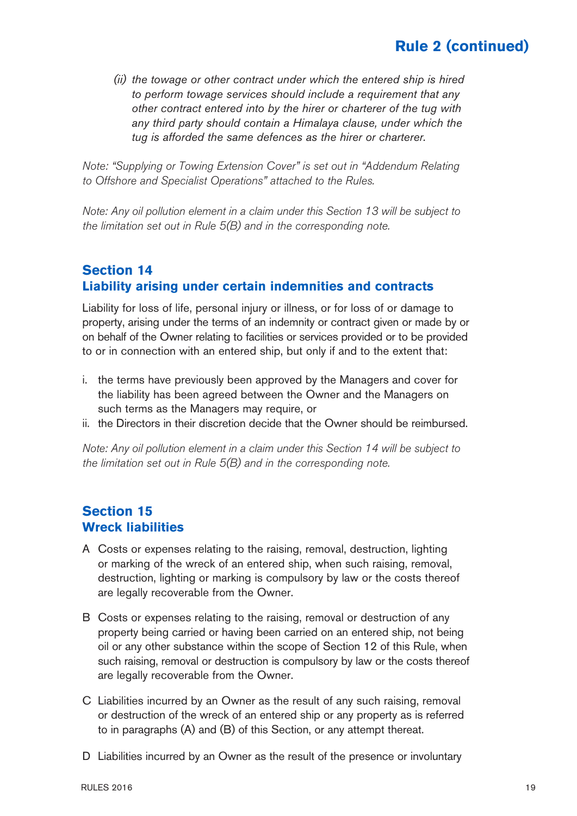*(ii) the towage or other contract under which the entered ship is hired to perform towage services should include a requirement that any other contract entered into by the hirer or charterer of the tug with any third party should contain a Himalaya clause, under which the tug is afforded the same defences as the hirer or charterer.*

*Note: "Supplying or Towing Extension Cover" is set out in "Addendum Relating to Offshore and Specialist Operations" attached to the Rules.*

*Note: Any oil pollution element in a claim under this Section 13 will be subject to the limitation set out in Rule 5(B) and in the corresponding note.*

## **Section 14 Liability arising under certain indemnities and contracts**

Liability for loss of life, personal injury or illness, or for loss of or damage to property, arising under the terms of an indemnity or contract given or made by or on behalf of the Owner relating to facilities or services provided or to be provided to or in connection with an entered ship, but only if and to the extent that:

- i. the terms have previously been approved by the Managers and cover for the liability has been agreed between the Owner and the Managers on such terms as the Managers may require, or
- ii. the Directors in their discretion decide that the Owner should be reimbursed.

*Note: Any oil pollution element in a claim under this Section 14 will be subject to the limitation set out in Rule 5(B) and in the corresponding note.*

## **Section 15 Wreck liabilities**

- A Costs or expenses relating to the raising, removal, destruction, lighting or marking of the wreck of an entered ship, when such raising, removal, destruction, lighting or marking is compulsory by law or the costs thereof are legally recoverable from the Owner.
- B Costs or expenses relating to the raising, removal or destruction of any property being carried or having been carried on an entered ship, not being oil or any other substance within the scope of Section 12 of this Rule, when such raising, removal or destruction is compulsory by law or the costs thereof are legally recoverable from the Owner.
- C Liabilities incurred by an Owner as the result of any such raising, removal or destruction of the wreck of an entered ship or any property as is referred to in paragraphs (A) and (B) of this Section, or any attempt thereat.
- D Liabilities incurred by an Owner as the result of the presence or involuntary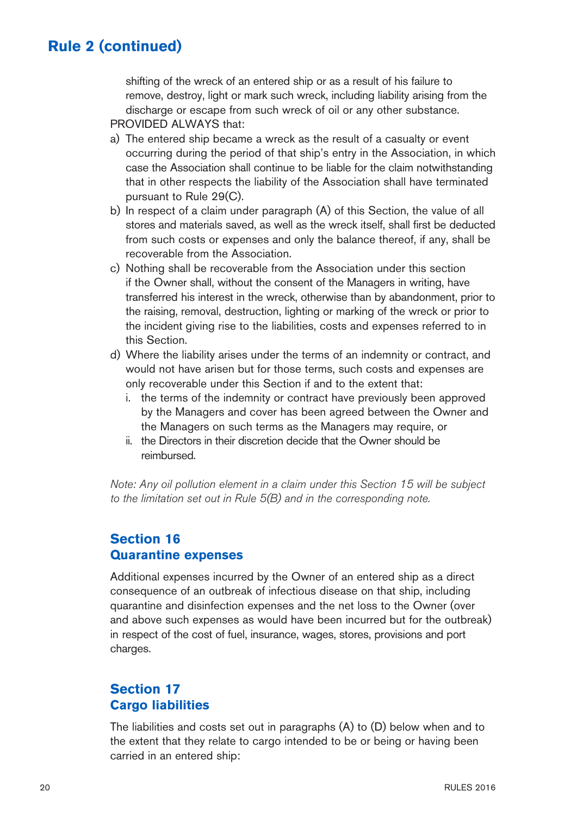shifting of the wreck of an entered ship or as a result of his failure to remove, destroy, light or mark such wreck, including liability arising from the discharge or escape from such wreck of oil or any other substance. PROVIDED ALWAYS that:

- a) The entered ship became a wreck as the result of a casualty or event occurring during the period of that ship's entry in the Association, in which case the Association shall continue to be liable for the claim notwithstanding that in other respects the liability of the Association shall have terminated pursuant to Rule 29(C).
- b) In respect of a claim under paragraph (A) of this Section, the value of all stores and materials saved, as well as the wreck itself, shall first be deducted from such costs or expenses and only the balance thereof, if any, shall be recoverable from the Association.
- c) Nothing shall be recoverable from the Association under this section if the Owner shall, without the consent of the Managers in writing, have transferred his interest in the wreck, otherwise than by abandonment, prior to the raising, removal, destruction, lighting or marking of the wreck or prior to the incident giving rise to the liabilities, costs and expenses referred to in this Section.
- d) Where the liability arises under the terms of an indemnity or contract, and would not have arisen but for those terms, such costs and expenses are only recoverable under this Section if and to the extent that:
	- i. the terms of the indemnity or contract have previously been approved by the Managers and cover has been agreed between the Owner and the Managers on such terms as the Managers may require, or
	- ii. the Directors in their discretion decide that the Owner should be reimbursed.

*Note: Any oil pollution element in a claim under this Section 15 will be subject to the limitation set out in Rule 5(B) and in the corresponding note.*

### **Section 16 Quarantine expenses**

Additional expenses incurred by the Owner of an entered ship as a direct consequence of an outbreak of infectious disease on that ship, including quarantine and disinfection expenses and the net loss to the Owner (over and above such expenses as would have been incurred but for the outbreak) in respect of the cost of fuel, insurance, wages, stores, provisions and port charges.

### **Section 17 Cargo liabilities**

The liabilities and costs set out in paragraphs (A) to (D) below when and to the extent that they relate to cargo intended to be or being or having been carried in an entered ship: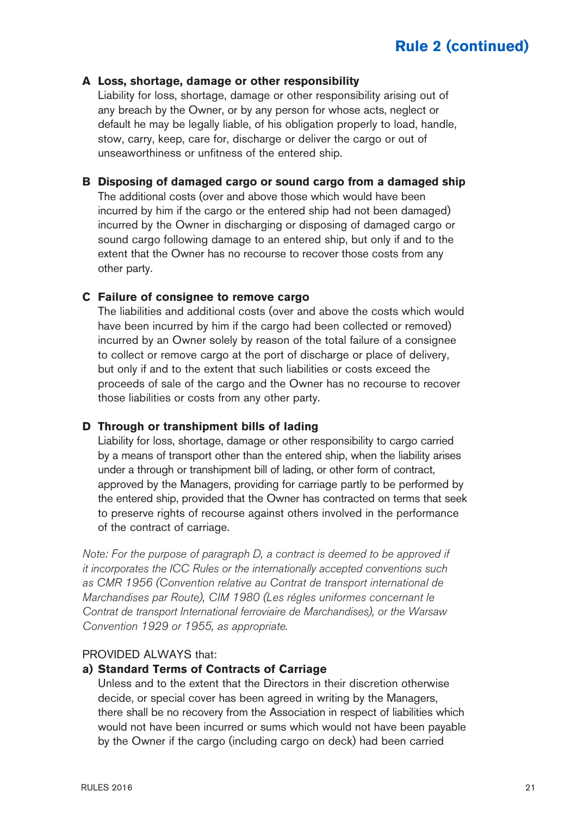#### **A Loss, shortage, damage or other responsibility**

Liability for loss, shortage, damage or other responsibility arising out of any breach by the Owner, or by any person for whose acts, neglect or default he may be legally liable, of his obligation properly to load, handle, stow, carry, keep, care for, discharge or deliver the cargo or out of unseaworthiness or unfitness of the entered ship.

#### **B Disposing of damaged cargo or sound cargo from a damaged ship**

The additional costs (over and above those which would have been incurred by him if the cargo or the entered ship had not been damaged) incurred by the Owner in discharging or disposing of damaged cargo or sound cargo following damage to an entered ship, but only if and to the extent that the Owner has no recourse to recover those costs from any other party.

#### **C Failure of consignee to remove cargo**

The liabilities and additional costs (over and above the costs which would have been incurred by him if the cargo had been collected or removed) incurred by an Owner solely by reason of the total failure of a consignee to collect or remove cargo at the port of discharge or place of delivery, but only if and to the extent that such liabilities or costs exceed the proceeds of sale of the cargo and the Owner has no recourse to recover those liabilities or costs from any other party.

#### **D Through or transhipment bills of lading**

Liability for loss, shortage, damage or other responsibility to cargo carried by a means of transport other than the entered ship, when the liability arises under a through or transhipment bill of lading, or other form of contract, approved by the Managers, providing for carriage partly to be performed by the entered ship, provided that the Owner has contracted on terms that seek to preserve rights of recourse against others involved in the performance of the contract of carriage.

*Note: For the purpose of paragraph D, a contract is deemed to be approved if it incorporates the ICC Rules or the internationally accepted conventions such as CMR 1956 (Convention relative au Contrat de transport international de Marchandises par Route), CIM 1980 (Les régles uniformes concernant le Contrat de transport International ferroviaire de Marchandises), or the Warsaw Convention 1929 or 1955, as appropriate.*

#### PROVIDED ALWAYS that:

#### **a) Standard Terms of Contracts of Carriage**

Unless and to the extent that the Directors in their discretion otherwise decide, or special cover has been agreed in writing by the Managers, there shall be no recovery from the Association in respect of liabilities which would not have been incurred or sums which would not have been payable by the Owner if the cargo (including cargo on deck) had been carried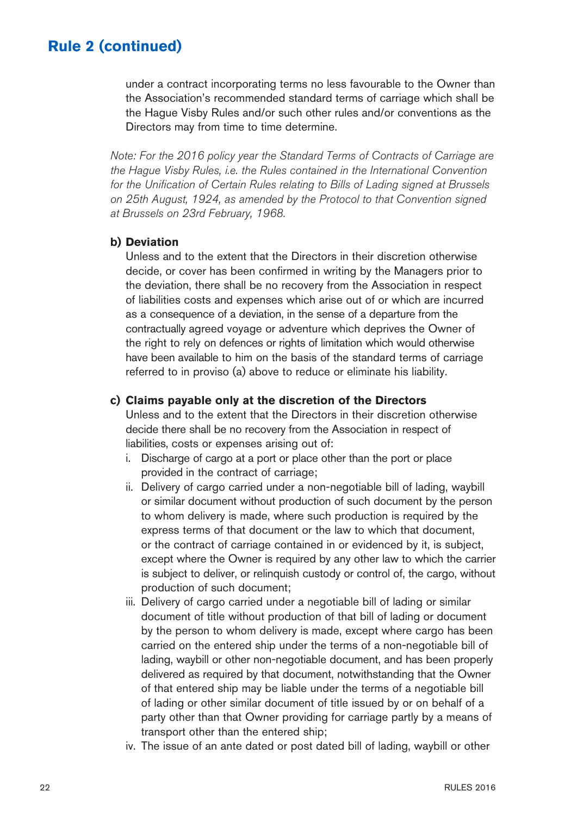under a contract incorporating terms no less favourable to the Owner than the Association's recommended standard terms of carriage which shall be the Hague Visby Rules and/or such other rules and/or conventions as the Directors may from time to time determine.

*Note: For the 2016 policy year the Standard Terms of Contracts of Carriage are the Hague Visby Rules, i.e. the Rules contained in the International Convention for the Unification of Certain Rules relating to Bills of Lading signed at Brussels on 25th August, 1924, as amended by the Protocol to that Convention signed at Brussels on 23rd February, 1968.*

#### **b) Deviation**

Unless and to the extent that the Directors in their discretion otherwise decide, or cover has been confirmed in writing by the Managers prior to the deviation, there shall be no recovery from the Association in respect of liabilities costs and expenses which arise out of or which are incurred as a consequence of a deviation, in the sense of a departure from the contractually agreed voyage or adventure which deprives the Owner of the right to rely on defences or rights of limitation which would otherwise have been available to him on the basis of the standard terms of carriage referred to in proviso (a) above to reduce or eliminate his liability.

#### **c) Claims payable only at the discretion of the Directors**

Unless and to the extent that the Directors in their discretion otherwise decide there shall be no recovery from the Association in respect of liabilities, costs or expenses arising out of:

- i. Discharge of cargo at a port or place other than the port or place provided in the contract of carriage;
- ii. Delivery of cargo carried under a non-negotiable bill of lading, waybill or similar document without production of such document by the person to whom delivery is made, where such production is required by the express terms of that document or the law to which that document, or the contract of carriage contained in or evidenced by it, is subject, except where the Owner is required by any other law to which the carrier is subject to deliver, or relinquish custody or control of, the cargo, without production of such document;
- iii. Delivery of cargo carried under a negotiable bill of lading or similar document of title without production of that bill of lading or document by the person to whom delivery is made, except where cargo has been carried on the entered ship under the terms of a non-negotiable bill of lading, waybill or other non-negotiable document, and has been properly delivered as required by that document, notwithstanding that the Owner of that entered ship may be liable under the terms of a negotiable bill of lading or other similar document of title issued by or on behalf of a party other than that Owner providing for carriage partly by a means of transport other than the entered ship;
- iv. The issue of an ante dated or post dated bill of lading, waybill or other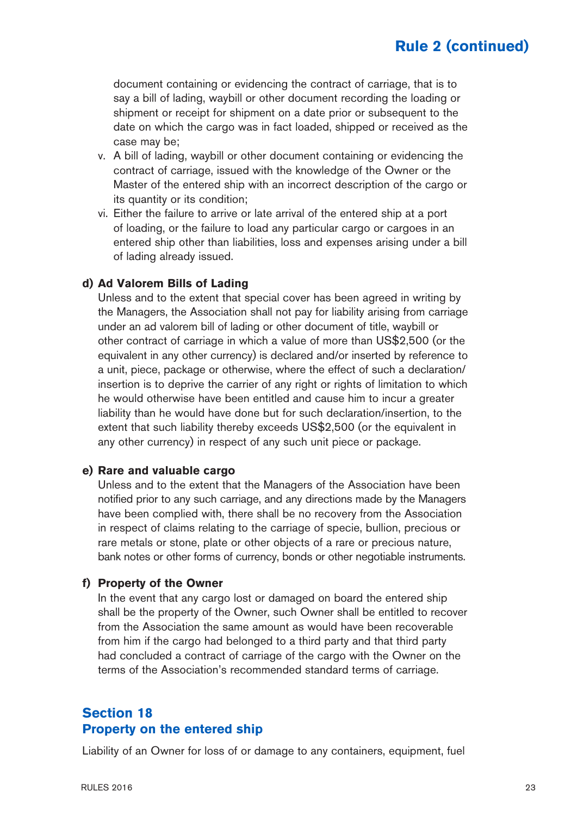document containing or evidencing the contract of carriage, that is to say a bill of lading, waybill or other document recording the loading or shipment or receipt for shipment on a date prior or subsequent to the date on which the cargo was in fact loaded, shipped or received as the case may be;

- v. A bill of lading, waybill or other document containing or evidencing the contract of carriage, issued with the knowledge of the Owner or the Master of the entered ship with an incorrect description of the cargo or its quantity or its condition;
- vi. Either the failure to arrive or late arrival of the entered ship at a port of loading, or the failure to load any particular cargo or cargoes in an entered ship other than liabilities, loss and expenses arising under a bill of lading already issued.

#### **d) Ad Valorem Bills of Lading**

Unless and to the extent that special cover has been agreed in writing by the Managers, the Association shall not pay for liability arising from carriage under an ad valorem bill of lading or other document of title, waybill or other contract of carriage in which a value of more than US\$2,500 (or the equivalent in any other currency) is declared and/or inserted by reference to a unit, piece, package or otherwise, where the effect of such a declaration/ insertion is to deprive the carrier of any right or rights of limitation to which he would otherwise have been entitled and cause him to incur a greater liability than he would have done but for such declaration/insertion, to the extent that such liability thereby exceeds US\$2,500 (or the equivalent in any other currency) in respect of any such unit piece or package.

#### **e) Rare and valuable cargo**

Unless and to the extent that the Managers of the Association have been notified prior to any such carriage, and any directions made by the Managers have been complied with, there shall be no recovery from the Association in respect of claims relating to the carriage of specie, bullion, precious or rare metals or stone, plate or other objects of a rare or precious nature, bank notes or other forms of currency, bonds or other negotiable instruments.

#### **f) Property of the Owner**

In the event that any cargo lost or damaged on board the entered ship shall be the property of the Owner, such Owner shall be entitled to recover from the Association the same amount as would have been recoverable from him if the cargo had belonged to a third party and that third party had concluded a contract of carriage of the cargo with the Owner on the terms of the Association's recommended standard terms of carriage.

### **Section 18 Property on the entered ship**

Liability of an Owner for loss of or damage to any containers, equipment, fuel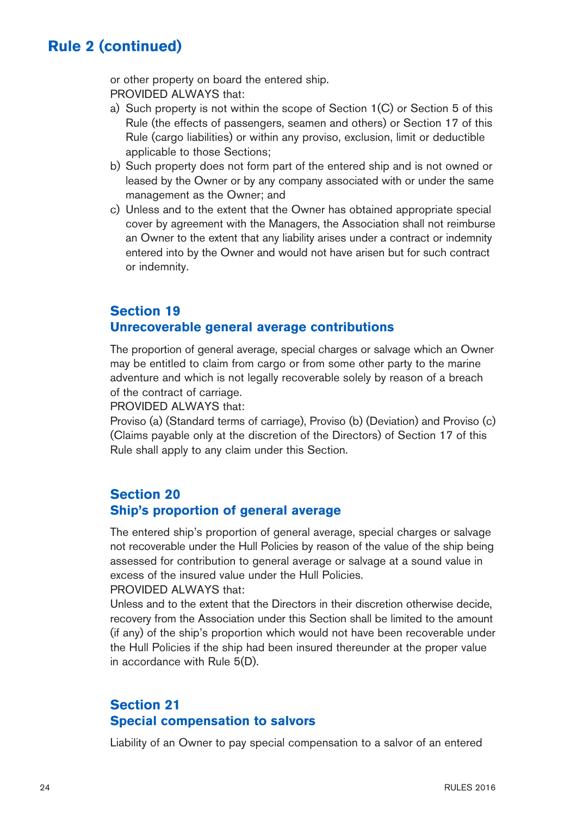or other property on board the entered ship. PROVIDED AI WAYS that:

- a) Such property is not within the scope of Section 1(C) or Section 5 of this Rule (the effects of passengers, seamen and others) or Section 17 of this Rule (cargo liabilities) or within any proviso, exclusion, limit or deductible applicable to those Sections;
- b) Such property does not form part of the entered ship and is not owned or leased by the Owner or by any company associated with or under the same management as the Owner; and
- c) Unless and to the extent that the Owner has obtained appropriate special cover by agreement with the Managers, the Association shall not reimburse an Owner to the extent that any liability arises under a contract or indemnity entered into by the Owner and would not have arisen but for such contract or indemnity.

## **Section 19 Unrecoverable general average contributions**

The proportion of general average, special charges or salvage which an Owner may be entitled to claim from cargo or from some other party to the marine adventure and which is not legally recoverable solely by reason of a breach of the contract of carriage.

PROVIDED ALWAYS that:

Proviso (a) (Standard terms of carriage), Proviso (b) (Deviation) and Proviso (c) (Claims payable only at the discretion of the Directors) of Section 17 of this Rule shall apply to any claim under this Section.

### **Section 20 Ship's proportion of general average**

The entered ship's proportion of general average, special charges or salvage not recoverable under the Hull Policies by reason of the value of the ship being assessed for contribution to general average or salvage at a sound value in excess of the insured value under the Hull Policies. PROVIDED ALWAYS that:

Unless and to the extent that the Directors in their discretion otherwise decide, recovery from the Association under this Section shall be limited to the amount (if any) of the ship's proportion which would not have been recoverable under the Hull Policies if the ship had been insured thereunder at the proper value in accordance with Rule 5(D).

## **Section 21 Special compensation to salvors**

Liability of an Owner to pay special compensation to a salvor of an entered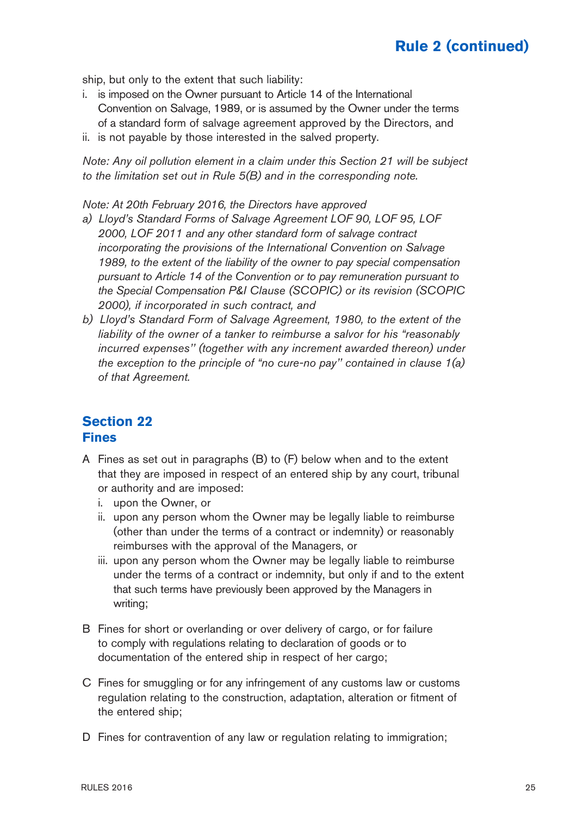ship, but only to the extent that such liability:

- i. is imposed on the Owner pursuant to Article 14 of the International Convention on Salvage, 1989, or is assumed by the Owner under the terms of a standard form of salvage agreement approved by the Directors, and
- ii. is not payable by those interested in the salved property.

*Note: Any oil pollution element in a claim under this Section 21 will be subject to the limitation set out in Rule 5(B) and in the corresponding note.*

*Note: At 20th February 2016, the Directors have approved* 

- *a) Lloyd's Standard Forms of Salvage Agreement LOF 90, LOF 95, LOF 2000, LOF 2011 and any other standard form of salvage contract incorporating the provisions of the International Convention on Salvage 1989, to the extent of the liability of the owner to pay special compensation pursuant to Article 14 of the Convention or to pay remuneration pursuant to the Special Compensation P&I Clause (SCOPIC) or its revision (SCOPIC 2000), if incorporated in such contract, and*
- *b) Lloyd's Standard Form of Salvage Agreement, 1980, to the extent of the liability of the owner of a tanker to reimburse a salvor for his "reasonably incurred expenses'' (together with any increment awarded thereon) under the exception to the principle of "no cure-no pay'' contained in clause 1(a) of that Agreement.*

#### **Section 22 Fines**

- A Fines as set out in paragraphs (B) to (F) below when and to the extent that they are imposed in respect of an entered ship by any court, tribunal or authority and are imposed:
	- i. upon the Owner, or
	- ii. upon any person whom the Owner may be legally liable to reimburse (other than under the terms of a contract or indemnity) or reasonably reimburses with the approval of the Managers, or
	- iii. upon any person whom the Owner may be legally liable to reimburse under the terms of a contract or indemnity, but only if and to the extent that such terms have previously been approved by the Managers in writing;
- B Fines for short or overlanding or over delivery of cargo, or for failure to comply with regulations relating to declaration of goods or to documentation of the entered ship in respect of her cargo;
- C Fines for smuggling or for any infringement of any customs law or customs regulation relating to the construction, adaptation, alteration or fitment of the entered ship;
- D Fines for contravention of any law or regulation relating to immigration;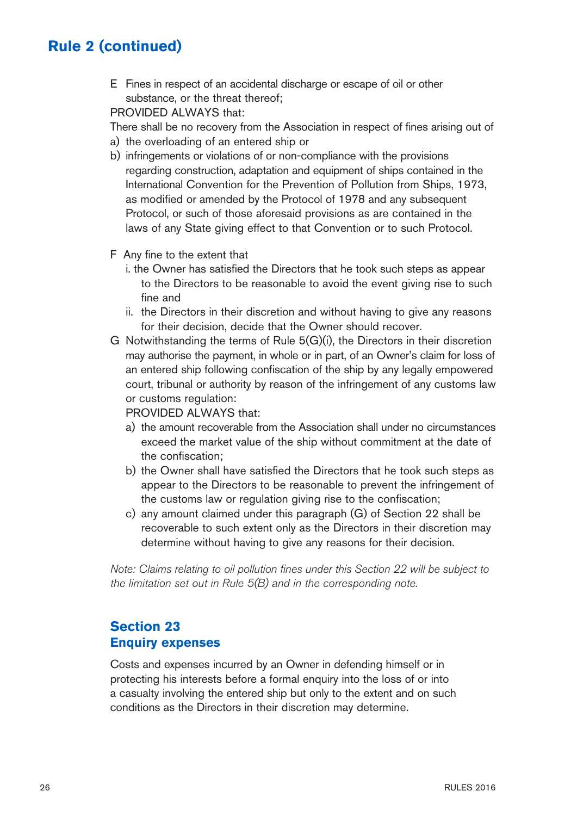E Fines in respect of an accidental discharge or escape of oil or other substance, or the threat thereof;

PROVIDED ALWAYS that:

There shall be no recovery from the Association in respect of fines arising out of

- a) the overloading of an entered ship or
- b) infringements or violations of or non-compliance with the provisions regarding construction, adaptation and equipment of ships contained in the International Convention for the Prevention of Pollution from Ships, 1973, as modified or amended by the Protocol of 1978 and any subsequent Protocol, or such of those aforesaid provisions as are contained in the laws of any State giving effect to that Convention or to such Protocol.
- F Any fine to the extent that
	- i. the Owner has satisfied the Directors that he took such steps as appear to the Directors to be reasonable to avoid the event giving rise to such fine and
	- ii. the Directors in their discretion and without having to give any reasons for their decision, decide that the Owner should recover.
- G Notwithstanding the terms of Rule 5(G)(i), the Directors in their discretion may authorise the payment, in whole or in part, of an Owner's claim for loss of an entered ship following confiscation of the ship by any legally empowered court, tribunal or authority by reason of the infringement of any customs law or customs regulation:

PROVIDED ALWAYS that:

- a) the amount recoverable from the Association shall under no circumstances exceed the market value of the ship without commitment at the date of the confiscation;
- b) the Owner shall have satisfied the Directors that he took such steps as appear to the Directors to be reasonable to prevent the infringement of the customs law or regulation giving rise to the confiscation;
- c) any amount claimed under this paragraph (G) of Section 22 shall be recoverable to such extent only as the Directors in their discretion may determine without having to give any reasons for their decision.

*Note: Claims relating to oil pollution fines under this Section 22 will be subject to the limitation set out in Rule 5(B) and in the corresponding note.*

## **Section 23 Enquiry expenses**

Costs and expenses incurred by an Owner in defending himself or in protecting his interests before a formal enquiry into the loss of or into a casualty involving the entered ship but only to the extent and on such conditions as the Directors in their discretion may determine.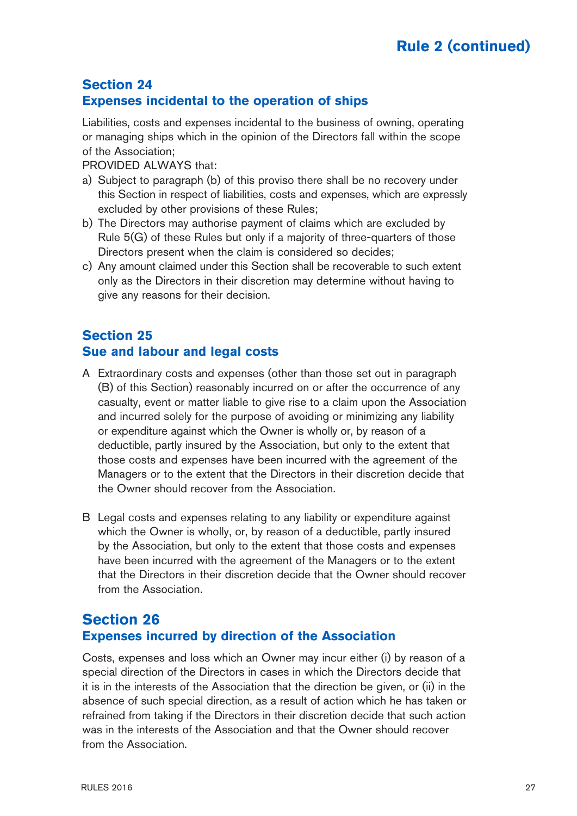## **Section 24 Expenses incidental to the operation of ships**

Liabilities, costs and expenses incidental to the business of owning, operating or managing ships which in the opinion of the Directors fall within the scope of the Association;

PROVIDED ALWAYS that:

- a) Subject to paragraph (b) of this proviso there shall be no recovery under this Section in respect of liabilities, costs and expenses, which are expressly excluded by other provisions of these Rules;
- b) The Directors may authorise payment of claims which are excluded by Rule 5(G) of these Rules but only if a majority of three-quarters of those Directors present when the claim is considered so decides;
- c) Any amount claimed under this Section shall be recoverable to such extent only as the Directors in their discretion may determine without having to give any reasons for their decision.

### **Section 25 Sue and labour and legal costs**

- A Extraordinary costs and expenses (other than those set out in paragraph (B) of this Section) reasonably incurred on or after the occurrence of any casualty, event or matter liable to give rise to a claim upon the Association and incurred solely for the purpose of avoiding or minimizing any liability or expenditure against which the Owner is wholly or, by reason of a deductible, partly insured by the Association, but only to the extent that those costs and expenses have been incurred with the agreement of the Managers or to the extent that the Directors in their discretion decide that the Owner should recover from the Association.
- B Legal costs and expenses relating to any liability or expenditure against which the Owner is wholly, or, by reason of a deductible, partly insured by the Association, but only to the extent that those costs and expenses have been incurred with the agreement of the Managers or to the extent that the Directors in their discretion decide that the Owner should recover from the Association.

## **Section 26 Expenses incurred by direction of the Association**

Costs, expenses and loss which an Owner may incur either (i) by reason of a special direction of the Directors in cases in which the Directors decide that it is in the interests of the Association that the direction be given, or (ii) in the absence of such special direction, as a result of action which he has taken or refrained from taking if the Directors in their discretion decide that such action was in the interests of the Association and that the Owner should recover from the Association.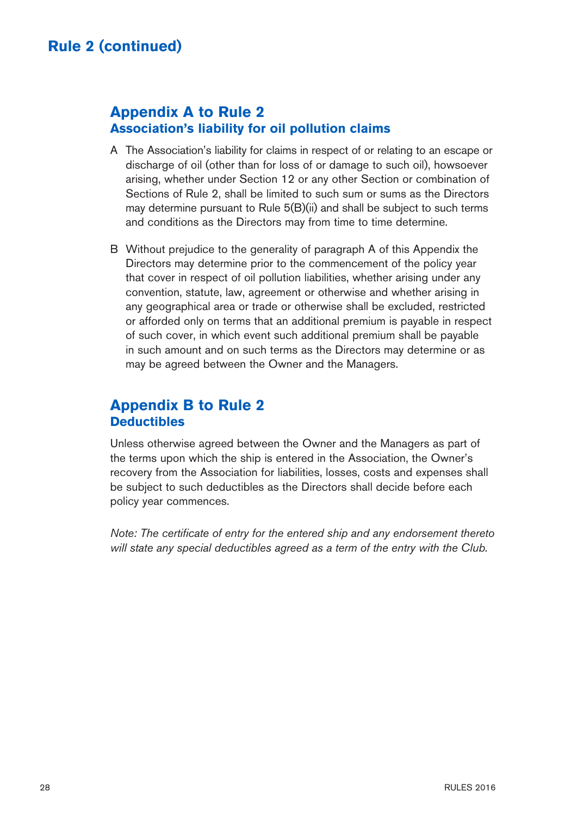### **Appendix A to Rule 2 Association's liability for oil pollution claims**

- A The Association's liability for claims in respect of or relating to an escape or discharge of oil (other than for loss of or damage to such oil), howsoever arising, whether under Section 12 or any other Section or combination of Sections of Rule 2, shall be limited to such sum or sums as the Directors may determine pursuant to Rule 5(B)(ii) and shall be subject to such terms and conditions as the Directors may from time to time determine.
- B Without prejudice to the generality of paragraph A of this Appendix the Directors may determine prior to the commencement of the policy year that cover in respect of oil pollution liabilities, whether arising under any convention, statute, law, agreement or otherwise and whether arising in any geographical area or trade or otherwise shall be excluded, restricted or afforded only on terms that an additional premium is payable in respect of such cover, in which event such additional premium shall be payable in such amount and on such terms as the Directors may determine or as may be agreed between the Owner and the Managers.

## **Appendix B to Rule 2 Deductibles**

Unless otherwise agreed between the Owner and the Managers as part of the terms upon which the ship is entered in the Association, the Owner's recovery from the Association for liabilities, losses, costs and expenses shall be subject to such deductibles as the Directors shall decide before each policy year commences.

*Note: The certificate of entry for the entered ship and any endorsement thereto will state any special deductibles agreed as a term of the entry with the Club.*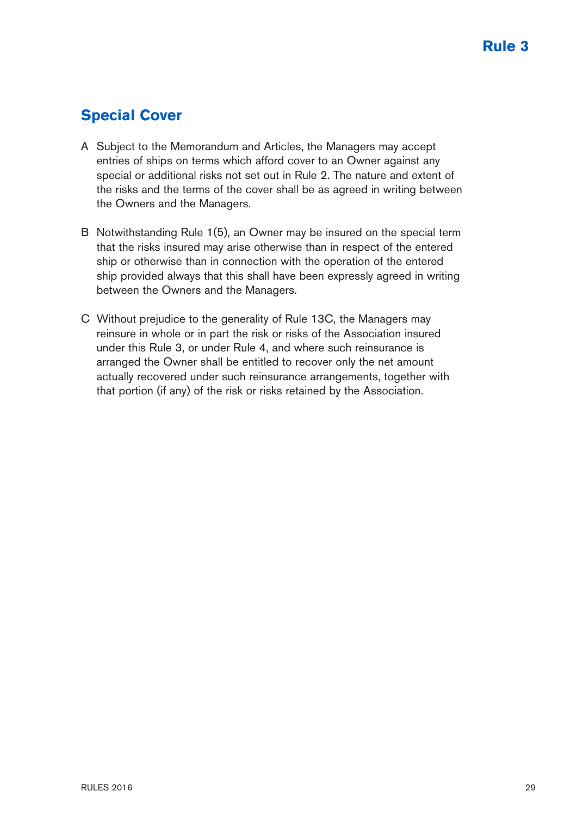# **Special Cover**

- A Subject to the Memorandum and Articles, the Managers may accept entries of ships on terms which afford cover to an Owner against any special or additional risks not set out in Rule 2. The nature and extent of the risks and the terms of the cover shall be as agreed in writing between the Owners and the Managers.
- B Notwithstanding Rule 1(5), an Owner may be insured on the special term that the risks insured may arise otherwise than in respect of the entered ship or otherwise than in connection with the operation of the entered ship provided always that this shall have been expressly agreed in writing between the Owners and the Managers.
- C Without prejudice to the generality of Rule 13C, the Managers may reinsure in whole or in part the risk or risks of the Association insured under this Rule 3, or under Rule 4, and where such reinsurance is arranged the Owner shall be entitled to recover only the net amount actually recovered under such reinsurance arrangements, together with that portion (if any) of the risk or risks retained by the Association.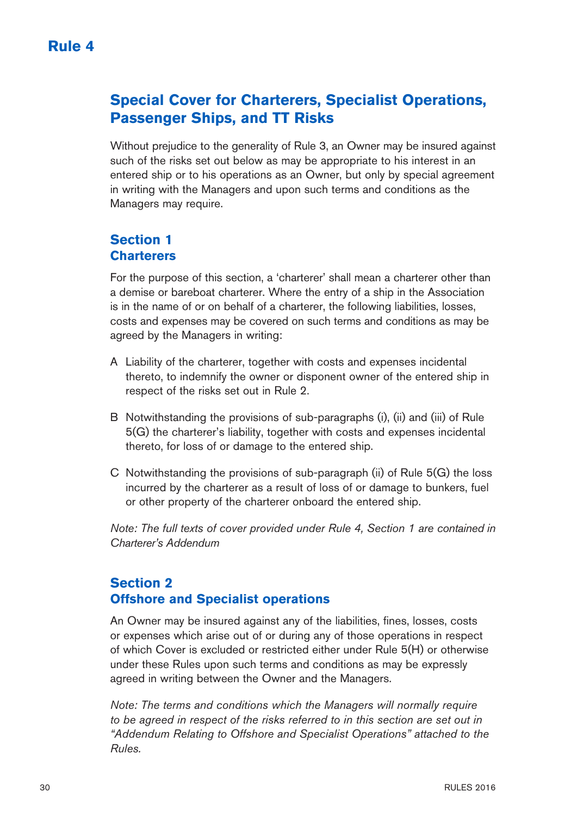## **Special Cover for Charterers, Specialist Operations, Passenger Ships, and TT Risks**

Without prejudice to the generality of Rule 3, an Owner may be insured against such of the risks set out below as may be appropriate to his interest in an entered ship or to his operations as an Owner, but only by special agreement in writing with the Managers and upon such terms and conditions as the Managers may require.

## **Section 1 Charterers**

For the purpose of this section, a 'charterer' shall mean a charterer other than a demise or bareboat charterer. Where the entry of a ship in the Association is in the name of or on behalf of a charterer, the following liabilities, losses, costs and expenses may be covered on such terms and conditions as may be agreed by the Managers in writing:

- A Liability of the charterer, together with costs and expenses incidental thereto, to indemnify the owner or disponent owner of the entered ship in respect of the risks set out in Rule 2.
- B Notwithstanding the provisions of sub-paragraphs (i), (ii) and (iii) of Rule 5(G) the charterer's liability, together with costs and expenses incidental thereto, for loss of or damage to the entered ship.
- C Notwithstanding the provisions of sub-paragraph (ii) of Rule 5(G) the loss incurred by the charterer as a result of loss of or damage to bunkers, fuel or other property of the charterer onboard the entered ship.

*Note: The full texts of cover provided under Rule 4, Section 1 are contained in Charterer's Addendum*

## **Section 2 Offshore and Specialist operations**

An Owner may be insured against any of the liabilities, fines, losses, costs or expenses which arise out of or during any of those operations in respect of which Cover is excluded or restricted either under Rule 5(H) or otherwise under these Rules upon such terms and conditions as may be expressly agreed in writing between the Owner and the Managers.

*Note: The terms and conditions which the Managers will normally require to be agreed in respect of the risks referred to in this section are set out in "Addendum Relating to Offshore and Specialist Operations" attached to the Rules.*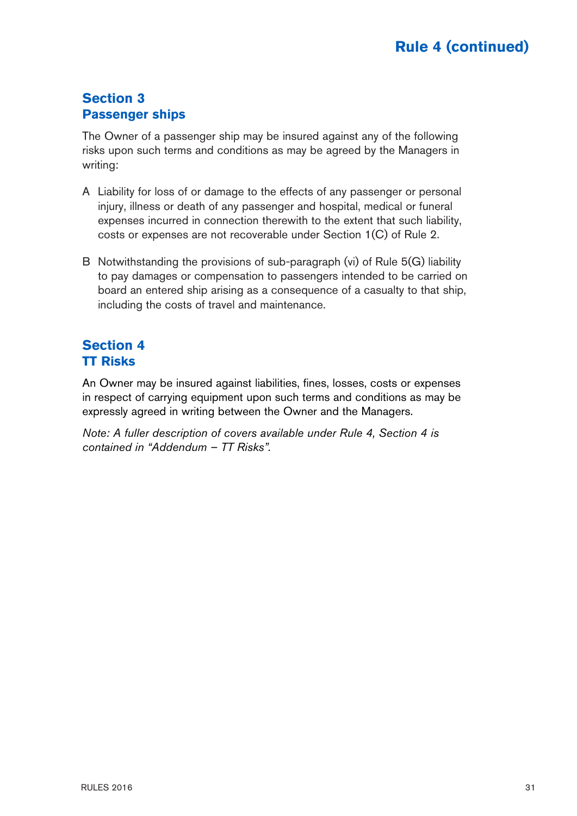## **Section 3 Passenger ships**

The Owner of a passenger ship may be insured against any of the following risks upon such terms and conditions as may be agreed by the Managers in writing:

- A Liability for loss of or damage to the effects of any passenger or personal injury, illness or death of any passenger and hospital, medical or funeral expenses incurred in connection therewith to the extent that such liability, costs or expenses are not recoverable under Section 1(C) of Rule 2.
- B Notwithstanding the provisions of sub-paragraph (vi) of Rule 5(G) liability to pay damages or compensation to passengers intended to be carried on board an entered ship arising as a consequence of a casualty to that ship, including the costs of travel and maintenance.

## **Section 4 TT Risks**

An Owner may be insured against liabilities, fines, losses, costs or expenses in respect of carrying equipment upon such terms and conditions as may be expressly agreed in writing between the Owner and the Managers.

*Note: A fuller description of covers available under Rule 4, Section 4 is contained in "Addendum – TT Risks".*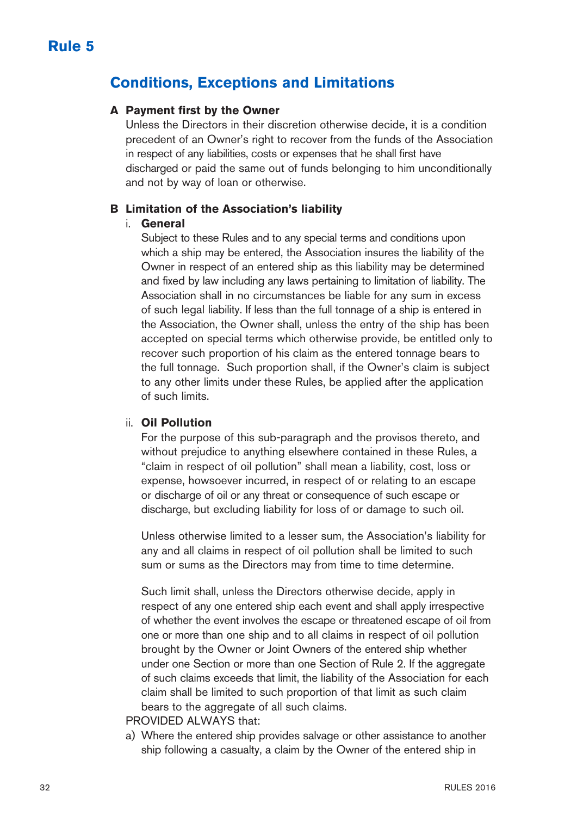## **Conditions, Exceptions and Limitations**

#### **A Payment first by the Owner**

Unless the Directors in their discretion otherwise decide, it is a condition precedent of an Owner's right to recover from the funds of the Association in respect of any liabilities, costs or expenses that he shall first have discharged or paid the same out of funds belonging to him unconditionally and not by way of loan or otherwise.

#### **B Limitation of the Association's liability**

#### i. **General**

 Subject to these Rules and to any special terms and conditions upon which a ship may be entered, the Association insures the liability of the Owner in respect of an entered ship as this liability may be determined and fixed by law including any laws pertaining to limitation of liability. The Association shall in no circumstances be liable for any sum in excess of such legal liability. If less than the full tonnage of a ship is entered in the Association, the Owner shall, unless the entry of the ship has been accepted on special terms which otherwise provide, be entitled only to recover such proportion of his claim as the entered tonnage bears to the full tonnage. Such proportion shall, if the Owner's claim is subject to any other limits under these Rules, be applied after the application of such limits.

#### ii. **Oil Pollution**

 For the purpose of this sub-paragraph and the provisos thereto, and without prejudice to anything elsewhere contained in these Rules, a "claim in respect of oil pollution" shall mean a liability, cost, loss or expense, howsoever incurred, in respect of or relating to an escape or discharge of oil or any threat or consequence of such escape or discharge, but excluding liability for loss of or damage to such oil.

 Unless otherwise limited to a lesser sum, the Association's liability for any and all claims in respect of oil pollution shall be limited to such sum or sums as the Directors may from time to time determine.

 Such limit shall, unless the Directors otherwise decide, apply in respect of any one entered ship each event and shall apply irrespective of whether the event involves the escape or threatened escape of oil from one or more than one ship and to all claims in respect of oil pollution brought by the Owner or Joint Owners of the entered ship whether under one Section or more than one Section of Rule 2. If the aggregate of such claims exceeds that limit, the liability of the Association for each claim shall be limited to such proportion of that limit as such claim bears to the aggregate of all such claims.

#### PROVIDED ALWAYS that:

a) Where the entered ship provides salvage or other assistance to another ship following a casualty, a claim by the Owner of the entered ship in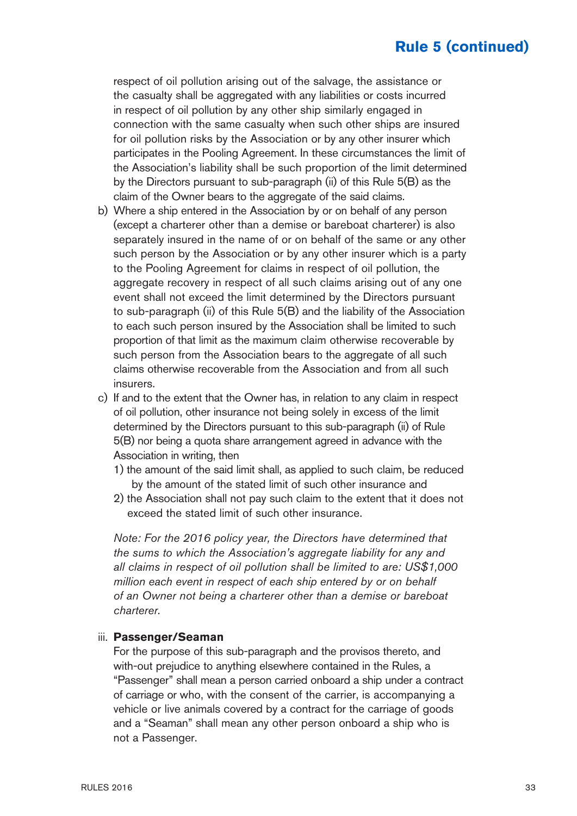respect of oil pollution arising out of the salvage, the assistance or the casualty shall be aggregated with any liabilities or costs incurred in respect of oil pollution by any other ship similarly engaged in connection with the same casualty when such other ships are insured for oil pollution risks by the Association or by any other insurer which participates in the Pooling Agreement. In these circumstances the limit of the Association's liability shall be such proportion of the limit determined by the Directors pursuant to sub-paragraph (ii) of this Rule 5(B) as the claim of the Owner bears to the aggregate of the said claims.

- b) Where a ship entered in the Association by or on behalf of any person (except a charterer other than a demise or bareboat charterer) is also separately insured in the name of or on behalf of the same or any other such person by the Association or by any other insurer which is a party to the Pooling Agreement for claims in respect of oil pollution, the aggregate recovery in respect of all such claims arising out of any one event shall not exceed the limit determined by the Directors pursuant to sub-paragraph (ii) of this Rule 5(B) and the liability of the Association to each such person insured by the Association shall be limited to such proportion of that limit as the maximum claim otherwise recoverable by such person from the Association bears to the aggregate of all such claims otherwise recoverable from the Association and from all such insurers.
- c) If and to the extent that the Owner has, in relation to any claim in respect of oil pollution, other insurance not being solely in excess of the limit determined by the Directors pursuant to this sub-paragraph (ii) of Rule 5(B) nor being a quota share arrangement agreed in advance with the Association in writing, then
	- 1) the amount of the said limit shall, as applied to such claim, be reduced by the amount of the stated limit of such other insurance and
	- 2) the Association shall not pay such claim to the extent that it does not exceed the stated limit of such other insurance.

 *Note: For the 2016 policy year, the Directors have determined that the sums to which the Association's aggregate liability for any and all claims in respect of oil pollution shall be limited to are: US\$1,000 million each event in respect of each ship entered by or on behalf of an Owner not being a charterer other than a demise or bareboat charterer.*

#### iii. **Passenger/Seaman**

 For the purpose of this sub-paragraph and the provisos thereto, and with-out prejudice to anything elsewhere contained in the Rules, a "Passenger" shall mean a person carried onboard a ship under a contract of carriage or who, with the consent of the carrier, is accompanying a vehicle or live animals covered by a contract for the carriage of goods and a "Seaman" shall mean any other person onboard a ship who is not a Passenger.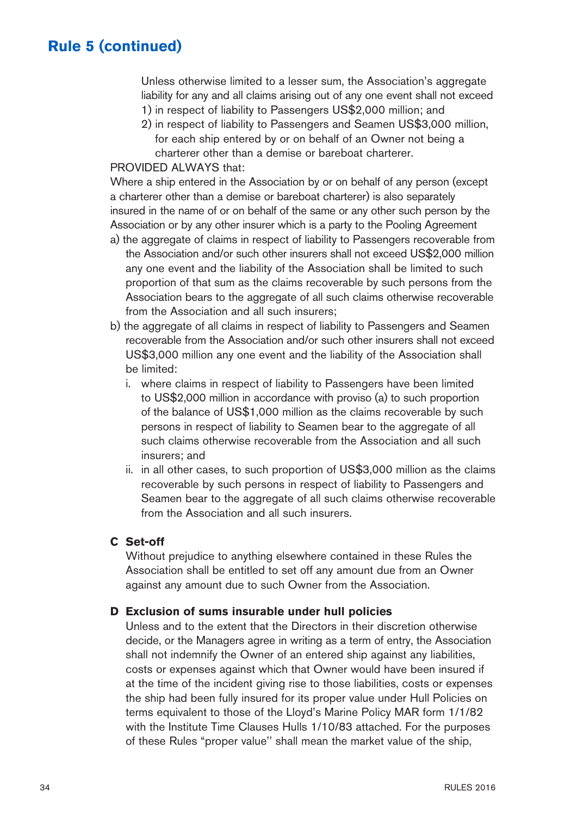Unless otherwise limited to a lesser sum, the Association's aggregate liability for any and all claims arising out of any one event shall not exceed 1) in respect of liability to Passengers US\$2,000 million; and

2) in respect of liability to Passengers and Seamen US\$3,000 million, for each ship entered by or on behalf of an Owner not being a charterer other than a demise or bareboat charterer.

#### PROVIDED ALWAYS that:

Where a ship entered in the Association by or on behalf of any person (except a charterer other than a demise or bareboat charterer) is also separately insured in the name of or on behalf of the same or any other such person by the Association or by any other insurer which is a party to the Pooling Agreement

- a) the aggregate of claims in respect of liability to Passengers recoverable from the Association and/or such other insurers shall not exceed US\$2,000 million any one event and the liability of the Association shall be limited to such proportion of that sum as the claims recoverable by such persons from the Association bears to the aggregate of all such claims otherwise recoverable from the Association and all such insurers;
- b) the aggregate of all claims in respect of liability to Passengers and Seamen recoverable from the Association and/or such other insurers shall not exceed US\$3,000 million any one event and the liability of the Association shall be limited:
	- i. where claims in respect of liability to Passengers have been limited to US\$2,000 million in accordance with proviso (a) to such proportion of the balance of US\$1,000 million as the claims recoverable by such persons in respect of liability to Seamen bear to the aggregate of all such claims otherwise recoverable from the Association and all such insurers; and
	- ii. in all other cases, to such proportion of US\$3,000 million as the claims recoverable by such persons in respect of liability to Passengers and Seamen bear to the aggregate of all such claims otherwise recoverable from the Association and all such insurers.

#### **C Set-off**

Without prejudice to anything elsewhere contained in these Rules the Association shall be entitled to set off any amount due from an Owner against any amount due to such Owner from the Association.

#### **D Exclusion of sums insurable under hull policies**

Unless and to the extent that the Directors in their discretion otherwise decide, or the Managers agree in writing as a term of entry, the Association shall not indemnify the Owner of an entered ship against any liabilities, costs or expenses against which that Owner would have been insured if at the time of the incident giving rise to those liabilities, costs or expenses the ship had been fully insured for its proper value under Hull Policies on terms equivalent to those of the Lloyd's Marine Policy MAR form 1/1/82 with the Institute Time Clauses Hulls 1/10/83 attached. For the purposes of these Rules "proper value'' shall mean the market value of the ship,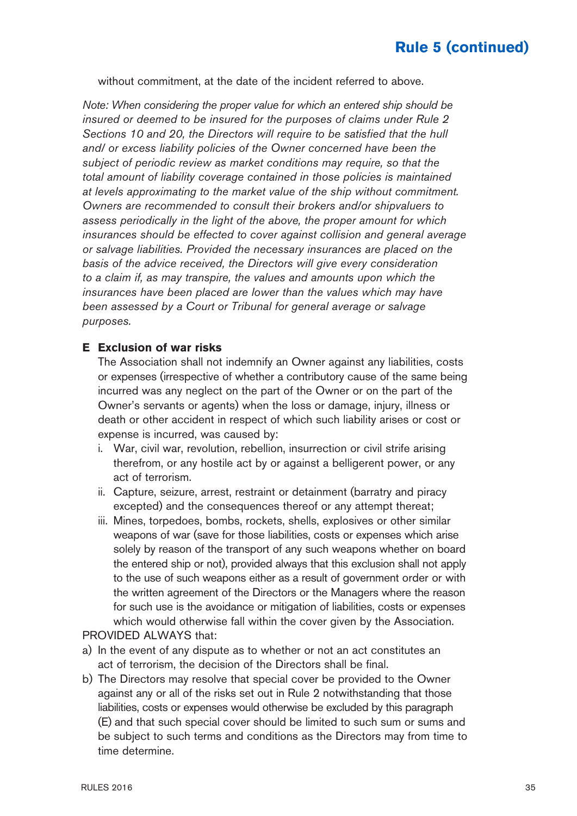without commitment, at the date of the incident referred to above.

*Note: When considering the proper value for which an entered ship should be insured or deemed to be insured for the purposes of claims under Rule 2 Sections 10 and 20, the Directors will require to be satisfied that the hull and/ or excess liability policies of the Owner concerned have been the subject of periodic review as market conditions may require, so that the total amount of liability coverage contained in those policies is maintained at levels approximating to the market value of the ship without commitment. Owners are recommended to consult their brokers and/or shipvaluers to assess periodically in the light of the above, the proper amount for which insurances should be effected to cover against collision and general average or salvage liabilities. Provided the necessary insurances are placed on the basis of the advice received, the Directors will give every consideration to a claim if, as may transpire, the values and amounts upon which the insurances have been placed are lower than the values which may have been assessed by a Court or Tribunal for general average or salvage purposes.* 

#### **E Exclusion of war risks**

The Association shall not indemnify an Owner against any liabilities, costs or expenses (irrespective of whether a contributory cause of the same being incurred was any neglect on the part of the Owner or on the part of the Owner's servants or agents) when the loss or damage, injury, illness or death or other accident in respect of which such liability arises or cost or expense is incurred, was caused by:

- i. War, civil war, revolution, rebellion, insurrection or civil strife arising therefrom, or any hostile act by or against a belligerent power, or any act of terrorism.
- ii. Capture, seizure, arrest, restraint or detainment (barratry and piracy excepted) and the consequences thereof or any attempt thereat;
- iii. Mines, torpedoes, bombs, rockets, shells, explosives or other similar weapons of war (save for those liabilities, costs or expenses which arise solely by reason of the transport of any such weapons whether on board the entered ship or not), provided always that this exclusion shall not apply to the use of such weapons either as a result of government order or with the written agreement of the Directors or the Managers where the reason for such use is the avoidance or mitigation of liabilities, costs or expenses which would otherwise fall within the cover given by the Association.

PROVIDED ALWAYS that:

- a) In the event of any dispute as to whether or not an act constitutes an act of terrorism, the decision of the Directors shall be final.
- b) The Directors may resolve that special cover be provided to the Owner against any or all of the risks set out in Rule 2 notwithstanding that those liabilities, costs or expenses would otherwise be excluded by this paragraph (E) and that such special cover should be limited to such sum or sums and be subject to such terms and conditions as the Directors may from time to time determine.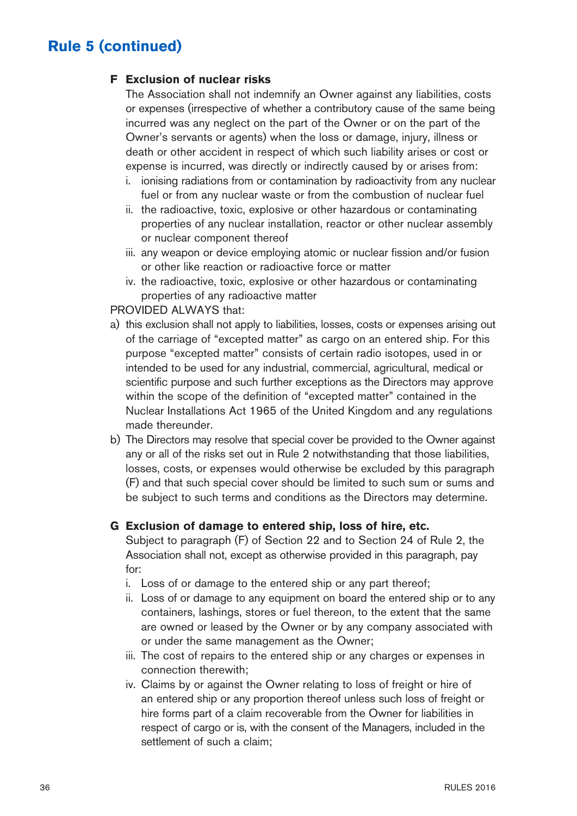#### **F Exclusion of nuclear risks**

The Association shall not indemnify an Owner against any liabilities, costs or expenses (irrespective of whether a contributory cause of the same being incurred was any neglect on the part of the Owner or on the part of the Owner's servants or agents) when the loss or damage, injury, illness or death or other accident in respect of which such liability arises or cost or expense is incurred, was directly or indirectly caused by or arises from:

- i. ionising radiations from or contamination by radioactivity from any nuclear fuel or from any nuclear waste or from the combustion of nuclear fuel
- ii. the radioactive, toxic, explosive or other hazardous or contaminating properties of any nuclear installation, reactor or other nuclear assembly or nuclear component thereof
- iii. any weapon or device employing atomic or nuclear fission and/or fusion or other like reaction or radioactive force or matter
- iv. the radioactive, toxic, explosive or other hazardous or contaminating properties of any radioactive matter

#### PROVIDED ALWAYS that:

- a) this exclusion shall not apply to liabilities, losses, costs or expenses arising out of the carriage of "excepted matter" as cargo on an entered ship. For this purpose "excepted matter" consists of certain radio isotopes, used in or intended to be used for any industrial, commercial, agricultural, medical or scientific purpose and such further exceptions as the Directors may approve within the scope of the definition of "excepted matter" contained in the Nuclear Installations Act 1965 of the United Kingdom and any regulations made thereunder.
- b) The Directors may resolve that special cover be provided to the Owner against any or all of the risks set out in Rule 2 notwithstanding that those liabilities, losses, costs, or expenses would otherwise be excluded by this paragraph (F) and that such special cover should be limited to such sum or sums and be subject to such terms and conditions as the Directors may determine.

#### **G Exclusion of damage to entered ship, loss of hire, etc.**

Subject to paragraph (F) of Section 22 and to Section 24 of Rule 2, the Association shall not, except as otherwise provided in this paragraph, pay for:

- i. Loss of or damage to the entered ship or any part thereof;
- ii. Loss of or damage to any equipment on board the entered ship or to any containers, lashings, stores or fuel thereon, to the extent that the same are owned or leased by the Owner or by any company associated with or under the same management as the Owner;
- iii. The cost of repairs to the entered ship or any charges or expenses in connection therewith;
- iv. Claims by or against the Owner relating to loss of freight or hire of an entered ship or any proportion thereof unless such loss of freight or hire forms part of a claim recoverable from the Owner for liabilities in respect of cargo or is, with the consent of the Managers, included in the settlement of such a claim;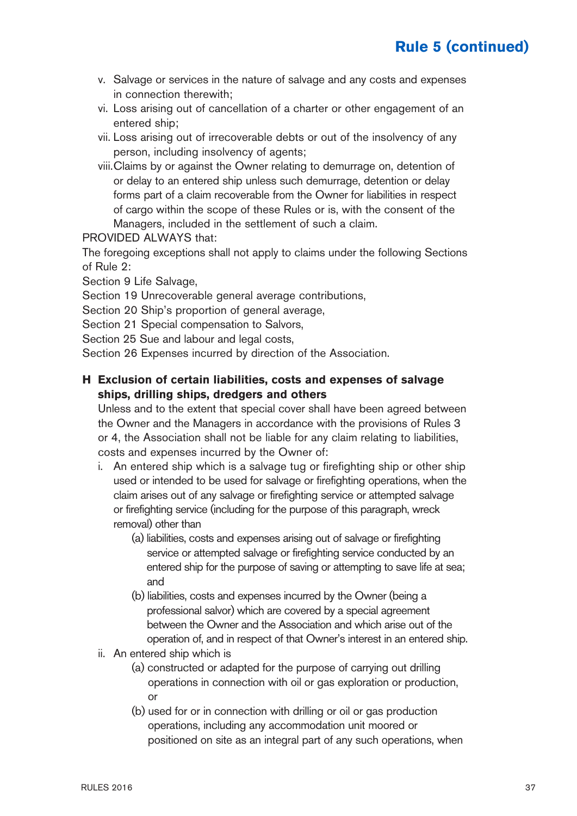- v. Salvage or services in the nature of salvage and any costs and expenses in connection therewith;
- vi. Loss arising out of cancellation of a charter or other engagement of an entered ship;
- vii. Loss arising out of irrecoverable debts or out of the insolvency of any person, including insolvency of agents;
- viii.Claims by or against the Owner relating to demurrage on, detention of or delay to an entered ship unless such demurrage, detention or delay forms part of a claim recoverable from the Owner for liabilities in respect of cargo within the scope of these Rules or is, with the consent of the Managers, included in the settlement of such a claim.

#### PROVIDED ALWAYS that:

The foregoing exceptions shall not apply to claims under the following Sections of Rule 2:

Section 9 Life Salvage,

Section 19 Unrecoverable general average contributions,

Section 20 Ship's proportion of general average,

Section 21 Special compensation to Salvors,

Section 25 Sue and labour and legal costs,

Section 26 Expenses incurred by direction of the Association.

### **H Exclusion of certain liabilities, costs and expenses of salvage ships, drilling ships, dredgers and others**

Unless and to the extent that special cover shall have been agreed between the Owner and the Managers in accordance with the provisions of Rules 3 or 4, the Association shall not be liable for any claim relating to liabilities, costs and expenses incurred by the Owner of:

- i. An entered ship which is a salvage tug or firefighting ship or other ship used or intended to be used for salvage or firefighting operations, when the claim arises out of any salvage or firefighting service or attempted salvage or firefighting service (including for the purpose of this paragraph, wreck removal) other than
	- (a) liabilities, costs and expenses arising out of salvage or firefighting service or attempted salvage or firefighting service conducted by an entered ship for the purpose of saving or attempting to save life at sea; and
	- (b) liabilities, costs and expenses incurred by the Owner (being a professional salvor) which are covered by a special agreement between the Owner and the Association and which arise out of the operation of, and in respect of that Owner's interest in an entered ship.
- ii. An entered ship which is
	- (a) constructed or adapted for the purpose of carrying out drilling operations in connection with oil or gas exploration or production, or
	- (b) used for or in connection with drilling or oil or gas production operations, including any accommodation unit moored or positioned on site as an integral part of any such operations, when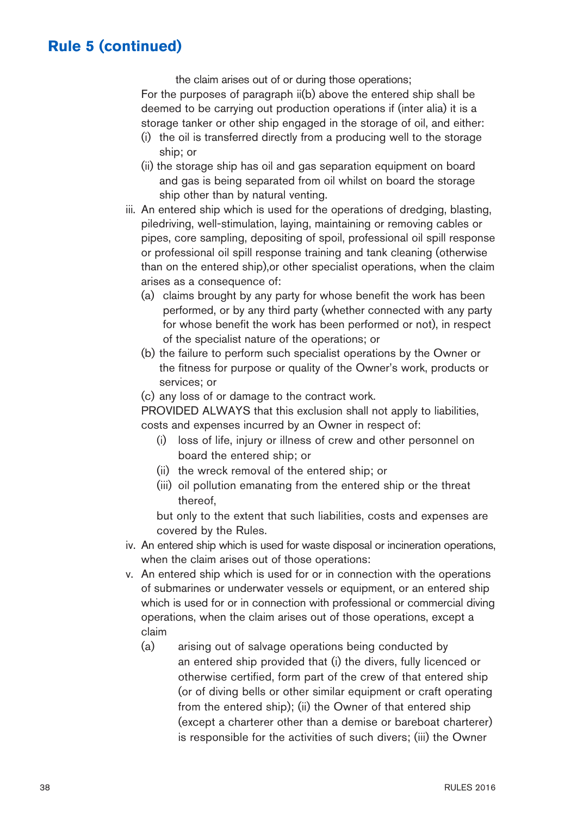the claim arises out of or during those operations;

 For the purposes of paragraph ii(b) above the entered ship shall be deemed to be carrying out production operations if (inter alia) it is a storage tanker or other ship engaged in the storage of oil, and either:

- (i) the oil is transferred directly from a producing well to the storage ship; or
- (ii) the storage ship has oil and gas separation equipment on board and gas is being separated from oil whilst on board the storage ship other than by natural venting.
- iii. An entered ship which is used for the operations of dredging, blasting, piledriving, well-stimulation, laying, maintaining or removing cables or pipes, core sampling, depositing of spoil, professional oil spill response or professional oil spill response training and tank cleaning (otherwise than on the entered ship),or other specialist operations, when the claim arises as a consequence of:
	- (a) claims brought by any party for whose benefit the work has been performed, or by any third party (whether connected with any party for whose benefit the work has been performed or not), in respect of the specialist nature of the operations; or
	- (b) the failure to perform such specialist operations by the Owner or the fitness for purpose or quality of the Owner's work, products or services; or
	- (c) any loss of or damage to the contract work.

PROVIDED ALWAYS that this exclusion shall not apply to liabilities, costs and expenses incurred by an Owner in respect of:

- (i) loss of life, injury or illness of crew and other personnel on board the entered ship; or
- (ii) the wreck removal of the entered ship; or
- (iii) oil pollution emanating from the entered ship or the threat thereof,

 but only to the extent that such liabilities, costs and expenses are covered by the Rules.

- iv. An entered ship which is used for waste disposal or incineration operations, when the claim arises out of those operations:
- v. An entered ship which is used for or in connection with the operations of submarines or underwater vessels or equipment, or an entered ship which is used for or in connection with professional or commercial diving operations, when the claim arises out of those operations, except a claim
	- (a) arising out of salvage operations being conducted by an entered ship provided that (i) the divers, fully licenced or otherwise certified, form part of the crew of that entered ship (or of diving bells or other similar equipment or craft operating from the entered ship); (ii) the Owner of that entered ship (except a charterer other than a demise or bareboat charterer) is responsible for the activities of such divers; (iii) the Owner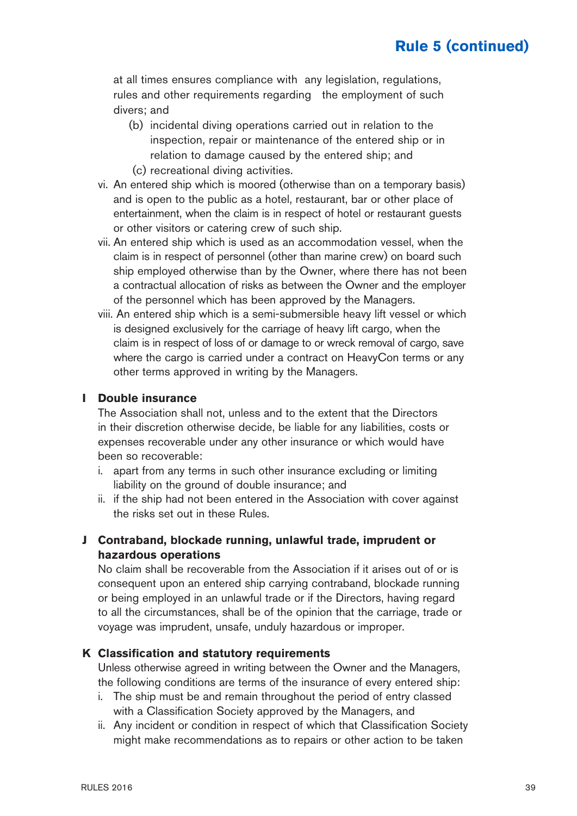at all times ensures compliance with any legislation, regulations, rules and other requirements regarding the employment of such divers; and

- (b) incidental diving operations carried out in relation to the inspection, repair or maintenance of the entered ship or in relation to damage caused by the entered ship; and (c) recreational diving activities.
- vi. An entered ship which is moored (otherwise than on a temporary basis) and is open to the public as a hotel, restaurant, bar or other place of entertainment, when the claim is in respect of hotel or restaurant guests or other visitors or catering crew of such ship.
- vii. An entered ship which is used as an accommodation vessel, when the claim is in respect of personnel (other than marine crew) on board such ship employed otherwise than by the Owner, where there has not been a contractual allocation of risks as between the Owner and the employer of the personnel which has been approved by the Managers.
- viii. An entered ship which is a semi-submersible heavy lift vessel or which is designed exclusively for the carriage of heavy lift cargo, when the claim is in respect of loss of or damage to or wreck removal of cargo, save where the cargo is carried under a contract on HeavyCon terms or any other terms approved in writing by the Managers.

#### **I Double insurance**

The Association shall not, unless and to the extent that the Directors in their discretion otherwise decide, be liable for any liabilities, costs or expenses recoverable under any other insurance or which would have been so recoverable:

- i. apart from any terms in such other insurance excluding or limiting liability on the ground of double insurance; and
- ii. if the ship had not been entered in the Association with cover against the risks set out in these Rules.

#### **J Contraband, blockade running, unlawful trade, imprudent or hazardous operations**

No claim shall be recoverable from the Association if it arises out of or is consequent upon an entered ship carrying contraband, blockade running or being employed in an unlawful trade or if the Directors, having regard to all the circumstances, shall be of the opinion that the carriage, trade or voyage was imprudent, unsafe, unduly hazardous or improper.

#### **K Classification and statutory requirements**

Unless otherwise agreed in writing between the Owner and the Managers, the following conditions are terms of the insurance of every entered ship:

- i. The ship must be and remain throughout the period of entry classed with a Classification Society approved by the Managers, and
- ii. Any incident or condition in respect of which that Classification Society might make recommendations as to repairs or other action to be taken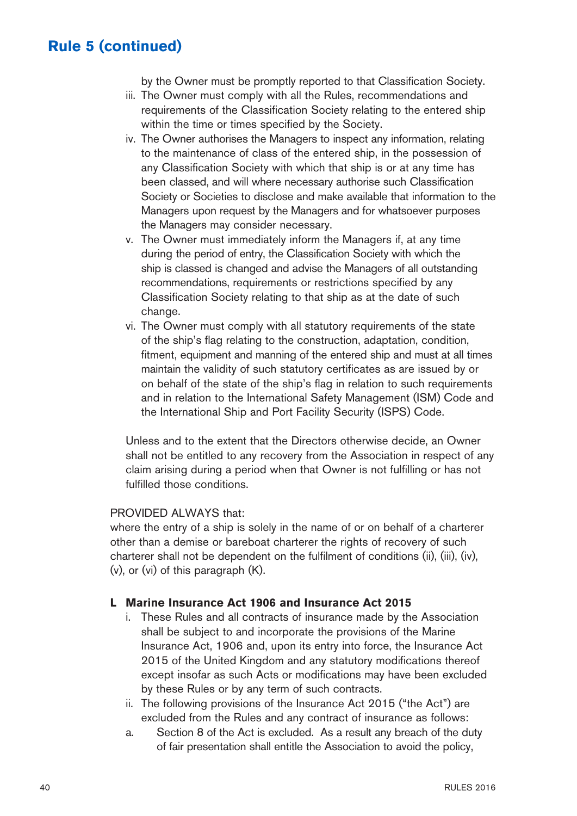by the Owner must be promptly reported to that Classification Society.

- iii. The Owner must comply with all the Rules, recommendations and requirements of the Classification Society relating to the entered ship within the time or times specified by the Society.
- iv. The Owner authorises the Managers to inspect any information, relating to the maintenance of class of the entered ship, in the possession of any Classification Society with which that ship is or at any time has been classed, and will where necessary authorise such Classification Society or Societies to disclose and make available that information to the Managers upon request by the Managers and for whatsoever purposes the Managers may consider necessary.
- v. The Owner must immediately inform the Managers if, at any time during the period of entry, the Classification Society with which the ship is classed is changed and advise the Managers of all outstanding recommendations, requirements or restrictions specified by any Classification Society relating to that ship as at the date of such change.
- vi. The Owner must comply with all statutory requirements of the state of the ship's flag relating to the construction, adaptation, condition, fitment, equipment and manning of the entered ship and must at all times maintain the validity of such statutory certificates as are issued by or on behalf of the state of the ship's flag in relation to such requirements and in relation to the International Safety Management (ISM) Code and the International Ship and Port Facility Security (ISPS) Code.

Unless and to the extent that the Directors otherwise decide, an Owner shall not be entitled to any recovery from the Association in respect of any claim arising during a period when that Owner is not fulfilling or has not fulfilled those conditions.

#### PROVIDED ALWAYS that:

where the entry of a ship is solely in the name of or on behalf of a charterer other than a demise or bareboat charterer the rights of recovery of such charterer shall not be dependent on the fulfilment of conditions (ii), (iii), (iv), (v), or (vi) of this paragraph (K).

#### **L Marine Insurance Act 1906 and Insurance Act 2015**

- i. These Rules and all contracts of insurance made by the Association shall be subject to and incorporate the provisions of the Marine Insurance Act, 1906 and, upon its entry into force, the Insurance Act 2015 of the United Kingdom and any statutory modifications thereof except insofar as such Acts or modifications may have been excluded by these Rules or by any term of such contracts.
- ii. The following provisions of the Insurance Act 2015 ("the Act") are excluded from the Rules and any contract of insurance as follows:
- a. Section 8 of the Act is excluded. As a result any breach of the duty of fair presentation shall entitle the Association to avoid the policy,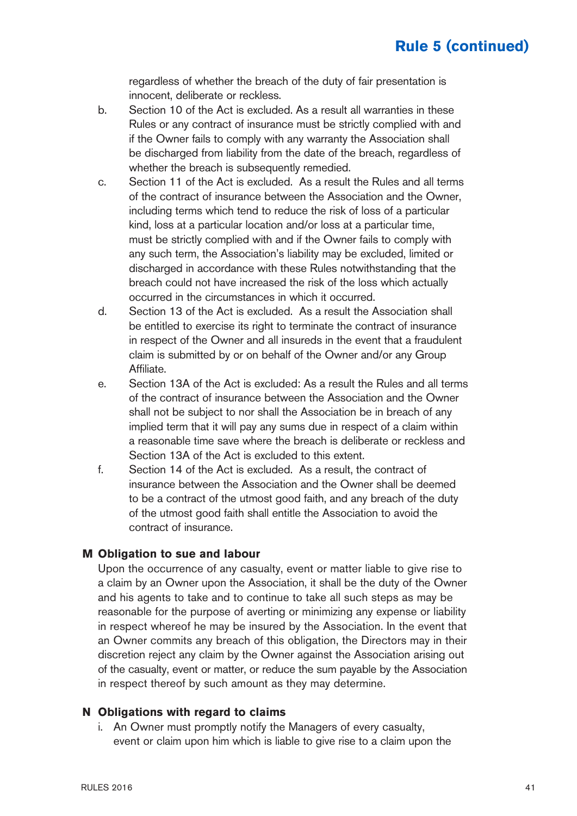regardless of whether the breach of the duty of fair presentation is innocent, deliberate or reckless.

- b. Section 10 of the Act is excluded. As a result all warranties in these Rules or any contract of insurance must be strictly complied with and if the Owner fails to comply with any warranty the Association shall be discharged from liability from the date of the breach, regardless of whether the breach is subsequently remedied.
- c. Section 11 of the Act is excluded. As a result the Rules and all terms of the contract of insurance between the Association and the Owner, including terms which tend to reduce the risk of loss of a particular kind, loss at a particular location and/or loss at a particular time, must be strictly complied with and if the Owner fails to comply with any such term, the Association's liability may be excluded, limited or discharged in accordance with these Rules notwithstanding that the breach could not have increased the risk of the loss which actually occurred in the circumstances in which it occurred.
- d. Section 13 of the Act is excluded. As a result the Association shall be entitled to exercise its right to terminate the contract of insurance in respect of the Owner and all insureds in the event that a fraudulent claim is submitted by or on behalf of the Owner and/or any Group Affiliate.
- e. Section 13A of the Act is excluded: As a result the Rules and all terms of the contract of insurance between the Association and the Owner shall not be subject to nor shall the Association be in breach of any implied term that it will pay any sums due in respect of a claim within a reasonable time save where the breach is deliberate or reckless and Section 13A of the Act is excluded to this extent.
- f. Section 14 of the Act is excluded. As a result, the contract of insurance between the Association and the Owner shall be deemed to be a contract of the utmost good faith, and any breach of the duty of the utmost good faith shall entitle the Association to avoid the contract of insurance.

#### **M Obligation to sue and labour**

Upon the occurrence of any casualty, event or matter liable to give rise to a claim by an Owner upon the Association, it shall be the duty of the Owner and his agents to take and to continue to take all such steps as may be reasonable for the purpose of averting or minimizing any expense or liability in respect whereof he may be insured by the Association. In the event that an Owner commits any breach of this obligation, the Directors may in their discretion reject any claim by the Owner against the Association arising out of the casualty, event or matter, or reduce the sum payable by the Association in respect thereof by such amount as they may determine.

#### **N Obligations with regard to claims**

i. An Owner must promptly notify the Managers of every casualty, event or claim upon him which is liable to give rise to a claim upon the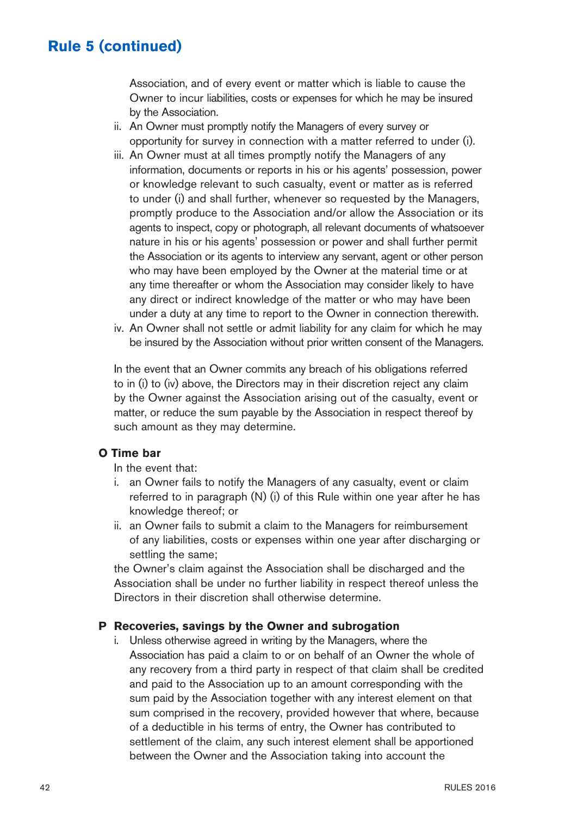Association, and of every event or matter which is liable to cause the Owner to incur liabilities, costs or expenses for which he may be insured by the Association.

- ii. An Owner must promptly notify the Managers of every survey or opportunity for survey in connection with a matter referred to under (i).
- iii. An Owner must at all times promptly notify the Managers of any information, documents or reports in his or his agents' possession, power or knowledge relevant to such casualty, event or matter as is referred to under (i) and shall further, whenever so requested by the Managers, promptly produce to the Association and/or allow the Association or its agents to inspect, copy or photograph, all relevant documents of whatsoever nature in his or his agents' possession or power and shall further permit the Association or its agents to interview any servant, agent or other person who may have been employed by the Owner at the material time or at any time thereafter or whom the Association may consider likely to have any direct or indirect knowledge of the matter or who may have been under a duty at any time to report to the Owner in connection therewith.
- iv. An Owner shall not settle or admit liability for any claim for which he may be insured by the Association without prior written consent of the Managers.

In the event that an Owner commits any breach of his obligations referred to in (i) to (iv) above, the Directors may in their discretion reject any claim by the Owner against the Association arising out of the casualty, event or matter, or reduce the sum payable by the Association in respect thereof by such amount as they may determine.

#### **O Time bar**

In the event that:

- i. an Owner fails to notify the Managers of any casualty, event or claim referred to in paragraph (N) (i) of this Rule within one year after he has knowledge thereof; or
- ii. an Owner fails to submit a claim to the Managers for reimbursement of any liabilities, costs or expenses within one year after discharging or settling the same;

the Owner's claim against the Association shall be discharged and the Association shall be under no further liability in respect thereof unless the Directors in their discretion shall otherwise determine.

#### **P Recoveries, savings by the Owner and subrogation**

i. Unless otherwise agreed in writing by the Managers, where the Association has paid a claim to or on behalf of an Owner the whole of any recovery from a third party in respect of that claim shall be credited and paid to the Association up to an amount corresponding with the sum paid by the Association together with any interest element on that sum comprised in the recovery, provided however that where, because of a deductible in his terms of entry, the Owner has contributed to settlement of the claim, any such interest element shall be apportioned between the Owner and the Association taking into account the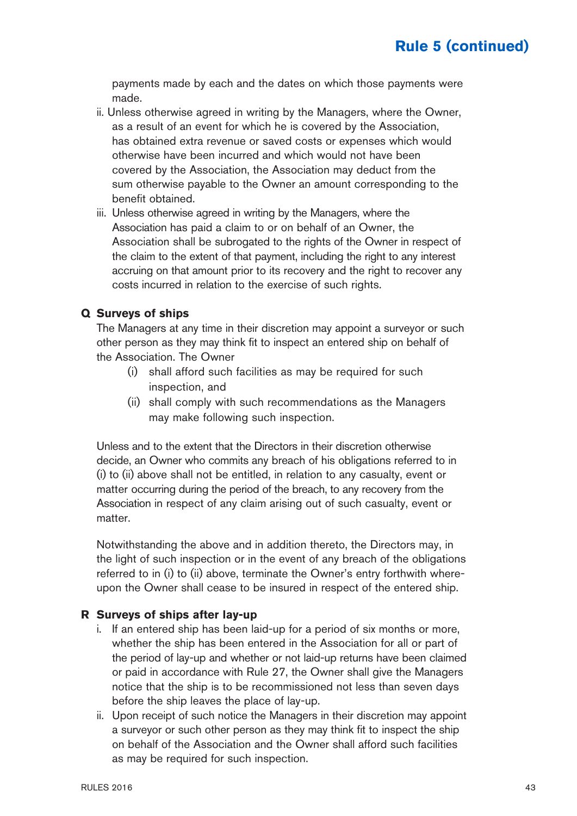payments made by each and the dates on which those payments were made.

- ii. Unless otherwise agreed in writing by the Managers, where the Owner, as a result of an event for which he is covered by the Association, has obtained extra revenue or saved costs or expenses which would otherwise have been incurred and which would not have been covered by the Association, the Association may deduct from the sum otherwise payable to the Owner an amount corresponding to the benefit obtained.
- iii. Unless otherwise agreed in writing by the Managers, where the Association has paid a claim to or on behalf of an Owner, the Association shall be subrogated to the rights of the Owner in respect of the claim to the extent of that payment, including the right to any interest accruing on that amount prior to its recovery and the right to recover any costs incurred in relation to the exercise of such rights.

#### **Q Surveys of ships**

The Managers at any time in their discretion may appoint a surveyor or such other person as they may think fit to inspect an entered ship on behalf of the Association. The Owner

- (i) shall afford such facilities as may be required for such inspection, and
- (ii) shall comply with such recommendations as the Managers may make following such inspection.

Unless and to the extent that the Directors in their discretion otherwise decide, an Owner who commits any breach of his obligations referred to in (i) to (ii) above shall not be entitled, in relation to any casualty, event or matter occurring during the period of the breach, to any recovery from the Association in respect of any claim arising out of such casualty, event or matter

Notwithstanding the above and in addition thereto, the Directors may, in the light of such inspection or in the event of any breach of the obligations referred to in (i) to (ii) above, terminate the Owner's entry forthwith whereupon the Owner shall cease to be insured in respect of the entered ship.

#### **R Surveys of ships after lay-up**

- i. If an entered ship has been laid-up for a period of six months or more, whether the ship has been entered in the Association for all or part of the period of lay-up and whether or not laid-up returns have been claimed or paid in accordance with Rule 27, the Owner shall give the Managers notice that the ship is to be recommissioned not less than seven days before the ship leaves the place of lay-up.
- ii. Upon receipt of such notice the Managers in their discretion may appoint a surveyor or such other person as they may think fit to inspect the ship on behalf of the Association and the Owner shall afford such facilities as may be required for such inspection.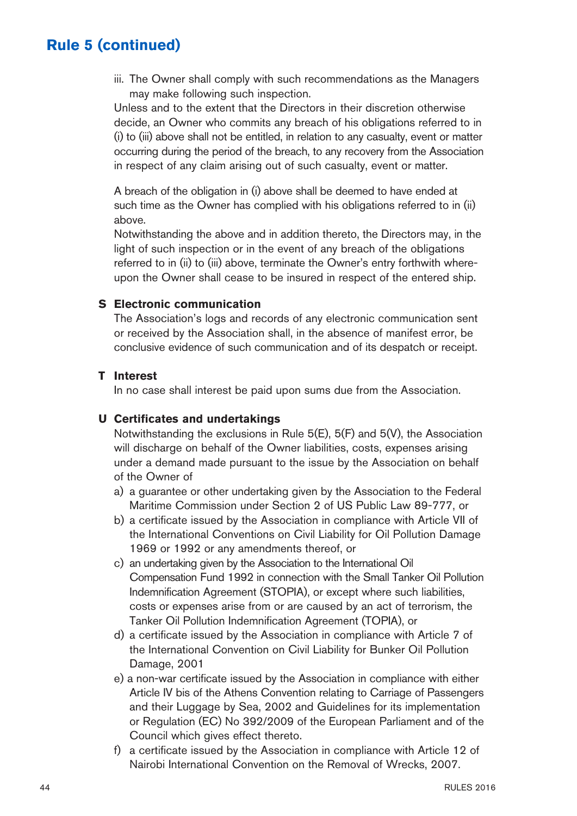iii. The Owner shall comply with such recommendations as the Managers may make following such inspection.

Unless and to the extent that the Directors in their discretion otherwise decide, an Owner who commits any breach of his obligations referred to in (i) to (iii) above shall not be entitled, in relation to any casualty, event or matter occurring during the period of the breach, to any recovery from the Association in respect of any claim arising out of such casualty, event or matter.

A breach of the obligation in (i) above shall be deemed to have ended at such time as the Owner has complied with his obligations referred to in (ii) above.

Notwithstanding the above and in addition thereto, the Directors may, in the light of such inspection or in the event of any breach of the obligations referred to in (ii) to (iii) above, terminate the Owner's entry forthwith whereupon the Owner shall cease to be insured in respect of the entered ship.

#### **S Electronic communication**

The Association's logs and records of any electronic communication sent or received by the Association shall, in the absence of manifest error, be conclusive evidence of such communication and of its despatch or receipt.

#### **T Interest**

In no case shall interest be paid upon sums due from the Association.

#### **U Certificates and undertakings**

Notwithstanding the exclusions in Rule 5(E), 5(F) and 5(V), the Association will discharge on behalf of the Owner liabilities, costs, expenses arising under a demand made pursuant to the issue by the Association on behalf of the Owner of

- a) a guarantee or other undertaking given by the Association to the Federal Maritime Commission under Section 2 of US Public Law 89-777, or
- b) a certificate issued by the Association in compliance with Article VII of the International Conventions on Civil Liability for Oil Pollution Damage 1969 or 1992 or any amendments thereof, or
- c) an undertaking given by the Association to the International Oil Compensation Fund 1992 in connection with the Small Tanker Oil Pollution Indemnification Agreement (STOPIA), or except where such liabilities, costs or expenses arise from or are caused by an act of terrorism, the Tanker Oil Pollution Indemnification Agreement (TOPIA), or
- d) a certificate issued by the Association in compliance with Article 7 of the International Convention on Civil Liability for Bunker Oil Pollution Damage, 2001
- e) a non-war certificate issued by the Association in compliance with either Article IV bis of the Athens Convention relating to Carriage of Passengers and their Luggage by Sea, 2002 and Guidelines for its implementation or Regulation (EC) No 392/2009 of the European Parliament and of the Council which gives effect thereto.
- f) a certificate issued by the Association in compliance with Article 12 of Nairobi International Convention on the Removal of Wrecks, 2007.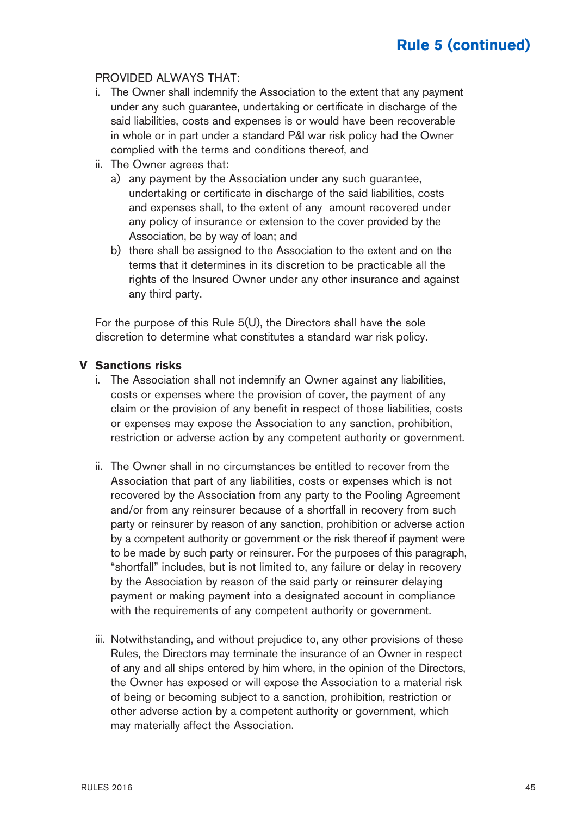#### PROVIDED ALWAYS THAT:

- i. The Owner shall indemnify the Association to the extent that any payment under any such guarantee, undertaking or certificate in discharge of the said liabilities, costs and expenses is or would have been recoverable in whole or in part under a standard P&I war risk policy had the Owner complied with the terms and conditions thereof, and
- ii. The Owner agrees that:
	- a) any payment by the Association under any such guarantee, undertaking or certificate in discharge of the said liabilities, costs and expenses shall, to the extent of any amount recovered under any policy of insurance or extension to the cover provided by the Association, be by way of loan; and
	- b) there shall be assigned to the Association to the extent and on the terms that it determines in its discretion to be practicable all the rights of the Insured Owner under any other insurance and against any third party.

For the purpose of this Rule 5(U), the Directors shall have the sole discretion to determine what constitutes a standard war risk policy.

#### **V Sanctions risks**

- i. The Association shall not indemnify an Owner against any liabilities, costs or expenses where the provision of cover, the payment of any claim or the provision of any benefit in respect of those liabilities, costs or expenses may expose the Association to any sanction, prohibition, restriction or adverse action by any competent authority or government.
- ii. The Owner shall in no circumstances be entitled to recover from the Association that part of any liabilities, costs or expenses which is not recovered by the Association from any party to the Pooling Agreement and/or from any reinsurer because of a shortfall in recovery from such party or reinsurer by reason of any sanction, prohibition or adverse action by a competent authority or government or the risk thereof if payment were to be made by such party or reinsurer. For the purposes of this paragraph, "shortfall" includes, but is not limited to, any failure or delay in recovery by the Association by reason of the said party or reinsurer delaying payment or making payment into a designated account in compliance with the requirements of any competent authority or government.
- iii. Notwithstanding, and without prejudice to, any other provisions of these Rules, the Directors may terminate the insurance of an Owner in respect of any and all ships entered by him where, in the opinion of the Directors, the Owner has exposed or will expose the Association to a material risk of being or becoming subject to a sanction, prohibition, restriction or other adverse action by a competent authority or government, which may materially affect the Association.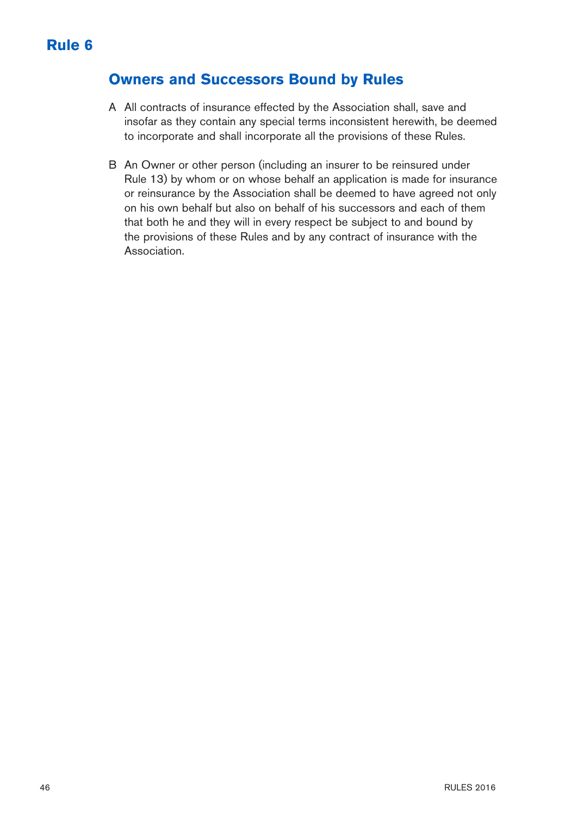### **Owners and Successors Bound by Rules**

- A All contracts of insurance effected by the Association shall, save and insofar as they contain any special terms inconsistent herewith, be deemed to incorporate and shall incorporate all the provisions of these Rules.
- B An Owner or other person (including an insurer to be reinsured under Rule 13) by whom or on whose behalf an application is made for insurance or reinsurance by the Association shall be deemed to have agreed not only on his own behalf but also on behalf of his successors and each of them that both he and they will in every respect be subject to and bound by the provisions of these Rules and by any contract of insurance with the Association.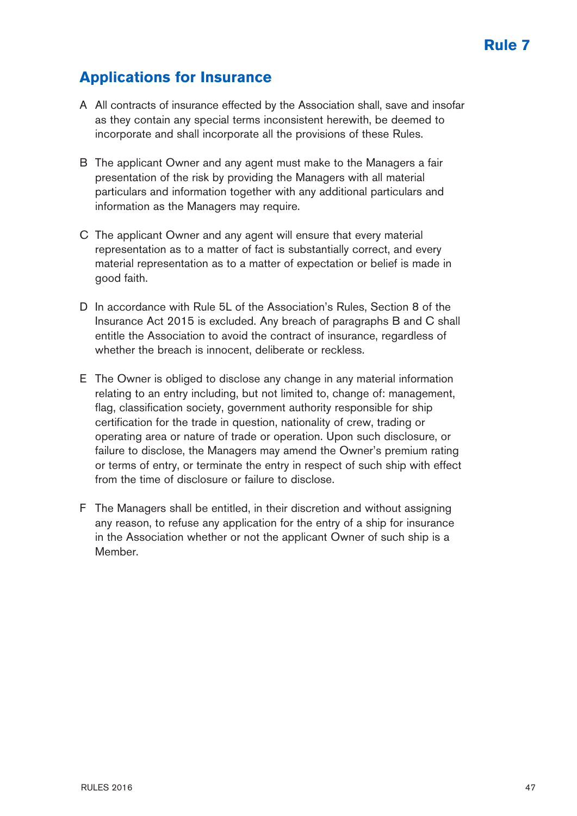# **Rule 7**

# **Applications for Insurance**

- A All contracts of insurance effected by the Association shall, save and insofar as they contain any special terms inconsistent herewith, be deemed to incorporate and shall incorporate all the provisions of these Rules.
- B The applicant Owner and any agent must make to the Managers a fair presentation of the risk by providing the Managers with all material particulars and information together with any additional particulars and information as the Managers may require.
- C The applicant Owner and any agent will ensure that every material representation as to a matter of fact is substantially correct, and every material representation as to a matter of expectation or belief is made in good faith.
- D In accordance with Rule 5L of the Association's Rules, Section 8 of the Insurance Act 2015 is excluded. Any breach of paragraphs B and C shall entitle the Association to avoid the contract of insurance, regardless of whether the breach is innocent, deliberate or reckless.
- E The Owner is obliged to disclose any change in any material information relating to an entry including, but not limited to, change of: management, flag, classification society, government authority responsible for ship certification for the trade in question, nationality of crew, trading or operating area or nature of trade or operation. Upon such disclosure, or failure to disclose, the Managers may amend the Owner's premium rating or terms of entry, or terminate the entry in respect of such ship with effect from the time of disclosure or failure to disclose.
- F The Managers shall be entitled, in their discretion and without assigning any reason, to refuse any application for the entry of a ship for insurance in the Association whether or not the applicant Owner of such ship is a Member.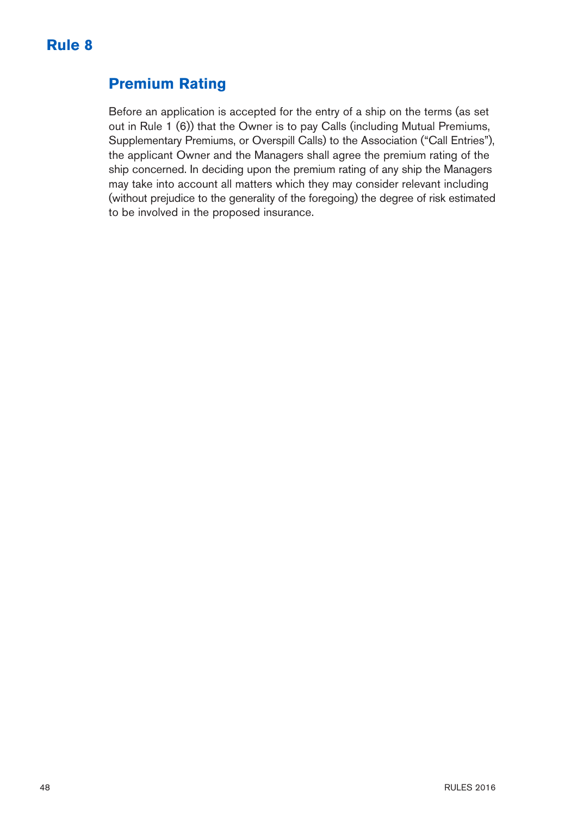# **Premium Rating**

Before an application is accepted for the entry of a ship on the terms (as set out in Rule 1 (6)) that the Owner is to pay Calls (including Mutual Premiums, Supplementary Premiums, or Overspill Calls) to the Association ("Call Entries"), the applicant Owner and the Managers shall agree the premium rating of the ship concerned. In deciding upon the premium rating of any ship the Managers may take into account all matters which they may consider relevant including (without prejudice to the generality of the foregoing) the degree of risk estimated to be involved in the proposed insurance.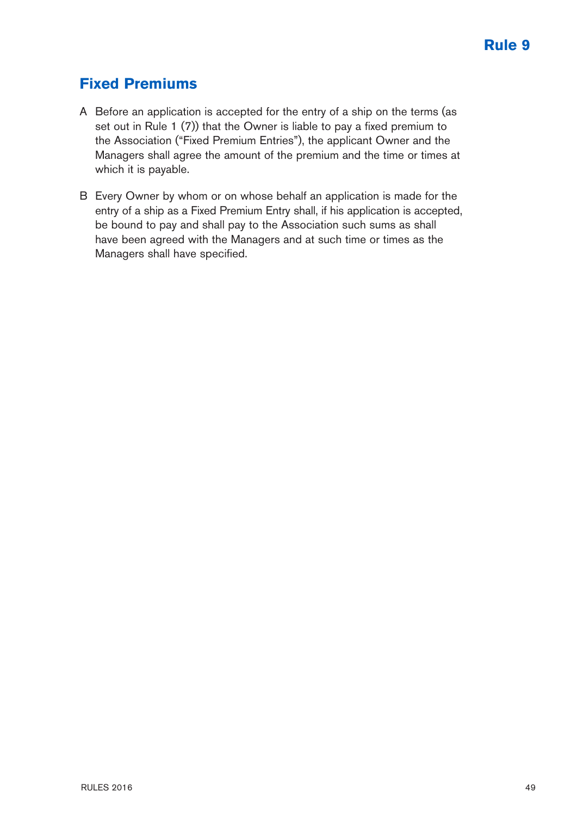# **Fixed Premiums**

- A Before an application is accepted for the entry of a ship on the terms (as set out in Rule 1 (7)) that the Owner is liable to pay a fixed premium to the Association ("Fixed Premium Entries"), the applicant Owner and the Managers shall agree the amount of the premium and the time or times at which it is payable.
- B Every Owner by whom or on whose behalf an application is made for the entry of a ship as a Fixed Premium Entry shall, if his application is accepted, be bound to pay and shall pay to the Association such sums as shall have been agreed with the Managers and at such time or times as the Managers shall have specified.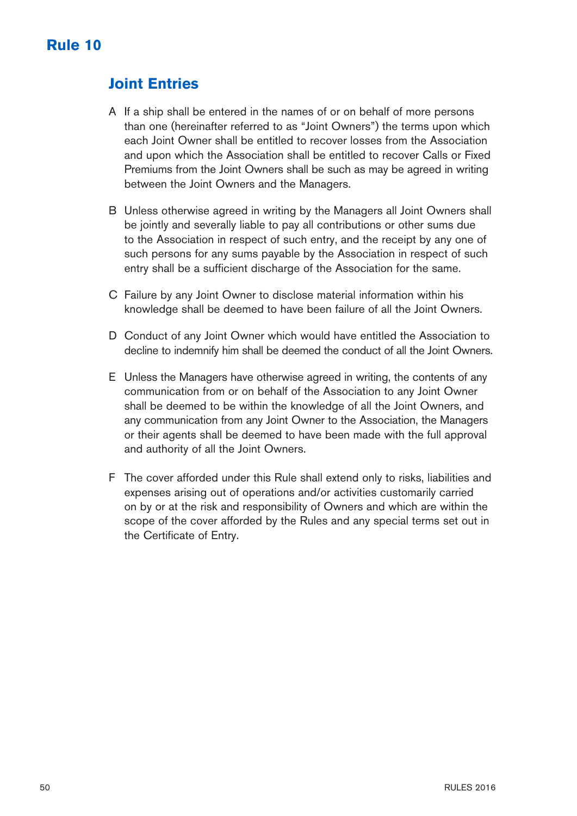## **Joint Entries**

- A If a ship shall be entered in the names of or on behalf of more persons than one (hereinafter referred to as "Joint Owners") the terms upon which each Joint Owner shall be entitled to recover losses from the Association and upon which the Association shall be entitled to recover Calls or Fixed Premiums from the Joint Owners shall be such as may be agreed in writing between the Joint Owners and the Managers.
- B Unless otherwise agreed in writing by the Managers all Joint Owners shall be jointly and severally liable to pay all contributions or other sums due to the Association in respect of such entry, and the receipt by any one of such persons for any sums payable by the Association in respect of such entry shall be a sufficient discharge of the Association for the same.
- C Failure by any Joint Owner to disclose material information within his knowledge shall be deemed to have been failure of all the Joint Owners.
- D Conduct of any Joint Owner which would have entitled the Association to decline to indemnify him shall be deemed the conduct of all the Joint Owners.
- E Unless the Managers have otherwise agreed in writing, the contents of any communication from or on behalf of the Association to any Joint Owner shall be deemed to be within the knowledge of all the Joint Owners, and any communication from any Joint Owner to the Association, the Managers or their agents shall be deemed to have been made with the full approval and authority of all the Joint Owners.
- F The cover afforded under this Rule shall extend only to risks, liabilities and expenses arising out of operations and/or activities customarily carried on by or at the risk and responsibility of Owners and which are within the scope of the cover afforded by the Rules and any special terms set out in the Certificate of Entry.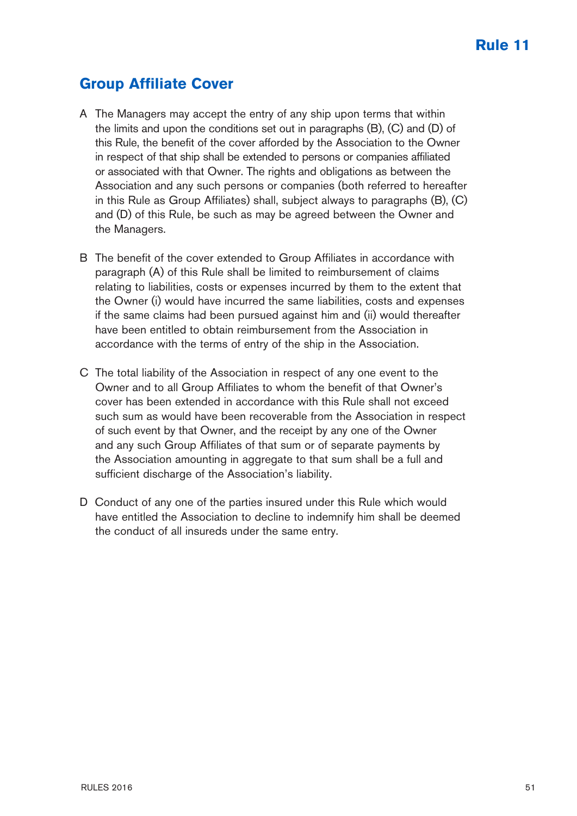## **Group Affiliate Cover**

- A The Managers may accept the entry of any ship upon terms that within the limits and upon the conditions set out in paragraphs (B), (C) and (D) of this Rule, the benefit of the cover afforded by the Association to the Owner in respect of that ship shall be extended to persons or companies affiliated or associated with that Owner. The rights and obligations as between the Association and any such persons or companies (both referred to hereafter in this Rule as Group Affiliates) shall, subject always to paragraphs (B), (C) and (D) of this Rule, be such as may be agreed between the Owner and the Managers.
- B The benefit of the cover extended to Group Affiliates in accordance with paragraph (A) of this Rule shall be limited to reimbursement of claims relating to liabilities, costs or expenses incurred by them to the extent that the Owner (i) would have incurred the same liabilities, costs and expenses if the same claims had been pursued against him and (ii) would thereafter have been entitled to obtain reimbursement from the Association in accordance with the terms of entry of the ship in the Association.
- C The total liability of the Association in respect of any one event to the Owner and to all Group Affiliates to whom the benefit of that Owner's cover has been extended in accordance with this Rule shall not exceed such sum as would have been recoverable from the Association in respect of such event by that Owner, and the receipt by any one of the Owner and any such Group Affiliates of that sum or of separate payments by the Association amounting in aggregate to that sum shall be a full and sufficient discharge of the Association's liability.
- D Conduct of any one of the parties insured under this Rule which would have entitled the Association to decline to indemnify him shall be deemed the conduct of all insureds under the same entry.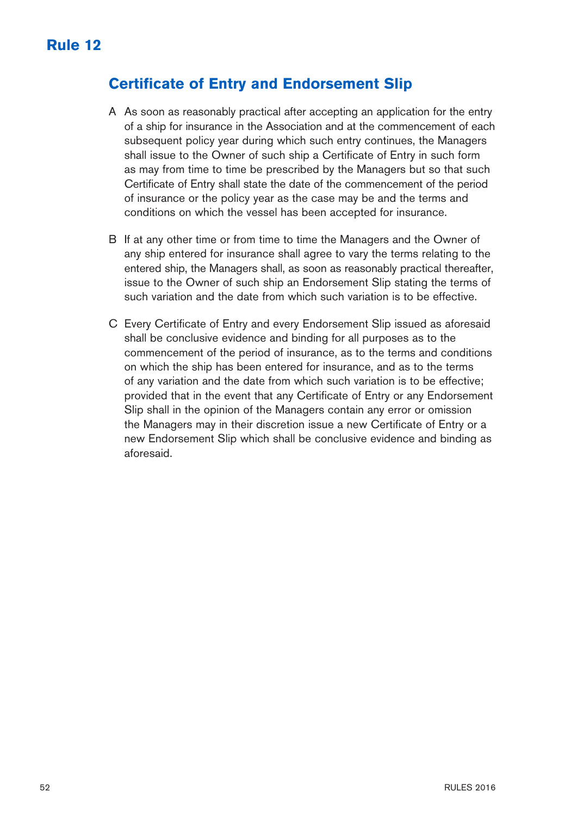### **Certificate of Entry and Endorsement Slip**

- A As soon as reasonably practical after accepting an application for the entry of a ship for insurance in the Association and at the commencement of each subsequent policy year during which such entry continues, the Managers shall issue to the Owner of such ship a Certificate of Entry in such form as may from time to time be prescribed by the Managers but so that such Certificate of Entry shall state the date of the commencement of the period of insurance or the policy year as the case may be and the terms and conditions on which the vessel has been accepted for insurance.
- B If at any other time or from time to time the Managers and the Owner of any ship entered for insurance shall agree to vary the terms relating to the entered ship, the Managers shall, as soon as reasonably practical thereafter, issue to the Owner of such ship an Endorsement Slip stating the terms of such variation and the date from which such variation is to be effective.
- C Every Certificate of Entry and every Endorsement Slip issued as aforesaid shall be conclusive evidence and binding for all purposes as to the commencement of the period of insurance, as to the terms and conditions on which the ship has been entered for insurance, and as to the terms of any variation and the date from which such variation is to be effective; provided that in the event that any Certificate of Entry or any Endorsement Slip shall in the opinion of the Managers contain any error or omission the Managers may in their discretion issue a new Certificate of Entry or a new Endorsement Slip which shall be conclusive evidence and binding as aforesaid.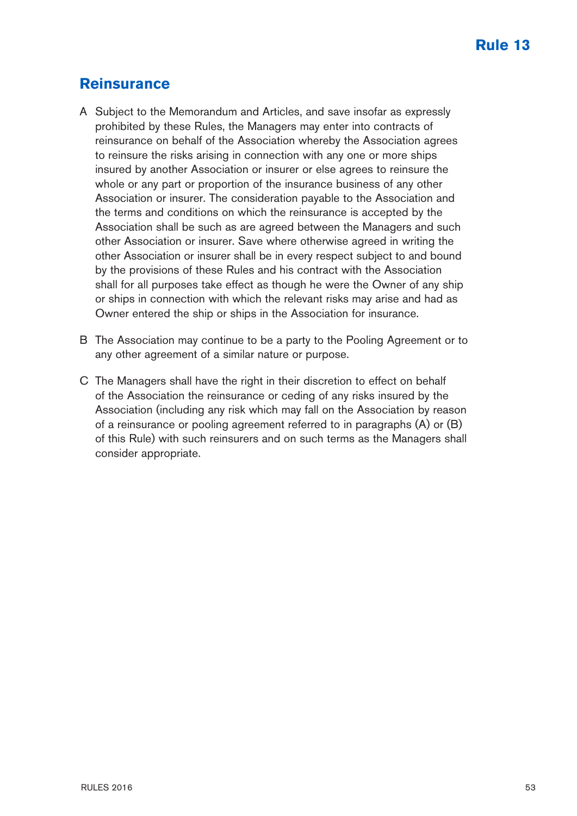### **Reinsurance**

- A Subject to the Memorandum and Articles, and save insofar as expressly prohibited by these Rules, the Managers may enter into contracts of reinsurance on behalf of the Association whereby the Association agrees to reinsure the risks arising in connection with any one or more ships insured by another Association or insurer or else agrees to reinsure the whole or any part or proportion of the insurance business of any other Association or insurer. The consideration payable to the Association and the terms and conditions on which the reinsurance is accepted by the Association shall be such as are agreed between the Managers and such other Association or insurer. Save where otherwise agreed in writing the other Association or insurer shall be in every respect subject to and bound by the provisions of these Rules and his contract with the Association shall for all purposes take effect as though he were the Owner of any ship or ships in connection with which the relevant risks may arise and had as Owner entered the ship or ships in the Association for insurance.
- B The Association may continue to be a party to the Pooling Agreement or to any other agreement of a similar nature or purpose.
- C The Managers shall have the right in their discretion to effect on behalf of the Association the reinsurance or ceding of any risks insured by the Association (including any risk which may fall on the Association by reason of a reinsurance or pooling agreement referred to in paragraphs (A) or (B) of this Rule) with such reinsurers and on such terms as the Managers shall consider appropriate.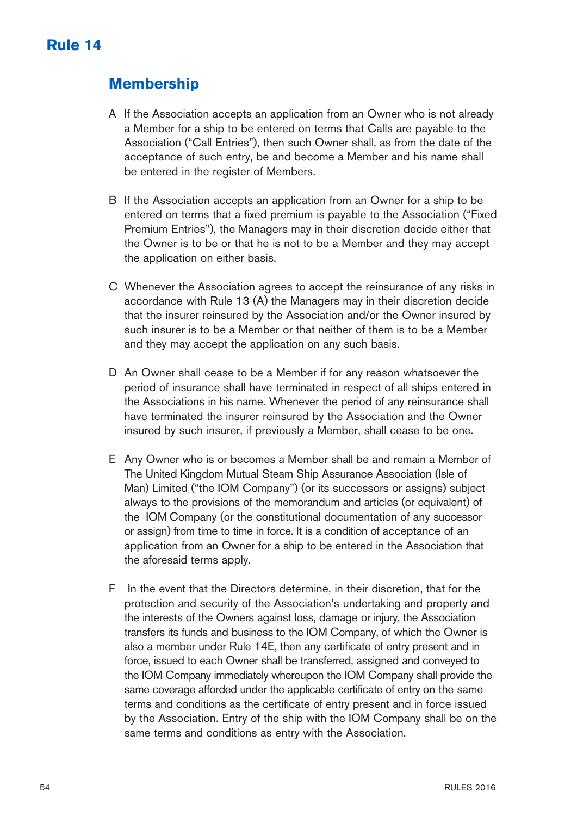## **Membership**

- A If the Association accepts an application from an Owner who is not already a Member for a ship to be entered on terms that Calls are payable to the Association ("Call Entries"), then such Owner shall, as from the date of the acceptance of such entry, be and become a Member and his name shall be entered in the register of Members.
- B If the Association accepts an application from an Owner for a ship to be entered on terms that a fixed premium is payable to the Association ("Fixed Premium Entries"), the Managers may in their discretion decide either that the Owner is to be or that he is not to be a Member and they may accept the application on either basis.
- C Whenever the Association agrees to accept the reinsurance of any risks in accordance with Rule 13 (A) the Managers may in their discretion decide that the insurer reinsured by the Association and/or the Owner insured by such insurer is to be a Member or that neither of them is to be a Member and they may accept the application on any such basis.
- D An Owner shall cease to be a Member if for any reason whatsoever the period of insurance shall have terminated in respect of all ships entered in the Associations in his name. Whenever the period of any reinsurance shall have terminated the insurer reinsured by the Association and the Owner insured by such insurer, if previously a Member, shall cease to be one.
- E Any Owner who is or becomes a Member shall be and remain a Member of The United Kingdom Mutual Steam Ship Assurance Association (Isle of Man) Limited ("the IOM Company") (or its successors or assigns) subject always to the provisions of the memorandum and articles (or equivalent) of the IOM Company (or the constitutional documentation of any successor or assign) from time to time in force. It is a condition of acceptance of an application from an Owner for a ship to be entered in the Association that the aforesaid terms apply.
- F In the event that the Directors determine, in their discretion, that for the protection and security of the Association's undertaking and property and the interests of the Owners against loss, damage or injury, the Association transfers its funds and business to the IOM Company, of which the Owner is also a member under Rule 14E, then any certificate of entry present and in force, issued to each Owner shall be transferred, assigned and conveyed to the IOM Company immediately whereupon the IOM Company shall provide the same coverage afforded under the applicable certificate of entry on the same terms and conditions as the certificate of entry present and in force issued by the Association. Entry of the ship with the IOM Company shall be on the same terms and conditions as entry with the Association.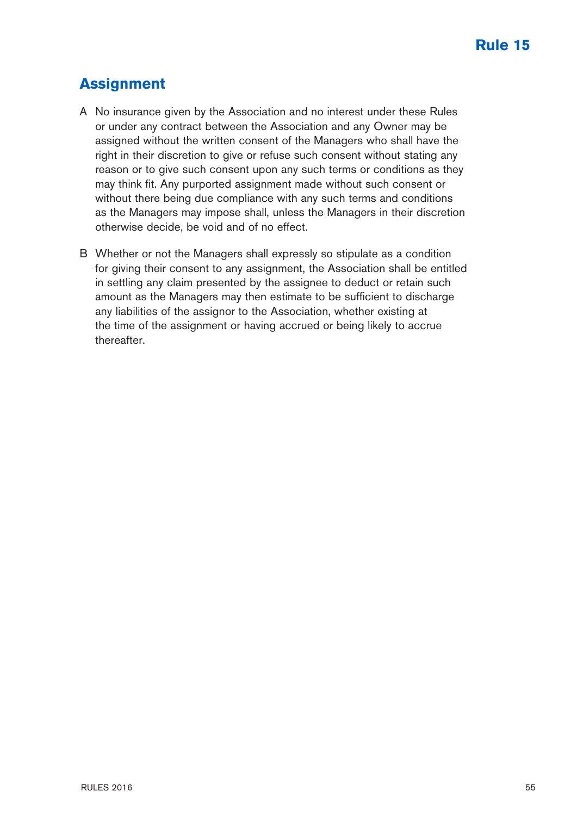# **Assignment**

- A No insurance given by the Association and no interest under these Rules or under any contract between the Association and any Owner may be assigned without the written consent of the Managers who shall have the right in their discretion to give or refuse such consent without stating any reason or to give such consent upon any such terms or conditions as they may think fit. Any purported assignment made without such consent or without there being due compliance with any such terms and conditions as the Managers may impose shall, unless the Managers in their discretion otherwise decide, be void and of no effect.
- B Whether or not the Managers shall expressly so stipulate as a condition for giving their consent to any assignment, the Association shall be entitled in settling any claim presented by the assignee to deduct or retain such amount as the Managers may then estimate to be sufficient to discharge any liabilities of the assignor to the Association, whether existing at the time of the assignment or having accrued or being likely to accrue thereafter.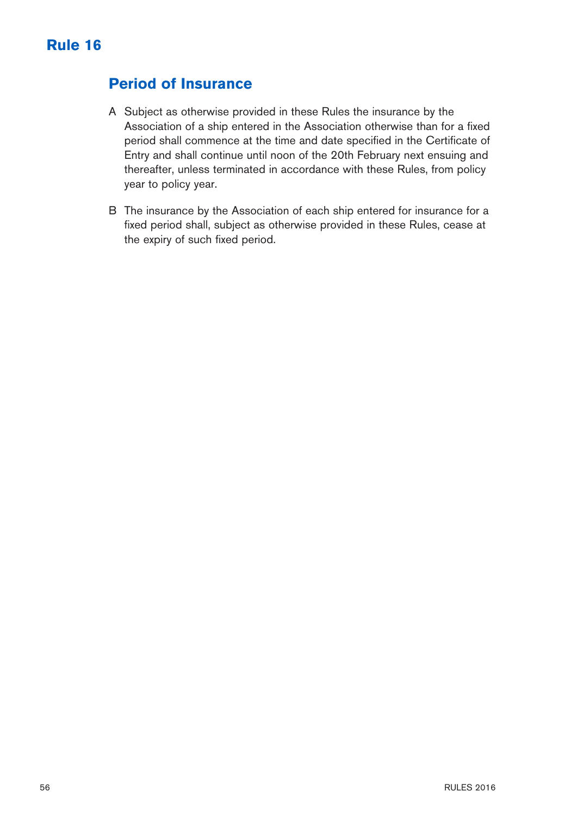### **Period of Insurance**

- A Subject as otherwise provided in these Rules the insurance by the Association of a ship entered in the Association otherwise than for a fixed period shall commence at the time and date specified in the Certificate of Entry and shall continue until noon of the 20th February next ensuing and thereafter, unless terminated in accordance with these Rules, from policy year to policy year.
- B The insurance by the Association of each ship entered for insurance for a fixed period shall, subject as otherwise provided in these Rules, cease at the expiry of such fixed period.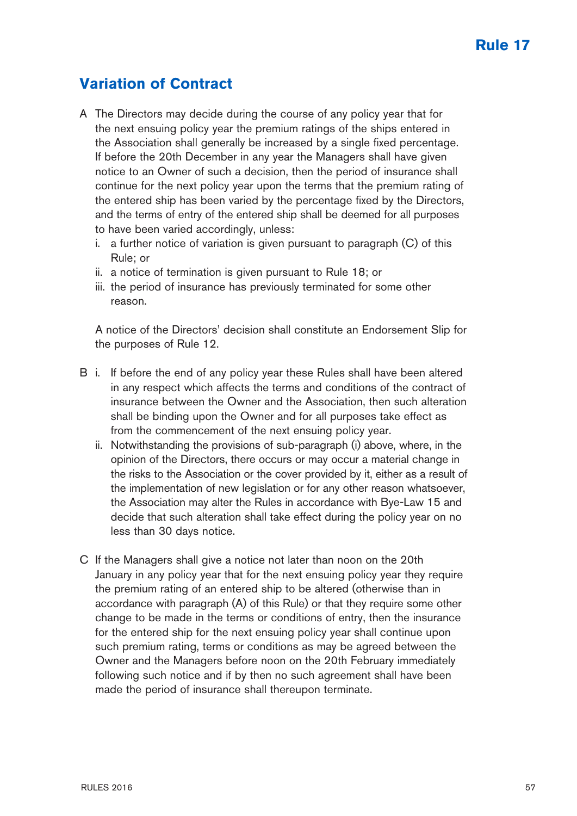# **Variation of Contract**

- A The Directors may decide during the course of any policy year that for the next ensuing policy year the premium ratings of the ships entered in the Association shall generally be increased by a single fixed percentage. If before the 20th December in any year the Managers shall have given notice to an Owner of such a decision, then the period of insurance shall continue for the next policy year upon the terms that the premium rating of the entered ship has been varied by the percentage fixed by the Directors, and the terms of entry of the entered ship shall be deemed for all purposes to have been varied accordingly, unless:
	- i. a further notice of variation is given pursuant to paragraph (C) of this Rule; or
	- ii. a notice of termination is given pursuant to Rule 18; or
	- iii. the period of insurance has previously terminated for some other reason.

A notice of the Directors' decision shall constitute an Endorsement Slip for the purposes of Rule 12.

- B i. If before the end of any policy year these Rules shall have been altered in any respect which affects the terms and conditions of the contract of insurance between the Owner and the Association, then such alteration shall be binding upon the Owner and for all purposes take effect as from the commencement of the next ensuing policy year.
	- ii. Notwithstanding the provisions of sub-paragraph (i) above, where, in the opinion of the Directors, there occurs or may occur a material change in the risks to the Association or the cover provided by it, either as a result of the implementation of new legislation or for any other reason whatsoever, the Association may alter the Rules in accordance with Bye-Law 15 and decide that such alteration shall take effect during the policy year on no less than 30 days notice.
- C If the Managers shall give a notice not later than noon on the 20th January in any policy year that for the next ensuing policy year they require the premium rating of an entered ship to be altered (otherwise than in accordance with paragraph (A) of this Rule) or that they require some other change to be made in the terms or conditions of entry, then the insurance for the entered ship for the next ensuing policy year shall continue upon such premium rating, terms or conditions as may be agreed between the Owner and the Managers before noon on the 20th February immediately following such notice and if by then no such agreement shall have been made the period of insurance shall thereupon terminate.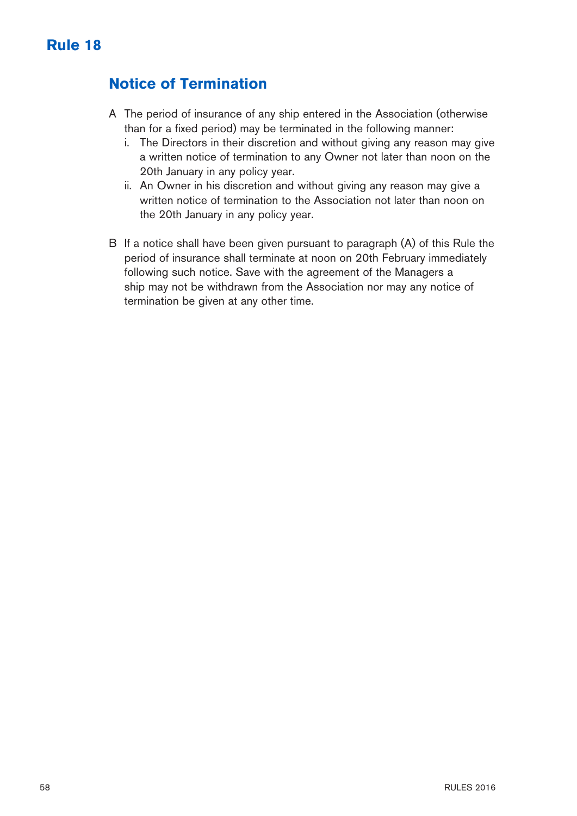# **Notice of Termination**

- A The period of insurance of any ship entered in the Association (otherwise than for a fixed period) may be terminated in the following manner:
	- i. The Directors in their discretion and without giving any reason may give a written notice of termination to any Owner not later than noon on the 20th January in any policy year.
	- ii. An Owner in his discretion and without giving any reason may give a written notice of termination to the Association not later than noon on the 20th January in any policy year.
- B If a notice shall have been given pursuant to paragraph (A) of this Rule the period of insurance shall terminate at noon on 20th February immediately following such notice. Save with the agreement of the Managers a ship may not be withdrawn from the Association nor may any notice of termination be given at any other time.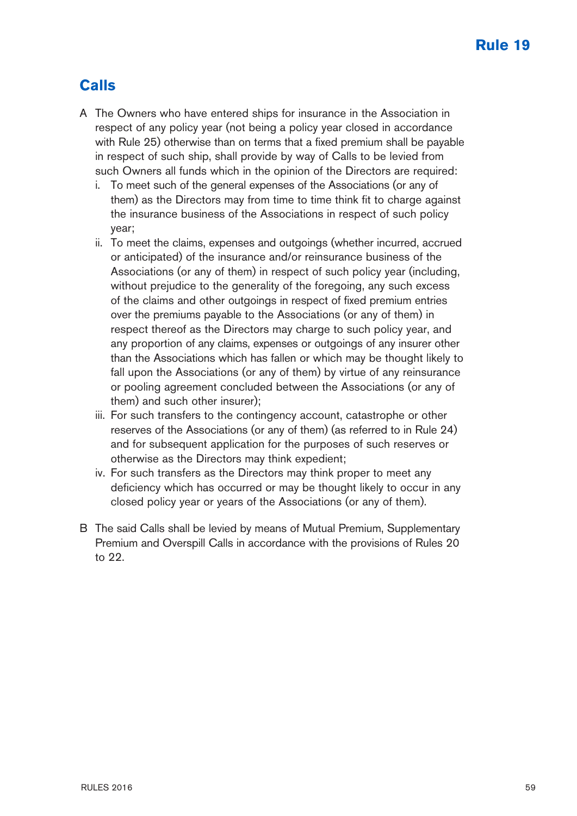# **Calls**

- A The Owners who have entered ships for insurance in the Association in respect of any policy year (not being a policy year closed in accordance with Rule 25) otherwise than on terms that a fixed premium shall be payable in respect of such ship, shall provide by way of Calls to be levied from such Owners all funds which in the opinion of the Directors are required:
	- i. To meet such of the general expenses of the Associations (or any of them) as the Directors may from time to time think fit to charge against the insurance business of the Associations in respect of such policy year;
	- ii. To meet the claims, expenses and outgoings (whether incurred, accrued or anticipated) of the insurance and/or reinsurance business of the Associations (or any of them) in respect of such policy year (including, without prejudice to the generality of the foregoing, any such excess of the claims and other outgoings in respect of fixed premium entries over the premiums payable to the Associations (or any of them) in respect thereof as the Directors may charge to such policy year, and any proportion of any claims, expenses or outgoings of any insurer other than the Associations which has fallen or which may be thought likely to fall upon the Associations (or any of them) by virtue of any reinsurance or pooling agreement concluded between the Associations (or any of them) and such other insurer);
	- iii. For such transfers to the contingency account, catastrophe or other reserves of the Associations (or any of them) (as referred to in Rule 24) and for subsequent application for the purposes of such reserves or otherwise as the Directors may think expedient;
	- iv. For such transfers as the Directors may think proper to meet any deficiency which has occurred or may be thought likely to occur in any closed policy year or years of the Associations (or any of them).
- B The said Calls shall be levied by means of Mutual Premium, Supplementary Premium and Overspill Calls in accordance with the provisions of Rules 20 to 22.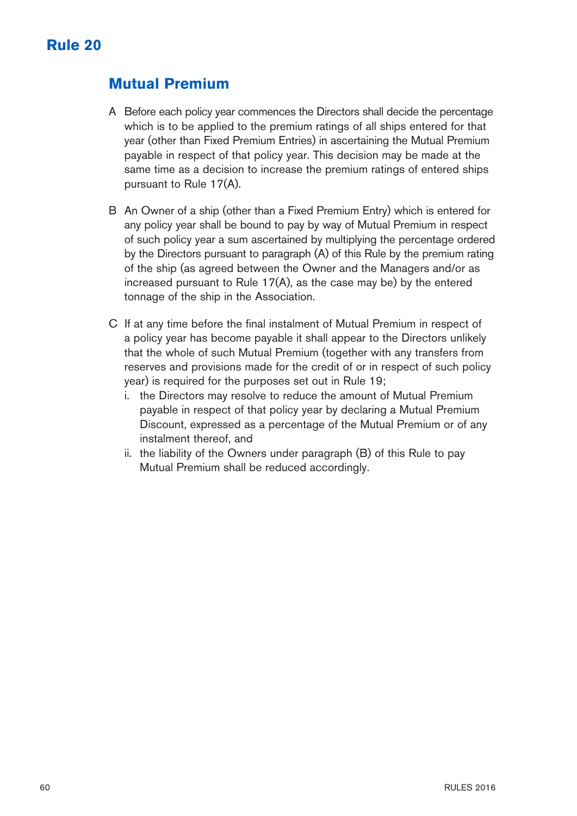### **Mutual Premium**

- A Before each policy year commences the Directors shall decide the percentage which is to be applied to the premium ratings of all ships entered for that year (other than Fixed Premium Entries) in ascertaining the Mutual Premium payable in respect of that policy year. This decision may be made at the same time as a decision to increase the premium ratings of entered ships pursuant to Rule 17(A).
- B An Owner of a ship (other than a Fixed Premium Entry) which is entered for any policy year shall be bound to pay by way of Mutual Premium in respect of such policy year a sum ascertained by multiplying the percentage ordered by the Directors pursuant to paragraph (A) of this Rule by the premium rating of the ship (as agreed between the Owner and the Managers and/or as increased pursuant to Rule 17(A), as the case may be) by the entered tonnage of the ship in the Association.
- C If at any time before the final instalment of Mutual Premium in respect of a policy year has become payable it shall appear to the Directors unlikely that the whole of such Mutual Premium (together with any transfers from reserves and provisions made for the credit of or in respect of such policy year) is required for the purposes set out in Rule 19;
	- i. the Directors may resolve to reduce the amount of Mutual Premium payable in respect of that policy year by declaring a Mutual Premium Discount, expressed as a percentage of the Mutual Premium or of any instalment thereof, and
	- ii. the liability of the Owners under paragraph (B) of this Rule to pay Mutual Premium shall be reduced accordingly.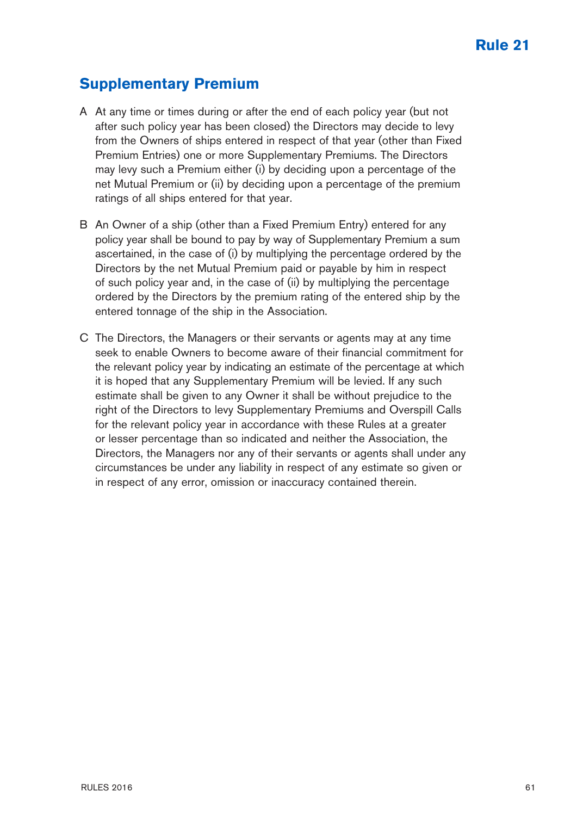### **Supplementary Premium**

- A At any time or times during or after the end of each policy year (but not after such policy year has been closed) the Directors may decide to levy from the Owners of ships entered in respect of that year (other than Fixed Premium Entries) one or more Supplementary Premiums. The Directors may levy such a Premium either (i) by deciding upon a percentage of the net Mutual Premium or (ii) by deciding upon a percentage of the premium ratings of all ships entered for that year.
- B An Owner of a ship (other than a Fixed Premium Entry) entered for any policy year shall be bound to pay by way of Supplementary Premium a sum ascertained, in the case of (i) by multiplying the percentage ordered by the Directors by the net Mutual Premium paid or payable by him in respect of such policy year and, in the case of (ii) by multiplying the percentage ordered by the Directors by the premium rating of the entered ship by the entered tonnage of the ship in the Association.
- C The Directors, the Managers or their servants or agents may at any time seek to enable Owners to become aware of their financial commitment for the relevant policy year by indicating an estimate of the percentage at which it is hoped that any Supplementary Premium will be levied. If any such estimate shall be given to any Owner it shall be without prejudice to the right of the Directors to levy Supplementary Premiums and Overspill Calls for the relevant policy year in accordance with these Rules at a greater or lesser percentage than so indicated and neither the Association, the Directors, the Managers nor any of their servants or agents shall under any circumstances be under any liability in respect of any estimate so given or in respect of any error, omission or inaccuracy contained therein.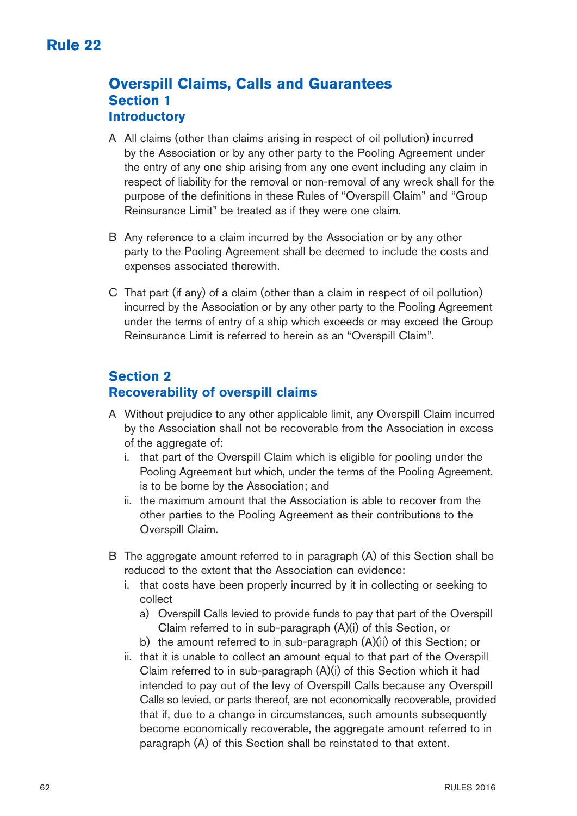### **Overspill Claims, Calls and Guarantees Section 1 Introductory**

- A All claims (other than claims arising in respect of oil pollution) incurred by the Association or by any other party to the Pooling Agreement under the entry of any one ship arising from any one event including any claim in respect of liability for the removal or non-removal of any wreck shall for the purpose of the definitions in these Rules of "Overspill Claim" and "Group Reinsurance Limit" be treated as if they were one claim.
- B Any reference to a claim incurred by the Association or by any other party to the Pooling Agreement shall be deemed to include the costs and expenses associated therewith.
- C That part (if any) of a claim (other than a claim in respect of oil pollution) incurred by the Association or by any other party to the Pooling Agreement under the terms of entry of a ship which exceeds or may exceed the Group Reinsurance Limit is referred to herein as an "Overspill Claim".

### **Section 2**

### **Recoverability of overspill claims**

- A Without prejudice to any other applicable limit, any Overspill Claim incurred by the Association shall not be recoverable from the Association in excess of the aggregate of:
	- i. that part of the Overspill Claim which is eligible for pooling under the Pooling Agreement but which, under the terms of the Pooling Agreement, is to be borne by the Association; and
	- ii. the maximum amount that the Association is able to recover from the other parties to the Pooling Agreement as their contributions to the Overspill Claim.
- B The aggregate amount referred to in paragraph (A) of this Section shall be reduced to the extent that the Association can evidence:
	- i. that costs have been properly incurred by it in collecting or seeking to collect
		- a) Overspill Calls levied to provide funds to pay that part of the Overspill Claim referred to in sub-paragraph (A)(i) of this Section, or
		- b) the amount referred to in sub-paragraph (A)(ii) of this Section; or
	- ii. that it is unable to collect an amount equal to that part of the Overspill Claim referred to in sub-paragraph (A)(i) of this Section which it had intended to pay out of the levy of Overspill Calls because any Overspill Calls so levied, or parts thereof, are not economically recoverable, provided that if, due to a change in circumstances, such amounts subsequently become economically recoverable, the aggregate amount referred to in paragraph (A) of this Section shall be reinstated to that extent.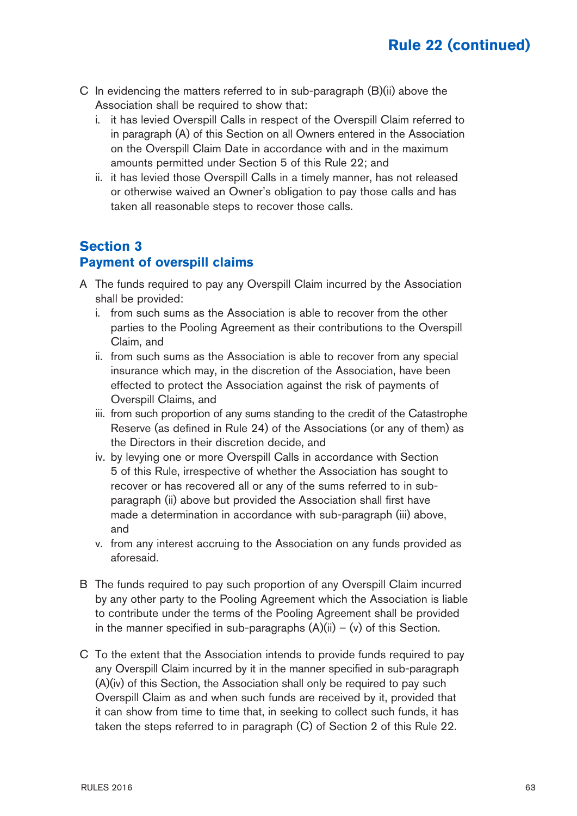- C In evidencing the matters referred to in sub-paragraph (B)(ii) above the Association shall be required to show that:
	- i. it has levied Overspill Calls in respect of the Overspill Claim referred to in paragraph (A) of this Section on all Owners entered in the Association on the Overspill Claim Date in accordance with and in the maximum amounts permitted under Section 5 of this Rule 22; and
	- ii. it has levied those Overspill Calls in a timely manner, has not released or otherwise waived an Owner's obligation to pay those calls and has taken all reasonable steps to recover those calls.

### **Section 3 Payment of overspill claims**

- A The funds required to pay any Overspill Claim incurred by the Association shall be provided:
	- i. from such sums as the Association is able to recover from the other parties to the Pooling Agreement as their contributions to the Overspill Claim, and
	- ii. from such sums as the Association is able to recover from any special insurance which may, in the discretion of the Association, have been effected to protect the Association against the risk of payments of Overspill Claims, and
	- iii. from such proportion of any sums standing to the credit of the Catastrophe Reserve (as defined in Rule 24) of the Associations (or any of them) as the Directors in their discretion decide, and
	- iv. by levying one or more Overspill Calls in accordance with Section 5 of this Rule, irrespective of whether the Association has sought to recover or has recovered all or any of the sums referred to in subparagraph (ii) above but provided the Association shall first have made a determination in accordance with sub-paragraph (iii) above, and
	- v. from any interest accruing to the Association on any funds provided as aforesaid.
- B The funds required to pay such proportion of any Overspill Claim incurred by any other party to the Pooling Agreement which the Association is liable to contribute under the terms of the Pooling Agreement shall be provided in the manner specified in sub-paragraphs  $(A)(ii) - (v)$  of this Section.
- C To the extent that the Association intends to provide funds required to pay any Overspill Claim incurred by it in the manner specified in sub-paragraph (A)(iv) of this Section, the Association shall only be required to pay such Overspill Claim as and when such funds are received by it, provided that it can show from time to time that, in seeking to collect such funds, it has taken the steps referred to in paragraph (C) of Section 2 of this Rule 22.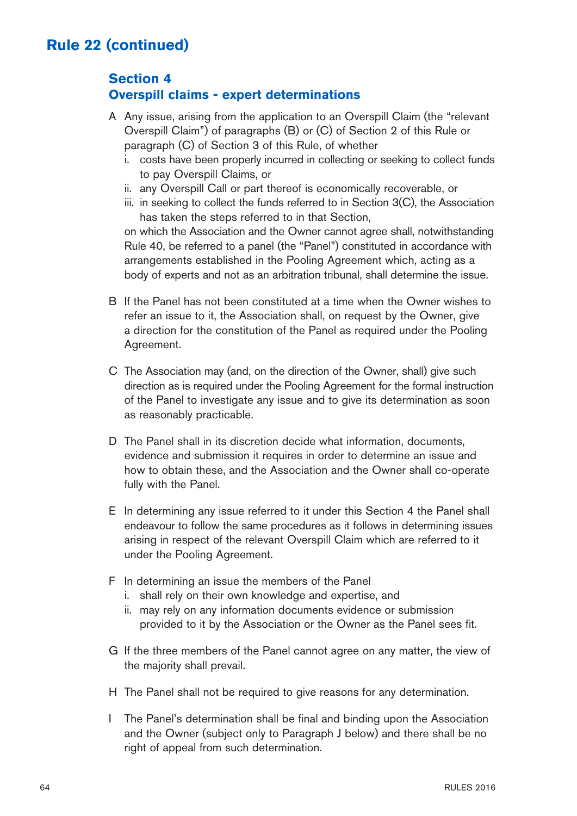### **Section 4 Overspill claims - expert determinations**

- A Any issue, arising from the application to an Overspill Claim (the "relevant Overspill Claim") of paragraphs (B) or (C) of Section 2 of this Rule or paragraph (C) of Section 3 of this Rule, of whether
	- i. costs have been properly incurred in collecting or seeking to collect funds to pay Overspill Claims, or
	- ii. any Overspill Call or part thereof is economically recoverable, or
	- iii. in seeking to collect the funds referred to in Section 3(C), the Association has taken the steps referred to in that Section,

on which the Association and the Owner cannot agree shall, notwithstanding Rule 40, be referred to a panel (the "Panel") constituted in accordance with arrangements established in the Pooling Agreement which, acting as a body of experts and not as an arbitration tribunal, shall determine the issue.

- B If the Panel has not been constituted at a time when the Owner wishes to refer an issue to it, the Association shall, on request by the Owner, give a direction for the constitution of the Panel as required under the Pooling Agreement.
- C The Association may (and, on the direction of the Owner, shall) give such direction as is required under the Pooling Agreement for the formal instruction of the Panel to investigate any issue and to give its determination as soon as reasonably practicable.
- D The Panel shall in its discretion decide what information, documents, evidence and submission it requires in order to determine an issue and how to obtain these, and the Association and the Owner shall co-operate fully with the Panel.
- E In determining any issue referred to it under this Section 4 the Panel shall endeavour to follow the same procedures as it follows in determining issues arising in respect of the relevant Overspill Claim which are referred to it under the Pooling Agreement.
- F In determining an issue the members of the Panel
	- i. shall rely on their own knowledge and expertise, and
	- ii. may rely on any information documents evidence or submission provided to it by the Association or the Owner as the Panel sees fit.
- G If the three members of the Panel cannot agree on any matter, the view of the majority shall prevail.
- H The Panel shall not be required to give reasons for any determination.
- I The Panel's determination shall be final and binding upon the Association and the Owner (subject only to Paragraph J below) and there shall be no right of appeal from such determination.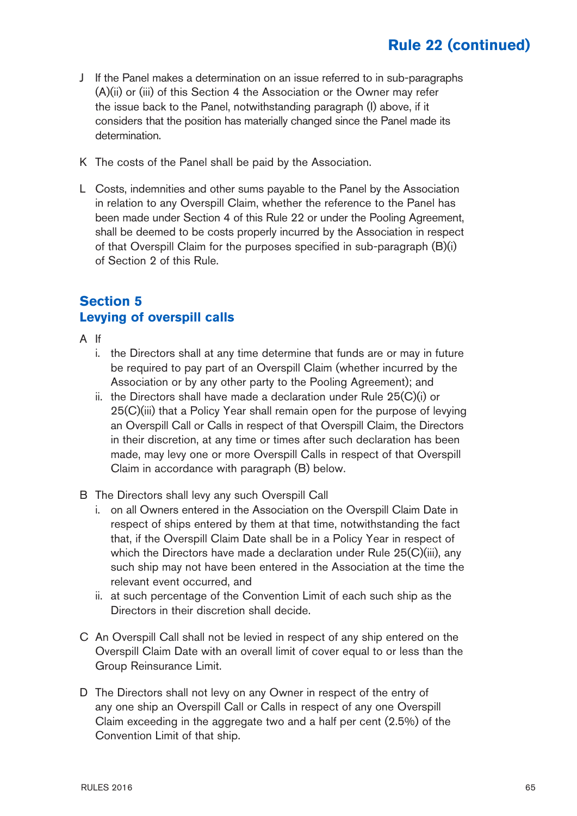- J If the Panel makes a determination on an issue referred to in sub-paragraphs (A)(ii) or (iii) of this Section 4 the Association or the Owner may refer the issue back to the Panel, notwithstanding paragraph (I) above, if it considers that the position has materially changed since the Panel made its determination.
- K The costs of the Panel shall be paid by the Association.
- L Costs, indemnities and other sums payable to the Panel by the Association in relation to any Overspill Claim, whether the reference to the Panel has been made under Section 4 of this Rule 22 or under the Pooling Agreement, shall be deemed to be costs properly incurred by the Association in respect of that Overspill Claim for the purposes specified in sub-paragraph (B)(i) of Section 2 of this Rule.

### **Section 5 Levying of overspill calls**

- A If
	- i. the Directors shall at any time determine that funds are or may in future be required to pay part of an Overspill Claim (whether incurred by the Association or by any other party to the Pooling Agreement); and
	- ii. the Directors shall have made a declaration under Rule 25(C)(i) or 25(C)(iii) that a Policy Year shall remain open for the purpose of levying an Overspill Call or Calls in respect of that Overspill Claim, the Directors in their discretion, at any time or times after such declaration has been made, may levy one or more Overspill Calls in respect of that Overspill Claim in accordance with paragraph (B) below.
- B The Directors shall levy any such Overspill Call
	- i. on all Owners entered in the Association on the Overspill Claim Date in respect of ships entered by them at that time, notwithstanding the fact that, if the Overspill Claim Date shall be in a Policy Year in respect of which the Directors have made a declaration under Rule 25(C)(iii), any such ship may not have been entered in the Association at the time the relevant event occurred, and
	- ii. at such percentage of the Convention Limit of each such ship as the Directors in their discretion shall decide.
- C An Overspill Call shall not be levied in respect of any ship entered on the Overspill Claim Date with an overall limit of cover equal to or less than the Group Reinsurance Limit.
- D The Directors shall not levy on any Owner in respect of the entry of any one ship an Overspill Call or Calls in respect of any one Overspill Claim exceeding in the aggregate two and a half per cent (2.5%) of the Convention Limit of that ship.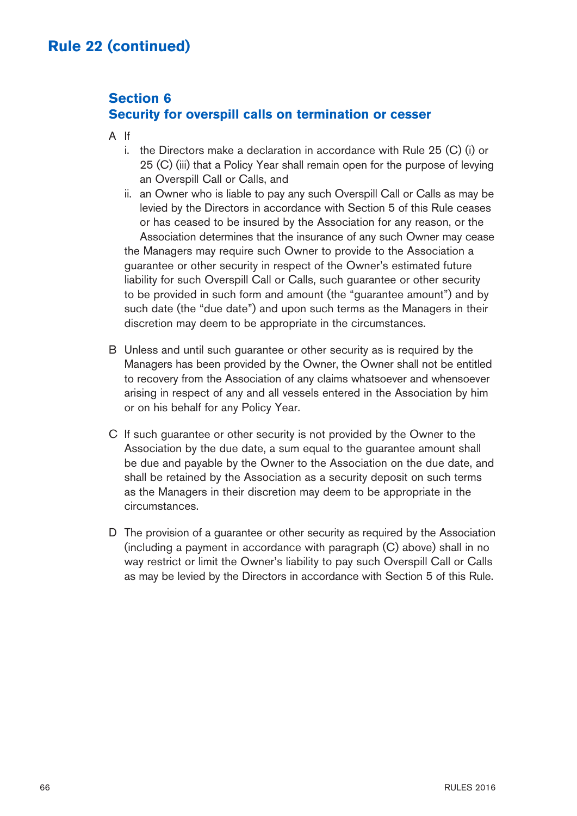### **Section 6 Security for overspill calls on termination or cesser**

- A If
	- i. the Directors make a declaration in accordance with Rule 25 (C) (i) or 25 (C) (iii) that a Policy Year shall remain open for the purpose of levying an Overspill Call or Calls, and
	- ii. an Owner who is liable to pay any such Overspill Call or Calls as may be levied by the Directors in accordance with Section 5 of this Rule ceases or has ceased to be insured by the Association for any reason, or the Association determines that the insurance of any such Owner may cease the Managers may require such Owner to provide to the Association a guarantee or other security in respect of the Owner's estimated future liability for such Overspill Call or Calls, such guarantee or other security to be provided in such form and amount (the "guarantee amount") and by such date (the "due date") and upon such terms as the Managers in their discretion may deem to be appropriate in the circumstances.
- B Unless and until such guarantee or other security as is required by the Managers has been provided by the Owner, the Owner shall not be entitled to recovery from the Association of any claims whatsoever and whensoever arising in respect of any and all vessels entered in the Association by him or on his behalf for any Policy Year.
- C If such guarantee or other security is not provided by the Owner to the Association by the due date, a sum equal to the quarantee amount shall be due and payable by the Owner to the Association on the due date, and shall be retained by the Association as a security deposit on such terms as the Managers in their discretion may deem to be appropriate in the circumstances.
- D The provision of a guarantee or other security as required by the Association (including a payment in accordance with paragraph (C) above) shall in no way restrict or limit the Owner's liability to pay such Overspill Call or Calls as may be levied by the Directors in accordance with Section 5 of this Rule.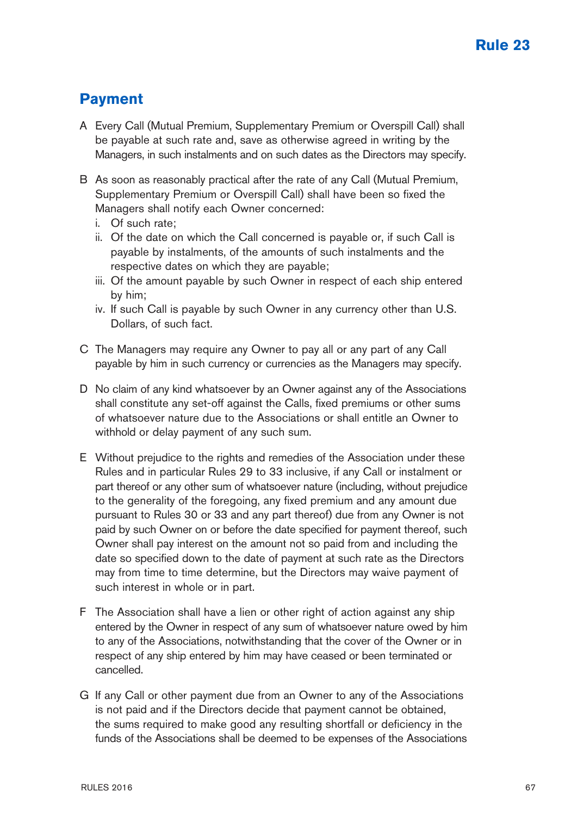## **Payment**

- A Every Call (Mutual Premium, Supplementary Premium or Overspill Call) shall be payable at such rate and, save as otherwise agreed in writing by the Managers, in such instalments and on such dates as the Directors may specify.
- B As soon as reasonably practical after the rate of any Call (Mutual Premium, Supplementary Premium or Overspill Call) shall have been so fixed the Managers shall notify each Owner concerned:
	- i. Of such rate;
	- ii. Of the date on which the Call concerned is payable or, if such Call is payable by instalments, of the amounts of such instalments and the respective dates on which they are payable;
	- iii. Of the amount payable by such Owner in respect of each ship entered by him;
	- iv. If such Call is payable by such Owner in any currency other than U.S. Dollars, of such fact.
- C The Managers may require any Owner to pay all or any part of any Call payable by him in such currency or currencies as the Managers may specify.
- D No claim of any kind whatsoever by an Owner against any of the Associations shall constitute any set-off against the Calls, fixed premiums or other sums of whatsoever nature due to the Associations or shall entitle an Owner to withhold or delay payment of any such sum.
- E Without prejudice to the rights and remedies of the Association under these Rules and in particular Rules 29 to 33 inclusive, if any Call or instalment or part thereof or any other sum of whatsoever nature (including, without prejudice to the generality of the foregoing, any fixed premium and any amount due pursuant to Rules 30 or 33 and any part thereof) due from any Owner is not paid by such Owner on or before the date specified for payment thereof, such Owner shall pay interest on the amount not so paid from and including the date so specified down to the date of payment at such rate as the Directors may from time to time determine, but the Directors may waive payment of such interest in whole or in part.
- F The Association shall have a lien or other right of action against any ship entered by the Owner in respect of any sum of whatsoever nature owed by him to any of the Associations, notwithstanding that the cover of the Owner or in respect of any ship entered by him may have ceased or been terminated or cancelled.
- G If any Call or other payment due from an Owner to any of the Associations is not paid and if the Directors decide that payment cannot be obtained, the sums required to make good any resulting shortfall or deficiency in the funds of the Associations shall be deemed to be expenses of the Associations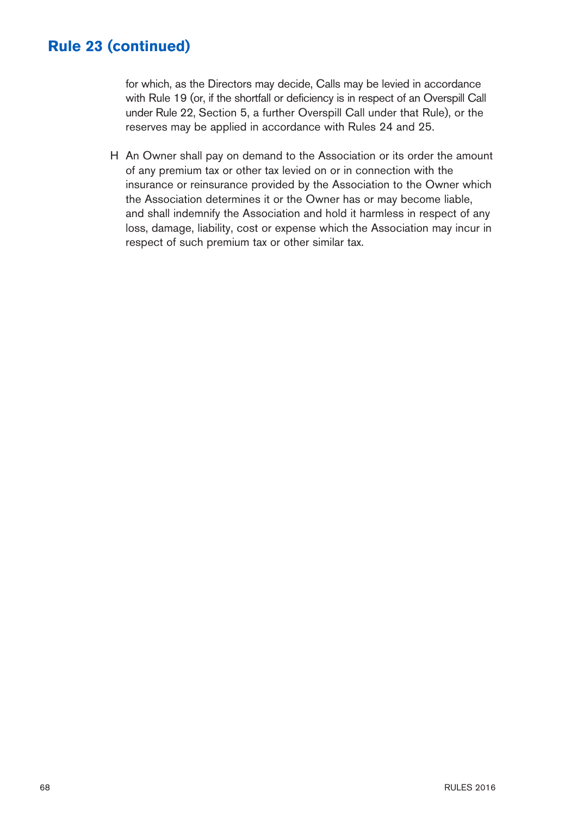for which, as the Directors may decide, Calls may be levied in accordance with Rule 19 (or, if the shortfall or deficiency is in respect of an Overspill Call under Rule 22, Section 5, a further Overspill Call under that Rule), or the reserves may be applied in accordance with Rules 24 and 25.

H An Owner shall pay on demand to the Association or its order the amount of any premium tax or other tax levied on or in connection with the insurance or reinsurance provided by the Association to the Owner which the Association determines it or the Owner has or may become liable, and shall indemnify the Association and hold it harmless in respect of any loss, damage, liability, cost or expense which the Association may incur in respect of such premium tax or other similar tax.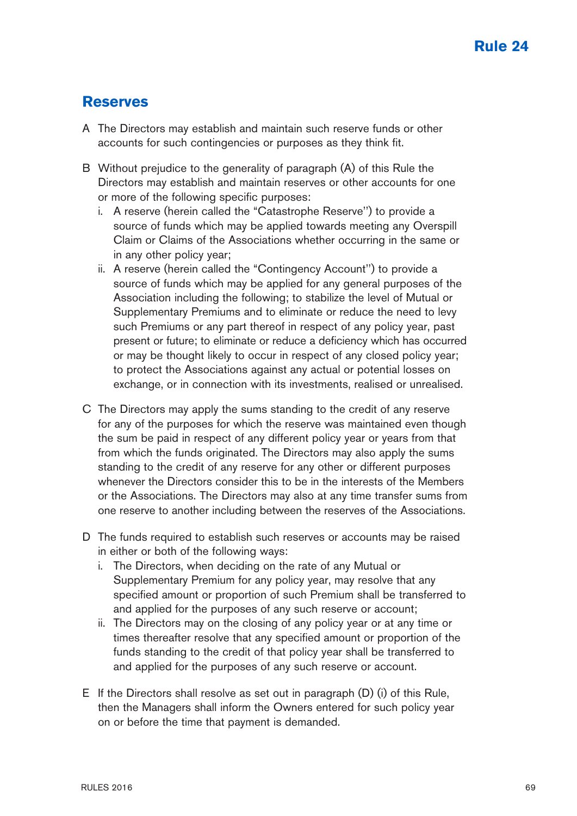### **Reserves**

- A The Directors may establish and maintain such reserve funds or other accounts for such contingencies or purposes as they think fit.
- B Without prejudice to the generality of paragraph (A) of this Rule the Directors may establish and maintain reserves or other accounts for one or more of the following specific purposes:
	- i. A reserve (herein called the "Catastrophe Reserve'') to provide a source of funds which may be applied towards meeting any Overspill Claim or Claims of the Associations whether occurring in the same or in any other policy year;
	- ii. A reserve (herein called the "Contingency Account'') to provide a source of funds which may be applied for any general purposes of the Association including the following; to stabilize the level of Mutual or Supplementary Premiums and to eliminate or reduce the need to levy such Premiums or any part thereof in respect of any policy year, past present or future; to eliminate or reduce a deficiency which has occurred or may be thought likely to occur in respect of any closed policy year; to protect the Associations against any actual or potential losses on exchange, or in connection with its investments, realised or unrealised.
- C The Directors may apply the sums standing to the credit of any reserve for any of the purposes for which the reserve was maintained even though the sum be paid in respect of any different policy year or years from that from which the funds originated. The Directors may also apply the sums standing to the credit of any reserve for any other or different purposes whenever the Directors consider this to be in the interests of the Members or the Associations. The Directors may also at any time transfer sums from one reserve to another including between the reserves of the Associations.
- D The funds required to establish such reserves or accounts may be raised in either or both of the following ways:
	- i. The Directors, when deciding on the rate of any Mutual or Supplementary Premium for any policy year, may resolve that any specified amount or proportion of such Premium shall be transferred to and applied for the purposes of any such reserve or account;
	- ii. The Directors may on the closing of any policy year or at any time or times thereafter resolve that any specified amount or proportion of the funds standing to the credit of that policy year shall be transferred to and applied for the purposes of any such reserve or account.
- E If the Directors shall resolve as set out in paragraph (D) (i) of this Rule, then the Managers shall inform the Owners entered for such policy year on or before the time that payment is demanded.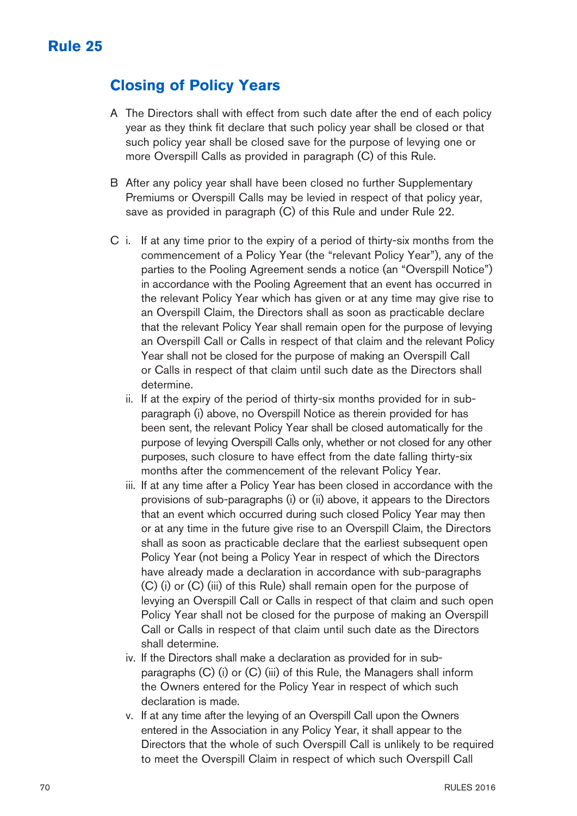### **Closing of Policy Years**

- A The Directors shall with effect from such date after the end of each policy year as they think fit declare that such policy year shall be closed or that such policy year shall be closed save for the purpose of levying one or more Overspill Calls as provided in paragraph (C) of this Rule.
- B After any policy year shall have been closed no further Supplementary Premiums or Overspill Calls may be levied in respect of that policy year, save as provided in paragraph (C) of this Rule and under Rule 22.
- C i. If at any time prior to the expiry of a period of thirty-six months from the commencement of a Policy Year (the "relevant Policy Year"), any of the parties to the Pooling Agreement sends a notice (an "Overspill Notice") in accordance with the Pooling Agreement that an event has occurred in the relevant Policy Year which has given or at any time may give rise to an Overspill Claim, the Directors shall as soon as practicable declare that the relevant Policy Year shall remain open for the purpose of levying an Overspill Call or Calls in respect of that claim and the relevant Policy Year shall not be closed for the purpose of making an Overspill Call or Calls in respect of that claim until such date as the Directors shall determine.
	- ii. If at the expiry of the period of thirty-six months provided for in subparagraph (i) above, no Overspill Notice as therein provided for has been sent, the relevant Policy Year shall be closed automatically for the purpose of levying Overspill Calls only, whether or not closed for any other purposes, such closure to have effect from the date falling thirty-six months after the commencement of the relevant Policy Year.
	- iii. If at any time after a Policy Year has been closed in accordance with the provisions of sub-paragraphs (i) or (ii) above, it appears to the Directors that an event which occurred during such closed Policy Year may then or at any time in the future give rise to an Overspill Claim, the Directors shall as soon as practicable declare that the earliest subsequent open Policy Year (not being a Policy Year in respect of which the Directors have already made a declaration in accordance with sub-paragraphs (C) (i) or (C) (iii) of this Rule) shall remain open for the purpose of levying an Overspill Call or Calls in respect of that claim and such open Policy Year shall not be closed for the purpose of making an Overspill Call or Calls in respect of that claim until such date as the Directors shall determine.
	- iv. If the Directors shall make a declaration as provided for in subparagraphs (C) (i) or (C) (iii) of this Rule, the Managers shall inform the Owners entered for the Policy Year in respect of which such declaration is made.
	- v. If at any time after the levying of an Overspill Call upon the Owners entered in the Association in any Policy Year, it shall appear to the Directors that the whole of such Overspill Call is unlikely to be required to meet the Overspill Claim in respect of which such Overspill Call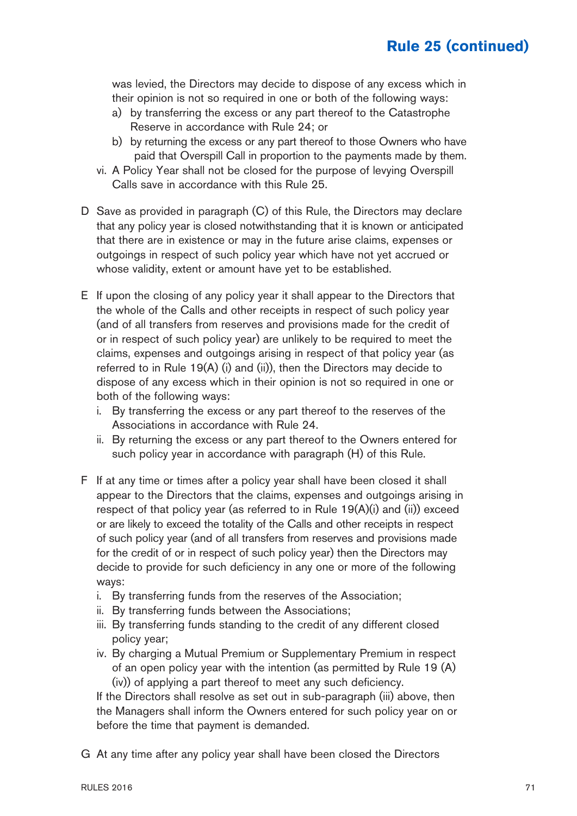was levied, the Directors may decide to dispose of any excess which in their opinion is not so required in one or both of the following ways:

- a) by transferring the excess or any part thereof to the Catastrophe Reserve in accordance with Rule 24; or
- b) by returning the excess or any part thereof to those Owners who have paid that Overspill Call in proportion to the payments made by them.
- vi. A Policy Year shall not be closed for the purpose of levying Overspill Calls save in accordance with this Rule 25.
- D Save as provided in paragraph (C) of this Rule, the Directors may declare that any policy year is closed notwithstanding that it is known or anticipated that there are in existence or may in the future arise claims, expenses or outgoings in respect of such policy year which have not yet accrued or whose validity, extent or amount have yet to be established.
- E If upon the closing of any policy year it shall appear to the Directors that the whole of the Calls and other receipts in respect of such policy year (and of all transfers from reserves and provisions made for the credit of or in respect of such policy year) are unlikely to be required to meet the claims, expenses and outgoings arising in respect of that policy year (as referred to in Rule 19(A) (i) and (ii)), then the Directors may decide to dispose of any excess which in their opinion is not so required in one or both of the following ways:
	- i. By transferring the excess or any part thereof to the reserves of the Associations in accordance with Rule 24.
	- ii. By returning the excess or any part thereof to the Owners entered for such policy year in accordance with paragraph (H) of this Rule.
- F If at any time or times after a policy year shall have been closed it shall appear to the Directors that the claims, expenses and outgoings arising in respect of that policy year (as referred to in Rule 19(A)(i) and (ii)) exceed or are likely to exceed the totality of the Calls and other receipts in respect of such policy year (and of all transfers from reserves and provisions made for the credit of or in respect of such policy year) then the Directors may decide to provide for such deficiency in any one or more of the following ways:
	- i. By transferring funds from the reserves of the Association;
	- ii. By transferring funds between the Associations;
	- iii. By transferring funds standing to the credit of any different closed policy year;
	- iv. By charging a Mutual Premium or Supplementary Premium in respect of an open policy year with the intention (as permitted by Rule 19 (A) (iv)) of applying a part thereof to meet any such deficiency.

If the Directors shall resolve as set out in sub-paragraph (iii) above, then the Managers shall inform the Owners entered for such policy year on or before the time that payment is demanded.

G At any time after any policy year shall have been closed the Directors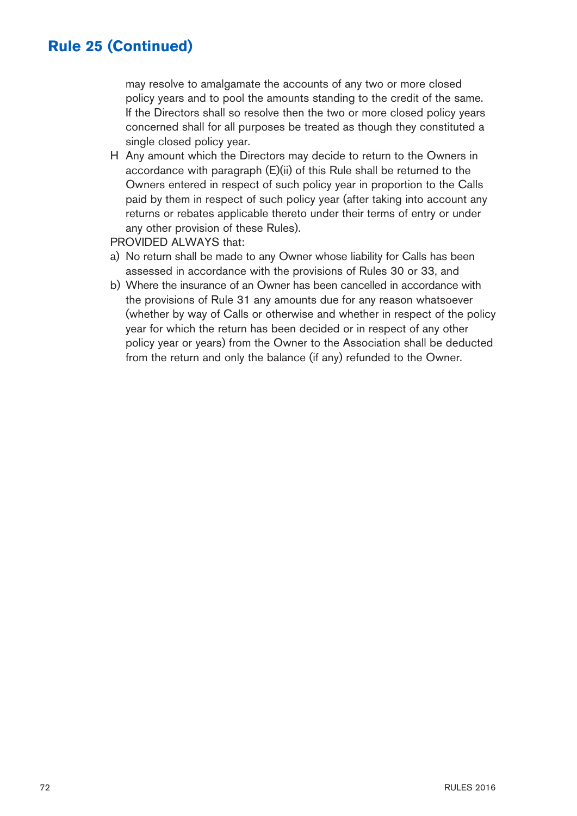may resolve to amalgamate the accounts of any two or more closed policy years and to pool the amounts standing to the credit of the same. If the Directors shall so resolve then the two or more closed policy years concerned shall for all purposes be treated as though they constituted a single closed policy year.

H Any amount which the Directors may decide to return to the Owners in accordance with paragraph (E)(ii) of this Rule shall be returned to the Owners entered in respect of such policy year in proportion to the Calls paid by them in respect of such policy year (after taking into account any returns or rebates applicable thereto under their terms of entry or under any other provision of these Rules).

PROVIDED AI WAYS that:

- a) No return shall be made to any Owner whose liability for Calls has been assessed in accordance with the provisions of Rules 30 or 33, and
- b) Where the insurance of an Owner has been cancelled in accordance with the provisions of Rule 31 any amounts due for any reason whatsoever (whether by way of Calls or otherwise and whether in respect of the policy year for which the return has been decided or in respect of any other policy year or years) from the Owner to the Association shall be deducted from the return and only the balance (if any) refunded to the Owner.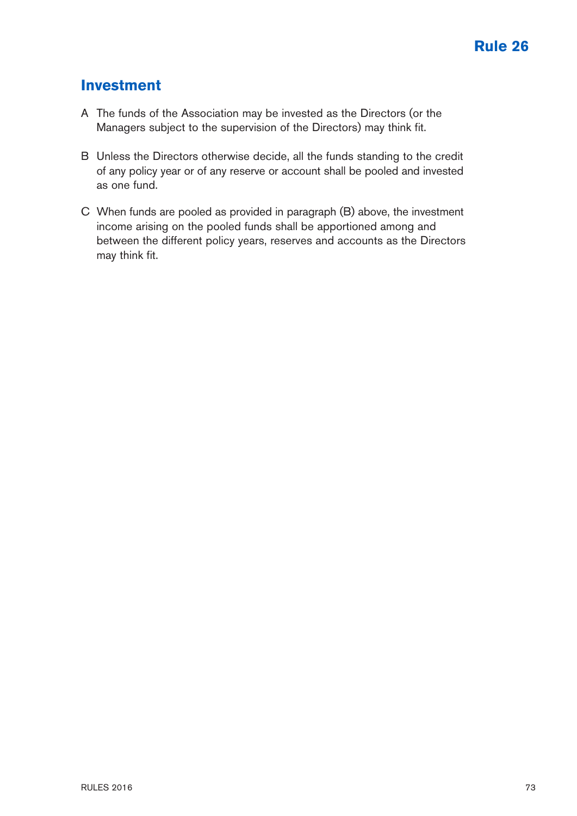#### **Investment**

- A The funds of the Association may be invested as the Directors (or the Managers subject to the supervision of the Directors) may think fit.
- B Unless the Directors otherwise decide, all the funds standing to the credit of any policy year or of any reserve or account shall be pooled and invested as one fund.
- C When funds are pooled as provided in paragraph (B) above, the investment income arising on the pooled funds shall be apportioned among and between the different policy years, reserves and accounts as the Directors may think fit.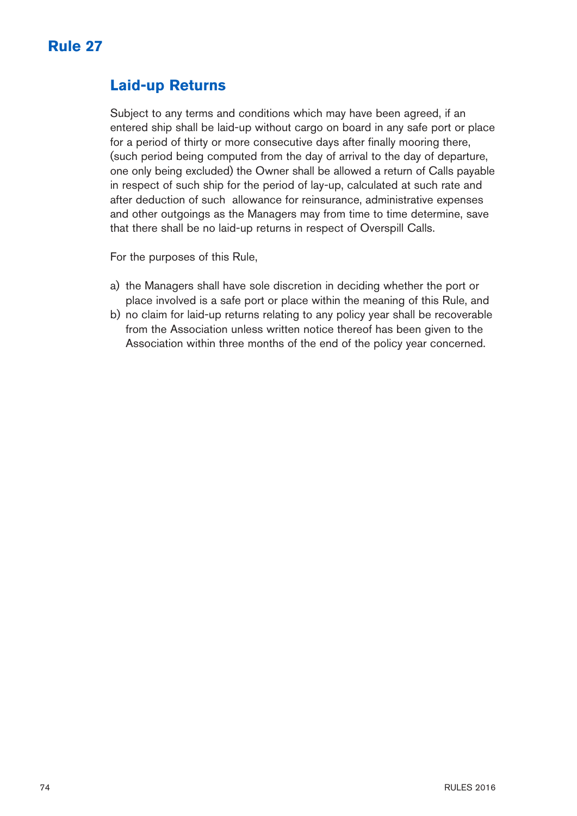

#### **Laid-up Returns**

Subject to any terms and conditions which may have been agreed, if an entered ship shall be laid-up without cargo on board in any safe port or place for a period of thirty or more consecutive days after finally mooring there, (such period being computed from the day of arrival to the day of departure, one only being excluded) the Owner shall be allowed a return of Calls payable in respect of such ship for the period of lay-up, calculated at such rate and after deduction of such allowance for reinsurance, administrative expenses and other outgoings as the Managers may from time to time determine, save that there shall be no laid-up returns in respect of Overspill Calls.

For the purposes of this Rule,

- a) the Managers shall have sole discretion in deciding whether the port or place involved is a safe port or place within the meaning of this Rule, and
- b) no claim for laid-up returns relating to any policy year shall be recoverable from the Association unless written notice thereof has been given to the Association within three months of the end of the policy year concerned.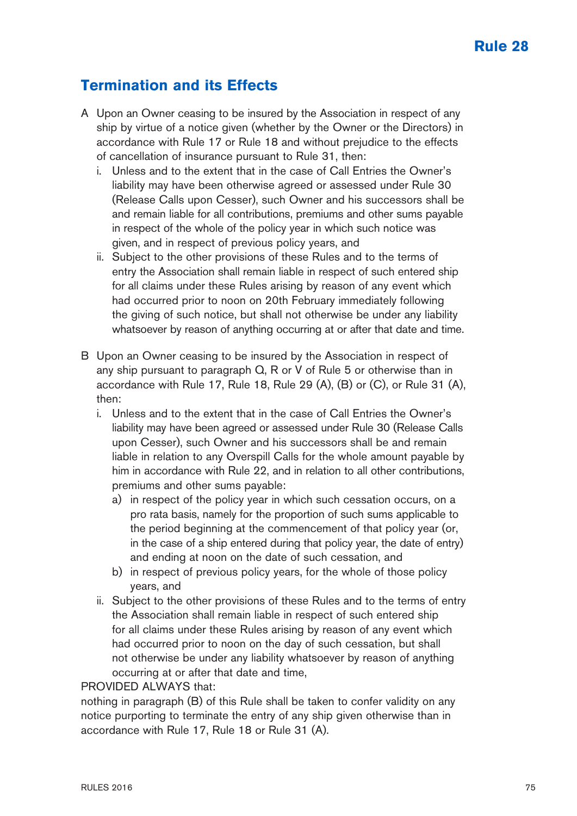### **Rule 28**

### **Termination and its Effects**

- A Upon an Owner ceasing to be insured by the Association in respect of any ship by virtue of a notice given (whether by the Owner or the Directors) in accordance with Rule 17 or Rule 18 and without prejudice to the effects of cancellation of insurance pursuant to Rule 31, then:
	- i. Unless and to the extent that in the case of Call Entries the Owner's liability may have been otherwise agreed or assessed under Rule 30 (Release Calls upon Cesser), such Owner and his successors shall be and remain liable for all contributions, premiums and other sums payable in respect of the whole of the policy year in which such notice was given, and in respect of previous policy years, and
	- ii. Subject to the other provisions of these Rules and to the terms of entry the Association shall remain liable in respect of such entered ship for all claims under these Rules arising by reason of any event which had occurred prior to noon on 20th February immediately following the giving of such notice, but shall not otherwise be under any liability whatsoever by reason of anything occurring at or after that date and time.
- B Upon an Owner ceasing to be insured by the Association in respect of any ship pursuant to paragraph Q, R or V of Rule 5 or otherwise than in accordance with Rule 17, Rule 18, Rule 29 (A), (B) or (C), or Rule 31 (A), then:
	- i. Unless and to the extent that in the case of Call Entries the Owner's liability may have been agreed or assessed under Rule 30 (Release Calls upon Cesser), such Owner and his successors shall be and remain liable in relation to any Overspill Calls for the whole amount payable by him in accordance with Rule 22, and in relation to all other contributions, premiums and other sums payable:
		- a) in respect of the policy year in which such cessation occurs, on a pro rata basis, namely for the proportion of such sums applicable to the period beginning at the commencement of that policy year (or, in the case of a ship entered during that policy year, the date of entry) and ending at noon on the date of such cessation, and
		- b) in respect of previous policy years, for the whole of those policy years, and
	- ii. Subject to the other provisions of these Rules and to the terms of entry the Association shall remain liable in respect of such entered ship for all claims under these Rules arising by reason of any event which had occurred prior to noon on the day of such cessation, but shall not otherwise be under any liability whatsoever by reason of anything occurring at or after that date and time,

#### PROVIDED ALWAYS that:

nothing in paragraph (B) of this Rule shall be taken to confer validity on any notice purporting to terminate the entry of any ship given otherwise than in accordance with Rule 17, Rule 18 or Rule 31 (A).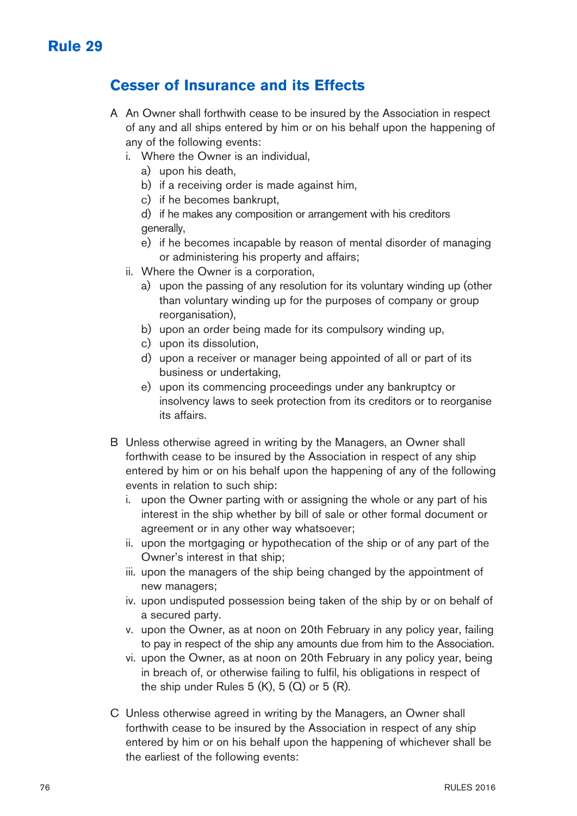#### **Cesser of Insurance and its Effects**

- A An Owner shall forthwith cease to be insured by the Association in respect of any and all ships entered by him or on his behalf upon the happening of any of the following events:
	- i. Where the Owner is an individual,
		- a) upon his death,
		- b) if a receiving order is made against him,
		- c) if he becomes bankrupt,

 d) if he makes any composition or arrangement with his creditors generally,

- e) if he becomes incapable by reason of mental disorder of managing or administering his property and affairs;
- ii. Where the Owner is a corporation,
	- a) upon the passing of any resolution for its voluntary winding up (other than voluntary winding up for the purposes of company or group reorganisation).
	- b) upon an order being made for its compulsory winding up,
	- c) upon its dissolution,
	- d) upon a receiver or manager being appointed of all or part of its business or undertaking,
	- e) upon its commencing proceedings under any bankruptcy or insolvency laws to seek protection from its creditors or to reorganise its affairs.
- B Unless otherwise agreed in writing by the Managers, an Owner shall forthwith cease to be insured by the Association in respect of any ship entered by him or on his behalf upon the happening of any of the following events in relation to such ship:
	- i. upon the Owner parting with or assigning the whole or any part of his interest in the ship whether by bill of sale or other formal document or agreement or in any other way whatsoever;
	- ii. upon the mortgaging or hypothecation of the ship or of any part of the Owner's interest in that ship;
	- iii. upon the managers of the ship being changed by the appointment of new managers;
	- iv. upon undisputed possession being taken of the ship by or on behalf of a secured party.
	- v. upon the Owner, as at noon on 20th February in any policy year, failing to pay in respect of the ship any amounts due from him to the Association.
	- vi. upon the Owner, as at noon on 20th February in any policy year, being in breach of, or otherwise failing to fulfil, his obligations in respect of the ship under Rules  $5$  (K),  $5$  (Q) or  $5$  (R).
- C Unless otherwise agreed in writing by the Managers, an Owner shall forthwith cease to be insured by the Association in respect of any ship entered by him or on his behalf upon the happening of whichever shall be the earliest of the following events: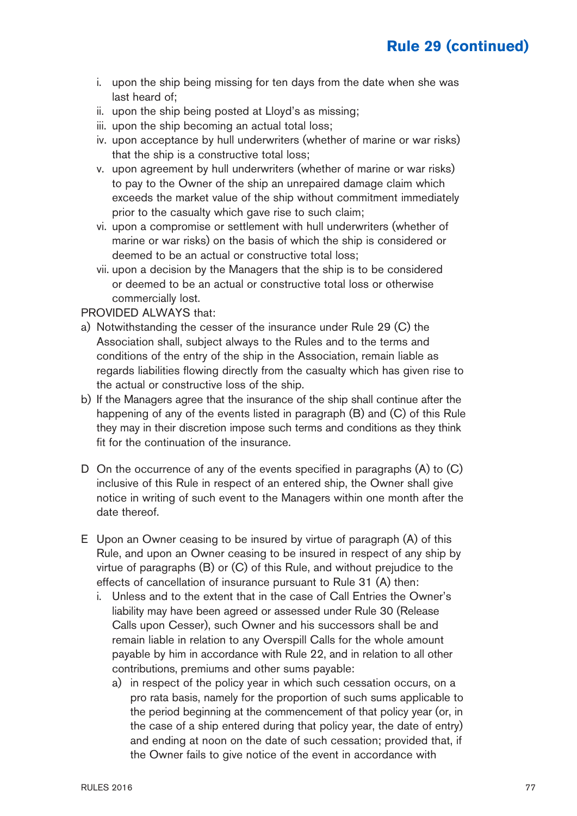## **Rule 29 (continued)**

- i. upon the ship being missing for ten days from the date when she was last heard of;
- ii. upon the ship being posted at Lloyd's as missing;
- iii. upon the ship becoming an actual total loss;
- iv. upon acceptance by hull underwriters (whether of marine or war risks) that the ship is a constructive total loss;
- v. upon agreement by hull underwriters (whether of marine or war risks) to pay to the Owner of the ship an unrepaired damage claim which exceeds the market value of the ship without commitment immediately prior to the casualty which gave rise to such claim;
- vi. upon a compromise or settlement with hull underwriters (whether of marine or war risks) on the basis of which the ship is considered or deemed to be an actual or constructive total loss;
- vii. upon a decision by the Managers that the ship is to be considered or deemed to be an actual or constructive total loss or otherwise commercially lost.

PROVIDED ALWAYS that:

- a) Notwithstanding the cesser of the insurance under Rule 29 (C) the Association shall, subject always to the Rules and to the terms and conditions of the entry of the ship in the Association, remain liable as regards liabilities flowing directly from the casualty which has given rise to the actual or constructive loss of the ship.
- b) If the Managers agree that the insurance of the ship shall continue after the happening of any of the events listed in paragraph (B) and (C) of this Rule they may in their discretion impose such terms and conditions as they think fit for the continuation of the insurance.
- D On the occurrence of any of the events specified in paragraphs (A) to (C) inclusive of this Rule in respect of an entered ship, the Owner shall give notice in writing of such event to the Managers within one month after the date thereof.
- E Upon an Owner ceasing to be insured by virtue of paragraph (A) of this Rule, and upon an Owner ceasing to be insured in respect of any ship by virtue of paragraphs (B) or (C) of this Rule, and without prejudice to the effects of cancellation of insurance pursuant to Rule 31 (A) then:
	- i. Unless and to the extent that in the case of Call Entries the Owner's liability may have been agreed or assessed under Rule 30 (Release Calls upon Cesser), such Owner and his successors shall be and remain liable in relation to any Overspill Calls for the whole amount payable by him in accordance with Rule 22, and in relation to all other contributions, premiums and other sums payable:
		- a) in respect of the policy year in which such cessation occurs, on a pro rata basis, namely for the proportion of such sums applicable to the period beginning at the commencement of that policy year (or, in the case of a ship entered during that policy year, the date of entry) and ending at noon on the date of such cessation; provided that, if the Owner fails to give notice of the event in accordance with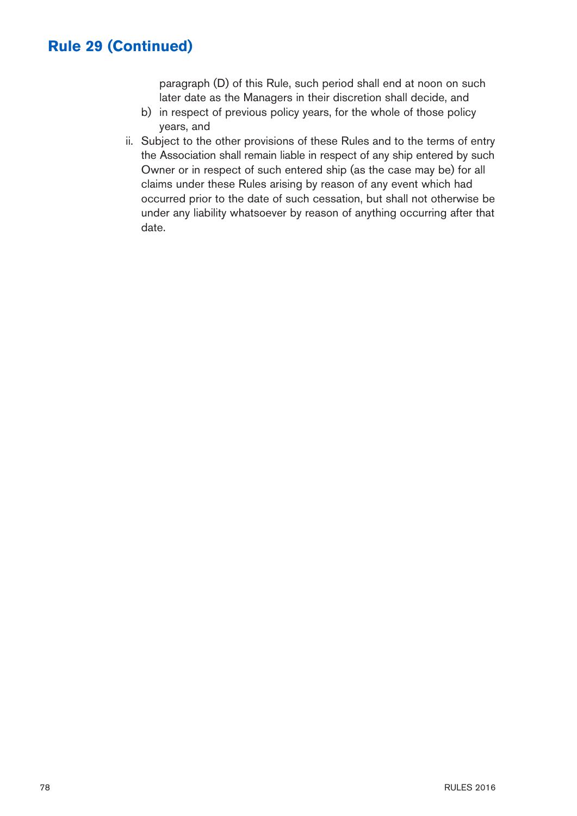### **Rule 29 (Continued)**

paragraph (D) of this Rule, such period shall end at noon on such later date as the Managers in their discretion shall decide, and

- b) in respect of previous policy years, for the whole of those policy years, and
- ii. Subject to the other provisions of these Rules and to the terms of entry the Association shall remain liable in respect of any ship entered by such Owner or in respect of such entered ship (as the case may be) for all claims under these Rules arising by reason of any event which had occurred prior to the date of such cessation, but shall not otherwise be under any liability whatsoever by reason of anything occurring after that date.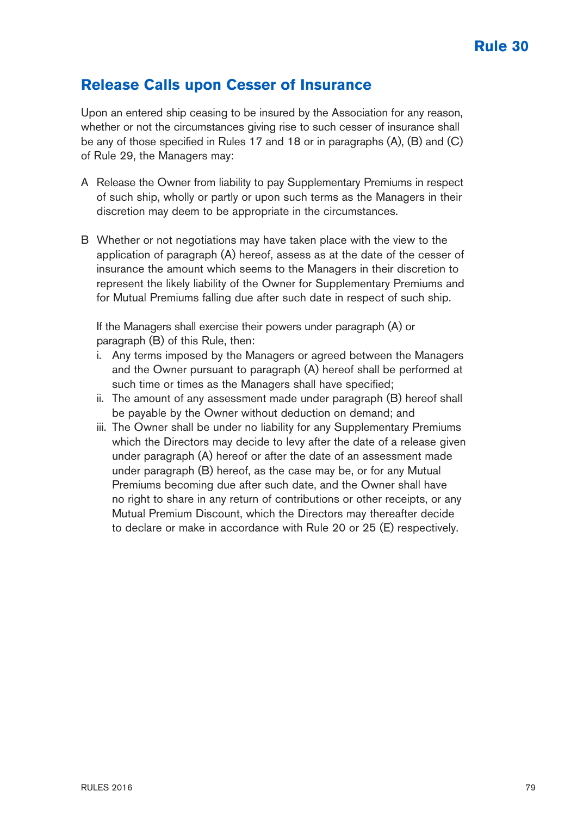#### **Release Calls upon Cesser of Insurance**

Upon an entered ship ceasing to be insured by the Association for any reason, whether or not the circumstances giving rise to such cesser of insurance shall be any of those specified in Rules 17 and 18 or in paragraphs (A), (B) and (C) of Rule 29, the Managers may:

- A Release the Owner from liability to pay Supplementary Premiums in respect of such ship, wholly or partly or upon such terms as the Managers in their discretion may deem to be appropriate in the circumstances.
- B Whether or not negotiations may have taken place with the view to the application of paragraph (A) hereof, assess as at the date of the cesser of insurance the amount which seems to the Managers in their discretion to represent the likely liability of the Owner for Supplementary Premiums and for Mutual Premiums falling due after such date in respect of such ship.

If the Managers shall exercise their powers under paragraph (A) or paragraph (B) of this Rule, then:

- i. Any terms imposed by the Managers or agreed between the Managers and the Owner pursuant to paragraph (A) hereof shall be performed at such time or times as the Managers shall have specified;
- ii. The amount of any assessment made under paragraph (B) hereof shall be payable by the Owner without deduction on demand; and
- iii. The Owner shall be under no liability for any Supplementary Premiums which the Directors may decide to levy after the date of a release given under paragraph (A) hereof or after the date of an assessment made under paragraph (B) hereof, as the case may be, or for any Mutual Premiums becoming due after such date, and the Owner shall have no right to share in any return of contributions or other receipts, or any Mutual Premium Discount, which the Directors may thereafter decide to declare or make in accordance with Rule 20 or 25 (E) respectively.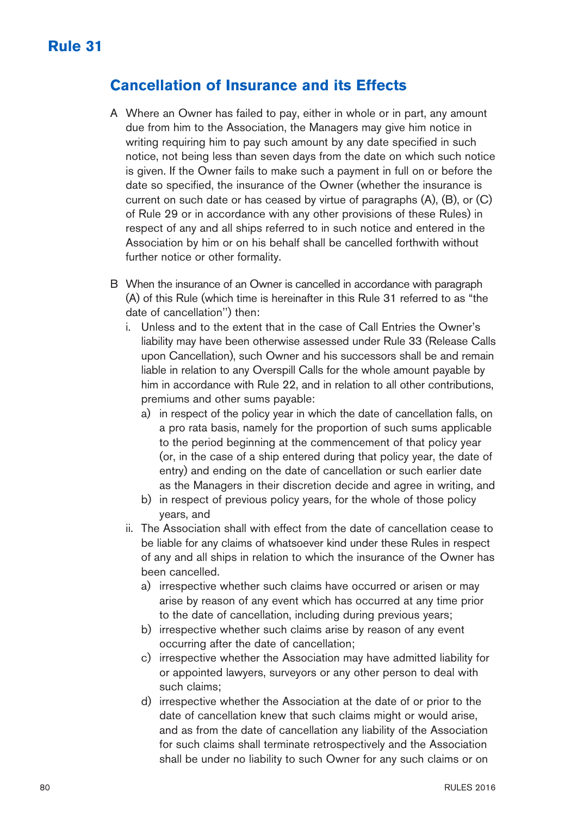#### **Cancellation of Insurance and its Effects**

- A Where an Owner has failed to pay, either in whole or in part, any amount due from him to the Association, the Managers may give him notice in writing requiring him to pay such amount by any date specified in such notice, not being less than seven days from the date on which such notice is given. If the Owner fails to make such a payment in full on or before the date so specified, the insurance of the Owner (whether the insurance is current on such date or has ceased by virtue of paragraphs (A), (B), or (C) of Rule 29 or in accordance with any other provisions of these Rules) in respect of any and all ships referred to in such notice and entered in the Association by him or on his behalf shall be cancelled forthwith without further notice or other formality.
- B When the insurance of an Owner is cancelled in accordance with paragraph (A) of this Rule (which time is hereinafter in this Rule 31 referred to as "the date of cancellation'') then:
	- i. Unless and to the extent that in the case of Call Entries the Owner's liability may have been otherwise assessed under Rule 33 (Release Calls upon Cancellation), such Owner and his successors shall be and remain liable in relation to any Overspill Calls for the whole amount payable by him in accordance with Rule 22, and in relation to all other contributions, premiums and other sums payable:
		- a) in respect of the policy year in which the date of cancellation falls, on a pro rata basis, namely for the proportion of such sums applicable to the period beginning at the commencement of that policy year (or, in the case of a ship entered during that policy year, the date of entry) and ending on the date of cancellation or such earlier date as the Managers in their discretion decide and agree in writing, and
		- b) in respect of previous policy years, for the whole of those policy years, and
	- ii. The Association shall with effect from the date of cancellation cease to be liable for any claims of whatsoever kind under these Rules in respect of any and all ships in relation to which the insurance of the Owner has been cancelled.
		- a) irrespective whether such claims have occurred or arisen or may arise by reason of any event which has occurred at any time prior to the date of cancellation, including during previous years;
		- b) irrespective whether such claims arise by reason of any event occurring after the date of cancellation;
		- c) irrespective whether the Association may have admitted liability for or appointed lawyers, surveyors or any other person to deal with such claims;
		- d) irrespective whether the Association at the date of or prior to the date of cancellation knew that such claims might or would arise, and as from the date of cancellation any liability of the Association for such claims shall terminate retrospectively and the Association shall be under no liability to such Owner for any such claims or on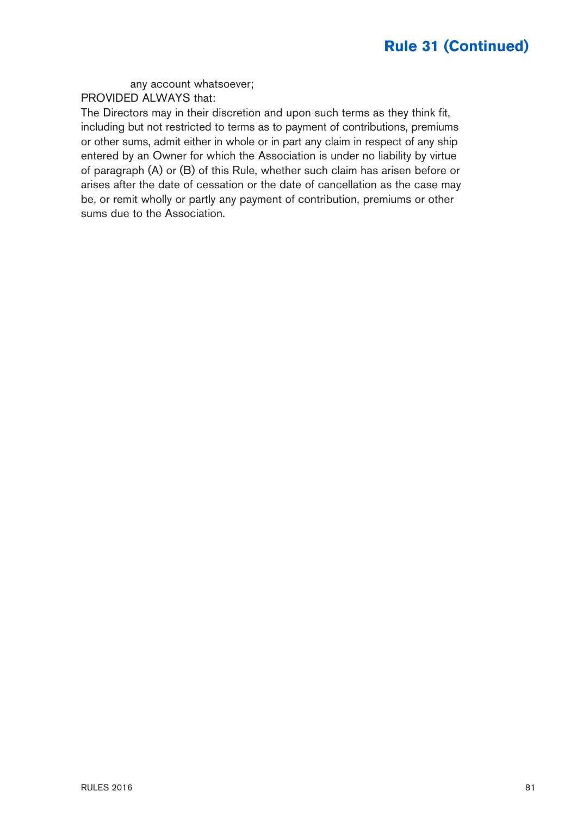any account whatsoever;

PROVIDED ALWAYS that:

The Directors may in their discretion and upon such terms as they think fit, including but not restricted to terms as to payment of contributions, premiums or other sums, admit either in whole or in part any claim in respect of any ship entered by an Owner for which the Association is under no liability by virtue of paragraph (A) or (B) of this Rule, whether such claim has arisen before or arises after the date of cessation or the date of cancellation as the case may be, or remit wholly or partly any payment of contribution, premiums or other sums due to the Association.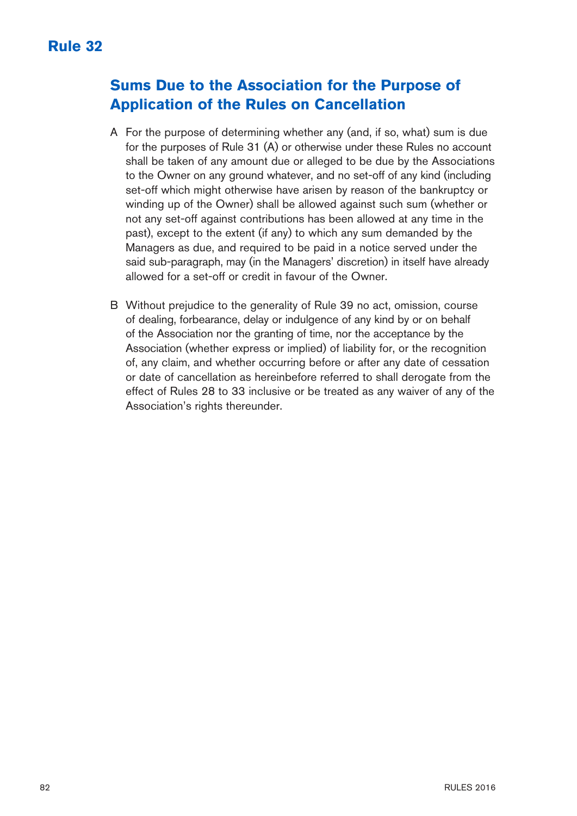### **Sums Due to the Association for the Purpose of Application of the Rules on Cancellation**

- A For the purpose of determining whether any (and, if so, what) sum is due for the purposes of Rule 31 (A) or otherwise under these Rules no account shall be taken of any amount due or alleged to be due by the Associations to the Owner on any ground whatever, and no set-off of any kind (including set-off which might otherwise have arisen by reason of the bankruptcy or winding up of the Owner) shall be allowed against such sum (whether or not any set-off against contributions has been allowed at any time in the past), except to the extent (if any) to which any sum demanded by the Managers as due, and required to be paid in a notice served under the said sub-paragraph, may (in the Managers' discretion) in itself have already allowed for a set-off or credit in favour of the Owner.
- B Without prejudice to the generality of Rule 39 no act, omission, course of dealing, forbearance, delay or indulgence of any kind by or on behalf of the Association nor the granting of time, nor the acceptance by the Association (whether express or implied) of liability for, or the recognition of, any claim, and whether occurring before or after any date of cessation or date of cancellation as hereinbefore referred to shall derogate from the effect of Rules 28 to 33 inclusive or be treated as any waiver of any of the Association's rights thereunder.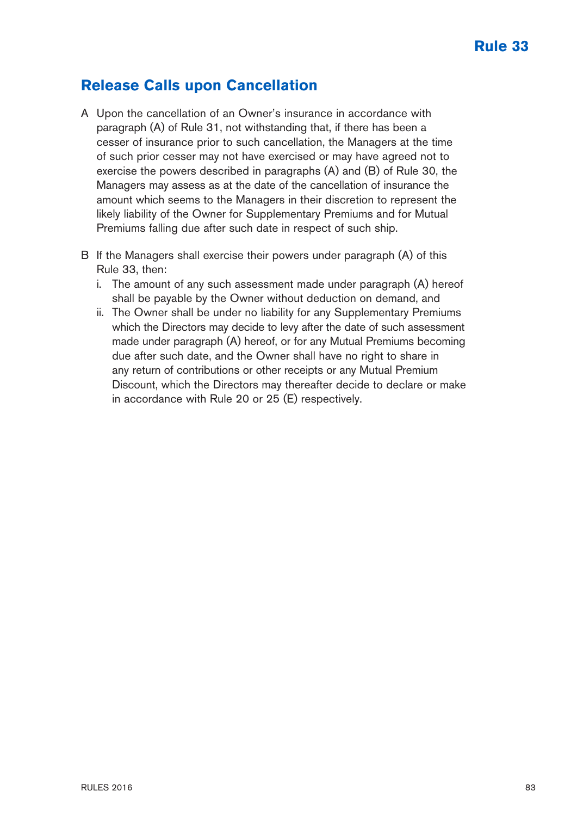#### **Release Calls upon Cancellation**

- A Upon the cancellation of an Owner's insurance in accordance with paragraph (A) of Rule 31, not withstanding that, if there has been a cesser of insurance prior to such cancellation, the Managers at the time of such prior cesser may not have exercised or may have agreed not to exercise the powers described in paragraphs (A) and (B) of Rule 30, the Managers may assess as at the date of the cancellation of insurance the amount which seems to the Managers in their discretion to represent the likely liability of the Owner for Supplementary Premiums and for Mutual Premiums falling due after such date in respect of such ship.
- B If the Managers shall exercise their powers under paragraph (A) of this Rule 33, then:
	- i. The amount of any such assessment made under paragraph (A) hereof shall be payable by the Owner without deduction on demand, and
	- ii. The Owner shall be under no liability for any Supplementary Premiums which the Directors may decide to levy after the date of such assessment made under paragraph (A) hereof, or for any Mutual Premiums becoming due after such date, and the Owner shall have no right to share in any return of contributions or other receipts or any Mutual Premium Discount, which the Directors may thereafter decide to declare or make in accordance with Rule 20 or 25 (E) respectively.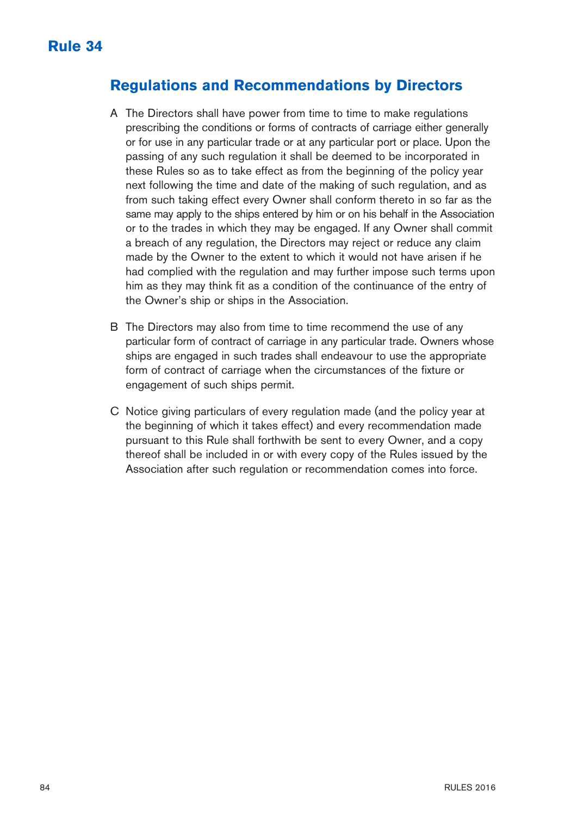#### **Regulations and Recommendations by Directors**

- A The Directors shall have power from time to time to make regulations prescribing the conditions or forms of contracts of carriage either generally or for use in any particular trade or at any particular port or place. Upon the passing of any such regulation it shall be deemed to be incorporated in these Rules so as to take effect as from the beginning of the policy year next following the time and date of the making of such regulation, and as from such taking effect every Owner shall conform thereto in so far as the same may apply to the ships entered by him or on his behalf in the Association or to the trades in which they may be engaged. If any Owner shall commit a breach of any regulation, the Directors may reject or reduce any claim made by the Owner to the extent to which it would not have arisen if he had complied with the regulation and may further impose such terms upon him as they may think fit as a condition of the continuance of the entry of the Owner's ship or ships in the Association.
- B The Directors may also from time to time recommend the use of any particular form of contract of carriage in any particular trade. Owners whose ships are engaged in such trades shall endeavour to use the appropriate form of contract of carriage when the circumstances of the fixture or engagement of such ships permit.
- C Notice giving particulars of every regulation made (and the policy year at the beginning of which it takes effect) and every recommendation made pursuant to this Rule shall forthwith be sent to every Owner, and a copy thereof shall be included in or with every copy of the Rules issued by the Association after such regulation or recommendation comes into force.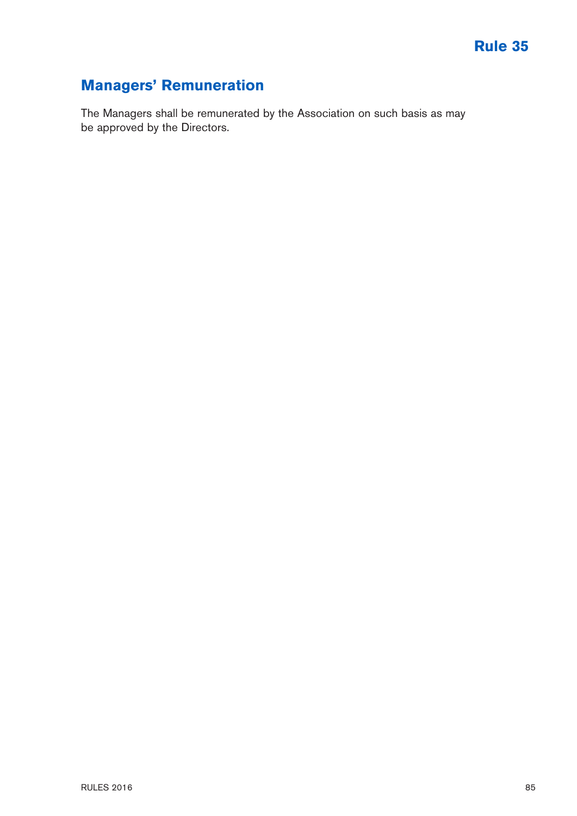## **Managers' Remuneration**

The Managers shall be remunerated by the Association on such basis as may be approved by the Directors.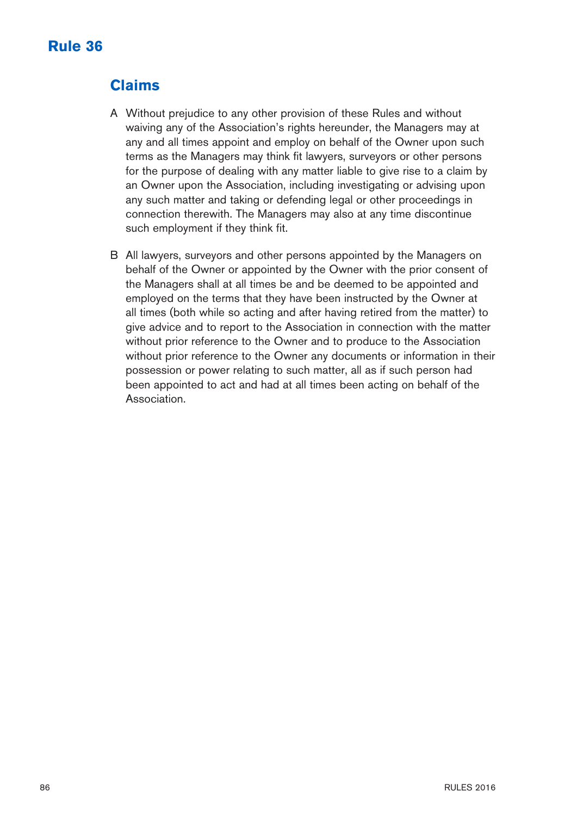### **Rule 36**

### **Claims**

- A Without prejudice to any other provision of these Rules and without waiving any of the Association's rights hereunder, the Managers may at any and all times appoint and employ on behalf of the Owner upon such terms as the Managers may think fit lawyers, surveyors or other persons for the purpose of dealing with any matter liable to give rise to a claim by an Owner upon the Association, including investigating or advising upon any such matter and taking or defending legal or other proceedings in connection therewith. The Managers may also at any time discontinue such employment if they think fit.
- B All lawyers, surveyors and other persons appointed by the Managers on behalf of the Owner or appointed by the Owner with the prior consent of the Managers shall at all times be and be deemed to be appointed and employed on the terms that they have been instructed by the Owner at all times (both while so acting and after having retired from the matter) to give advice and to report to the Association in connection with the matter without prior reference to the Owner and to produce to the Association without prior reference to the Owner any documents or information in their possession or power relating to such matter, all as if such person had been appointed to act and had at all times been acting on behalf of the Association.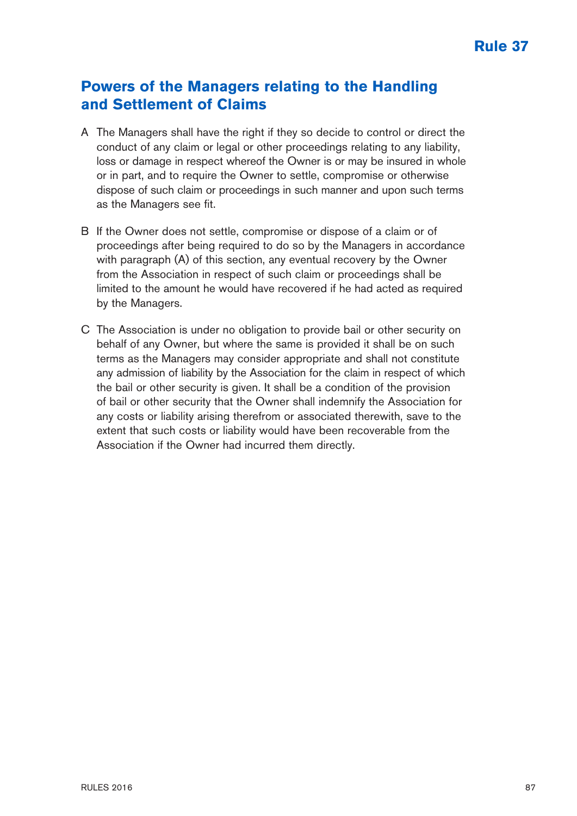#### **Powers of the Managers relating to the Handling and Settlement of Claims**

- A The Managers shall have the right if they so decide to control or direct the conduct of any claim or legal or other proceedings relating to any liability, loss or damage in respect whereof the Owner is or may be insured in whole or in part, and to require the Owner to settle, compromise or otherwise dispose of such claim or proceedings in such manner and upon such terms as the Managers see fit.
- B If the Owner does not settle, compromise or dispose of a claim or of proceedings after being required to do so by the Managers in accordance with paragraph (A) of this section, any eventual recovery by the Owner from the Association in respect of such claim or proceedings shall be limited to the amount he would have recovered if he had acted as required by the Managers.
- C The Association is under no obligation to provide bail or other security on behalf of any Owner, but where the same is provided it shall be on such terms as the Managers may consider appropriate and shall not constitute any admission of liability by the Association for the claim in respect of which the bail or other security is given. It shall be a condition of the provision of bail or other security that the Owner shall indemnify the Association for any costs or liability arising therefrom or associated therewith, save to the extent that such costs or liability would have been recoverable from the Association if the Owner had incurred them directly.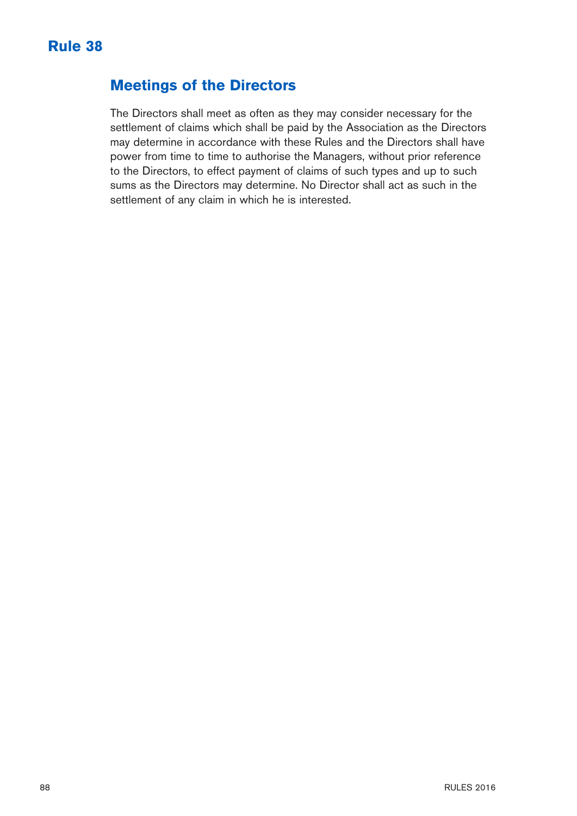#### **Meetings of the Directors**

The Directors shall meet as often as they may consider necessary for the settlement of claims which shall be paid by the Association as the Directors may determine in accordance with these Rules and the Directors shall have power from time to time to authorise the Managers, without prior reference to the Directors, to effect payment of claims of such types and up to such sums as the Directors may determine. No Director shall act as such in the settlement of any claim in which he is interested.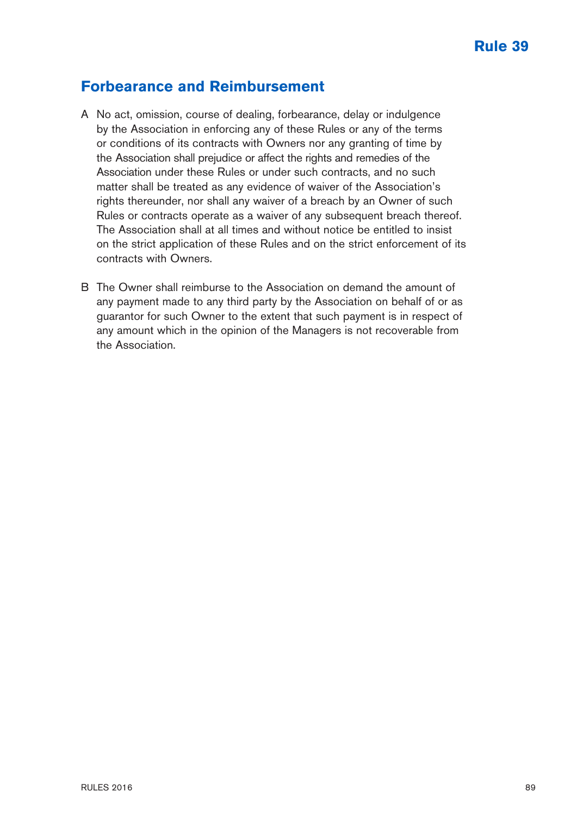#### **Forbearance and Reimbursement**

- A No act, omission, course of dealing, forbearance, delay or indulgence by the Association in enforcing any of these Rules or any of the terms or conditions of its contracts with Owners nor any granting of time by the Association shall prejudice or affect the rights and remedies of the Association under these Rules or under such contracts, and no such matter shall be treated as any evidence of waiver of the Association's rights thereunder, nor shall any waiver of a breach by an Owner of such Rules or contracts operate as a waiver of any subsequent breach thereof. The Association shall at all times and without notice be entitled to insist on the strict application of these Rules and on the strict enforcement of its contracts with Owners.
- B The Owner shall reimburse to the Association on demand the amount of any payment made to any third party by the Association on behalf of or as guarantor for such Owner to the extent that such payment is in respect of any amount which in the opinion of the Managers is not recoverable from the Association.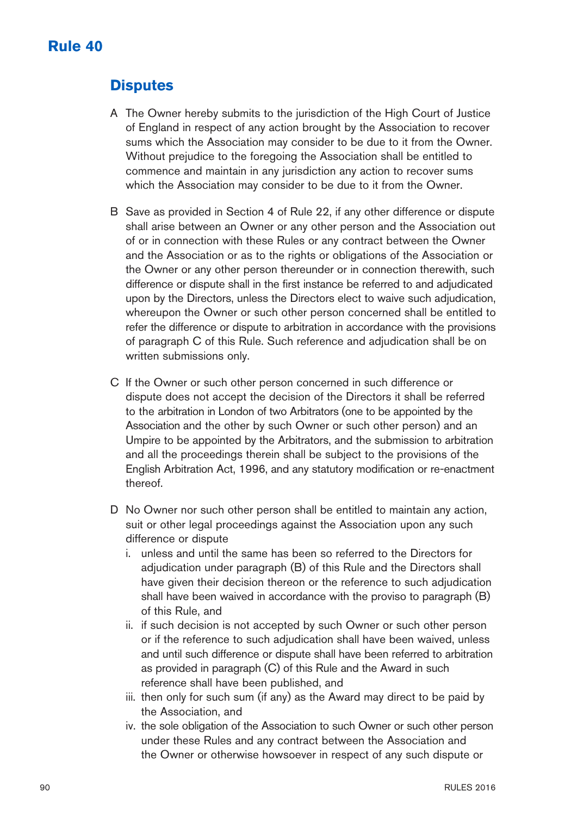#### **Disputes**

- A The Owner hereby submits to the jurisdiction of the High Court of Justice of England in respect of any action brought by the Association to recover sums which the Association may consider to be due to it from the Owner. Without prejudice to the foregoing the Association shall be entitled to commence and maintain in any jurisdiction any action to recover sums which the Association may consider to be due to it from the Owner.
- B Save as provided in Section 4 of Rule 22, if any other difference or dispute shall arise between an Owner or any other person and the Association out of or in connection with these Rules or any contract between the Owner and the Association or as to the rights or obligations of the Association or the Owner or any other person thereunder or in connection therewith, such difference or dispute shall in the first instance be referred to and adjudicated upon by the Directors, unless the Directors elect to waive such adjudication, whereupon the Owner or such other person concerned shall be entitled to refer the difference or dispute to arbitration in accordance with the provisions of paragraph C of this Rule. Such reference and adjudication shall be on written submissions only.
- C If the Owner or such other person concerned in such difference or dispute does not accept the decision of the Directors it shall be referred to the arbitration in London of two Arbitrators (one to be appointed by the Association and the other by such Owner or such other person) and an Umpire to be appointed by the Arbitrators, and the submission to arbitration and all the proceedings therein shall be subject to the provisions of the English Arbitration Act, 1996, and any statutory modification or re-enactment thereof.
- D No Owner nor such other person shall be entitled to maintain any action, suit or other legal proceedings against the Association upon any such difference or dispute
	- i. unless and until the same has been so referred to the Directors for adjudication under paragraph (B) of this Rule and the Directors shall have given their decision thereon or the reference to such adjudication shall have been waived in accordance with the proviso to paragraph (B) of this Rule, and
	- ii. if such decision is not accepted by such Owner or such other person or if the reference to such adjudication shall have been waived, unless and until such difference or dispute shall have been referred to arbitration as provided in paragraph (C) of this Rule and the Award in such reference shall have been published, and
	- iii. then only for such sum (if any) as the Award may direct to be paid by the Association, and
	- iv. the sole obligation of the Association to such Owner or such other person under these Rules and any contract between the Association and the Owner or otherwise howsoever in respect of any such dispute or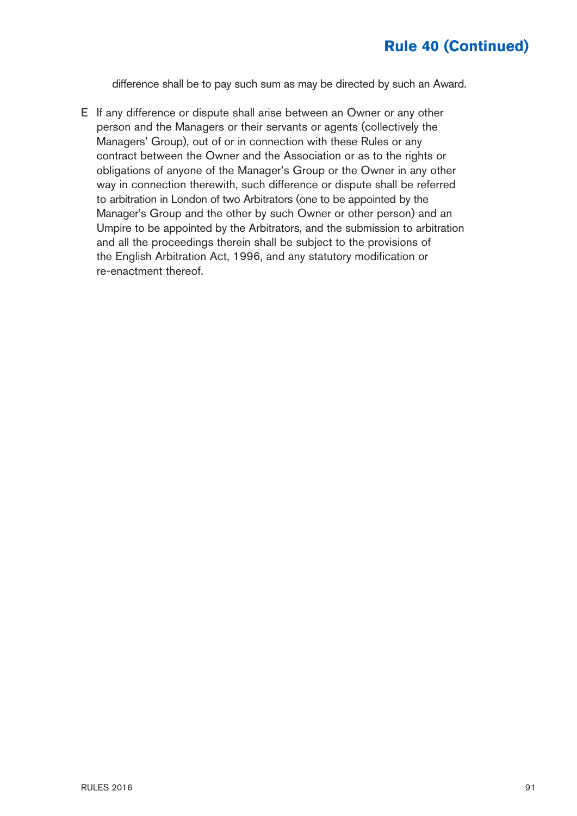## **Rule 40 (Continued)**

difference shall be to pay such sum as may be directed by such an Award.

E If any difference or dispute shall arise between an Owner or any other person and the Managers or their servants or agents (collectively the Managers' Group), out of or in connection with these Rules or any contract between the Owner and the Association or as to the rights or obligations of anyone of the Manager's Group or the Owner in any other way in connection therewith, such difference or dispute shall be referred to arbitration in London of two Arbitrators (one to be appointed by the Manager's Group and the other by such Owner or other person) and an Umpire to be appointed by the Arbitrators, and the submission to arbitration and all the proceedings therein shall be subject to the provisions of the English Arbitration Act, 1996, and any statutory modification or re-enactment thereof.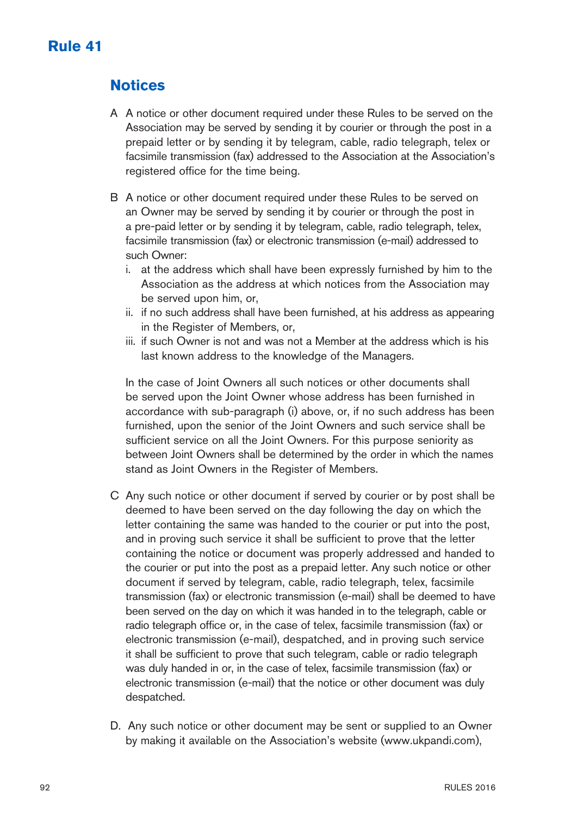### **Notices**

- A A notice or other document required under these Rules to be served on the Association may be served by sending it by courier or through the post in a prepaid letter or by sending it by telegram, cable, radio telegraph, telex or facsimile transmission (fax) addressed to the Association at the Association's registered office for the time being.
- B A notice or other document required under these Rules to be served on an Owner may be served by sending it by courier or through the post in a pre-paid letter or by sending it by telegram, cable, radio telegraph, telex, facsimile transmission (fax) or electronic transmission (e-mail) addressed to such Owner:
	- i. at the address which shall have been expressly furnished by him to the Association as the address at which notices from the Association may be served upon him, or,
	- ii. if no such address shall have been furnished, at his address as appearing in the Register of Members, or,
	- iii. if such Owner is not and was not a Member at the address which is his last known address to the knowledge of the Managers.

In the case of Joint Owners all such notices or other documents shall be served upon the Joint Owner whose address has been furnished in accordance with sub-paragraph (i) above, or, if no such address has been furnished, upon the senior of the Joint Owners and such service shall be sufficient service on all the Joint Owners. For this purpose seniority as between Joint Owners shall be determined by the order in which the names stand as Joint Owners in the Register of Members.

- C Any such notice or other document if served by courier or by post shall be deemed to have been served on the day following the day on which the letter containing the same was handed to the courier or put into the post, and in proving such service it shall be sufficient to prove that the letter containing the notice or document was properly addressed and handed to the courier or put into the post as a prepaid letter. Any such notice or other document if served by telegram, cable, radio telegraph, telex, facsimile transmission (fax) or electronic transmission (e-mail) shall be deemed to have been served on the day on which it was handed in to the telegraph, cable or radio telegraph office or, in the case of telex, facsimile transmission (fax) or electronic transmission (e-mail), despatched, and in proving such service it shall be sufficient to prove that such telegram, cable or radio telegraph was duly handed in or, in the case of telex, facsimile transmission (fax) or electronic transmission (e-mail) that the notice or other document was duly despatched.
- D. Any such notice or other document may be sent or supplied to an Owner by making it available on the Association's website (www.ukpandi.com),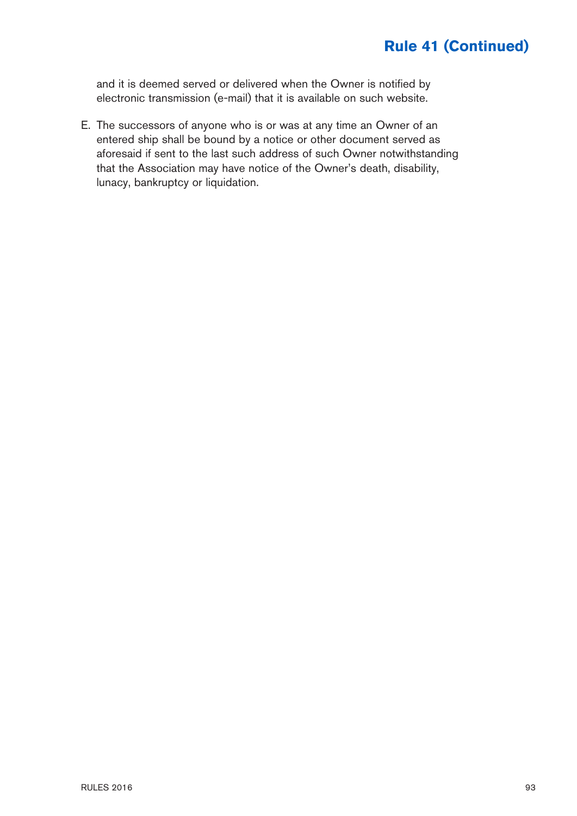## **Rule 41 (Continued)**

and it is deemed served or delivered when the Owner is notified by electronic transmission (e-mail) that it is available on such website.

E. The successors of anyone who is or was at any time an Owner of an entered ship shall be bound by a notice or other document served as aforesaid if sent to the last such address of such Owner notwithstanding that the Association may have notice of the Owner's death, disability, lunacy, bankruptcy or liquidation.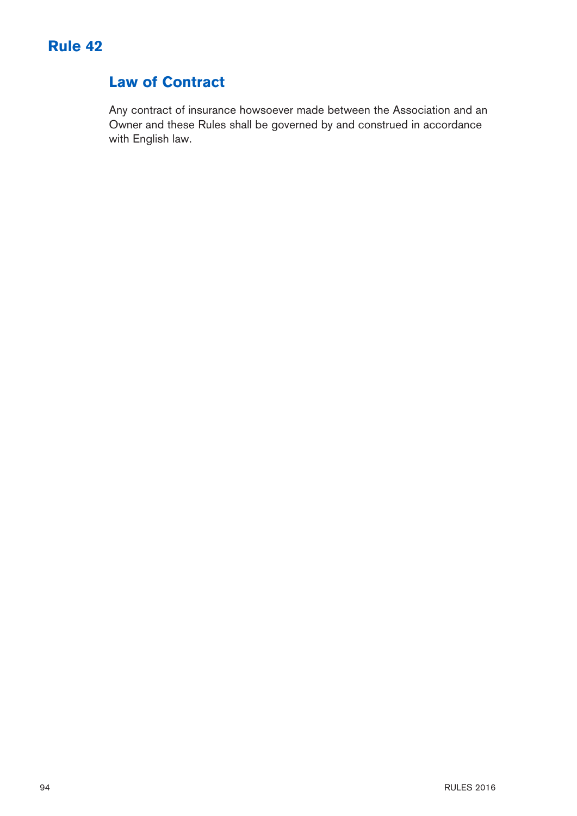

### **Law of Contract**

Any contract of insurance howsoever made between the Association and an Owner and these Rules shall be governed by and construed in accordance with English law.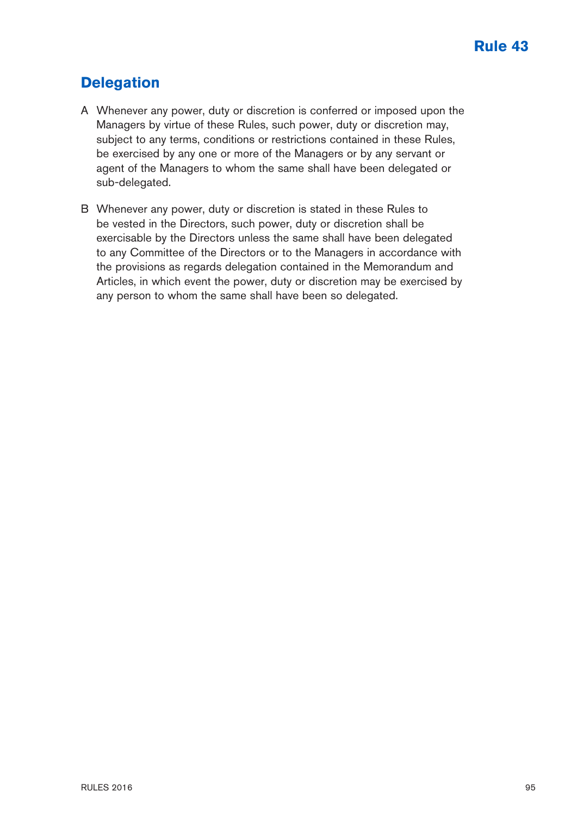### **Delegation**

- A Whenever any power, duty or discretion is conferred or imposed upon the Managers by virtue of these Rules, such power, duty or discretion may, subject to any terms, conditions or restrictions contained in these Rules, be exercised by any one or more of the Managers or by any servant or agent of the Managers to whom the same shall have been delegated or sub-delegated.
- B Whenever any power, duty or discretion is stated in these Rules to be vested in the Directors, such power, duty or discretion shall be exercisable by the Directors unless the same shall have been delegated to any Committee of the Directors or to the Managers in accordance with the provisions as regards delegation contained in the Memorandum and Articles, in which event the power, duty or discretion may be exercised by any person to whom the same shall have been so delegated.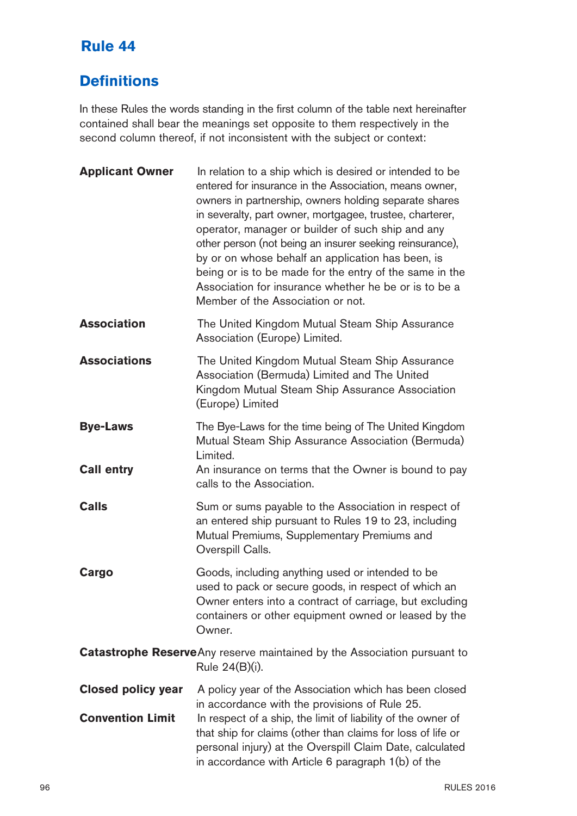### **Rule 44**

#### **Definitions**

In these Rules the words standing in the first column of the table next hereinafter contained shall bear the meanings set opposite to them respectively in the second column thereof, if not inconsistent with the subject or context:

| <b>Applicant Owner</b>                               | In relation to a ship which is desired or intended to be<br>entered for insurance in the Association, means owner,<br>owners in partnership, owners holding separate shares<br>in severalty, part owner, mortgagee, trustee, charterer,<br>operator, manager or builder of such ship and any<br>other person (not being an insurer seeking reinsurance),<br>by or on whose behalf an application has been, is<br>being or is to be made for the entry of the same in the<br>Association for insurance whether he be or is to be a<br>Member of the Association or not. |
|------------------------------------------------------|------------------------------------------------------------------------------------------------------------------------------------------------------------------------------------------------------------------------------------------------------------------------------------------------------------------------------------------------------------------------------------------------------------------------------------------------------------------------------------------------------------------------------------------------------------------------|
| <b>Association</b>                                   | The United Kingdom Mutual Steam Ship Assurance<br>Association (Europe) Limited.                                                                                                                                                                                                                                                                                                                                                                                                                                                                                        |
| <b>Associations</b>                                  | The United Kingdom Mutual Steam Ship Assurance<br>Association (Bermuda) Limited and The United<br>Kingdom Mutual Steam Ship Assurance Association<br>(Europe) Limited                                                                                                                                                                                                                                                                                                                                                                                                  |
| <b>Bye-Laws</b><br><b>Call entry</b>                 | The Bye-Laws for the time being of The United Kingdom<br>Mutual Steam Ship Assurance Association (Bermuda)<br>Limited.<br>An insurance on terms that the Owner is bound to pay                                                                                                                                                                                                                                                                                                                                                                                         |
| Calls                                                | calls to the Association.<br>Sum or sums payable to the Association in respect of<br>an entered ship pursuant to Rules 19 to 23, including<br>Mutual Premiums, Supplementary Premiums and<br>Overspill Calls.                                                                                                                                                                                                                                                                                                                                                          |
| Cargo                                                | Goods, including anything used or intended to be<br>used to pack or secure goods, in respect of which an<br>Owner enters into a contract of carriage, but excluding<br>containers or other equipment owned or leased by the<br>Owner.                                                                                                                                                                                                                                                                                                                                  |
|                                                      | Catastrophe Reserve Any reserve maintained by the Association pursuant to<br>Rule 24(B)(i).                                                                                                                                                                                                                                                                                                                                                                                                                                                                            |
| <b>Closed policy year</b><br><b>Convention Limit</b> | A policy year of the Association which has been closed<br>in accordance with the provisions of Rule 25.<br>In respect of a ship, the limit of liability of the owner of<br>that ship for claims (other than claims for loss of life or<br>personal injury) at the Overspill Claim Date, calculated<br>in accordance with Article 6 paragraph 1(b) of the                                                                                                                                                                                                               |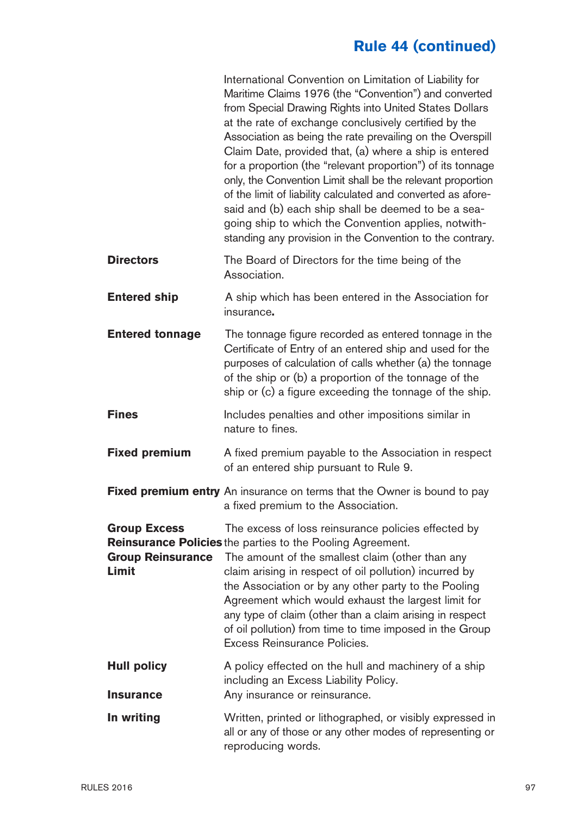# **Rule 44 (continued)**

|                                                          | International Convention on Limitation of Liability for<br>Maritime Claims 1976 (the "Convention") and converted<br>from Special Drawing Rights into United States Dollars<br>at the rate of exchange conclusively certified by the<br>Association as being the rate prevailing on the Overspill<br>Claim Date, provided that, (a) where a ship is entered<br>for a proportion (the "relevant proportion") of its tonnage<br>only, the Convention Limit shall be the relevant proportion<br>of the limit of liability calculated and converted as afore-<br>said and (b) each ship shall be deemed to be a sea-<br>going ship to which the Convention applies, notwith-<br>standing any provision in the Convention to the contrary. |
|----------------------------------------------------------|--------------------------------------------------------------------------------------------------------------------------------------------------------------------------------------------------------------------------------------------------------------------------------------------------------------------------------------------------------------------------------------------------------------------------------------------------------------------------------------------------------------------------------------------------------------------------------------------------------------------------------------------------------------------------------------------------------------------------------------|
| <b>Directors</b>                                         | The Board of Directors for the time being of the<br>Association.                                                                                                                                                                                                                                                                                                                                                                                                                                                                                                                                                                                                                                                                     |
| <b>Entered ship</b>                                      | A ship which has been entered in the Association for<br>insurance.                                                                                                                                                                                                                                                                                                                                                                                                                                                                                                                                                                                                                                                                   |
| <b>Entered tonnage</b>                                   | The tonnage figure recorded as entered tonnage in the<br>Certificate of Entry of an entered ship and used for the<br>purposes of calculation of calls whether (a) the tonnage<br>of the ship or (b) a proportion of the tonnage of the<br>ship or (c) a figure exceeding the tonnage of the ship.                                                                                                                                                                                                                                                                                                                                                                                                                                    |
| <b>Fines</b>                                             | Includes penalties and other impositions similar in<br>nature to fines.                                                                                                                                                                                                                                                                                                                                                                                                                                                                                                                                                                                                                                                              |
| <b>Fixed premium</b>                                     | A fixed premium payable to the Association in respect<br>of an entered ship pursuant to Rule 9.                                                                                                                                                                                                                                                                                                                                                                                                                                                                                                                                                                                                                                      |
|                                                          | <b>Fixed premium entry</b> An insurance on terms that the Owner is bound to pay<br>a fixed premium to the Association.                                                                                                                                                                                                                                                                                                                                                                                                                                                                                                                                                                                                               |
| <b>Group Excess</b><br><b>Group Reinsurance</b><br>Limit | The excess of loss reinsurance policies effected by<br>Reinsurance Policies the parties to the Pooling Agreement.<br>The amount of the smallest claim (other than any<br>claim arising in respect of oil pollution) incurred by<br>the Association or by any other party to the Pooling<br>Agreement which would exhaust the largest limit for<br>any type of claim (other than a claim arising in respect<br>of oil pollution) from time to time imposed in the Group<br>Excess Reinsurance Policies.                                                                                                                                                                                                                               |
| <b>Hull policy</b>                                       | A policy effected on the hull and machinery of a ship<br>including an Excess Liability Policy.                                                                                                                                                                                                                                                                                                                                                                                                                                                                                                                                                                                                                                       |
| <b>Insurance</b>                                         | Any insurance or reinsurance.                                                                                                                                                                                                                                                                                                                                                                                                                                                                                                                                                                                                                                                                                                        |
| In writing                                               | Written, printed or lithographed, or visibly expressed in<br>all or any of those or any other modes of representing or<br>reproducing words.                                                                                                                                                                                                                                                                                                                                                                                                                                                                                                                                                                                         |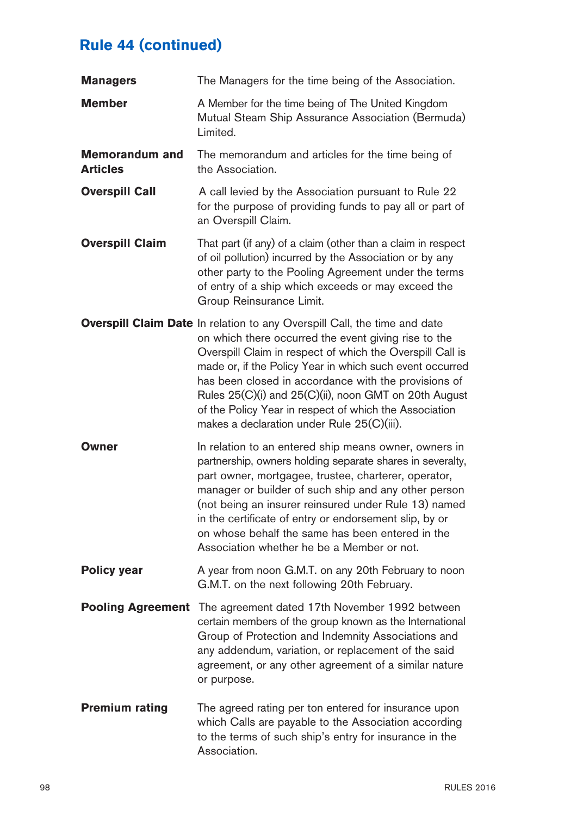### **Rule 44 (continued)**

| <b>Managers</b>                          | The Managers for the time being of the Association.                                                                                                                                                                                                                                                                                                                                                                                                                                 |  |
|------------------------------------------|-------------------------------------------------------------------------------------------------------------------------------------------------------------------------------------------------------------------------------------------------------------------------------------------------------------------------------------------------------------------------------------------------------------------------------------------------------------------------------------|--|
| <b>Member</b>                            | A Member for the time being of The United Kingdom<br>Mutual Steam Ship Assurance Association (Bermuda)<br>Limited.                                                                                                                                                                                                                                                                                                                                                                  |  |
| <b>Memorandum and</b><br><b>Articles</b> | The memorandum and articles for the time being of<br>the Association.                                                                                                                                                                                                                                                                                                                                                                                                               |  |
| <b>Overspill Call</b>                    | A call levied by the Association pursuant to Rule 22<br>for the purpose of providing funds to pay all or part of<br>an Overspill Claim.                                                                                                                                                                                                                                                                                                                                             |  |
| <b>Overspill Claim</b>                   | That part (if any) of a claim (other than a claim in respect<br>of oil pollution) incurred by the Association or by any<br>other party to the Pooling Agreement under the terms<br>of entry of a ship which exceeds or may exceed the<br>Group Reinsurance Limit.                                                                                                                                                                                                                   |  |
|                                          | Overspill Claim Date In relation to any Overspill Call, the time and date<br>on which there occurred the event giving rise to the<br>Overspill Claim in respect of which the Overspill Call is<br>made or, if the Policy Year in which such event occurred<br>has been closed in accordance with the provisions of<br>Rules 25(C)(i) and 25(C)(ii), noon GMT on 20th August<br>of the Policy Year in respect of which the Association<br>makes a declaration under Rule 25(C)(iii). |  |
| Owner                                    | In relation to an entered ship means owner, owners in<br>partnership, owners holding separate shares in severalty,<br>part owner, mortgagee, trustee, charterer, operator,<br>manager or builder of such ship and any other person<br>(not being an insurer reinsured under Rule 13) named<br>in the certificate of entry or endorsement slip, by or<br>on whose behalf the same has been entered in the<br>Association whether he be a Member or not.                              |  |
| <b>Policy year</b>                       | A year from noon G.M.T. on any 20th February to noon<br>G.M.T. on the next following 20th February.                                                                                                                                                                                                                                                                                                                                                                                 |  |
| <b>Pooling Agreement</b>                 | The agreement dated 17th November 1992 between<br>certain members of the group known as the International<br>Group of Protection and Indemnity Associations and<br>any addendum, variation, or replacement of the said<br>agreement, or any other agreement of a similar nature<br>or purpose.                                                                                                                                                                                      |  |
| <b>Premium rating</b>                    | The agreed rating per ton entered for insurance upon<br>which Calls are payable to the Association according<br>to the terms of such ship's entry for insurance in the<br>Association.                                                                                                                                                                                                                                                                                              |  |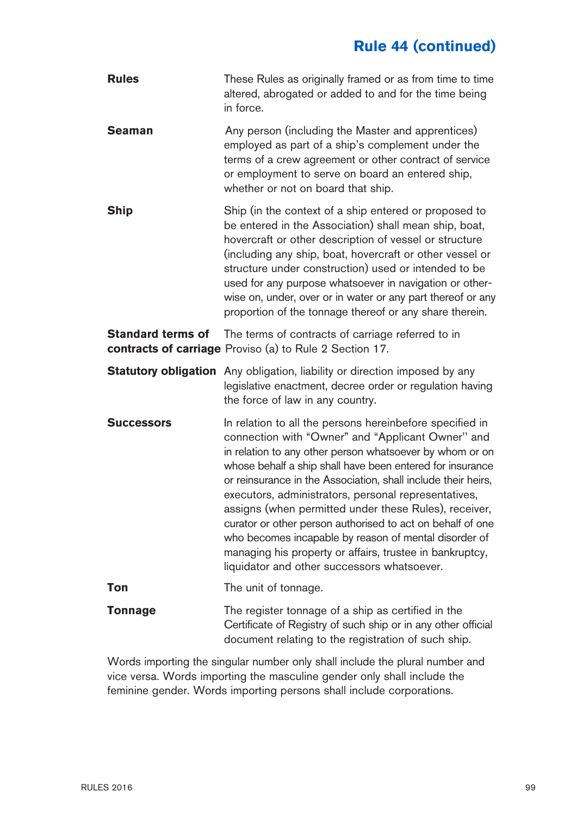## **Rule 44 (continued)**

| <b>Rules</b>             | These Rules as originally framed or as from time to time<br>altered, abrogated or added to and for the time being<br>in force.                                                                                                                                                                                                                                                                                                                                                                                                                                                                                                                             |
|--------------------------|------------------------------------------------------------------------------------------------------------------------------------------------------------------------------------------------------------------------------------------------------------------------------------------------------------------------------------------------------------------------------------------------------------------------------------------------------------------------------------------------------------------------------------------------------------------------------------------------------------------------------------------------------------|
| Seaman                   | Any person (including the Master and apprentices)<br>employed as part of a ship's complement under the<br>terms of a crew agreement or other contract of service<br>or employment to serve on board an entered ship,<br>whether or not on board that ship.                                                                                                                                                                                                                                                                                                                                                                                                 |
| <b>Ship</b>              | Ship (in the context of a ship entered or proposed to<br>be entered in the Association) shall mean ship, boat,<br>hovercraft or other description of vessel or structure<br>(including any ship, boat, hovercraft or other vessel or<br>structure under construction) used or intended to be<br>used for any purpose whatsoever in navigation or other-<br>wise on, under, over or in water or any part thereof or any<br>proportion of the tonnage thereof or any share therein.                                                                                                                                                                          |
| <b>Standard terms of</b> | The terms of contracts of carriage referred to in<br><b>contracts of carriage</b> Proviso (a) to Rule 2 Section 17.                                                                                                                                                                                                                                                                                                                                                                                                                                                                                                                                        |
|                          | <b>Statutory obligation</b> Any obligation, liability or direction imposed by any<br>legislative enactment, decree order or regulation having<br>the force of law in any country.                                                                                                                                                                                                                                                                                                                                                                                                                                                                          |
| <b>Successors</b>        | In relation to all the persons hereinbefore specified in<br>connection with "Owner" and "Applicant Owner" and<br>in relation to any other person whatsoever by whom or on<br>whose behalf a ship shall have been entered for insurance<br>or reinsurance in the Association, shall include their heirs,<br>executors, administrators, personal representatives,<br>assigns (when permitted under these Rules), receiver,<br>curator or other person authorised to act on behalf of one<br>who becomes incapable by reason of mental disorder of<br>managing his property or affairs, trustee in bankruptcy,<br>liquidator and other successors whatsoever. |
| Ton                      | The unit of tonnage.                                                                                                                                                                                                                                                                                                                                                                                                                                                                                                                                                                                                                                       |
| <b>Tonnage</b>           | The register tonnage of a ship as certified in the<br>Certificate of Registry of such ship or in any other official<br>document relating to the registration of such ship.                                                                                                                                                                                                                                                                                                                                                                                                                                                                                 |

Words importing the singular number only shall include the plural number and vice versa. Words importing the masculine gender only shall include the feminine gender. Words importing persons shall include corporations.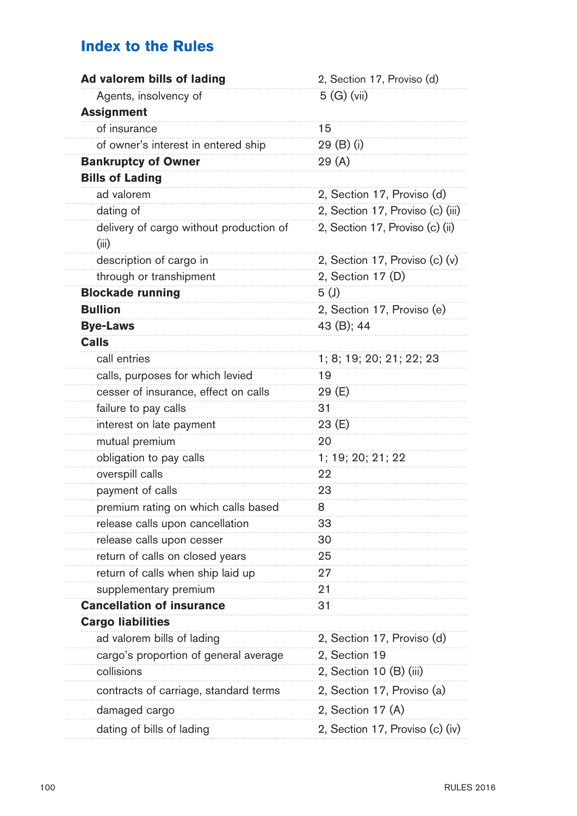| Ad valorem bills of lading                       | 2, Section 17, Proviso (d)       |
|--------------------------------------------------|----------------------------------|
| Agents, insolvency of                            | 5 (G) (vii)                      |
| <b>Assignment</b>                                |                                  |
| of insurance                                     | 15                               |
| of owner's interest in entered ship              | 29 (B) (i)                       |
| <b>Bankruptcy of Owner</b>                       | 29(A)                            |
| <b>Bills of Lading</b>                           |                                  |
| ad valorem                                       | 2, Section 17, Proviso (d)       |
| dating of                                        | 2, Section 17, Proviso (c) (iii) |
| delivery of cargo without production of<br>(iii) | 2, Section 17, Proviso (c) (ii)  |
| description of cargo in                          | 2, Section 17, Proviso (c) (v)   |
| through or transhipment                          | 2, Section 17 (D)                |
| <b>Blockade running</b>                          | 5 <sup>(j)</sup>                 |
| <b>Bullion</b>                                   | 2, Section 17, Proviso (e)       |
| <b>Bye-Laws</b>                                  | 43 (B); 44                       |
| Calls                                            |                                  |
| call entries                                     | 1; 8; 19; 20; 21; 22; 23         |
| calls, purposes for which levied                 | 19                               |
| cesser of insurance, effect on calls             | 29 (E)                           |
| failure to pay calls                             | 31                               |
| interest on late payment                         | 23 (E)                           |
| mutual premium                                   | 20                               |
| obligation to pay calls                          | 1; 19; 20; 21; 22                |
| overspill calls                                  | 22                               |
| payment of calls                                 | 23                               |
| premium rating on which calls based              | 8                                |
| release calls upon cancellation                  | 33                               |
| release calls upon cesser                        | 30                               |
| return of calls on closed years                  | 25                               |
| return of calls when ship laid up                | 27                               |
| supplementary premium                            | 21                               |
| <b>Cancellation of insurance</b>                 | 31                               |
| <b>Cargo liabilities</b>                         |                                  |
| ad valorem bills of lading                       | 2, Section 17, Proviso (d)       |
| cargo's proportion of general average            | 2, Section 19                    |
| collisions                                       | 2, Section 10 (B) (iii)          |
| contracts of carriage, standard terms            | 2, Section 17, Proviso (a)       |
| damaged cargo                                    | 2, Section 17 (A)                |
| dating of bills of lading                        | 2, Section 17, Proviso (c) (iv)  |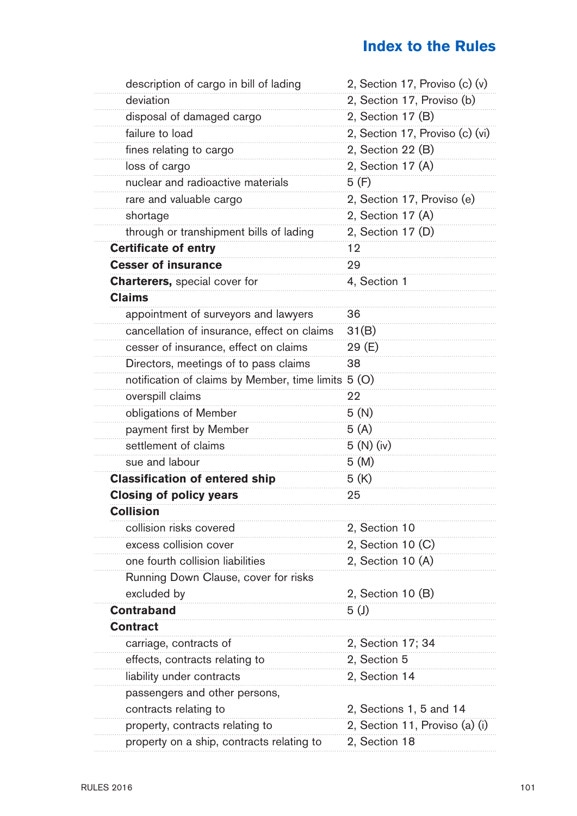| description of cargo in bill of lading              | 2, Section 17, Proviso (c) (v)  |
|-----------------------------------------------------|---------------------------------|
| deviation                                           | 2, Section 17, Proviso (b)      |
| disposal of damaged cargo                           | 2, Section 17 (B)               |
| failure to load                                     | 2, Section 17, Proviso (c) (vi) |
| fines relating to cargo                             | 2, Section 22 (B)               |
| loss of cargo                                       | 2, Section 17 (A)               |
| nuclear and radioactive materials                   | 5(F)                            |
| rare and valuable cargo                             | 2, Section 17, Proviso (e)      |
| shortage                                            | 2, Section 17 (A)               |
| through or transhipment bills of lading             | 2, Section 17 (D)               |
| <b>Certificate of entry</b>                         | 12                              |
| <b>Cesser of insurance</b>                          | 29                              |
| <b>Charterers, special cover for</b>                | 4, Section 1                    |
| <b>Claims</b>                                       |                                 |
| appointment of surveyors and lawyers                | 36                              |
| cancellation of insurance, effect on claims         | 31(B)                           |
| cesser of insurance, effect on claims               | 29 (E)                          |
| Directors, meetings of to pass claims               | 38                              |
| notification of claims by Member, time limits 5 (O) |                                 |
| overspill claims                                    | 22                              |
| obligations of Member                               | 5(N)                            |
| payment first by Member                             | 5(A)                            |
| settlement of claims                                | 5 (N) (iv)                      |
| sue and labour                                      | 5(M)                            |
| <b>Classification of entered ship</b>               | 5(K)                            |
| <b>Closing of policy years</b>                      | 25                              |
| <b>Collision</b>                                    |                                 |
| collision risks covered                             | 2, Section 10                   |
| excess collision cover                              | 2, Section 10 (C)               |
| one fourth collision liabilities                    | 2, Section 10 (A)               |
| Running Down Clause, cover for risks                |                                 |
| excluded by                                         | 2, Section 10 (B)               |
| <b>Contraband</b>                                   | 5 <sub>(J)</sub>                |
| <b>Contract</b>                                     |                                 |
| carriage, contracts of                              | 2, Section 17; 34               |
| effects, contracts relating to                      | 2, Section 5                    |
| liability under contracts                           | 2, Section 14                   |
| passengers and other persons,                       |                                 |
| contracts relating to                               | 2, Sections 1, 5 and 14         |
| property, contracts relating to                     | 2, Section 11, Proviso (a) (i)  |
| property on a ship, contracts relating to           | 2, Section 18                   |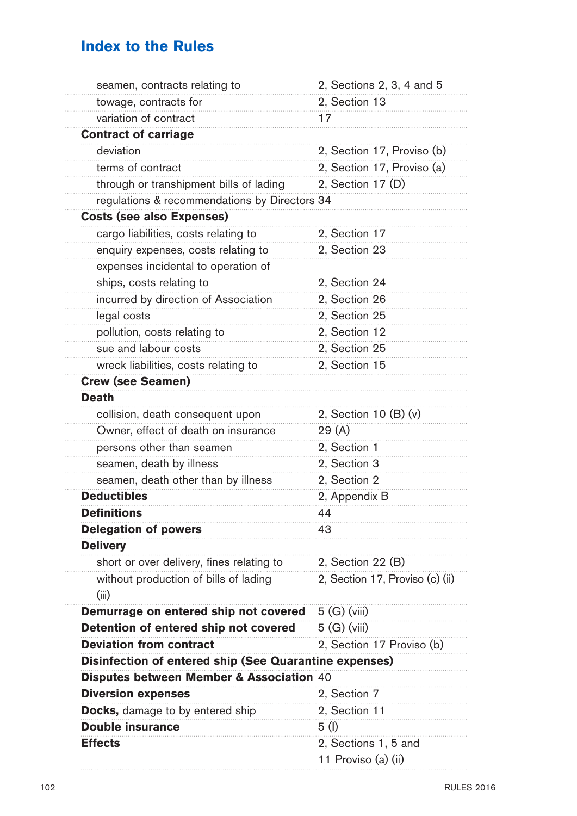| seamen, contracts relating to                          | 2, Sections 2, 3, 4 and 5       |
|--------------------------------------------------------|---------------------------------|
| towage, contracts for                                  | 2, Section 13                   |
| variation of contract                                  | 17                              |
| <b>Contract of carriage</b>                            |                                 |
| deviation                                              | 2, Section 17, Proviso (b)      |
| terms of contract                                      | 2, Section 17, Proviso (a)      |
| through or transhipment bills of lading                | 2, Section 17 (D)               |
| regulations & recommendations by Directors 34          |                                 |
| <b>Costs (see also Expenses)</b>                       |                                 |
| cargo liabilities, costs relating to                   | 2, Section 17                   |
| enquiry expenses, costs relating to                    | 2, Section 23                   |
| expenses incidental to operation of                    |                                 |
| ships, costs relating to                               | 2, Section 24                   |
| incurred by direction of Association                   | 2, Section 26                   |
| legal costs                                            | 2, Section 25                   |
| pollution, costs relating to                           | 2, Section 12                   |
| sue and labour costs                                   | 2, Section 25                   |
| wreck liabilities, costs relating to                   | 2, Section 15                   |
| <b>Crew (see Seamen)</b>                               |                                 |
| <b>Death</b>                                           |                                 |
| collision, death consequent upon                       | 2, Section 10 (B) (v)           |
| Owner, effect of death on insurance                    | 29(A)                           |
| persons other than seamen                              | 2, Section 1                    |
| seamen, death by illness                               | 2, Section 3                    |
| seamen, death other than by illness                    | 2, Section 2                    |
| <b>Deductibles</b>                                     | 2, Appendix B                   |
| <b>Definitions</b>                                     | 44                              |
| <b>Delegation of powers</b>                            | 43                              |
| <b>Delivery</b>                                        |                                 |
| short or over delivery, fines relating to              | 2, Section 22 (B)               |
| without production of bills of lading<br>(iii)         | 2, Section 17, Proviso (c) (ii) |
| Demurrage on entered ship not covered                  | 5 (G) (viii)                    |
| Detention of entered ship not covered                  | 5 (G) (viii)                    |
| <b>Deviation from contract</b>                         | 2, Section 17 Proviso (b)       |
| Disinfection of entered ship (See Quarantine expenses) |                                 |
| Disputes between Member & Association 40               |                                 |
| <b>Diversion expenses</b>                              | 2, Section 7                    |
| <b>Docks,</b> damage to by entered ship                | 2, Section 11                   |
| <b>Double insurance</b>                                | 5(1)                            |
| <b>Effects</b>                                         | 2, Sections 1, 5 and            |
|                                                        | 11 Proviso (a) (ii)             |
|                                                        |                                 |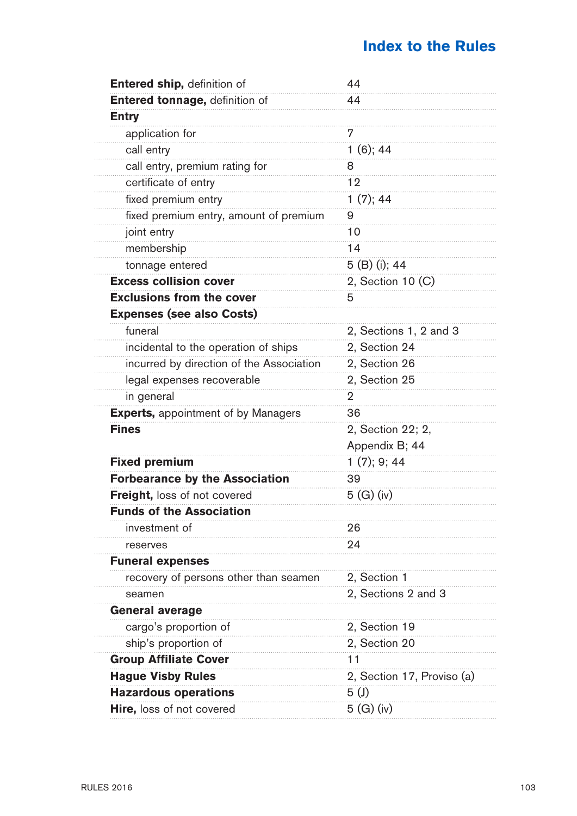| Entered ship, definition of                | 44                         |
|--------------------------------------------|----------------------------|
| Entered tonnage, definition of             | 44                         |
| <b>Entry</b>                               |                            |
| application for                            | 7                          |
| call entry                                 | 1(6); 44                   |
| call entry, premium rating for             | 8                          |
| certificate of entry                       | 12                         |
| fixed premium entry                        | 1(7); 44                   |
| fixed premium entry, amount of premium     | 9                          |
| joint entry                                | 10                         |
| membership                                 | 14                         |
| tonnage entered                            | 5 (B) (i); 44              |
| <b>Excess collision cover</b>              | 2, Section 10 (C)          |
| <b>Exclusions from the cover</b>           | 5                          |
| <b>Expenses (see also Costs)</b>           |                            |
| funeral                                    | 2, Sections 1, 2 and 3     |
| incidental to the operation of ships       | 2, Section 24              |
| incurred by direction of the Association   | 2, Section 26              |
| legal expenses recoverable                 | 2, Section 25              |
| in general                                 | $\overline{2}$             |
| <b>Experts, appointment of by Managers</b> | 36                         |
| <b>Fines</b>                               | 2, Section 22; 2,          |
|                                            | Appendix B; 44             |
| <b>Fixed premium</b>                       | 1(7); 9; 44                |
| <b>Forbearance by the Association</b>      | 39                         |
| Freight, loss of not covered               | 5(G)(iv)                   |
| <b>Funds of the Association</b>            |                            |
| investment of                              | 26                         |
| reserves                                   | 24                         |
| <b>Funeral expenses</b>                    |                            |
| recovery of persons other than seamen      | 2, Section 1               |
| seamen                                     | 2, Sections 2 and 3        |
| <b>General average</b>                     |                            |
| cargo's proportion of                      | 2, Section 19              |
| ship's proportion of                       | 2, Section 20              |
| <b>Group Affiliate Cover</b>               | 11                         |
| <b>Hague Visby Rules</b>                   | 2, Section 17, Proviso (a) |
| <b>Hazardous operations</b>                | 5(1)                       |
| Hire, loss of not covered                  | 5(G)(iv)                   |
|                                            |                            |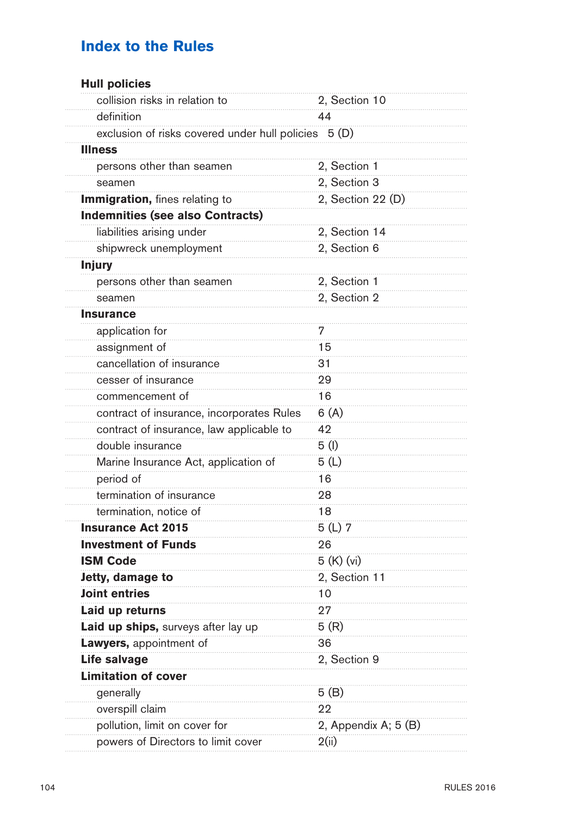| <b>Hull policies</b>                                 |                      |
|------------------------------------------------------|----------------------|
| collision risks in relation to                       | 2, Section 10        |
| definition                                           | 44                   |
| exclusion of risks covered under hull policies 5 (D) |                      |
| <b>Illness</b>                                       |                      |
| persons other than seamen                            | 2, Section 1         |
| seamen                                               | 2, Section 3         |
| Immigration, fines relating to                       | 2, Section 22 (D)    |
| <b>Indemnities (see also Contracts)</b>              |                      |
| liabilities arising under                            | 2, Section 14        |
| shipwreck unemployment                               | 2, Section 6         |
| <b>Injury</b>                                        |                      |
| persons other than seamen                            | 2, Section 1         |
| seamen                                               | 2, Section 2         |
| <b>Insurance</b>                                     |                      |
| application for                                      | 7                    |
| assignment of                                        | 15                   |
| cancellation of insurance                            | 31                   |
| cesser of insurance                                  | 29                   |
| commencement of                                      | 16                   |
| contract of insurance, incorporates Rules            | 6 (A)                |
| contract of insurance, law applicable to             | 42                   |
| double insurance                                     | 5(1)                 |
| Marine Insurance Act, application of                 | 5(L)                 |
| period of                                            | 16                   |
| termination of insurance                             | 28                   |
| termination, notice of                               | 18                   |
| <b>Insurance Act 2015</b>                            | 5(L)7                |
| <b>Investment of Funds</b>                           | 26                   |
| <b>ISM Code</b>                                      | 5 (K) (vi)           |
| Jetty, damage to                                     | 2, Section 11        |
| Joint entries                                        | 10                   |
| Laid up returns                                      | 27                   |
| Laid up ships, surveys after lay up                  | 5(R)                 |
| <b>Lawyers, appointment of</b>                       | 36                   |
| <b>Life salvage</b>                                  | 2, Section 9         |
| <b>Limitation of cover</b>                           |                      |
| generally                                            | 5(B)                 |
| overspill claim                                      | 22                   |
| pollution, limit on cover for                        | 2, Appendix A; 5 (B) |
| powers of Directors to limit cover                   | 2(ii)                |
|                                                      |                      |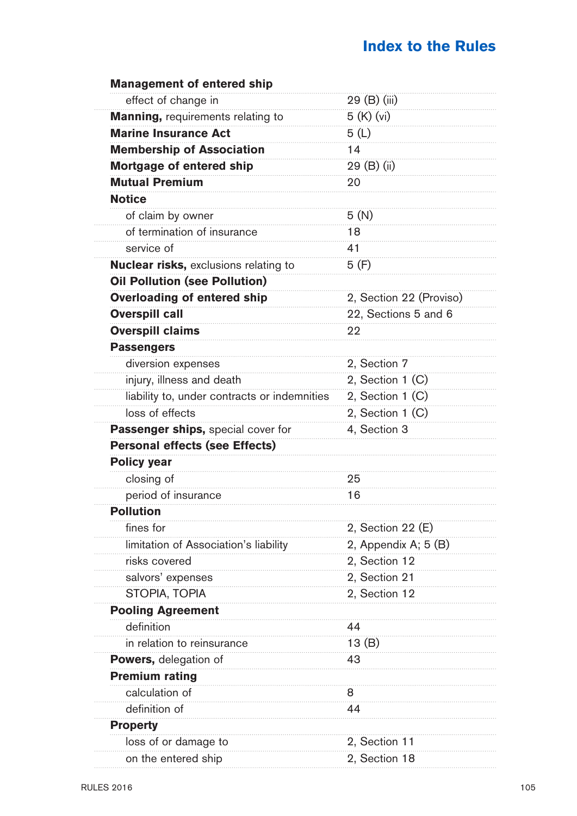| <b>Management of entered ship</b>            |                         |
|----------------------------------------------|-------------------------|
| effect of change in                          | 29 (B) (iii)            |
| Manning, requirements relating to            | 5 (K) (vi)              |
| <b>Marine Insurance Act</b>                  | 5(L)                    |
| <b>Membership of Association</b>             | 14                      |
| Mortgage of entered ship                     | 29 (B) (ii)             |
| <b>Mutual Premium</b>                        | 20                      |
| <b>Notice</b>                                |                         |
| of claim by owner                            | 5 (N)                   |
| of termination of insurance                  | 18                      |
| service of                                   | 41                      |
| <b>Nuclear risks, exclusions relating to</b> | 5(F)                    |
| <b>Oil Pollution (see Pollution)</b>         |                         |
| <b>Overloading of entered ship</b>           | 2, Section 22 (Proviso) |
| <b>Overspill call</b>                        | 22, Sections 5 and 6    |
| <b>Overspill claims</b>                      | 22                      |
| <b>Passengers</b>                            |                         |
| diversion expenses                           | 2, Section 7            |
| injury, illness and death                    | 2, Section 1 (C)        |
| liability to, under contracts or indemnities | 2, Section 1 (C)        |
| loss of effects                              | 2, Section 1 (C)        |
| Passenger ships, special cover for           | 4, Section 3            |
| <b>Personal effects (see Effects)</b>        |                         |
| <b>Policy year</b>                           |                         |
| closing of                                   | 25                      |
| period of insurance                          | 16                      |
| <b>Pollution</b>                             |                         |
| fines for                                    | 2, Section 22 (E)       |
| limitation of Association's liability        | 2, Appendix A; 5 (B)    |
| risks covered                                | 2, Section 12           |
| salvors' expenses                            | 2, Section 21           |
| STOPIA, TOPIA                                | 2, Section 12           |
| <b>Pooling Agreement</b>                     |                         |
| definition                                   | 44                      |
| in relation to reinsurance                   | 13 $(B)$                |
| <b>Powers, delegation of</b>                 | 43                      |
| <b>Premium rating</b>                        |                         |
| calculation of                               | 8                       |
| definition of                                | 44                      |
| <b>Property</b>                              |                         |
| loss of or damage to                         | 2, Section 11           |
| on the entered ship                          | 2. Section 18           |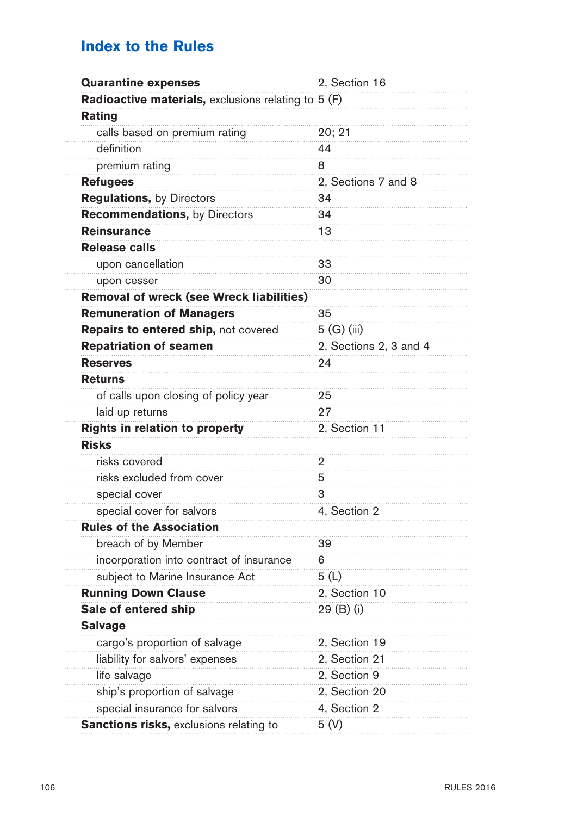| <b>Quarantine expenses</b>                          | 2, Section 16          |
|-----------------------------------------------------|------------------------|
| Radioactive materials, exclusions relating to 5 (F) |                        |
| Rating                                              |                        |
| calls based on premium rating                       | 20; 21                 |
| definition                                          | 44                     |
| premium rating                                      | 8                      |
| <b>Refugees</b>                                     | 2, Sections 7 and 8    |
| <b>Regulations, by Directors</b>                    | 34                     |
| <b>Recommendations, by Directors</b>                | 34                     |
| <b>Reinsurance</b>                                  | 13                     |
| <b>Release calls</b>                                |                        |
| upon cancellation                                   | 33                     |
| upon cesser                                         | 30                     |
| Removal of wreck (see Wreck liabilities)            |                        |
| <b>Remuneration of Managers</b>                     | 35                     |
| Repairs to entered ship, not covered                | 5 (G) (iii)            |
| <b>Repatriation of seamen</b>                       | 2, Sections 2, 3 and 4 |
| <b>Reserves</b>                                     | 24                     |
| <b>Returns</b>                                      |                        |
| of calls upon closing of policy year                | 25                     |
| laid up returns                                     | 27                     |
| Rights in relation to property                      | 2, Section 11          |
| <b>Risks</b>                                        |                        |
| risks covered                                       | 2                      |
| risks excluded from cover                           | 5                      |
| special cover                                       | 3                      |
| special cover for salvors                           | 4, Section 2           |
| <b>Rules of the Association</b>                     |                        |
| breach of by Member                                 | 39                     |
| incorporation into contract of insurance            | 6                      |
| subject to Marine Insurance Act                     | 5(L)                   |
| <b>Running Down Clause</b>                          | 2, Section 10          |
| Sale of entered ship                                | 29 (B) (i)             |
| <b>Salvage</b>                                      |                        |
| cargo's proportion of salvage                       | 2, Section 19          |
| liability for salvors' expenses                     | 2, Section 21          |
| life salvage                                        | 2, Section 9           |
| ship's proportion of salvage                        | 2, Section 20          |
| special insurance for salvors                       | 4, Section 2           |
| Sanctions risks, exclusions relating to             | 5(V)                   |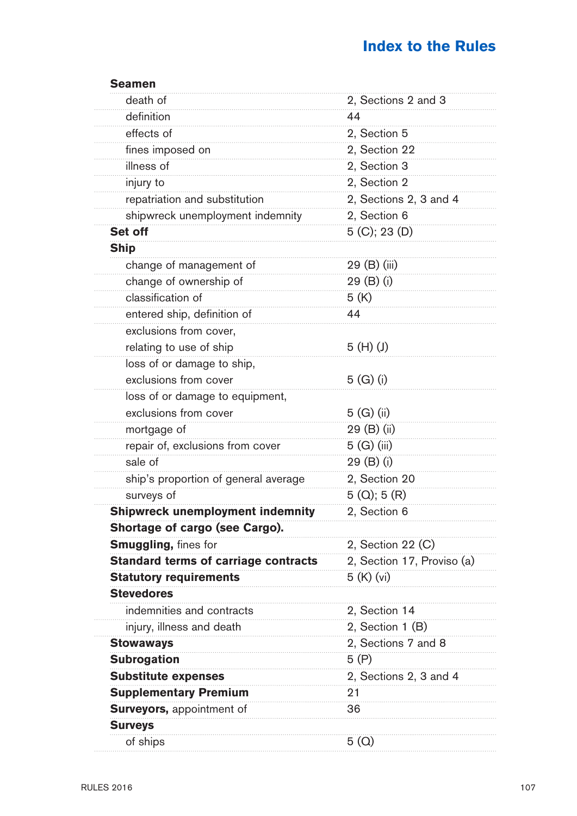| Seamen                                      |                            |
|---------------------------------------------|----------------------------|
| death of                                    | 2, Sections 2 and 3        |
| definition                                  | 44                         |
| effects of                                  | 2, Section 5               |
| fines imposed on                            | 2, Section 22              |
| illness of                                  | 2, Section 3               |
| injury to                                   | 2, Section 2               |
| repatriation and substitution               | 2, Sections 2, 3 and 4     |
| shipwreck unemployment indemnity            | 2, Section 6               |
| Set off                                     | 5 (C); 23 (D)              |
| <b>Ship</b>                                 |                            |
| change of management of                     | 29 (B) (iii)               |
| change of ownership of                      | 29 (B) (i)                 |
| classification of                           | 5(K)                       |
| entered ship, definition of                 | 44                         |
| exclusions from cover,                      |                            |
| relating to use of ship                     | 5(H)(J)                    |
| loss of or damage to ship,                  |                            |
| exclusions from cover                       | $5(G)$ (i)                 |
| loss of or damage to equipment,             |                            |
| exclusions from cover                       | 5(G)(ii)                   |
| mortgage of                                 | 29 (B) (ii)                |
| repair of, exclusions from cover            | 5 (G) (iii)                |
| sale of                                     | 29 (B) (i)                 |
| ship's proportion of general average        | 2, Section 20              |
| surveys of                                  | $5(Q)$ ; 5 (R)             |
| <b>Shipwreck unemployment indemnity</b>     | 2, Section 6               |
| Shortage of cargo (see Cargo).              |                            |
| Smuggling, fines for                        | 2, Section 22 (C)          |
| <b>Standard terms of carriage contracts</b> | 2, Section 17, Proviso (a) |
| <b>Statutory requirements</b>               | 5 (K) (vi)                 |
| <b>Stevedores</b>                           |                            |
| indemnities and contracts                   | 2, Section 14              |
| injury, illness and death                   | 2, Section 1 (B)           |
| <b>Stowaways</b>                            | 2, Sections 7 and 8        |
| <b>Subrogation</b>                          | 5(P)                       |
| <b>Substitute expenses</b>                  | 2, Sections 2, 3 and 4     |
| <b>Supplementary Premium</b>                | 21                         |
| <b>Surveyors, appointment of</b>            | 36                         |
| <b>Surveys</b>                              |                            |
| of ships                                    | 5(Q)                       |
|                                             |                            |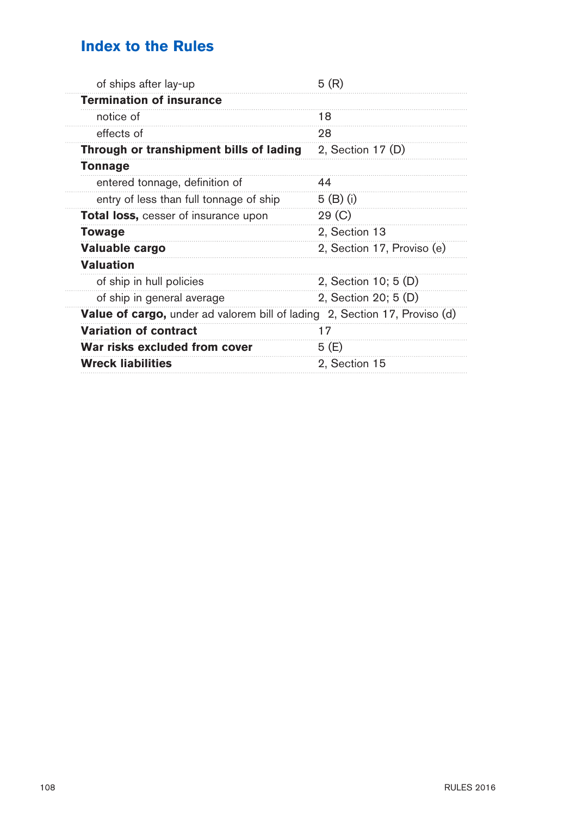| of ships after lay-up                                                             | 5 (R)                      |
|-----------------------------------------------------------------------------------|----------------------------|
| <b>Termination of insurance</b>                                                   |                            |
| notice of                                                                         | 18                         |
| effects of                                                                        | 28                         |
| Through or transhipment bills of lading                                           | 2, Section 17 (D)          |
| Tonnage                                                                           |                            |
| entered tonnage, definition of                                                    | 44                         |
| entry of less than full tonnage of ship                                           | 5 (B) (i)                  |
| <b>Total loss, cesser of insurance upon</b>                                       | 29 (C)                     |
| Towage                                                                            | 2, Section 13              |
| Valuable cargo                                                                    | 2, Section 17, Proviso (e) |
| <b>Valuation</b>                                                                  |                            |
| of ship in hull policies                                                          | 2, Section 10; 5 (D)       |
| of ship in general average                                                        | 2, Section 20; 5 (D)       |
| <b>Value of cargo,</b> under ad valorem bill of lading 2, Section 17, Proviso (d) |                            |
| <b>Variation of contract</b>                                                      | 17                         |
| War risks excluded from cover                                                     | 5(E)                       |
| <b>Wreck liabilities</b>                                                          | 2, Section 15              |
|                                                                                   |                            |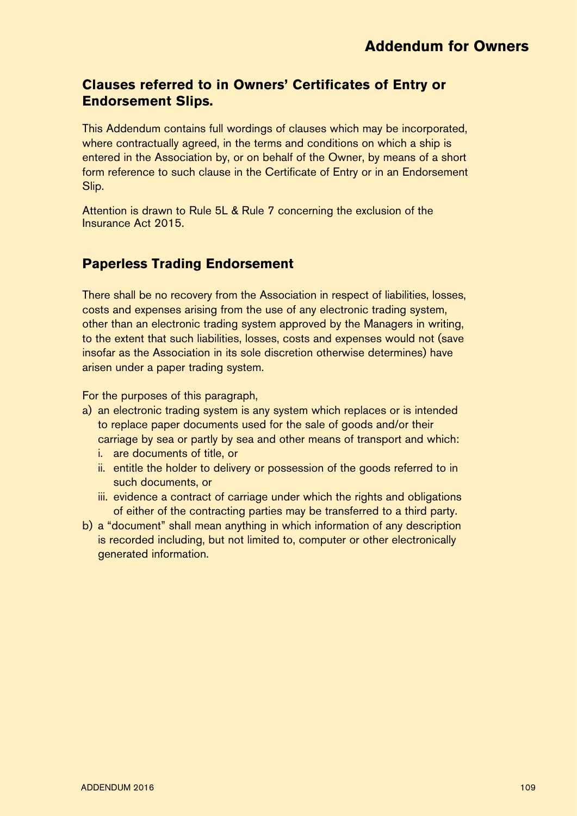### **Clauses referred to in Owners' Certificates of Entry or Endorsement Slips.**

This Addendum contains full wordings of clauses which may be incorporated, where contractually agreed, in the terms and conditions on which a ship is entered in the Association by, or on behalf of the Owner, by means of a short form reference to such clause in the Certificate of Entry or in an Endorsement Slip.

Attention is drawn to Rule 5L & Rule 7 concerning the exclusion of the Insurance Act 2015.

#### **Paperless Trading Endorsement**

There shall be no recovery from the Association in respect of liabilities, losses, costs and expenses arising from the use of any electronic trading system, other than an electronic trading system approved by the Managers in writing, to the extent that such liabilities, losses, costs and expenses would not (save insofar as the Association in its sole discretion otherwise determines) have arisen under a paper trading system.

For the purposes of this paragraph,

- a) an electronic trading system is any system which replaces or is intended to replace paper documents used for the sale of goods and/or their carriage by sea or partly by sea and other means of transport and which:
	- i. are documents of title, or
	- ii. entitle the holder to delivery or possession of the goods referred to in such documents, or
	- iii. evidence a contract of carriage under which the rights and obligations of either of the contracting parties may be transferred to a third party.
- b) a "document" shall mean anything in which information of any description is recorded including, but not limited to, computer or other electronically generated information.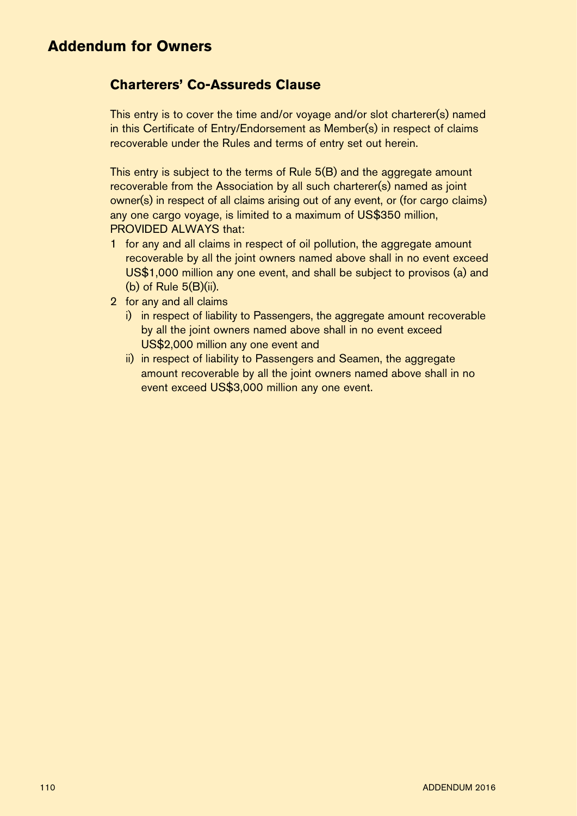### **Charterers' Co-Assureds Clause**

This entry is to cover the time and/or voyage and/or slot charterer(s) named in this Certificate of Entry/Endorsement as Member(s) in respect of claims recoverable under the Rules and terms of entry set out herein.

This entry is subject to the terms of Rule 5(B) and the aggregate amount recoverable from the Association by all such charterer(s) named as joint owner(s) in respect of all claims arising out of any event, or (for cargo claims) any one cargo voyage, is limited to a maximum of US\$350 million, PROVIDED ALWAYS that:

- 1 for any and all claims in respect of oil pollution, the aggregate amount recoverable by all the joint owners named above shall in no event exceed US\$1,000 million any one event, and shall be subject to provisos (a) and (b) of Rule 5(B)(ii).
- 2 for any and all claims
	- i) in respect of liability to Passengers, the aggregate amount recoverable by all the joint owners named above shall in no event exceed US\$2,000 million any one event and
	- ii) in respect of liability to Passengers and Seamen, the aggregate amount recoverable by all the joint owners named above shall in no event exceed US\$3,000 million any one event.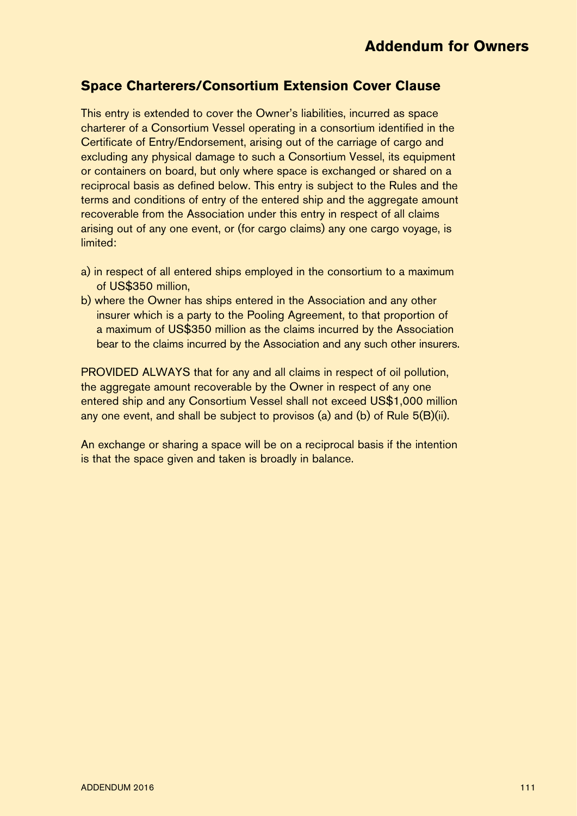#### **Space Charterers/Consortium Extension Cover Clause**

This entry is extended to cover the Owner's liabilities, incurred as space charterer of a Consortium Vessel operating in a consortium identified in the Certificate of Entry/Endorsement, arising out of the carriage of cargo and excluding any physical damage to such a Consortium Vessel, its equipment or containers on board, but only where space is exchanged or shared on a reciprocal basis as defined below. This entry is subject to the Rules and the terms and conditions of entry of the entered ship and the aggregate amount recoverable from the Association under this entry in respect of all claims arising out of any one event, or (for cargo claims) any one cargo voyage, is limited:

- a) in respect of all entered ships employed in the consortium to a maximum of US\$350 million,
- b) where the Owner has ships entered in the Association and any other insurer which is a party to the Pooling Agreement, to that proportion of a maximum of US\$350 million as the claims incurred by the Association bear to the claims incurred by the Association and any such other insurers.

PROVIDED ALWAYS that for any and all claims in respect of oil pollution, the aggregate amount recoverable by the Owner in respect of any one entered ship and any Consortium Vessel shall not exceed US\$1,000 million any one event, and shall be subject to provisos (a) and (b) of Rule 5(B)(ii).

An exchange or sharing a space will be on a reciprocal basis if the intention is that the space given and taken is broadly in balance.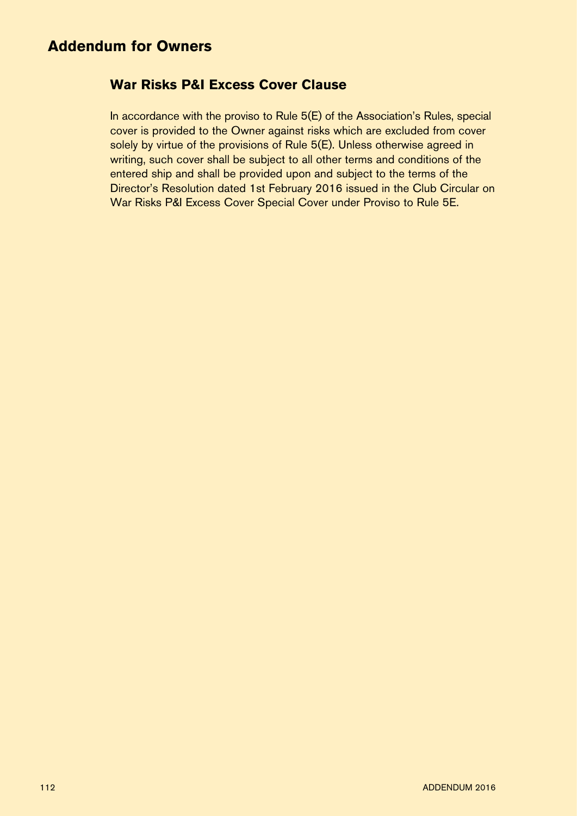## **Addendum for Owners**

#### **War Risks P&I Excess Cover Clause**

In accordance with the proviso to Rule 5(E) of the Association's Rules, special cover is provided to the Owner against risks which are excluded from cover solely by virtue of the provisions of Rule 5(E). Unless otherwise agreed in writing, such cover shall be subject to all other terms and conditions of the entered ship and shall be provided upon and subject to the terms of the Director's Resolution dated 1st February 2016 issued in the Club Circular on War Risks P&I Excess Cover Special Cover under Proviso to Rule 5E.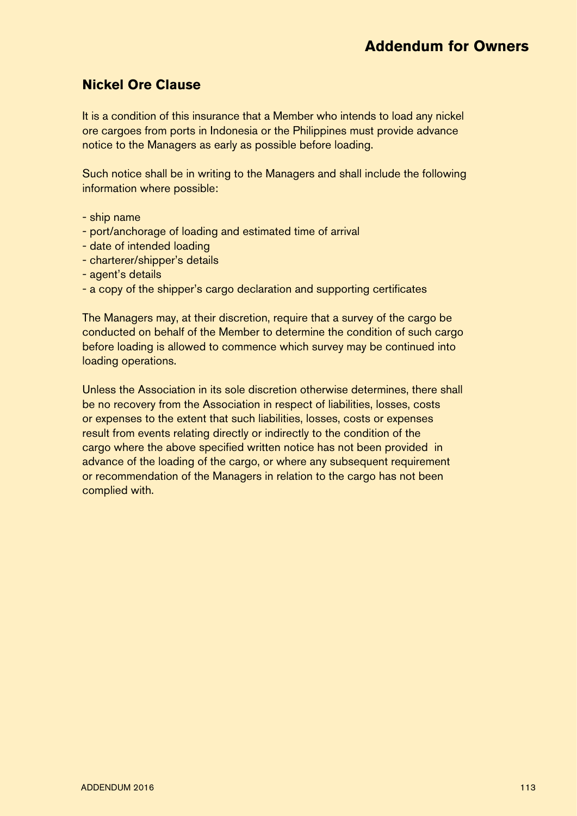### **Nickel Ore Clause**

It is a condition of this insurance that a Member who intends to load any nickel ore cargoes from ports in Indonesia or the Philippines must provide advance notice to the Managers as early as possible before loading.

Such notice shall be in writing to the Managers and shall include the following information where possible:

- ship name
- port/anchorage of loading and estimated time of arrival
- date of intended loading
- charterer/shipper's details
- agent's details
- a copy of the shipper's cargo declaration and supporting certificates

The Managers may, at their discretion, require that a survey of the cargo be conducted on behalf of the Member to determine the condition of such cargo before loading is allowed to commence which survey may be continued into loading operations.

Unless the Association in its sole discretion otherwise determines, there shall be no recovery from the Association in respect of liabilities, losses, costs or expenses to the extent that such liabilities, losses, costs or expenses result from events relating directly or indirectly to the condition of the cargo where the above specified written notice has not been provided in advance of the loading of the cargo, or where any subsequent requirement or recommendation of the Managers in relation to the cargo has not been complied with.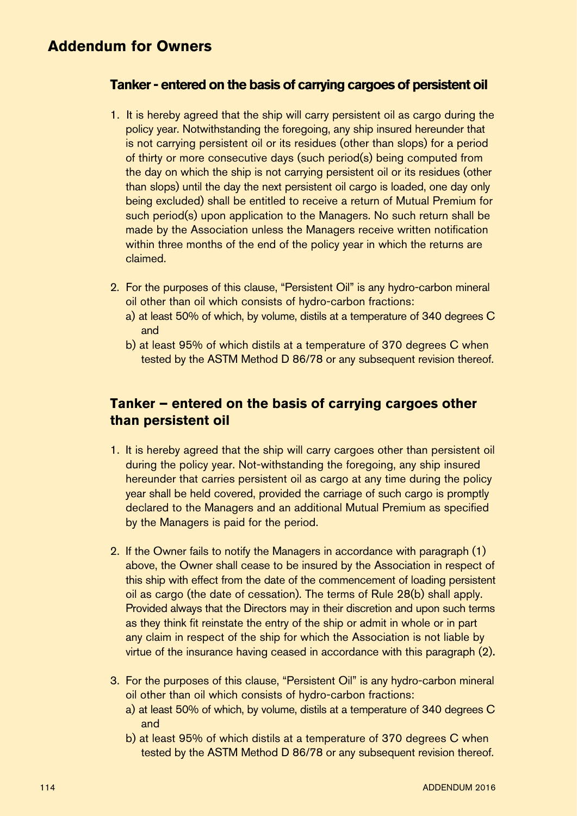#### **Tanker - entered on the basis of carrying cargoes of persistent oil**

- 1. It is hereby agreed that the ship will carry persistent oil as cargo during the policy year. Notwithstanding the foregoing, any ship insured hereunder that is not carrying persistent oil or its residues (other than slops) for a period of thirty or more consecutive days (such period(s) being computed from the day on which the ship is not carrying persistent oil or its residues (other than slops) until the day the next persistent oil cargo is loaded, one day only being excluded) shall be entitled to receive a return of Mutual Premium for such period(s) upon application to the Managers. No such return shall be made by the Association unless the Managers receive written notification within three months of the end of the policy year in which the returns are claimed.
- 2. For the purposes of this clause, "Persistent Oil" is any hydro-carbon mineral oil other than oil which consists of hydro-carbon fractions:
	- a) at least 50% of which, by volume, distils at a temperature of 340 degrees C and
	- b) at least 95% of which distils at a temperature of 370 degrees C when tested by the ASTM Method D 86/78 or any subsequent revision thereof.

#### **Tanker – entered on the basis of carrying cargoes other than persistent oil**

- 1. It is hereby agreed that the ship will carry cargoes other than persistent oil during the policy year. Not-withstanding the foregoing, any ship insured hereunder that carries persistent oil as cargo at any time during the policy year shall be held covered, provided the carriage of such cargo is promptly declared to the Managers and an additional Mutual Premium as specified by the Managers is paid for the period.
- 2. If the Owner fails to notify the Managers in accordance with paragraph (1) above, the Owner shall cease to be insured by the Association in respect of this ship with effect from the date of the commencement of loading persistent oil as cargo (the date of cessation). The terms of Rule 28(b) shall apply. Provided always that the Directors may in their discretion and upon such terms as they think fit reinstate the entry of the ship or admit in whole or in part any claim in respect of the ship for which the Association is not liable by virtue of the insurance having ceased in accordance with this paragraph (2).
- 3. For the purposes of this clause, "Persistent Oil" is any hydro-carbon mineral oil other than oil which consists of hydro-carbon fractions:
	- a) at least 50% of which, by volume, distils at a temperature of 340 degrees C and
	- b) at least 95% of which distils at a temperature of 370 degrees C when tested by the ASTM Method D 86/78 or any subsequent revision thereof.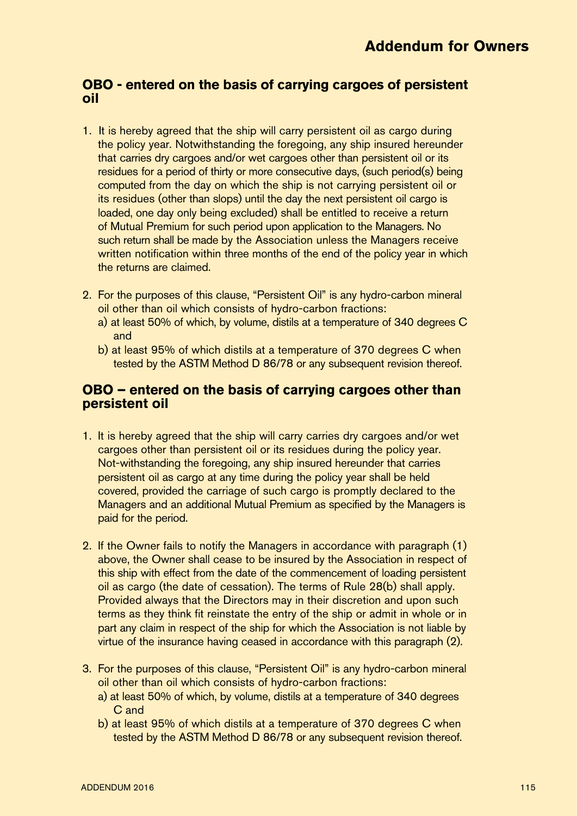#### **OBO - entered on the basis of carrying cargoes of persistent oil**

- 1. It is hereby agreed that the ship will carry persistent oil as cargo during the policy year. Notwithstanding the foregoing, any ship insured hereunder that carries dry cargoes and/or wet cargoes other than persistent oil or its residues for a period of thirty or more consecutive days, (such period(s) being computed from the day on which the ship is not carrying persistent oil or its residues (other than slops) until the day the next persistent oil cargo is loaded, one day only being excluded) shall be entitled to receive a return of Mutual Premium for such period upon application to the Managers. No such return shall be made by the Association unless the Managers receive written notification within three months of the end of the policy year in which the returns are claimed.
- 2. For the purposes of this clause, "Persistent Oil" is any hydro-carbon mineral oil other than oil which consists of hydro-carbon fractions:
	- a) at least 50% of which, by volume, distils at a temperature of 340 degrees C and
	- b) at least 95% of which distils at a temperature of 370 degrees C when tested by the ASTM Method D 86/78 or any subsequent revision thereof.

#### **OBO – entered on the basis of carrying cargoes other than persistent oil**

- 1. It is hereby agreed that the ship will carry carries dry cargoes and/or wet cargoes other than persistent oil or its residues during the policy year. Not-withstanding the foregoing, any ship insured hereunder that carries persistent oil as cargo at any time during the policy year shall be held covered, provided the carriage of such cargo is promptly declared to the Managers and an additional Mutual Premium as specified by the Managers is paid for the period.
- 2. If the Owner fails to notify the Managers in accordance with paragraph (1) above, the Owner shall cease to be insured by the Association in respect of this ship with effect from the date of the commencement of loading persistent oil as cargo (the date of cessation). The terms of Rule 28(b) shall apply. Provided always that the Directors may in their discretion and upon such terms as they think fit reinstate the entry of the ship or admit in whole or in part any claim in respect of the ship for which the Association is not liable by virtue of the insurance having ceased in accordance with this paragraph (2).
- 3. For the purposes of this clause, "Persistent Oil" is any hydro-carbon mineral oil other than oil which consists of hydro-carbon fractions:
	- a) at least 50% of which, by volume, distils at a temperature of 340 degrees C and
	- b) at least 95% of which distils at a temperature of 370 degrees C when tested by the ASTM Method D 86/78 or any subsequent revision thereof.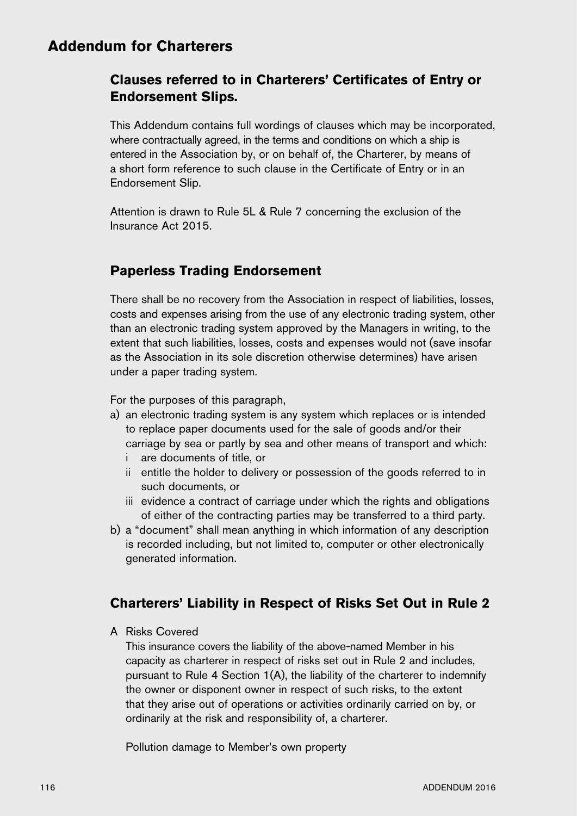### **Clauses referred to in Charterers' Certificates of Entry or Endorsement Slips.**

This Addendum contains full wordings of clauses which may be incorporated, where contractually agreed, in the terms and conditions on which a ship is entered in the Association by, or on behalf of, the Charterer, by means of a short form reference to such clause in the Certificate of Entry or in an Endorsement Slip.

Attention is drawn to Rule 5L & Rule 7 concerning the exclusion of the Insurance Act 2015.

### **Paperless Trading Endorsement**

There shall be no recovery from the Association in respect of liabilities, losses, costs and expenses arising from the use of any electronic trading system, other than an electronic trading system approved by the Managers in writing, to the extent that such liabilities, losses, costs and expenses would not (save insofar as the Association in its sole discretion otherwise determines) have arisen under a paper trading system.

For the purposes of this paragraph,

- a) an electronic trading system is any system which replaces or is intended to replace paper documents used for the sale of goods and/or their carriage by sea or partly by sea and other means of transport and which:
	- i are documents of title, or
	- ii entitle the holder to delivery or possession of the goods referred to in such documents, or
	- iii evidence a contract of carriage under which the rights and obligations of either of the contracting parties may be transferred to a third party.
- b) a "document" shall mean anything in which information of any description is recorded including, but not limited to, computer or other electronically generated information.

### **Charterers' Liability in Respect of Risks Set Out in Rule 2**

A Risks Covered

This insurance covers the liability of the above-named Member in his capacity as charterer in respect of risks set out in Rule 2 and includes, pursuant to Rule 4 Section 1(A), the liability of the charterer to indemnify the owner or disponent owner in respect of such risks, to the extent that they arise out of operations or activities ordinarily carried on by, or ordinarily at the risk and responsibility of, a charterer.

Pollution damage to Member's own property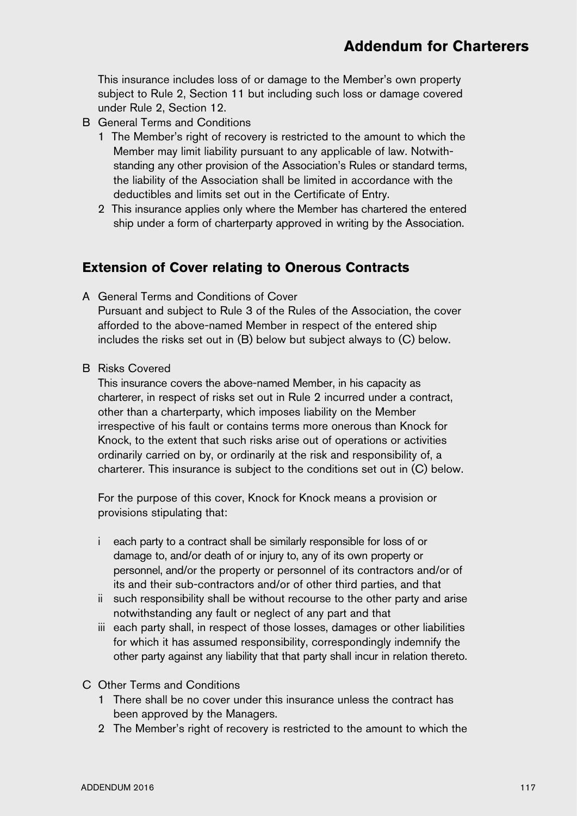This insurance includes loss of or damage to the Member's own property subject to Rule 2, Section 11 but including such loss or damage covered under Rule 2, Section 12.

- B General Terms and Conditions
	- 1 The Member's right of recovery is restricted to the amount to which the Member may limit liability pursuant to any applicable of law. Notwithstanding any other provision of the Association's Rules or standard terms, the liability of the Association shall be limited in accordance with the deductibles and limits set out in the Certificate of Entry.
	- 2 This insurance applies only where the Member has chartered the entered ship under a form of charterparty approved in writing by the Association.

# **Extension of Cover relating to Onerous Contracts**

A General Terms and Conditions of Cover

Pursuant and subject to Rule 3 of the Rules of the Association, the cover afforded to the above-named Member in respect of the entered ship includes the risks set out in (B) below but subject always to (C) below.

B Risks Covered

This insurance covers the above-named Member, in his capacity as charterer, in respect of risks set out in Rule 2 incurred under a contract, other than a charterparty, which imposes liability on the Member irrespective of his fault or contains terms more onerous than Knock for Knock, to the extent that such risks arise out of operations or activities ordinarily carried on by, or ordinarily at the risk and responsibility of, a charterer. This insurance is subject to the conditions set out in (C) below.

For the purpose of this cover, Knock for Knock means a provision or provisions stipulating that:

- i each party to a contract shall be similarly responsible for loss of or damage to, and/or death of or injury to, any of its own property or personnel, and/or the property or personnel of its contractors and/or of its and their sub-contractors and/or of other third parties, and that
- ii such responsibility shall be without recourse to the other party and arise notwithstanding any fault or neglect of any part and that
- iii each party shall, in respect of those losses, damages or other liabilities for which it has assumed responsibility, correspondingly indemnify the other party against any liability that that party shall incur in relation thereto.
- C Other Terms and Conditions
	- 1 There shall be no cover under this insurance unless the contract has been approved by the Managers.
	- 2 The Member's right of recovery is restricted to the amount to which the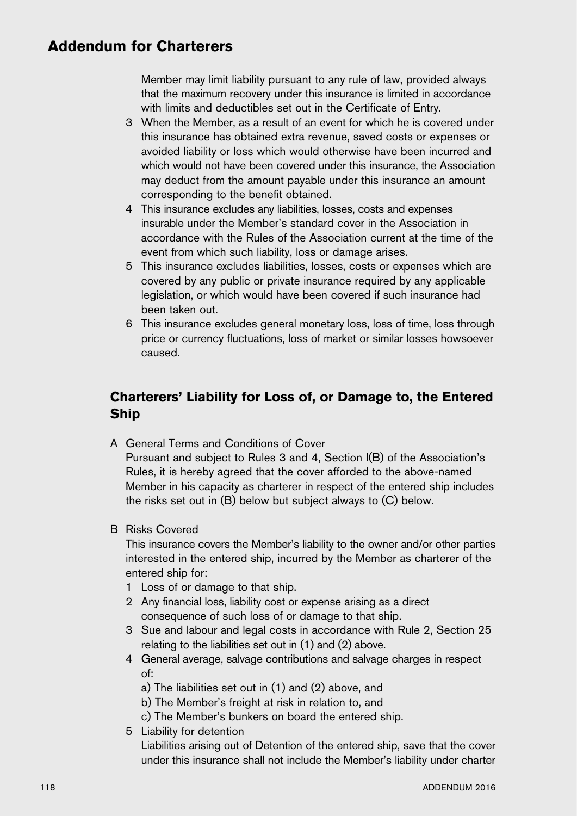Member may limit liability pursuant to any rule of law, provided always that the maximum recovery under this insurance is limited in accordance with limits and deductibles set out in the Certificate of Entry.

- 3 When the Member, as a result of an event for which he is covered under this insurance has obtained extra revenue, saved costs or expenses or avoided liability or loss which would otherwise have been incurred and which would not have been covered under this insurance, the Association may deduct from the amount payable under this insurance an amount corresponding to the benefit obtained.
- 4 This insurance excludes any liabilities, losses, costs and expenses insurable under the Member's standard cover in the Association in accordance with the Rules of the Association current at the time of the event from which such liability, loss or damage arises.
- 5 This insurance excludes liabilities, losses, costs or expenses which are covered by any public or private insurance required by any applicable legislation, or which would have been covered if such insurance had been taken out.
- 6 This insurance excludes general monetary loss, loss of time, loss through price or currency fluctuations, loss of market or similar losses howsoever caused.

### **Charterers' Liability for Loss of, or Damage to, the Entered Ship**

A General Terms and Conditions of Cover

Pursuant and subject to Rules 3 and 4, Section I(B) of the Association's Rules, it is hereby agreed that the cover afforded to the above-named Member in his capacity as charterer in respect of the entered ship includes the risks set out in (B) below but subject always to (C) below.

B Risks Covered

This insurance covers the Member's liability to the owner and/or other parties interested in the entered ship, incurred by the Member as charterer of the entered ship for:

- 1 Loss of or damage to that ship.
- 2 Any financial loss, liability cost or expense arising as a direct consequence of such loss of or damage to that ship.
- 3 Sue and labour and legal costs in accordance with Rule 2, Section 25 relating to the liabilities set out in (1) and (2) above.
- 4 General average, salvage contributions and salvage charges in respect of:

a) The liabilities set out in (1) and (2) above, and

- b) The Member's freight at risk in relation to, and
- c) The Member's bunkers on board the entered ship.
- 5 Liability for detention

 Liabilities arising out of Detention of the entered ship, save that the cover under this insurance shall not include the Member's liability under charter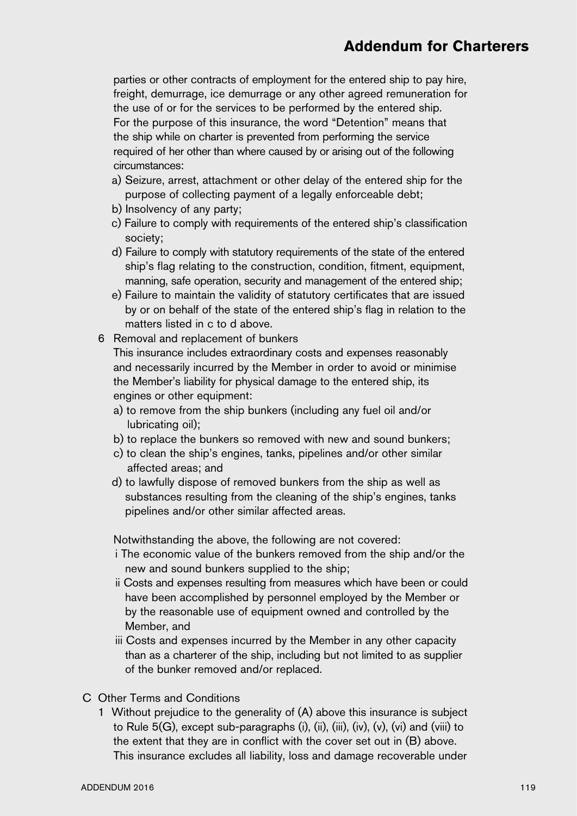parties or other contracts of employment for the entered ship to pay hire, freight, demurrage, ice demurrage or any other agreed remuneration for the use of or for the services to be performed by the entered ship. For the purpose of this insurance, the word "Detention" means that the ship while on charter is prevented from performing the service required of her other than where caused by or arising out of the following circumstances:

- a) Seizure, arrest, attachment or other delay of the entered ship for the purpose of collecting payment of a legally enforceable debt;
- b) Insolvency of any party;
- c) Failure to comply with requirements of the entered ship's classification society;
- d) Failure to comply with statutory requirements of the state of the entered ship's flag relating to the construction, condition, fitment, equipment, manning, safe operation, security and management of the entered ship;
- e) Failure to maintain the validity of statutory certificates that are issued by or on behalf of the state of the entered ship's flag in relation to the matters listed in c to d above.
- 6 Removal and replacement of bunkers

 This insurance includes extraordinary costs and expenses reasonably and necessarily incurred by the Member in order to avoid or minimise the Member's liability for physical damage to the entered ship, its engines or other equipment:

- a) to remove from the ship bunkers (including any fuel oil and/or lubricating oil);
- b) to replace the bunkers so removed with new and sound bunkers;
- c) to clean the ship's engines, tanks, pipelines and/or other similar affected areas; and
- d) to lawfully dispose of removed bunkers from the ship as well as substances resulting from the cleaning of the ship's engines, tanks pipelines and/or other similar affected areas.

Notwithstanding the above, the following are not covered:

- i The economic value of the bunkers removed from the ship and/or the new and sound bunkers supplied to the ship;
- ii Costs and expenses resulting from measures which have been or could have been accomplished by personnel employed by the Member or by the reasonable use of equipment owned and controlled by the Member, and
- iii Costs and expenses incurred by the Member in any other capacity than as a charterer of the ship, including but not limited to as supplier of the bunker removed and/or replaced.
- C Other Terms and Conditions
	- 1 Without prejudice to the generality of (A) above this insurance is subject to Rule 5(G), except sub-paragraphs (i), (ii), (iii), (iv), (v), (vi) and (viii) to the extent that they are in conflict with the cover set out in (B) above. This insurance excludes all liability, loss and damage recoverable under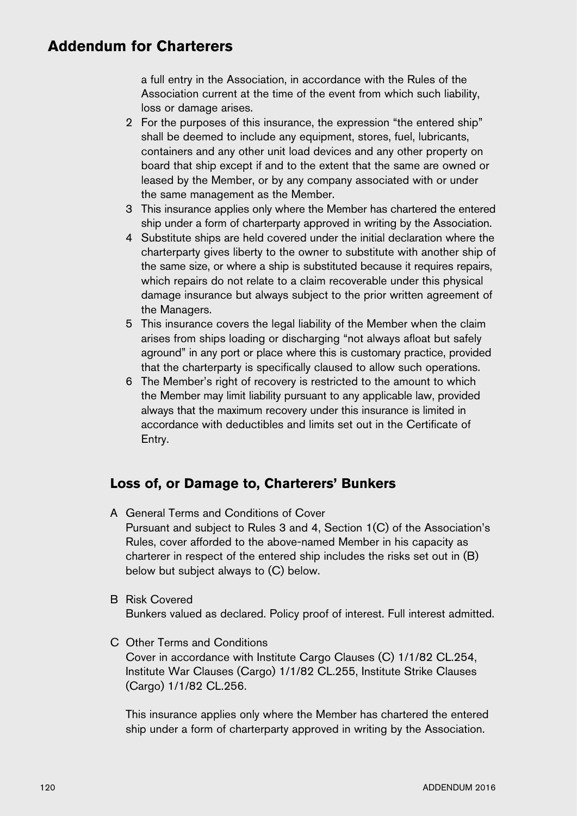a full entry in the Association, in accordance with the Rules of the Association current at the time of the event from which such liability, loss or damage arises.

- 2 For the purposes of this insurance, the expression "the entered ship" shall be deemed to include any equipment, stores, fuel, lubricants, containers and any other unit load devices and any other property on board that ship except if and to the extent that the same are owned or leased by the Member, or by any company associated with or under the same management as the Member.
- 3 This insurance applies only where the Member has chartered the entered ship under a form of charterparty approved in writing by the Association.
- 4 Substitute ships are held covered under the initial declaration where the charterparty gives liberty to the owner to substitute with another ship of the same size, or where a ship is substituted because it requires repairs, which repairs do not relate to a claim recoverable under this physical damage insurance but always subject to the prior written agreement of the Managers.
- 5 This insurance covers the legal liability of the Member when the claim arises from ships loading or discharging "not always afloat but safely aground" in any port or place where this is customary practice, provided that the charterparty is specifically claused to allow such operations.
- 6 The Member's right of recovery is restricted to the amount to which the Member may limit liability pursuant to any applicable law, provided always that the maximum recovery under this insurance is limited in accordance with deductibles and limits set out in the Certificate of Entry.

### **Loss of, or Damage to, Charterers' Bunkers**

- A General Terms and Conditions of Cover Pursuant and subject to Rules 3 and 4, Section 1(C) of the Association's Rules, cover afforded to the above-named Member in his capacity as charterer in respect of the entered ship includes the risks set out in (B) below but subject always to (C) below.
- B Risk Covered Bunkers valued as declared. Policy proof of interest. Full interest admitted.
- C Other Terms and Conditions Cover in accordance with Institute Cargo Clauses (C) 1/1/82 CL.254, Institute War Clauses (Cargo) 1/1/82 CL.255, Institute Strike Clauses (Cargo) 1/1/82 CL.256.

This insurance applies only where the Member has chartered the entered ship under a form of charterparty approved in writing by the Association.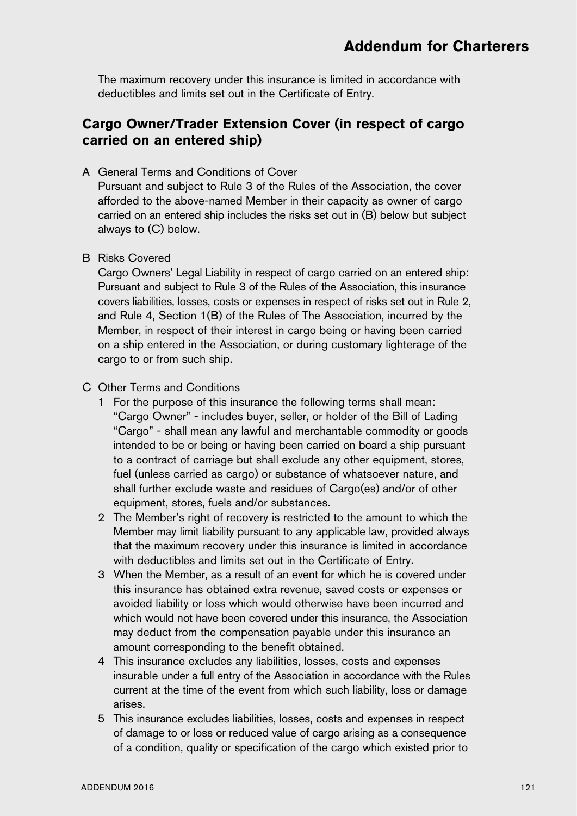The maximum recovery under this insurance is limited in accordance with deductibles and limits set out in the Certificate of Entry.

### **Cargo Owner/Trader Extension Cover (in respect of cargo carried on an entered ship)**

A General Terms and Conditions of Cover

Pursuant and subject to Rule 3 of the Rules of the Association, the cover afforded to the above-named Member in their capacity as owner of cargo carried on an entered ship includes the risks set out in (B) below but subject always to (C) below.

#### B Risks Covered

Cargo Owners' Legal Liability in respect of cargo carried on an entered ship: Pursuant and subject to Rule 3 of the Rules of the Association, this insurance covers liabilities, losses, costs or expenses in respect of risks set out in Rule 2, and Rule 4, Section 1(B) of the Rules of The Association, incurred by the Member, in respect of their interest in cargo being or having been carried on a ship entered in the Association, or during customary lighterage of the cargo to or from such ship.

C Other Terms and Conditions

- 1 For the purpose of this insurance the following terms shall mean: "Cargo Owner" - includes buyer, seller, or holder of the Bill of Lading "Cargo" - shall mean any lawful and merchantable commodity or goods intended to be or being or having been carried on board a ship pursuant to a contract of carriage but shall exclude any other equipment, stores, fuel (unless carried as cargo) or substance of whatsoever nature, and shall further exclude waste and residues of Cargo(es) and/or of other equipment, stores, fuels and/or substances.
- 2 The Member's right of recovery is restricted to the amount to which the Member may limit liability pursuant to any applicable law, provided always that the maximum recovery under this insurance is limited in accordance with deductibles and limits set out in the Certificate of Entry.
- 3 When the Member, as a result of an event for which he is covered under this insurance has obtained extra revenue, saved costs or expenses or avoided liability or loss which would otherwise have been incurred and which would not have been covered under this insurance, the Association may deduct from the compensation payable under this insurance an amount corresponding to the benefit obtained.
- 4 This insurance excludes any liabilities, losses, costs and expenses insurable under a full entry of the Association in accordance with the Rules current at the time of the event from which such liability, loss or damage arises.
- 5 This insurance excludes liabilities, losses, costs and expenses in respect of damage to or loss or reduced value of cargo arising as a consequence of a condition, quality or specification of the cargo which existed prior to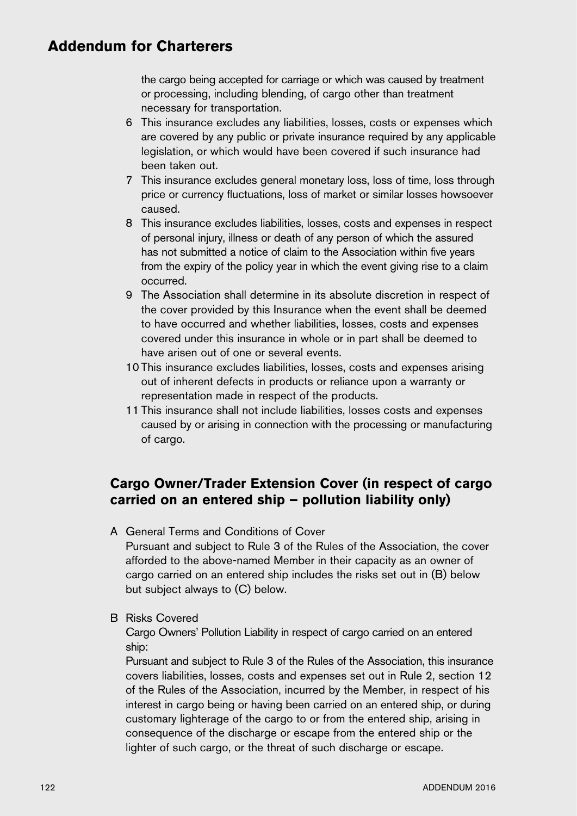the cargo being accepted for carriage or which was caused by treatment or processing, including blending, of cargo other than treatment necessary for transportation.

- 6 This insurance excludes any liabilities, losses, costs or expenses which are covered by any public or private insurance required by any applicable legislation, or which would have been covered if such insurance had been taken out.
- 7 This insurance excludes general monetary loss, loss of time, loss through price or currency fluctuations, loss of market or similar losses howsoever caused.
- 8 This insurance excludes liabilities, losses, costs and expenses in respect of personal injury, illness or death of any person of which the assured has not submitted a notice of claim to the Association within five years from the expiry of the policy year in which the event giving rise to a claim occurred.
- 9 The Association shall determine in its absolute discretion in respect of the cover provided by this Insurance when the event shall be deemed to have occurred and whether liabilities, losses, costs and expenses covered under this insurance in whole or in part shall be deemed to have arisen out of one or several events.
- 10 This insurance excludes liabilities, losses, costs and expenses arising out of inherent defects in products or reliance upon a warranty or representation made in respect of the products.
- 11 This insurance shall not include liabilities, losses costs and expenses caused by or arising in connection with the processing or manufacturing of cargo.

### **Cargo Owner/Trader Extension Cover (in respect of cargo carried on an entered ship – pollution liability only)**

A General Terms and Conditions of Cover

Pursuant and subject to Rule 3 of the Rules of the Association, the cover afforded to the above-named Member in their capacity as an owner of cargo carried on an entered ship includes the risks set out in (B) below but subject always to (C) below.

B Risks Covered

Cargo Owners' Pollution Liability in respect of cargo carried on an entered ship:

Pursuant and subject to Rule 3 of the Rules of the Association, this insurance covers liabilities, losses, costs and expenses set out in Rule 2, section 12 of the Rules of the Association, incurred by the Member, in respect of his interest in cargo being or having been carried on an entered ship, or during customary lighterage of the cargo to or from the entered ship, arising in consequence of the discharge or escape from the entered ship or the lighter of such cargo, or the threat of such discharge or escape.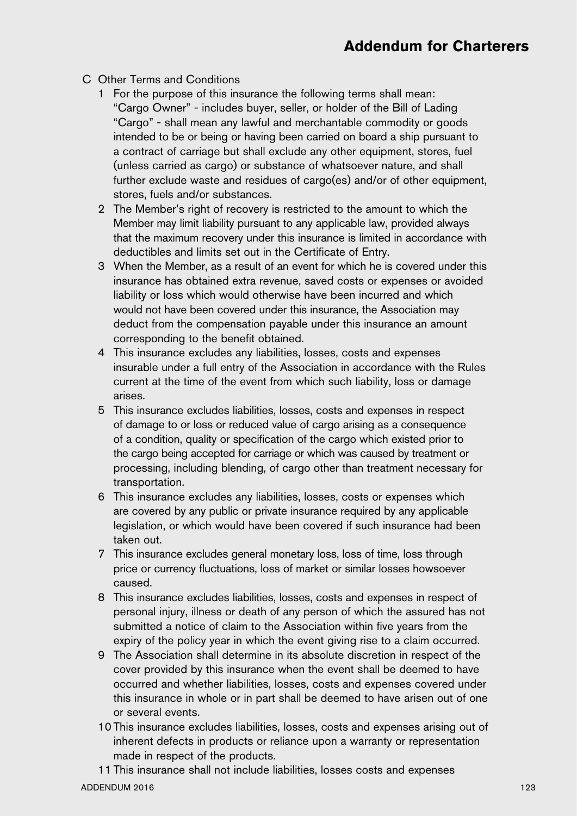- C Other Terms and Conditions
	- 1 For the purpose of this insurance the following terms shall mean: "Cargo Owner" - includes buyer, seller, or holder of the Bill of Lading "Cargo" - shall mean any lawful and merchantable commodity or goods intended to be or being or having been carried on board a ship pursuant to a contract of carriage but shall exclude any other equipment, stores, fuel (unless carried as cargo) or substance of whatsoever nature, and shall further exclude waste and residues of cargo(es) and/or of other equipment, stores, fuels and/or substances.
	- 2 The Member's right of recovery is restricted to the amount to which the Member may limit liability pursuant to any applicable law, provided always that the maximum recovery under this insurance is limited in accordance with deductibles and limits set out in the Certificate of Entry.
	- 3 When the Member, as a result of an event for which he is covered under this insurance has obtained extra revenue, saved costs or expenses or avoided liability or loss which would otherwise have been incurred and which would not have been covered under this insurance, the Association may deduct from the compensation payable under this insurance an amount corresponding to the benefit obtained.
	- 4 This insurance excludes any liabilities, losses, costs and expenses insurable under a full entry of the Association in accordance with the Rules current at the time of the event from which such liability, loss or damage arises.
	- 5 This insurance excludes liabilities, losses, costs and expenses in respect of damage to or loss or reduced value of cargo arising as a consequence of a condition, quality or specification of the cargo which existed prior to the cargo being accepted for carriage or which was caused by treatment or processing, including blending, of cargo other than treatment necessary for transportation.
	- 6 This insurance excludes any liabilities, losses, costs or expenses which are covered by any public or private insurance required by any applicable legislation, or which would have been covered if such insurance had been taken out.
	- 7 This insurance excludes general monetary loss, loss of time, loss through price or currency fluctuations, loss of market or similar losses howsoever caused.
	- 8 This insurance excludes liabilities, losses, costs and expenses in respect of personal injury, illness or death of any person of which the assured has not submitted a notice of claim to the Association within five years from the expiry of the policy year in which the event giving rise to a claim occurred.
	- 9 The Association shall determine in its absolute discretion in respect of the cover provided by this insurance when the event shall be deemed to have occurred and whether liabilities, losses, costs and expenses covered under this insurance in whole or in part shall be deemed to have arisen out of one or several events.
	- 10 This insurance excludes liabilities, losses, costs and expenses arising out of inherent defects in products or reliance upon a warranty or representation made in respect of the products.
- ADDENDUM 2016 123 11 This insurance shall not include liabilities, losses costs and expenses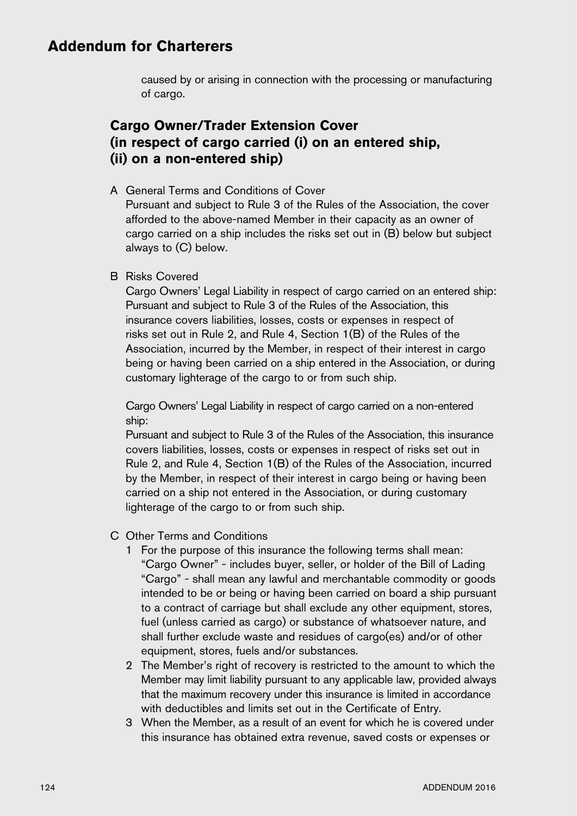caused by or arising in connection with the processing or manufacturing of cargo.

### **Cargo Owner/Trader Extension Cover (in respect of cargo carried (i) on an entered ship, (ii) on a non-entered ship)**

A General Terms and Conditions of Cover

Pursuant and subject to Rule 3 of the Rules of the Association, the cover afforded to the above-named Member in their capacity as an owner of cargo carried on a ship includes the risks set out in (B) below but subject always to (C) below.

B Risks Covered

Cargo Owners' Legal Liability in respect of cargo carried on an entered ship: Pursuant and subject to Rule 3 of the Rules of the Association, this insurance covers liabilities, losses, costs or expenses in respect of risks set out in Rule 2, and Rule 4, Section 1(B) of the Rules of the Association, incurred by the Member, in respect of their interest in cargo being or having been carried on a ship entered in the Association, or during customary lighterage of the cargo to or from such ship.

Cargo Owners' Legal Liability in respect of cargo carried on a non-entered ship:

Pursuant and subject to Rule 3 of the Rules of the Association, this insurance covers liabilities, losses, costs or expenses in respect of risks set out in Rule 2, and Rule 4, Section 1(B) of the Rules of the Association, incurred by the Member, in respect of their interest in cargo being or having been carried on a ship not entered in the Association, or during customary lighterage of the cargo to or from such ship.

- C Other Terms and Conditions
	- 1 For the purpose of this insurance the following terms shall mean: "Cargo Owner" - includes buyer, seller, or holder of the Bill of Lading "Cargo" - shall mean any lawful and merchantable commodity or goods intended to be or being or having been carried on board a ship pursuant to a contract of carriage but shall exclude any other equipment, stores, fuel (unless carried as cargo) or substance of whatsoever nature, and shall further exclude waste and residues of cargo(es) and/or of other equipment, stores, fuels and/or substances.
	- 2 The Member's right of recovery is restricted to the amount to which the Member may limit liability pursuant to any applicable law, provided always that the maximum recovery under this insurance is limited in accordance with deductibles and limits set out in the Certificate of Entry.
	- 3 When the Member, as a result of an event for which he is covered under this insurance has obtained extra revenue, saved costs or expenses or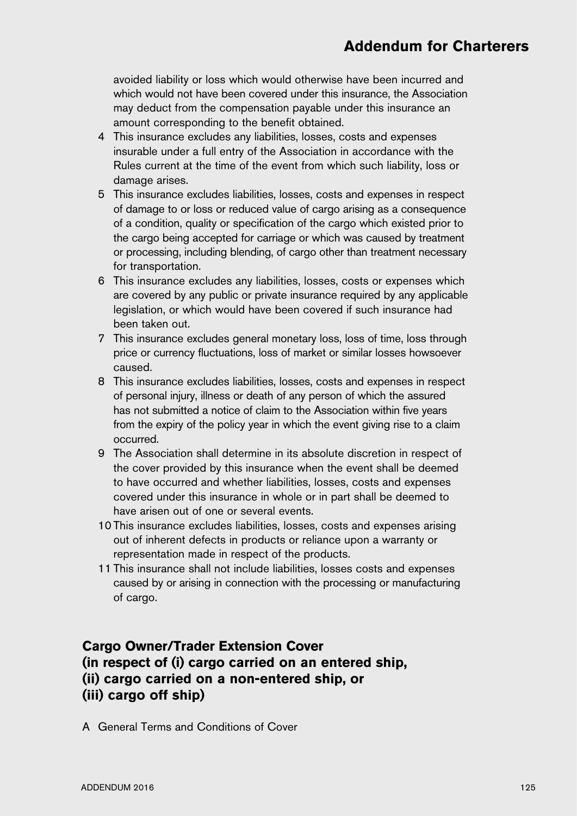avoided liability or loss which would otherwise have been incurred and which would not have been covered under this insurance, the Association may deduct from the compensation payable under this insurance an amount corresponding to the benefit obtained.

- 4 This insurance excludes any liabilities, losses, costs and expenses insurable under a full entry of the Association in accordance with the Rules current at the time of the event from which such liability, loss or damage arises.
- 5 This insurance excludes liabilities, losses, costs and expenses in respect of damage to or loss or reduced value of cargo arising as a consequence of a condition, quality or specification of the cargo which existed prior to the cargo being accepted for carriage or which was caused by treatment or processing, including blending, of cargo other than treatment necessary for transportation.
- 6 This insurance excludes any liabilities, losses, costs or expenses which are covered by any public or private insurance required by any applicable legislation, or which would have been covered if such insurance had been taken out.
- 7 This insurance excludes general monetary loss, loss of time, loss through price or currency fluctuations, loss of market or similar losses howsoever caused.
- 8 This insurance excludes liabilities, losses, costs and expenses in respect of personal injury, illness or death of any person of which the assured has not submitted a notice of claim to the Association within five years from the expiry of the policy year in which the event giving rise to a claim occurred.
- 9 The Association shall determine in its absolute discretion in respect of the cover provided by this insurance when the event shall be deemed to have occurred and whether liabilities, losses, costs and expenses covered under this insurance in whole or in part shall be deemed to have arisen out of one or several events.
- 10 This insurance excludes liabilities, losses, costs and expenses arising out of inherent defects in products or reliance upon a warranty or representation made in respect of the products.
- 11 This insurance shall not include liabilities, losses costs and expenses caused by or arising in connection with the processing or manufacturing of cargo.

#### **Cargo Owner/Trader Extension Cover**

**(in respect of (i) cargo carried on an entered ship,** 

**(ii) cargo carried on a non-entered ship, or** 

**(iii) cargo off ship)**

A General Terms and Conditions of Cover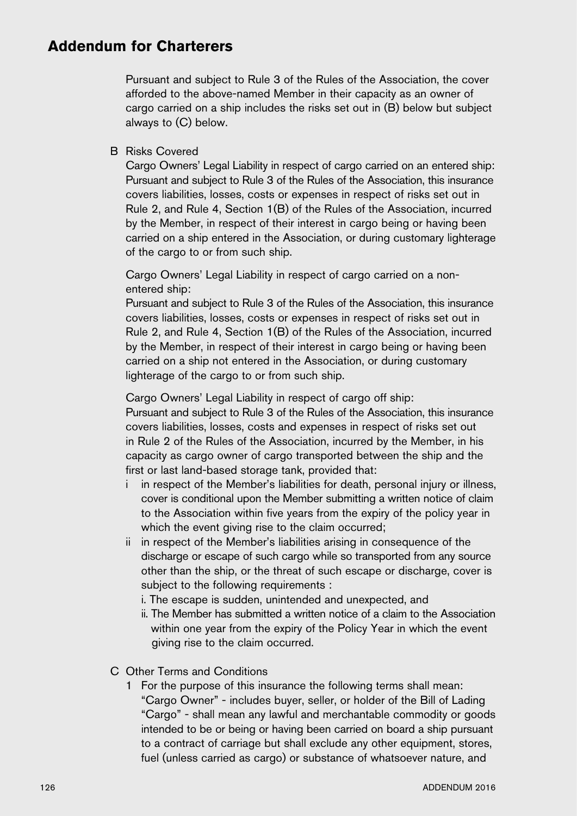Pursuant and subject to Rule 3 of the Rules of the Association, the cover afforded to the above-named Member in their capacity as an owner of cargo carried on a ship includes the risks set out in (B) below but subject always to (C) below.

#### B Risks Covered

Cargo Owners' Legal Liability in respect of cargo carried on an entered ship: Pursuant and subject to Rule 3 of the Rules of the Association, this insurance covers liabilities, losses, costs or expenses in respect of risks set out in Rule 2, and Rule 4, Section 1(B) of the Rules of the Association, incurred by the Member, in respect of their interest in cargo being or having been carried on a ship entered in the Association, or during customary lighterage of the cargo to or from such ship.

Cargo Owners' Legal Liability in respect of cargo carried on a nonentered ship:

Pursuant and subject to Rule 3 of the Rules of the Association, this insurance covers liabilities, losses, costs or expenses in respect of risks set out in Rule 2, and Rule 4, Section 1(B) of the Rules of the Association, incurred by the Member, in respect of their interest in cargo being or having been carried on a ship not entered in the Association, or during customary lighterage of the cargo to or from such ship.

Cargo Owners' Legal Liability in respect of cargo off ship: Pursuant and subject to Rule 3 of the Rules of the Association, this insurance covers liabilities, losses, costs and expenses in respect of risks set out in Rule 2 of the Rules of the Association, incurred by the Member, in his capacity as cargo owner of cargo transported between the ship and the first or last land-based storage tank, provided that:

- i in respect of the Member's liabilities for death, personal injury or illness, cover is conditional upon the Member submitting a written notice of claim to the Association within five years from the expiry of the policy year in which the event giving rise to the claim occurred;
- ii in respect of the Member's liabilities arising in consequence of the discharge or escape of such cargo while so transported from any source other than the ship, or the threat of such escape or discharge, cover is subject to the following requirements :
	- i. The escape is sudden, unintended and unexpected, and
	- ii. The Member has submitted a written notice of a claim to the Association within one year from the expiry of the Policy Year in which the event giving rise to the claim occurred.
- C Other Terms and Conditions
	- 1 For the purpose of this insurance the following terms shall mean: "Cargo Owner" - includes buyer, seller, or holder of the Bill of Lading "Cargo" - shall mean any lawful and merchantable commodity or goods intended to be or being or having been carried on board a ship pursuant to a contract of carriage but shall exclude any other equipment, stores, fuel (unless carried as cargo) or substance of whatsoever nature, and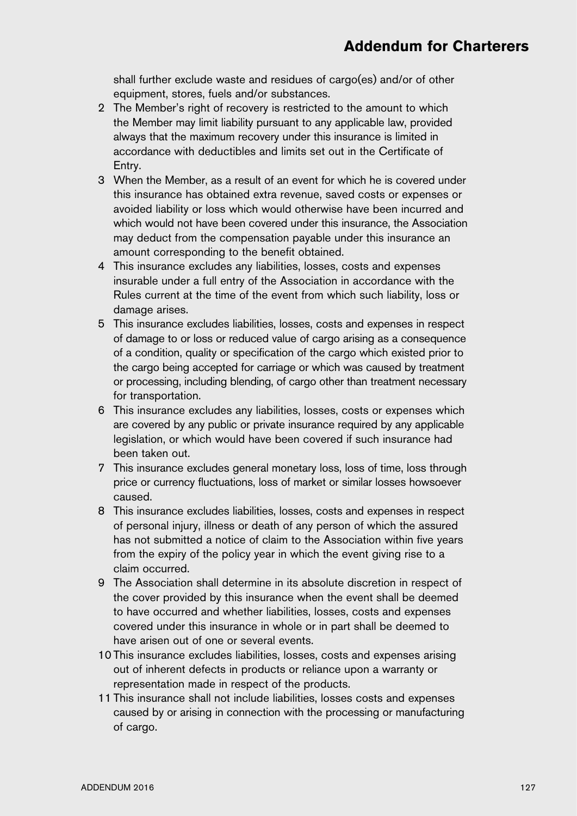shall further exclude waste and residues of cargo(es) and/or of other equipment, stores, fuels and/or substances.

- 2 The Member's right of recovery is restricted to the amount to which the Member may limit liability pursuant to any applicable law, provided always that the maximum recovery under this insurance is limited in accordance with deductibles and limits set out in the Certificate of Entry.
- 3 When the Member, as a result of an event for which he is covered under this insurance has obtained extra revenue, saved costs or expenses or avoided liability or loss which would otherwise have been incurred and which would not have been covered under this insurance, the Association may deduct from the compensation payable under this insurance an amount corresponding to the benefit obtained.
- 4 This insurance excludes any liabilities, losses, costs and expenses insurable under a full entry of the Association in accordance with the Rules current at the time of the event from which such liability, loss or damage arises.
- 5 This insurance excludes liabilities, losses, costs and expenses in respect of damage to or loss or reduced value of cargo arising as a consequence of a condition, quality or specification of the cargo which existed prior to the cargo being accepted for carriage or which was caused by treatment or processing, including blending, of cargo other than treatment necessary for transportation.
- 6 This insurance excludes any liabilities, losses, costs or expenses which are covered by any public or private insurance required by any applicable legislation, or which would have been covered if such insurance had been taken out.
- 7 This insurance excludes general monetary loss, loss of time, loss through price or currency fluctuations, loss of market or similar losses howsoever caused.
- 8 This insurance excludes liabilities, losses, costs and expenses in respect of personal injury, illness or death of any person of which the assured has not submitted a notice of claim to the Association within five years from the expiry of the policy year in which the event giving rise to a claim occurred.
- 9 The Association shall determine in its absolute discretion in respect of the cover provided by this insurance when the event shall be deemed to have occurred and whether liabilities, losses, costs and expenses covered under this insurance in whole or in part shall be deemed to have arisen out of one or several events.
- 10 This insurance excludes liabilities, losses, costs and expenses arising out of inherent defects in products or reliance upon a warranty or representation made in respect of the products.
- 11 This insurance shall not include liabilities, losses costs and expenses caused by or arising in connection with the processing or manufacturing of cargo.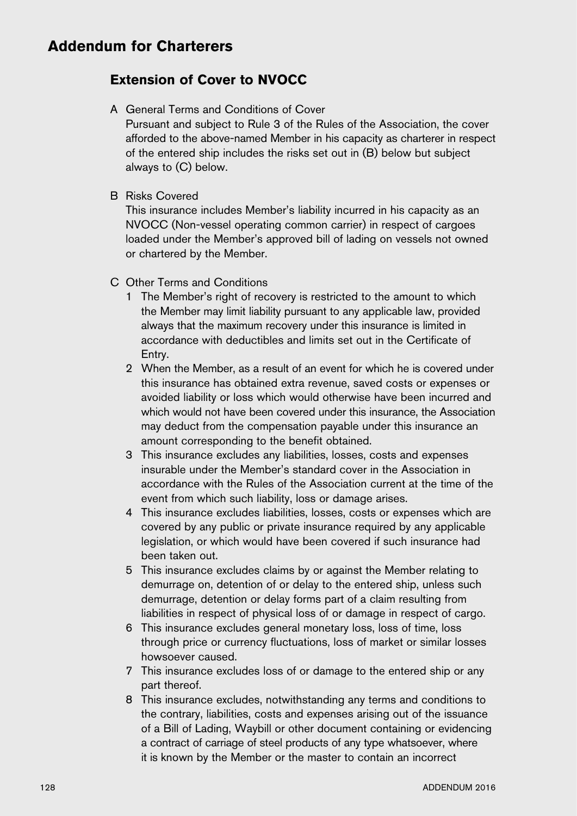### **Extension of Cover to NVOCC**

A General Terms and Conditions of Cover

Pursuant and subject to Rule 3 of the Rules of the Association, the cover afforded to the above-named Member in his capacity as charterer in respect of the entered ship includes the risks set out in (B) below but subject always to (C) below.

B Risks Covered

This insurance includes Member's liability incurred in his capacity as an NVOCC (Non-vessel operating common carrier) in respect of cargoes loaded under the Member's approved bill of lading on vessels not owned or chartered by the Member.

- C Other Terms and Conditions
	- 1 The Member's right of recovery is restricted to the amount to which the Member may limit liability pursuant to any applicable law, provided always that the maximum recovery under this insurance is limited in accordance with deductibles and limits set out in the Certificate of Entry.
	- 2 When the Member, as a result of an event for which he is covered under this insurance has obtained extra revenue, saved costs or expenses or avoided liability or loss which would otherwise have been incurred and which would not have been covered under this insurance, the Association may deduct from the compensation payable under this insurance an amount corresponding to the benefit obtained.
	- 3 This insurance excludes any liabilities, losses, costs and expenses insurable under the Member's standard cover in the Association in accordance with the Rules of the Association current at the time of the event from which such liability, loss or damage arises.
	- 4 This insurance excludes liabilities, losses, costs or expenses which are covered by any public or private insurance required by any applicable legislation, or which would have been covered if such insurance had been taken out.
	- 5 This insurance excludes claims by or against the Member relating to demurrage on, detention of or delay to the entered ship, unless such demurrage, detention or delay forms part of a claim resulting from liabilities in respect of physical loss of or damage in respect of cargo.
	- 6 This insurance excludes general monetary loss, loss of time, loss through price or currency fluctuations, loss of market or similar losses howsoever caused.
	- 7 This insurance excludes loss of or damage to the entered ship or any part thereof.
	- 8 This insurance excludes, notwithstanding any terms and conditions to the contrary, liabilities, costs and expenses arising out of the issuance of a Bill of Lading, Waybill or other document containing or evidencing a contract of carriage of steel products of any type whatsoever, where it is known by the Member or the master to contain an incorrect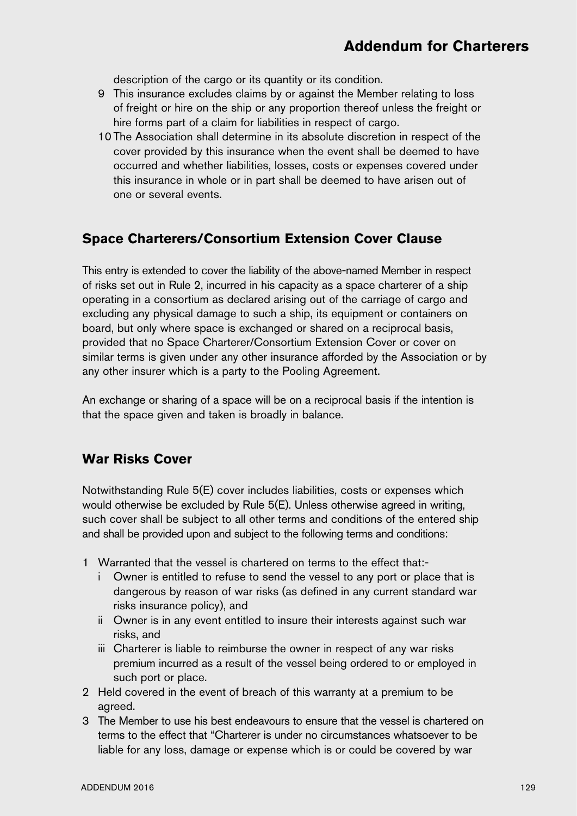description of the cargo or its quantity or its condition.

- 9 This insurance excludes claims by or against the Member relating to loss of freight or hire on the ship or any proportion thereof unless the freight or hire forms part of a claim for liabilities in respect of cargo.
- 10 The Association shall determine in its absolute discretion in respect of the cover provided by this insurance when the event shall be deemed to have occurred and whether liabilities, losses, costs or expenses covered under this insurance in whole or in part shall be deemed to have arisen out of one or several events.

#### **Space Charterers/Consortium Extension Cover Clause**

This entry is extended to cover the liability of the above-named Member in respect of risks set out in Rule 2, incurred in his capacity as a space charterer of a ship operating in a consortium as declared arising out of the carriage of cargo and excluding any physical damage to such a ship, its equipment or containers on board, but only where space is exchanged or shared on a reciprocal basis, provided that no Space Charterer/Consortium Extension Cover or cover on similar terms is given under any other insurance afforded by the Association or by any other insurer which is a party to the Pooling Agreement.

An exchange or sharing of a space will be on a reciprocal basis if the intention is that the space given and taken is broadly in balance.

### **War Risks Cover**

Notwithstanding Rule 5(E) cover includes liabilities, costs or expenses which would otherwise be excluded by Rule 5(E). Unless otherwise agreed in writing, such cover shall be subject to all other terms and conditions of the entered ship and shall be provided upon and subject to the following terms and conditions:

- 1 Warranted that the vessel is chartered on terms to the effect that:
	- i Owner is entitled to refuse to send the vessel to any port or place that is dangerous by reason of war risks (as defined in any current standard war risks insurance policy), and
	- ii Owner is in any event entitled to insure their interests against such war risks, and
	- iii Charterer is liable to reimburse the owner in respect of any war risks premium incurred as a result of the vessel being ordered to or employed in such port or place.
- 2 Held covered in the event of breach of this warranty at a premium to be agreed.
- 3 The Member to use his best endeavours to ensure that the vessel is chartered on terms to the effect that "Charterer is under no circumstances whatsoever to be liable for any loss, damage or expense which is or could be covered by war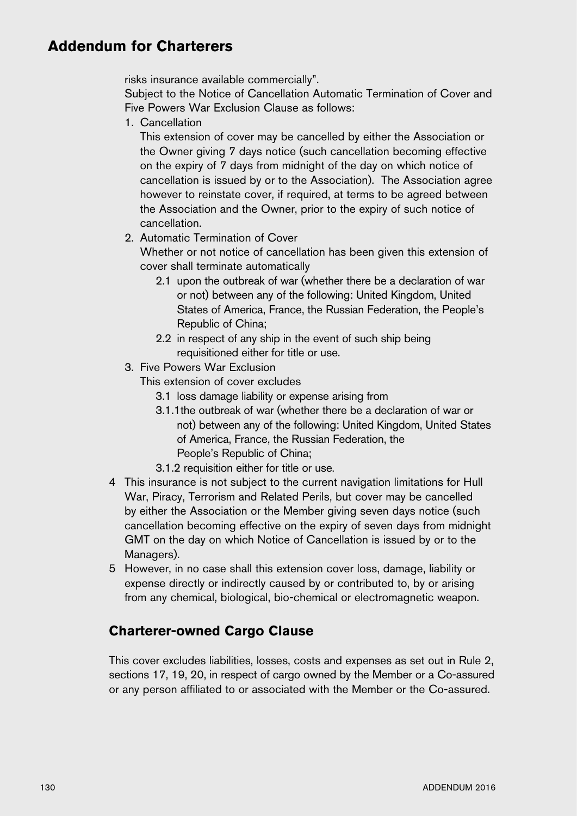risks insurance available commercially".

Subject to the Notice of Cancellation Automatic Termination of Cover and Five Powers War Exclusion Clause as follows:

1. Cancellation

 This extension of cover may be cancelled by either the Association or the Owner giving 7 days notice (such cancellation becoming effective on the expiry of 7 days from midnight of the day on which notice of cancellation is issued by or to the Association). The Association agree however to reinstate cover, if required, at terms to be agreed between the Association and the Owner, prior to the expiry of such notice of cancellation.

2. Automatic Termination of Cover

 Whether or not notice of cancellation has been given this extension of cover shall terminate automatically

- 2.1 upon the outbreak of war (whether there be a declaration of war or not) between any of the following: United Kingdom, United States of America, France, the Russian Federation, the People's Republic of China;
- 2.2 in respect of any ship in the event of such ship being requisitioned either for title or use.
- 3. Five Powers War Exclusion

This extension of cover excludes

- 3.1 loss damage liability or expense arising from
- 3.1.1the outbreak of war (whether there be a declaration of war or not) between any of the following: United Kingdom, United States of America, France, the Russian Federation, the People's Republic of China;
- 3.1.2 requisition either for title or use.
- 4 This insurance is not subject to the current navigation limitations for Hull War, Piracy, Terrorism and Related Perils, but cover may be cancelled by either the Association or the Member giving seven days notice (such cancellation becoming effective on the expiry of seven days from midnight GMT on the day on which Notice of Cancellation is issued by or to the Managers).
- 5 However, in no case shall this extension cover loss, damage, liability or expense directly or indirectly caused by or contributed to, by or arising from any chemical, biological, bio-chemical or electromagnetic weapon.

### **Charterer-owned Cargo Clause**

This cover excludes liabilities, losses, costs and expenses as set out in Rule 2, sections 17, 19, 20, in respect of cargo owned by the Member or a Co-assured or any person affiliated to or associated with the Member or the Co-assured.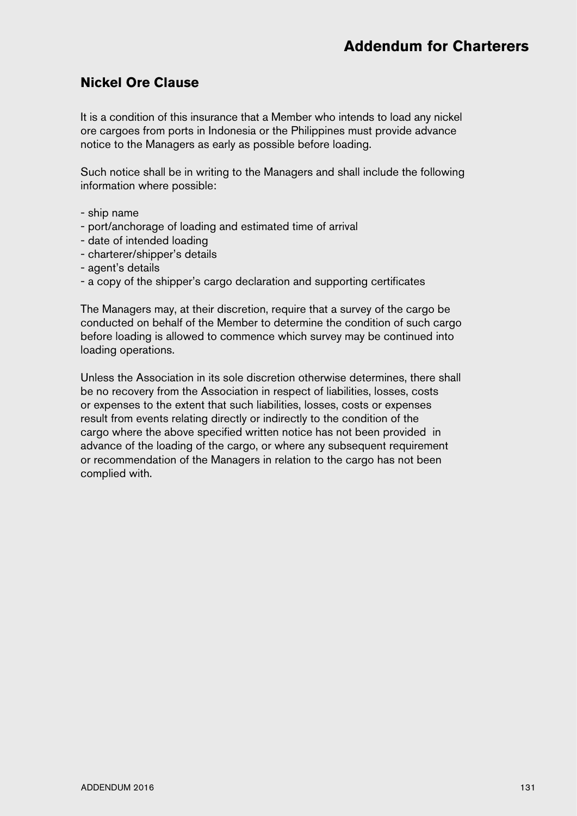### **Nickel Ore Clause**

It is a condition of this insurance that a Member who intends to load any nickel ore cargoes from ports in Indonesia or the Philippines must provide advance notice to the Managers as early as possible before loading.

Such notice shall be in writing to the Managers and shall include the following information where possible:

- ship name
- port/anchorage of loading and estimated time of arrival
- date of intended loading
- charterer/shipper's details
- agent's details
- a copy of the shipper's cargo declaration and supporting certificates

The Managers may, at their discretion, require that a survey of the cargo be conducted on behalf of the Member to determine the condition of such cargo before loading is allowed to commence which survey may be continued into loading operations.

Unless the Association in its sole discretion otherwise determines, there shall be no recovery from the Association in respect of liabilities, losses, costs or expenses to the extent that such liabilities, losses, costs or expenses result from events relating directly or indirectly to the condition of the cargo where the above specified written notice has not been provided in advance of the loading of the cargo, or where any subsequent requirement or recommendation of the Managers in relation to the cargo has not been complied with.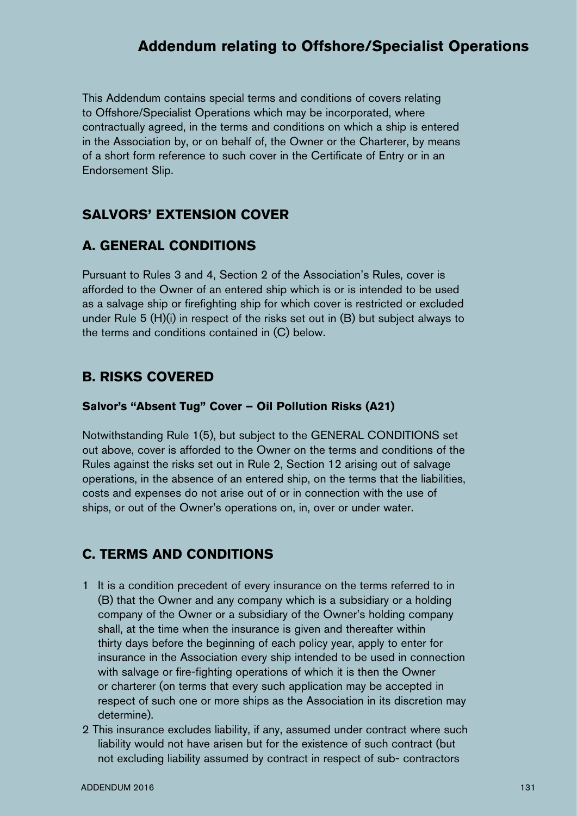This Addendum contains special terms and conditions of covers relating to Offshore/Specialist Operations which may be incorporated, where contractually agreed, in the terms and conditions on which a ship is entered in the Association by, or on behalf of, the Owner or the Charterer, by means of a short form reference to such cover in the Certificate of Entry or in an Endorsement Slip.

#### **SALVORS' EXTENSION COVER**

#### **A. GENERAL CONDITIONS**

Pursuant to Rules 3 and 4, Section 2 of the Association's Rules, cover is afforded to the Owner of an entered ship which is or is intended to be used as a salvage ship or firefighting ship for which cover is restricted or excluded under Rule 5 (H)(i) in respect of the risks set out in (B) but subject always to the terms and conditions contained in (C) below.

#### **B. RISKS COVERED**

#### **Salvor's "Absent Tug" Cover – Oil Pollution Risks (A21)**

Notwithstanding Rule 1(5), but subject to the GENERAL CONDITIONS set out above, cover is afforded to the Owner on the terms and conditions of the Rules against the risks set out in Rule 2, Section 12 arising out of salvage operations, in the absence of an entered ship, on the terms that the liabilities, costs and expenses do not arise out of or in connection with the use of ships, or out of the Owner's operations on, in, over or under water.

#### **C. TERMS AND CONDITIONS**

- 1 It is a condition precedent of every insurance on the terms referred to in (B) that the Owner and any company which is a subsidiary or a holding company of the Owner or a subsidiary of the Owner's holding company shall, at the time when the insurance is given and thereafter within thirty days before the beginning of each policy year, apply to enter for insurance in the Association every ship intended to be used in connection with salvage or fire-fighting operations of which it is then the Owner or charterer (on terms that every such application may be accepted in respect of such one or more ships as the Association in its discretion may determine).
- 2 This insurance excludes liability, if any, assumed under contract where such liability would not have arisen but for the existence of such contract (but not excluding liability assumed by contract in respect of sub- contractors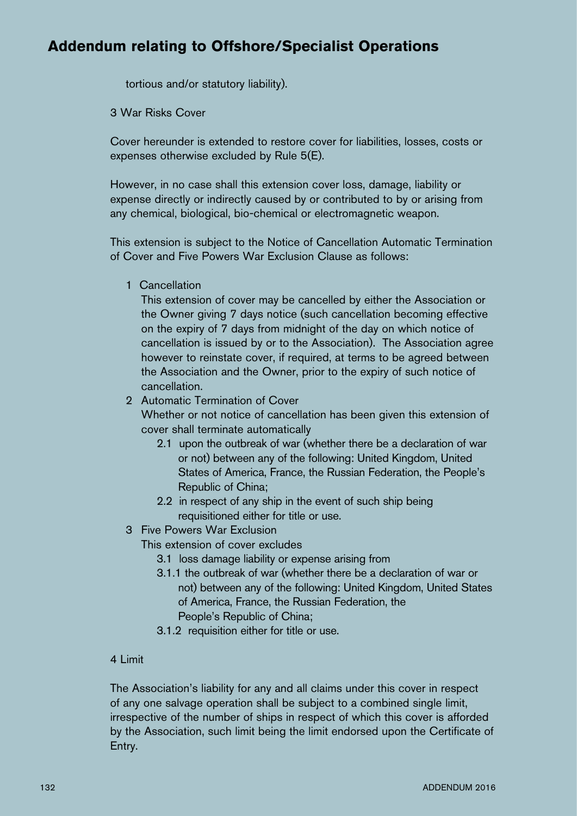tortious and/or statutory liability).

3 War Risks Cover

Cover hereunder is extended to restore cover for liabilities, losses, costs or expenses otherwise excluded by Rule 5(E).

However, in no case shall this extension cover loss, damage, liability or expense directly or indirectly caused by or contributed to by or arising from any chemical, biological, bio-chemical or electromagnetic weapon.

This extension is subject to the Notice of Cancellation Automatic Termination of Cover and Five Powers War Exclusion Clause as follows:

1 Cancellation

 This extension of cover may be cancelled by either the Association or the Owner giving 7 days notice (such cancellation becoming effective on the expiry of 7 days from midnight of the day on which notice of cancellation is issued by or to the Association). The Association agree however to reinstate cover, if required, at terms to be agreed between the Association and the Owner, prior to the expiry of such notice of cancellation.

2 Automatic Termination of Cover

 Whether or not notice of cancellation has been given this extension of cover shall terminate automatically

- 2.1 upon the outbreak of war (whether there be a declaration of war or not) between any of the following: United Kingdom, United States of America, France, the Russian Federation, the People's Republic of China;
- 2.2 in respect of any ship in the event of such ship being requisitioned either for title or use.
- 3 Five Powers War Exclusion

This extension of cover excludes

- 3.1 loss damage liability or expense arising from
- 3.1.1 the outbreak of war (whether there be a declaration of war or not) between any of the following: United Kingdom, United States of America, France, the Russian Federation, the People's Republic of China;
- 3.1.2 requisition either for title or use.

#### 4 Limit

The Association's liability for any and all claims under this cover in respect of any one salvage operation shall be subject to a combined single limit, irrespective of the number of ships in respect of which this cover is afforded by the Association, such limit being the limit endorsed upon the Certificate of Entry.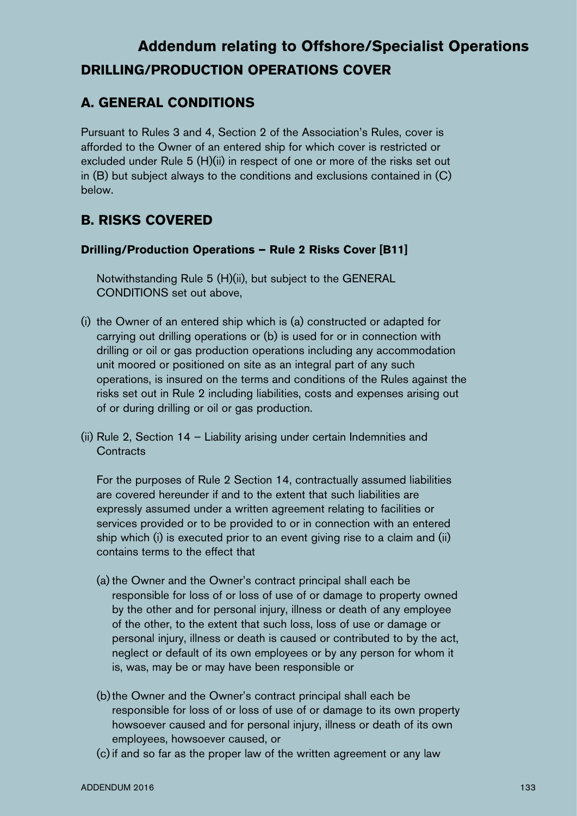# **Addendum relating to Offshore/Specialist Operations DRILLING/PRODUCTION OPERATIONS COVER**

### **A. GENERAL CONDITIONS**

Pursuant to Rules 3 and 4, Section 2 of the Association's Rules, cover is afforded to the Owner of an entered ship for which cover is restricted or excluded under Rule 5 (H)(ii) in respect of one or more of the risks set out in (B) but subject always to the conditions and exclusions contained in (C) below.

## **B. RISKS COVERED**

#### **Drilling/Production Operations – Rule 2 Risks Cover [B11]**

Notwithstanding Rule 5 (H)(ii), but subject to the GENERAL CONDITIONS set out above,

- (i) the Owner of an entered ship which is (a) constructed or adapted for carrying out drilling operations or (b) is used for or in connection with drilling or oil or gas production operations including any accommodation unit moored or positioned on site as an integral part of any such operations, is insured on the terms and conditions of the Rules against the risks set out in Rule 2 including liabilities, costs and expenses arising out of or during drilling or oil or gas production.
- (ii) Rule 2, Section 14 Liability arising under certain Indemnities and **Contracts**

For the purposes of Rule 2 Section 14, contractually assumed liabilities are covered hereunder if and to the extent that such liabilities are expressly assumed under a written agreement relating to facilities or services provided or to be provided to or in connection with an entered ship which (i) is executed prior to an event giving rise to a claim and (ii) contains terms to the effect that

- (a) the Owner and the Owner's contract principal shall each be responsible for loss of or loss of use of or damage to property owned by the other and for personal injury, illness or death of any employee of the other, to the extent that such loss, loss of use or damage or personal injury, illness or death is caused or contributed to by the act, neglect or default of its own employees or by any person for whom it is, was, may be or may have been responsible or
- (b) the Owner and the Owner's contract principal shall each be responsible for loss of or loss of use of or damage to its own property howsoever caused and for personal injury, illness or death of its own employees, howsoever caused, or
- (c) if and so far as the proper law of the written agreement or any law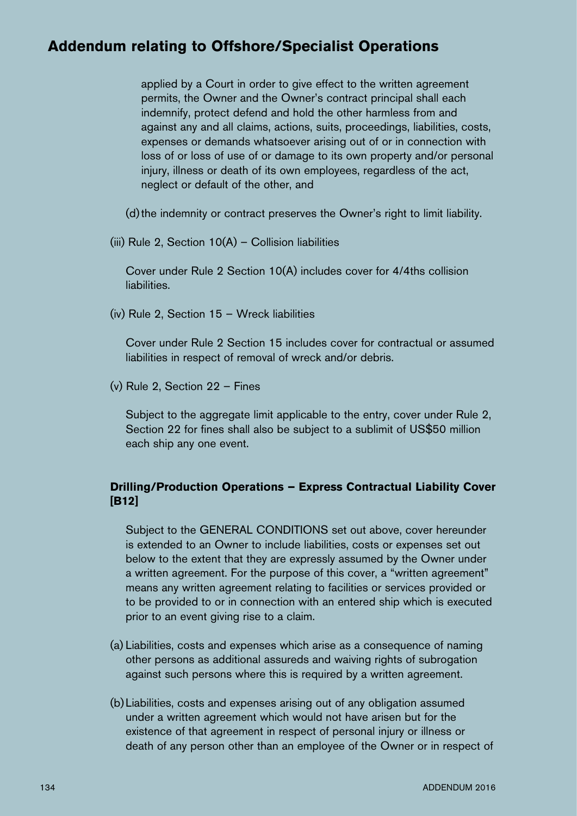applied by a Court in order to give effect to the written agreement permits, the Owner and the Owner's contract principal shall each indemnify, protect defend and hold the other harmless from and against any and all claims, actions, suits, proceedings, liabilities, costs, expenses or demands whatsoever arising out of or in connection with loss of or loss of use of or damage to its own property and/or personal injury, illness or death of its own employees, regardless of the act, neglect or default of the other, and

- (d)the indemnity or contract preserves the Owner's right to limit liability.
- (iii) Rule 2, Section 10(A) Collision liabilities

Cover under Rule 2 Section 10(A) includes cover for 4/4ths collision liabilities.

(iv) Rule 2, Section 15 – Wreck liabilities

Cover under Rule 2 Section 15 includes cover for contractual or assumed liabilities in respect of removal of wreck and/or debris.

(v) Rule 2, Section 22 – Fines

Subject to the aggregate limit applicable to the entry, cover under Rule 2, Section 22 for fines shall also be subject to a sublimit of US\$50 million each ship any one event.

#### **Drilling/Production Operations – Express Contractual Liability Cover [B12]**

Subject to the GENERAL CONDITIONS set out above, cover hereunder is extended to an Owner to include liabilities, costs or expenses set out below to the extent that they are expressly assumed by the Owner under a written agreement. For the purpose of this cover, a "written agreement" means any written agreement relating to facilities or services provided or to be provided to or in connection with an entered ship which is executed prior to an event giving rise to a claim.

- (a) Liabilities, costs and expenses which arise as a consequence of naming other persons as additional assureds and waiving rights of subrogation against such persons where this is required by a written agreement.
- (b) Liabilities, costs and expenses arising out of any obligation assumed under a written agreement which would not have arisen but for the existence of that agreement in respect of personal injury or illness or death of any person other than an employee of the Owner or in respect of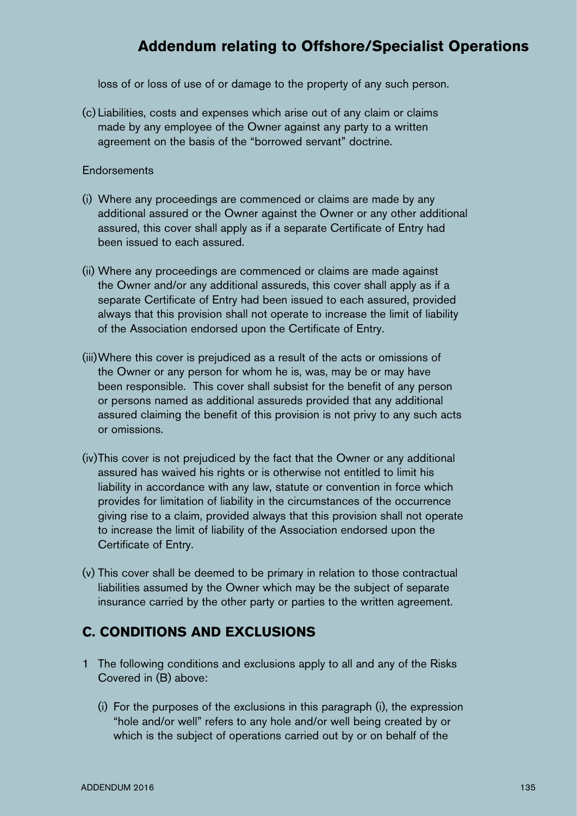loss of or loss of use of or damage to the property of any such person.

(c) Liabilities, costs and expenses which arise out of any claim or claims made by any employee of the Owner against any party to a written agreement on the basis of the "borrowed servant" doctrine.

#### **Endorsements**

- (i) Where any proceedings are commenced or claims are made by any additional assured or the Owner against the Owner or any other additional assured, this cover shall apply as if a separate Certificate of Entry had been issued to each assured.
- (ii) Where any proceedings are commenced or claims are made against the Owner and/or any additional assureds, this cover shall apply as if a separate Certificate of Entry had been issued to each assured, provided always that this provision shall not operate to increase the limit of liability of the Association endorsed upon the Certificate of Entry.
- (iii)Where this cover is prejudiced as a result of the acts or omissions of the Owner or any person for whom he is, was, may be or may have been responsible. This cover shall subsist for the benefit of any person or persons named as additional assureds provided that any additional assured claiming the benefit of this provision is not privy to any such acts or omissions.
- (iv)This cover is not prejudiced by the fact that the Owner or any additional assured has waived his rights or is otherwise not entitled to limit his liability in accordance with any law, statute or convention in force which provides for limitation of liability in the circumstances of the occurrence giving rise to a claim, provided always that this provision shall not operate to increase the limit of liability of the Association endorsed upon the Certificate of Entry.
- (v) This cover shall be deemed to be primary in relation to those contractual liabilities assumed by the Owner which may be the subject of separate insurance carried by the other party or parties to the written agreement.

#### **C. CONDITIONS AND EXCLUSIONS**

- 1 The following conditions and exclusions apply to all and any of the Risks Covered in (B) above:
	- (i) For the purposes of the exclusions in this paragraph (i), the expression "hole and/or well" refers to any hole and/or well being created by or which is the subject of operations carried out by or on behalf of the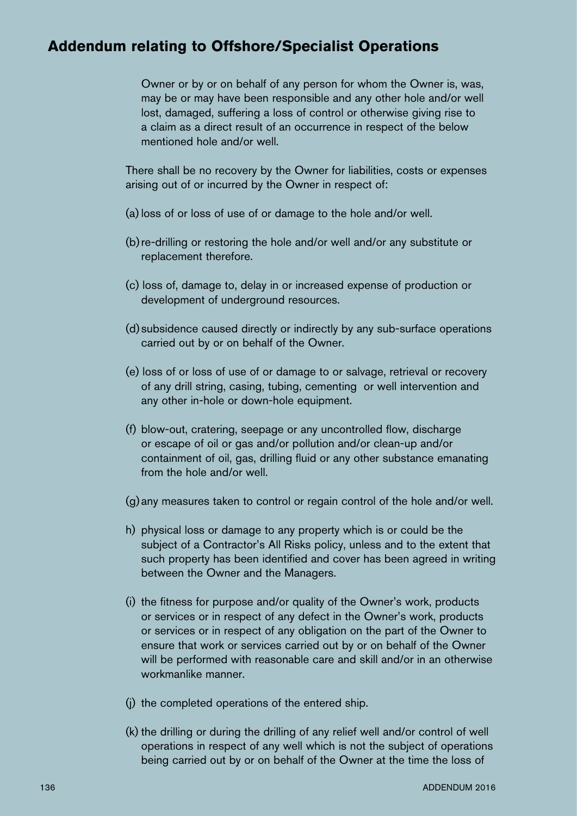Owner or by or on behalf of any person for whom the Owner is, was, may be or may have been responsible and any other hole and/or well lost, damaged, suffering a loss of control or otherwise giving rise to a claim as a direct result of an occurrence in respect of the below mentioned hole and/or well.

There shall be no recovery by the Owner for liabilities, costs or expenses arising out of or incurred by the Owner in respect of:

- (a) loss of or loss of use of or damage to the hole and/or well.
- (b)re-drilling or restoring the hole and/or well and/or any substitute or replacement therefore.
- (c) loss of, damage to, delay in or increased expense of production or development of underground resources.
- (d) subsidence caused directly or indirectly by any sub-surface operations carried out by or on behalf of the Owner.
- (e) loss of or loss of use of or damage to or salvage, retrieval or recovery of any drill string, casing, tubing, cementing or well intervention and any other in-hole or down-hole equipment.
- (f) blow-out, cratering, seepage or any uncontrolled flow, discharge or escape of oil or gas and/or pollution and/or clean-up and/or containment of oil, gas, drilling fluid or any other substance emanating from the hole and/or well.
- (g) any measures taken to control or regain control of the hole and/or well.
- h) physical loss or damage to any property which is or could be the subject of a Contractor's All Risks policy, unless and to the extent that such property has been identified and cover has been agreed in writing between the Owner and the Managers.
- (i) the fitness for purpose and/or quality of the Owner's work, products or services or in respect of any defect in the Owner's work, products or services or in respect of any obligation on the part of the Owner to ensure that work or services carried out by or on behalf of the Owner will be performed with reasonable care and skill and/or in an otherwise workmanlike manner.
- (j) the completed operations of the entered ship.
- (k) the drilling or during the drilling of any relief well and/or control of well operations in respect of any well which is not the subject of operations being carried out by or on behalf of the Owner at the time the loss of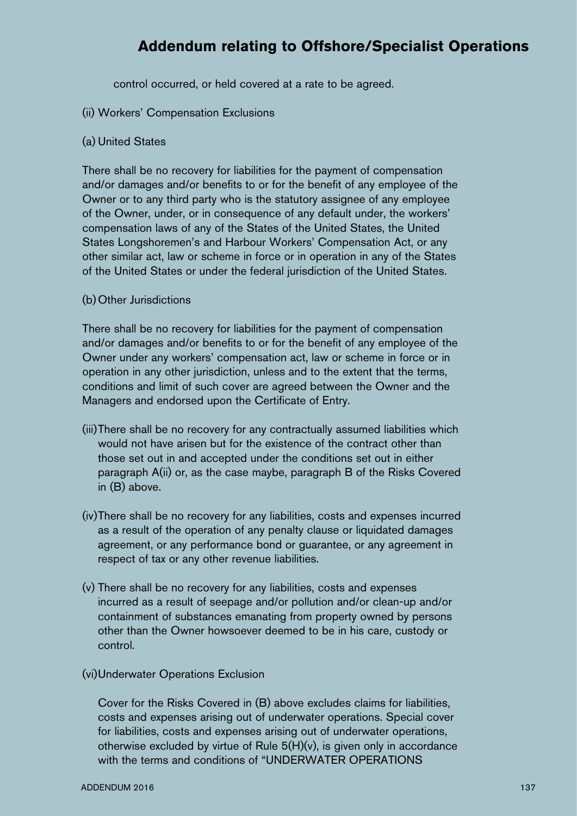control occurred, or held covered at a rate to be agreed.

(ii) Workers' Compensation Exclusions

#### (a) United States

There shall be no recovery for liabilities for the payment of compensation and/or damages and/or benefits to or for the benefit of any employee of the Owner or to any third party who is the statutory assignee of any employee of the Owner, under, or in consequence of any default under, the workers' compensation laws of any of the States of the United States, the United States Longshoremen's and Harbour Workers' Compensation Act, or any other similar act, law or scheme in force or in operation in any of the States of the United States or under the federal jurisdiction of the United States.

#### (b) Other Jurisdictions

There shall be no recovery for liabilities for the payment of compensation and/or damages and/or benefits to or for the benefit of any employee of the Owner under any workers' compensation act, law or scheme in force or in operation in any other jurisdiction, unless and to the extent that the terms, conditions and limit of such cover are agreed between the Owner and the Managers and endorsed upon the Certificate of Entry.

- (iii)There shall be no recovery for any contractually assumed liabilities which would not have arisen but for the existence of the contract other than those set out in and accepted under the conditions set out in either paragraph A(ii) or, as the case maybe, paragraph B of the Risks Covered in (B) above.
- (iv)There shall be no recovery for any liabilities, costs and expenses incurred as a result of the operation of any penalty clause or liquidated damages agreement, or any performance bond or guarantee, or any agreement in respect of tax or any other revenue liabilities.
- (v) There shall be no recovery for any liabilities, costs and expenses incurred as a result of seepage and/or pollution and/or clean-up and/or containment of substances emanating from property owned by persons other than the Owner howsoever deemed to be in his care, custody or control.
- (vi)Underwater Operations Exclusion

Cover for the Risks Covered in (B) above excludes claims for liabilities, costs and expenses arising out of underwater operations. Special cover for liabilities, costs and expenses arising out of underwater operations, otherwise excluded by virtue of Rule  $5(H)(v)$ , is given only in accordance with the terms and conditions of "UNDERWATER OPERATIONS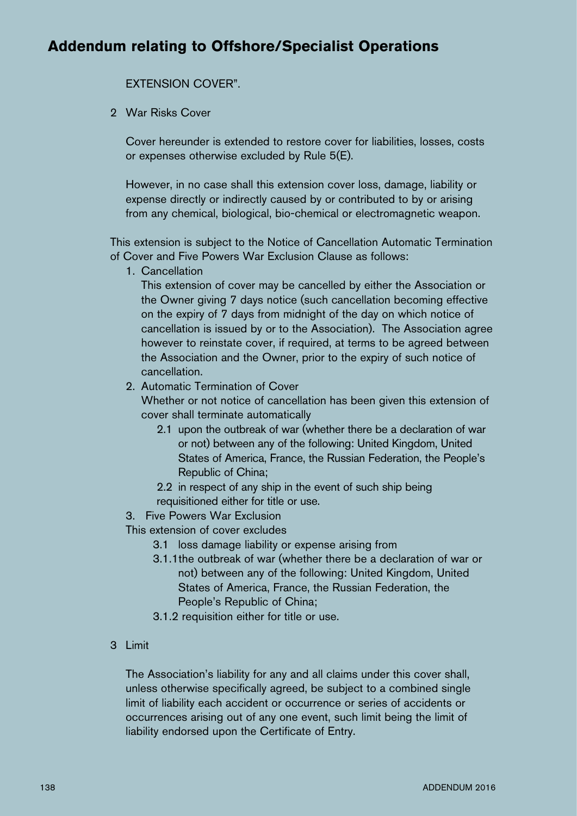#### EXTENSION COVER".

2 War Risks Cover

Cover hereunder is extended to restore cover for liabilities, losses, costs or expenses otherwise excluded by Rule 5(E).

However, in no case shall this extension cover loss, damage, liability or expense directly or indirectly caused by or contributed to by or arising from any chemical, biological, bio-chemical or electromagnetic weapon.

This extension is subject to the Notice of Cancellation Automatic Termination of Cover and Five Powers War Exclusion Clause as follows:

1. Cancellation

 This extension of cover may be cancelled by either the Association or the Owner giving 7 days notice (such cancellation becoming effective on the expiry of 7 days from midnight of the day on which notice of cancellation is issued by or to the Association). The Association agree however to reinstate cover, if required, at terms to be agreed between the Association and the Owner, prior to the expiry of such notice of cancellation.

2. Automatic Termination of Cover

 Whether or not notice of cancellation has been given this extension of cover shall terminate automatically

- 2.1 upon the outbreak of war (whether there be a declaration of war or not) between any of the following: United Kingdom, United States of America, France, the Russian Federation, the People's Republic of China;
- 2.2 in respect of any ship in the event of such ship being requisitioned either for title or use.
- 3. Five Powers War Exclusion

This extension of cover excludes

- 3.1 loss damage liability or expense arising from
- 3.1.1the outbreak of war (whether there be a declaration of war or not) between any of the following: United Kingdom, United States of America, France, the Russian Federation, the People's Republic of China;
- 3.1.2 requisition either for title or use.
- 3 Limit

The Association's liability for any and all claims under this cover shall, unless otherwise specifically agreed, be subject to a combined single limit of liability each accident or occurrence or series of accidents or occurrences arising out of any one event, such limit being the limit of liability endorsed upon the Certificate of Entry.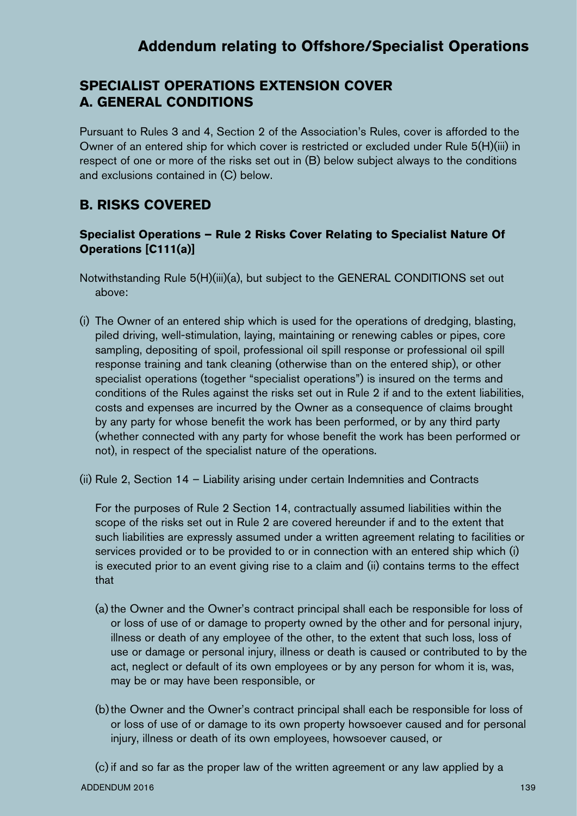#### **SPECIALIST OPERATIONS EXTENSION COVER A. GENERAL CONDITIONS**

Pursuant to Rules 3 and 4, Section 2 of the Association's Rules, cover is afforded to the Owner of an entered ship for which cover is restricted or excluded under Rule 5(H)(iii) in respect of one or more of the risks set out in (B) below subject always to the conditions and exclusions contained in (C) below.

### **B. RISKS COVERED**

#### **Specialist Operations – Rule 2 Risks Cover Relating to Specialist Nature Of Operations [C111(a)]**

Notwithstanding Rule 5(H)(iii)(a), but subject to the GENERAL CONDITIONS set out above:

- (i) The Owner of an entered ship which is used for the operations of dredging, blasting, piled driving, well-stimulation, laying, maintaining or renewing cables or pipes, core sampling, depositing of spoil, professional oil spill response or professional oil spill response training and tank cleaning (otherwise than on the entered ship), or other specialist operations (together "specialist operations") is insured on the terms and conditions of the Rules against the risks set out in Rule 2 if and to the extent liabilities, costs and expenses are incurred by the Owner as a consequence of claims brought by any party for whose benefit the work has been performed, or by any third party (whether connected with any party for whose benefit the work has been performed or not), in respect of the specialist nature of the operations.
- (ii) Rule 2, Section 14 Liability arising under certain Indemnities and Contracts

For the purposes of Rule 2 Section 14, contractually assumed liabilities within the scope of the risks set out in Rule 2 are covered hereunder if and to the extent that such liabilities are expressly assumed under a written agreement relating to facilities or services provided or to be provided to or in connection with an entered ship which (i) is executed prior to an event giving rise to a claim and (ii) contains terms to the effect that

- (a) the Owner and the Owner's contract principal shall each be responsible for loss of or loss of use of or damage to property owned by the other and for personal injury, illness or death of any employee of the other, to the extent that such loss, loss of use or damage or personal injury, illness or death is caused or contributed to by the act, neglect or default of its own employees or by any person for whom it is, was, may be or may have been responsible, or
- (b)the Owner and the Owner's contract principal shall each be responsible for loss of or loss of use of or damage to its own property howsoever caused and for personal injury, illness or death of its own employees, howsoever caused, or

(c) if and so far as the proper law of the written agreement or any law applied by a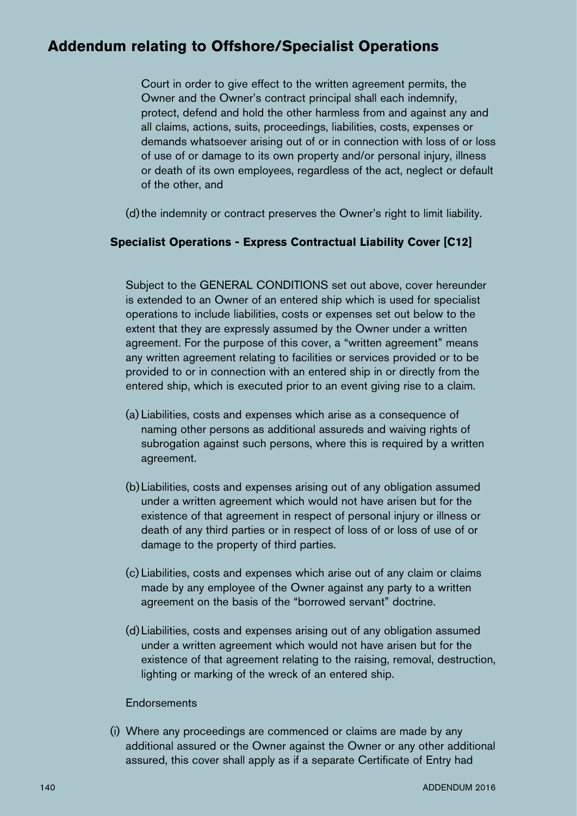Court in order to give effect to the written agreement permits, the Owner and the Owner's contract principal shall each indemnify, protect, defend and hold the other harmless from and against any and all claims, actions, suits, proceedings, liabilities, costs, expenses or demands whatsoever arising out of or in connection with loss of or loss of use of or damage to its own property and/or personal injury, illness or death of its own employees, regardless of the act, neglect or default of the other, and

(d)the indemnity or contract preserves the Owner's right to limit liability.

#### **Specialist Operations - Express Contractual Liability Cover [C12]**

Subject to the GENERAL CONDITIONS set out above, cover hereunder is extended to an Owner of an entered ship which is used for specialist operations to include liabilities, costs or expenses set out below to the extent that they are expressly assumed by the Owner under a written agreement. For the purpose of this cover, a "written agreement" means any written agreement relating to facilities or services provided or to be provided to or in connection with an entered ship in or directly from the entered ship, which is executed prior to an event giving rise to a claim.

- (a) Liabilities, costs and expenses which arise as a consequence of naming other persons as additional assureds and waiving rights of subrogation against such persons, where this is required by a written agreement.
- (b) Liabilities, costs and expenses arising out of any obligation assumed under a written agreement which would not have arisen but for the existence of that agreement in respect of personal injury or illness or death of any third parties or in respect of loss of or loss of use of or damage to the property of third parties.
- (c) Liabilities, costs and expenses which arise out of any claim or claims made by any employee of the Owner against any party to a written agreement on the basis of the "borrowed servant" doctrine.
- (d) Liabilities, costs and expenses arising out of any obligation assumed under a written agreement which would not have arisen but for the existence of that agreement relating to the raising, removal, destruction, lighting or marking of the wreck of an entered ship.

#### **Endorsements**

(i) Where any proceedings are commenced or claims are made by any additional assured or the Owner against the Owner or any other additional assured, this cover shall apply as if a separate Certificate of Entry had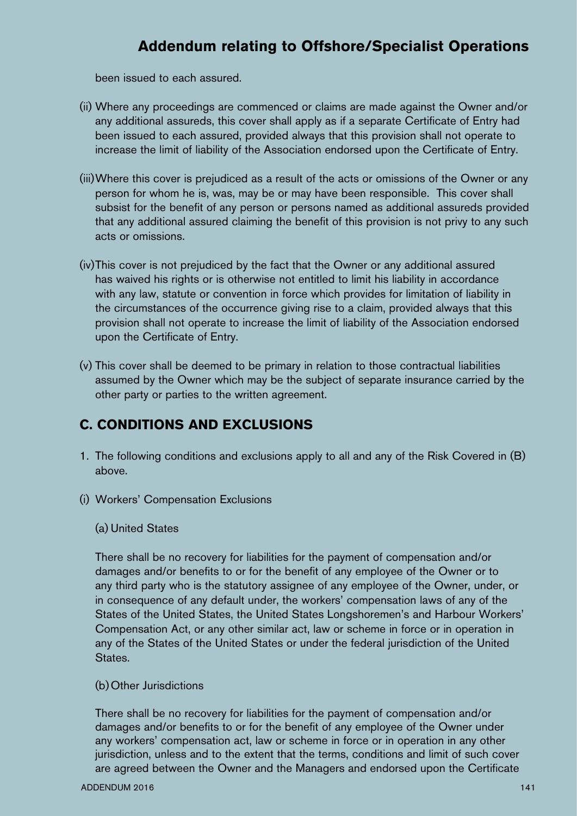been issued to each assured.

- (ii) Where any proceedings are commenced or claims are made against the Owner and/or any additional assureds, this cover shall apply as if a separate Certificate of Entry had been issued to each assured, provided always that this provision shall not operate to increase the limit of liability of the Association endorsed upon the Certificate of Entry.
- (iii)Where this cover is prejudiced as a result of the acts or omissions of the Owner or any person for whom he is, was, may be or may have been responsible. This cover shall subsist for the benefit of any person or persons named as additional assureds provided that any additional assured claiming the benefit of this provision is not privy to any such acts or omissions.
- (iv)This cover is not prejudiced by the fact that the Owner or any additional assured has waived his rights or is otherwise not entitled to limit his liability in accordance with any law, statute or convention in force which provides for limitation of liability in the circumstances of the occurrence giving rise to a claim, provided always that this provision shall not operate to increase the limit of liability of the Association endorsed upon the Certificate of Entry.
- (v) This cover shall be deemed to be primary in relation to those contractual liabilities assumed by the Owner which may be the subject of separate insurance carried by the other party or parties to the written agreement.

### **C. CONDITIONS AND EXCLUSIONS**

- 1. The following conditions and exclusions apply to all and any of the Risk Covered in (B) above.
- (i) Workers' Compensation Exclusions

(a) United States

There shall be no recovery for liabilities for the payment of compensation and/or damages and/or benefits to or for the benefit of any employee of the Owner or to any third party who is the statutory assignee of any employee of the Owner, under, or in consequence of any default under, the workers' compensation laws of any of the States of the United States, the United States Longshoremen's and Harbour Workers' Compensation Act, or any other similar act, law or scheme in force or in operation in any of the States of the United States or under the federal jurisdiction of the United **States** 

(b) Other Jurisdictions

There shall be no recovery for liabilities for the payment of compensation and/or damages and/or benefits to or for the benefit of any employee of the Owner under any workers' compensation act, law or scheme in force or in operation in any other jurisdiction, unless and to the extent that the terms, conditions and limit of such cover are agreed between the Owner and the Managers and endorsed upon the Certificate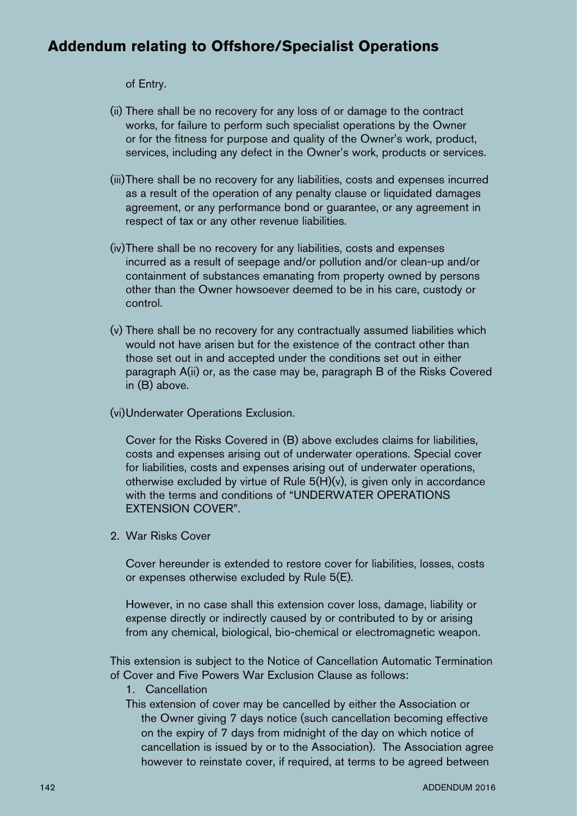of Entry.

- (ii) There shall be no recovery for any loss of or damage to the contract works, for failure to perform such specialist operations by the Owner or for the fitness for purpose and quality of the Owner's work, product, services, including any defect in the Owner's work, products or services.
- (iii)There shall be no recovery for any liabilities, costs and expenses incurred as a result of the operation of any penalty clause or liquidated damages agreement, or any performance bond or guarantee, or any agreement in respect of tax or any other revenue liabilities.
- (iv)There shall be no recovery for any liabilities, costs and expenses incurred as a result of seepage and/or pollution and/or clean-up and/or containment of substances emanating from property owned by persons other than the Owner howsoever deemed to be in his care, custody or control.
- (v) There shall be no recovery for any contractually assumed liabilities which would not have arisen but for the existence of the contract other than those set out in and accepted under the conditions set out in either paragraph A(ii) or, as the case may be, paragraph B of the Risks Covered in (B) above.
- (vi)Underwater Operations Exclusion.

Cover for the Risks Covered in (B) above excludes claims for liabilities, costs and expenses arising out of underwater operations. Special cover for liabilities, costs and expenses arising out of underwater operations, otherwise excluded by virtue of Rule 5(H)(v), is given only in accordance with the terms and conditions of "UNDERWATER OPERATIONS EXTENSION COVER".

2. War Risks Cover

Cover hereunder is extended to restore cover for liabilities, losses, costs or expenses otherwise excluded by Rule 5(E).

However, in no case shall this extension cover loss, damage, liability or expense directly or indirectly caused by or contributed to by or arising from any chemical, biological, bio-chemical or electromagnetic weapon.

This extension is subject to the Notice of Cancellation Automatic Termination of Cover and Five Powers War Exclusion Clause as follows:

1. Cancellation

This extension of cover may be cancelled by either the Association or the Owner giving 7 days notice (such cancellation becoming effective on the expiry of 7 days from midnight of the day on which notice of cancellation is issued by or to the Association). The Association agree however to reinstate cover, if required, at terms to be agreed between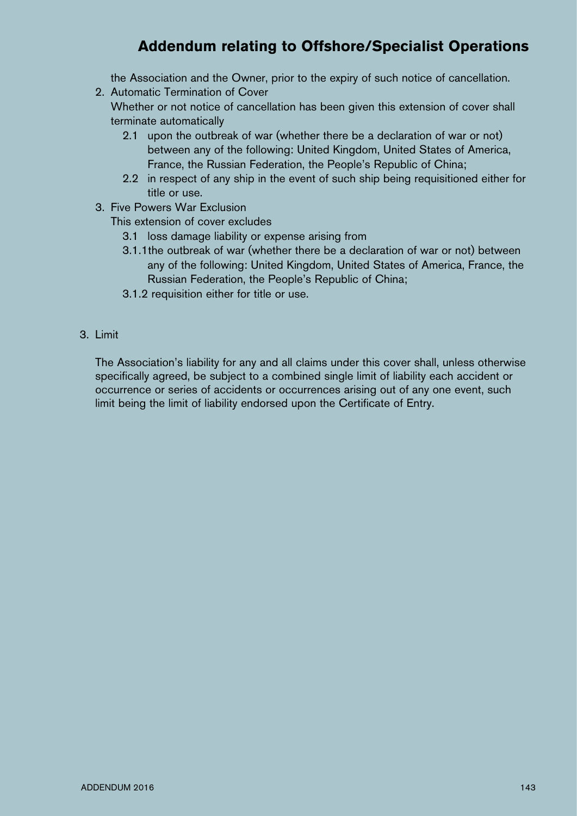the Association and the Owner, prior to the expiry of such notice of cancellation.

2. Automatic Termination of Cover

 Whether or not notice of cancellation has been given this extension of cover shall terminate automatically

- 2.1 upon the outbreak of war (whether there be a declaration of war or not) between any of the following: United Kingdom, United States of America, France, the Russian Federation, the People's Republic of China;
- 2.2 in respect of any ship in the event of such ship being requisitioned either for title or use.
- 3. Five Powers War Exclusion

This extension of cover excludes

- 3.1 loss damage liability or expense arising from
- 3.1.1the outbreak of war (whether there be a declaration of war or not) between any of the following: United Kingdom, United States of America, France, the Russian Federation, the People's Republic of China;
- 3.1.2 requisition either for title or use.
- 3. Limit

The Association's liability for any and all claims under this cover shall, unless otherwise specifically agreed, be subject to a combined single limit of liability each accident or occurrence or series of accidents or occurrences arising out of any one event, such limit being the limit of liability endorsed upon the Certificate of Entry.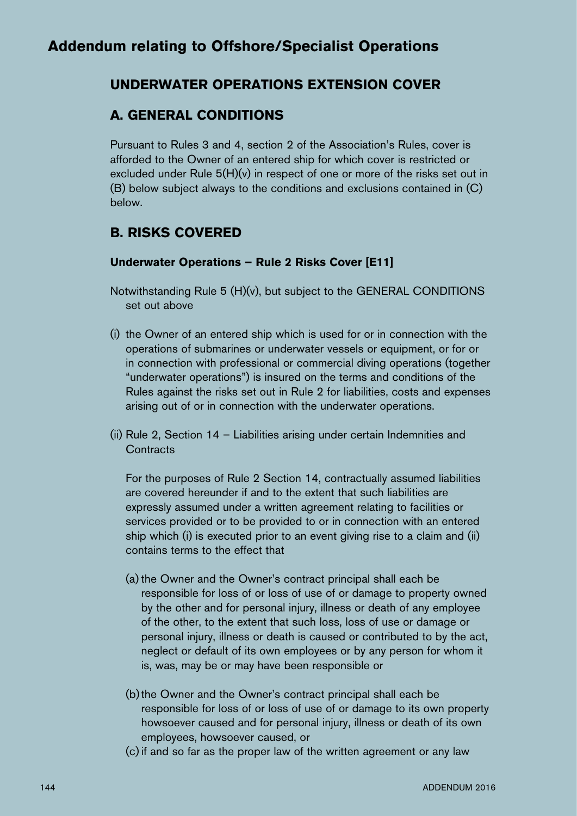### **UNDERWATER OPERATIONS EXTENSION COVER**

### **A. GENERAL CONDITIONS**

Pursuant to Rules 3 and 4, section 2 of the Association's Rules, cover is afforded to the Owner of an entered ship for which cover is restricted or excluded under Rule 5(H)(v) in respect of one or more of the risks set out in (B) below subject always to the conditions and exclusions contained in (C) below.

### **B. RISKS COVERED**

#### **Underwater Operations – Rule 2 Risks Cover [E11]**

- Notwithstanding Rule 5 (H)(v), but subject to the GENERAL CONDITIONS set out above
- (i) the Owner of an entered ship which is used for or in connection with the operations of submarines or underwater vessels or equipment, or for or in connection with professional or commercial diving operations (together "underwater operations") is insured on the terms and conditions of the Rules against the risks set out in Rule 2 for liabilities, costs and expenses arising out of or in connection with the underwater operations.
- (ii) Rule 2, Section 14 Liabilities arising under certain Indemnities and **Contracts**

For the purposes of Rule 2 Section 14, contractually assumed liabilities are covered hereunder if and to the extent that such liabilities are expressly assumed under a written agreement relating to facilities or services provided or to be provided to or in connection with an entered ship which (i) is executed prior to an event giving rise to a claim and (ii) contains terms to the effect that

- (a) the Owner and the Owner's contract principal shall each be responsible for loss of or loss of use of or damage to property owned by the other and for personal injury, illness or death of any employee of the other, to the extent that such loss, loss of use or damage or personal injury, illness or death is caused or contributed to by the act, neglect or default of its own employees or by any person for whom it is, was, may be or may have been responsible or
- (b)the Owner and the Owner's contract principal shall each be responsible for loss of or loss of use of or damage to its own property howsoever caused and for personal injury, illness or death of its own employees, howsoever caused, or
- (c) if and so far as the proper law of the written agreement or any law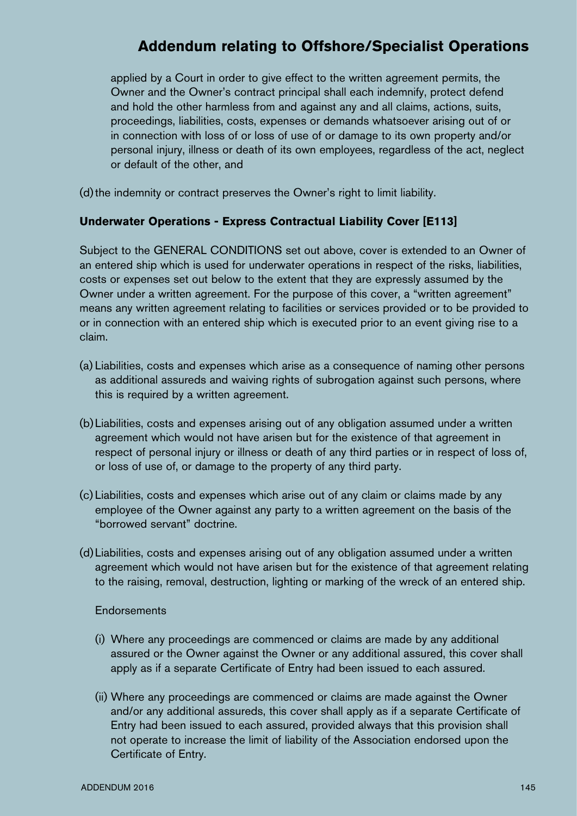applied by a Court in order to give effect to the written agreement permits, the Owner and the Owner's contract principal shall each indemnify, protect defend and hold the other harmless from and against any and all claims, actions, suits, proceedings, liabilities, costs, expenses or demands whatsoever arising out of or in connection with loss of or loss of use of or damage to its own property and/or personal injury, illness or death of its own employees, regardless of the act, neglect or default of the other, and

(d)the indemnity or contract preserves the Owner's right to limit liability.

#### **Underwater Operations - Express Contractual Liability Cover [E113]**

Subject to the GENERAL CONDITIONS set out above, cover is extended to an Owner of an entered ship which is used for underwater operations in respect of the risks, liabilities, costs or expenses set out below to the extent that they are expressly assumed by the Owner under a written agreement. For the purpose of this cover, a "written agreement" means any written agreement relating to facilities or services provided or to be provided to or in connection with an entered ship which is executed prior to an event giving rise to a claim.

- (a) Liabilities, costs and expenses which arise as a consequence of naming other persons as additional assureds and waiving rights of subrogation against such persons, where this is required by a written agreement.
- (b) Liabilities, costs and expenses arising out of any obligation assumed under a written agreement which would not have arisen but for the existence of that agreement in respect of personal injury or illness or death of any third parties or in respect of loss of, or loss of use of, or damage to the property of any third party.
- (c) Liabilities, costs and expenses which arise out of any claim or claims made by any employee of the Owner against any party to a written agreement on the basis of the "borrowed servant" doctrine.
- (d) Liabilities, costs and expenses arising out of any obligation assumed under a written agreement which would not have arisen but for the existence of that agreement relating to the raising, removal, destruction, lighting or marking of the wreck of an entered ship.

#### **Endorsements**

- (i) Where any proceedings are commenced or claims are made by any additional assured or the Owner against the Owner or any additional assured, this cover shall apply as if a separate Certificate of Entry had been issued to each assured.
- (ii) Where any proceedings are commenced or claims are made against the Owner and/or any additional assureds, this cover shall apply as if a separate Certificate of Entry had been issued to each assured, provided always that this provision shall not operate to increase the limit of liability of the Association endorsed upon the Certificate of Entry.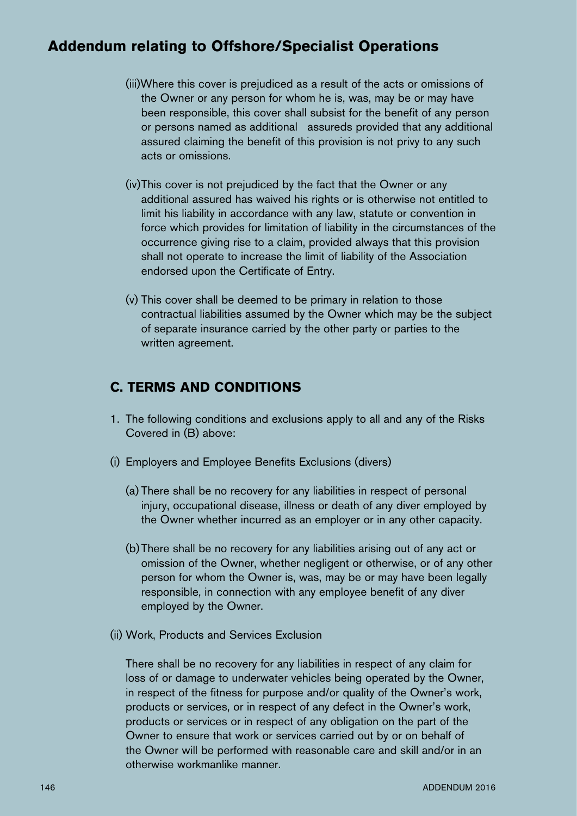- (iii)Where this cover is prejudiced as a result of the acts or omissions of the Owner or any person for whom he is, was, may be or may have been responsible, this cover shall subsist for the benefit of any person or persons named as additional assureds provided that any additional assured claiming the benefit of this provision is not privy to any such acts or omissions.
- (iv)This cover is not prejudiced by the fact that the Owner or any additional assured has waived his rights or is otherwise not entitled to limit his liability in accordance with any law, statute or convention in force which provides for limitation of liability in the circumstances of the occurrence giving rise to a claim, provided always that this provision shall not operate to increase the limit of liability of the Association endorsed upon the Certificate of Entry.
- (v) This cover shall be deemed to be primary in relation to those contractual liabilities assumed by the Owner which may be the subject of separate insurance carried by the other party or parties to the written agreement.

### **C. TERMS AND CONDITIONS**

- 1. The following conditions and exclusions apply to all and any of the Risks Covered in (B) above:
- (i) Employers and Employee Benefits Exclusions (divers)
	- (a) There shall be no recovery for any liabilities in respect of personal injury, occupational disease, illness or death of any diver employed by the Owner whether incurred as an employer or in any other capacity.
	- (b) There shall be no recovery for any liabilities arising out of any act or omission of the Owner, whether negligent or otherwise, or of any other person for whom the Owner is, was, may be or may have been legally responsible, in connection with any employee benefit of any diver employed by the Owner.
- (ii) Work, Products and Services Exclusion

There shall be no recovery for any liabilities in respect of any claim for loss of or damage to underwater vehicles being operated by the Owner, in respect of the fitness for purpose and/or quality of the Owner's work, products or services, or in respect of any defect in the Owner's work, products or services or in respect of any obligation on the part of the Owner to ensure that work or services carried out by or on behalf of the Owner will be performed with reasonable care and skill and/or in an otherwise workmanlike manner.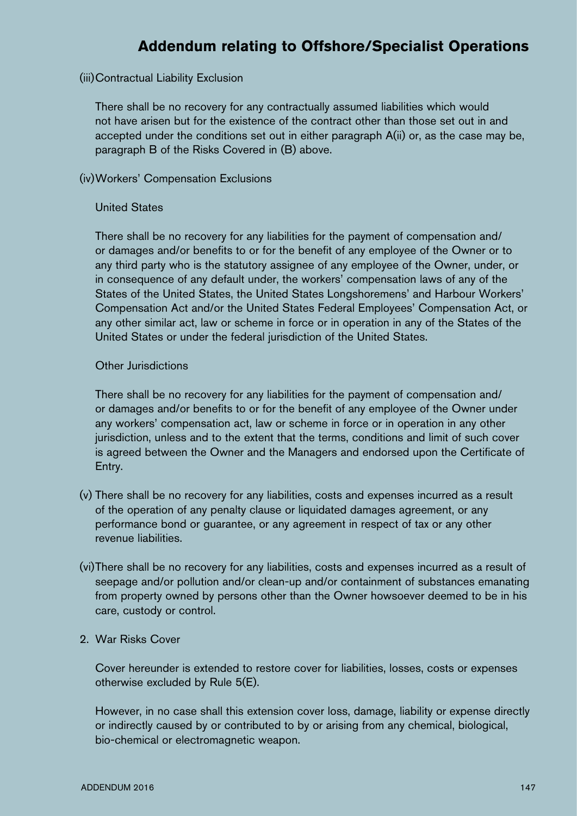#### (iii)Contractual Liability Exclusion

There shall be no recovery for any contractually assumed liabilities which would not have arisen but for the existence of the contract other than those set out in and accepted under the conditions set out in either paragraph A(ii) or, as the case may be, paragraph B of the Risks Covered in (B) above.

#### (iv)Workers' Compensation Exclusions

#### United States

There shall be no recovery for any liabilities for the payment of compensation and/ or damages and/or benefits to or for the benefit of any employee of the Owner or to any third party who is the statutory assignee of any employee of the Owner, under, or in consequence of any default under, the workers' compensation laws of any of the States of the United States, the United States Longshoremens' and Harbour Workers' Compensation Act and/or the United States Federal Employees' Compensation Act, or any other similar act, law or scheme in force or in operation in any of the States of the United States or under the federal jurisdiction of the United States.

#### Other Jurisdictions

There shall be no recovery for any liabilities for the payment of compensation and/ or damages and/or benefits to or for the benefit of any employee of the Owner under any workers' compensation act, law or scheme in force or in operation in any other jurisdiction, unless and to the extent that the terms, conditions and limit of such cover is agreed between the Owner and the Managers and endorsed upon the Certificate of Entry.

- (v) There shall be no recovery for any liabilities, costs and expenses incurred as a result of the operation of any penalty clause or liquidated damages agreement, or any performance bond or guarantee, or any agreement in respect of tax or any other revenue liabilities.
- (vi)There shall be no recovery for any liabilities, costs and expenses incurred as a result of seepage and/or pollution and/or clean-up and/or containment of substances emanating from property owned by persons other than the Owner howsoever deemed to be in his care, custody or control.

#### 2. War Risks Cover

Cover hereunder is extended to restore cover for liabilities, losses, costs or expenses otherwise excluded by Rule 5(E).

However, in no case shall this extension cover loss, damage, liability or expense directly or indirectly caused by or contributed to by or arising from any chemical, biological, bio-chemical or electromagnetic weapon.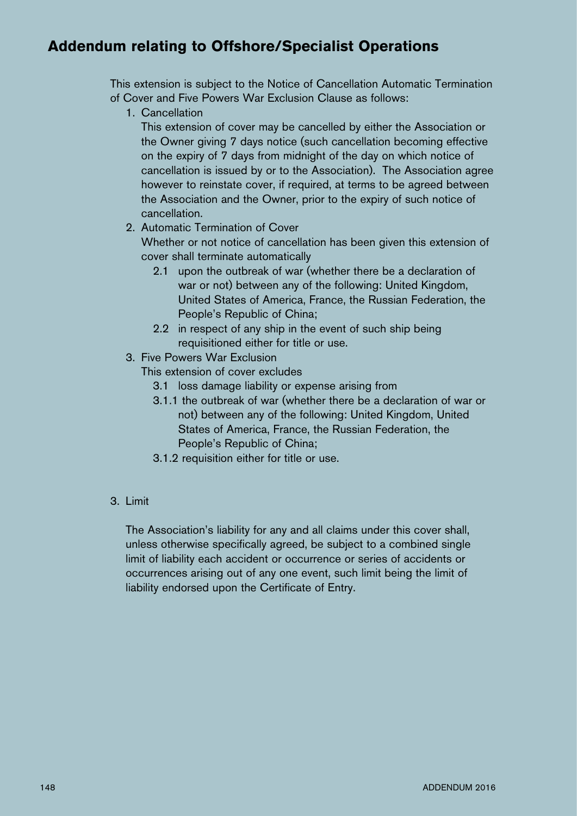This extension is subject to the Notice of Cancellation Automatic Termination of Cover and Five Powers War Exclusion Clause as follows:

1. Cancellation

 This extension of cover may be cancelled by either the Association or the Owner giving 7 days notice (such cancellation becoming effective on the expiry of 7 days from midnight of the day on which notice of cancellation is issued by or to the Association). The Association agree however to reinstate cover, if required, at terms to be agreed between the Association and the Owner, prior to the expiry of such notice of cancellation.

2. Automatic Termination of Cover

 Whether or not notice of cancellation has been given this extension of cover shall terminate automatically

- 2.1 upon the outbreak of war (whether there be a declaration of war or not) between any of the following: United Kingdom, United States of America, France, the Russian Federation, the People's Republic of China;
- 2.2 in respect of any ship in the event of such ship being requisitioned either for title or use.
- 3. Five Powers War Exclusion

This extension of cover excludes

- 3.1 loss damage liability or expense arising from
- 3.1.1 the outbreak of war (whether there be a declaration of war or not) between any of the following: United Kingdom, United States of America, France, the Russian Federation, the People's Republic of China;
- 3.1.2 requisition either for title or use.
- 3. Limit

The Association's liability for any and all claims under this cover shall, unless otherwise specifically agreed, be subject to a combined single limit of liability each accident or occurrence or series of accidents or occurrences arising out of any one event, such limit being the limit of liability endorsed upon the Certificate of Entry.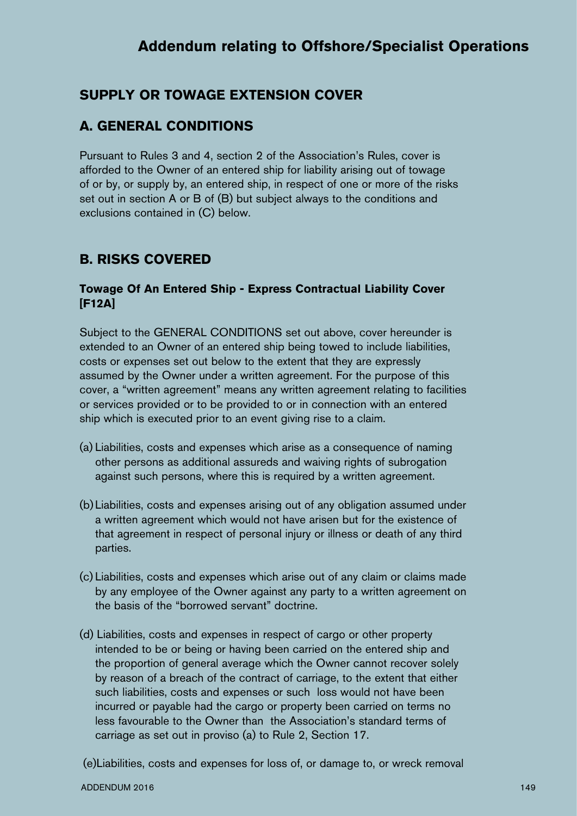# **SUPPLY OR TOWAGE EXTENSION COVER**

### **A. GENERAL CONDITIONS**

Pursuant to Rules 3 and 4, section 2 of the Association's Rules, cover is afforded to the Owner of an entered ship for liability arising out of towage of or by, or supply by, an entered ship, in respect of one or more of the risks set out in section A or B of (B) but subject always to the conditions and exclusions contained in (C) below.

### **B. RISKS COVERED**

#### **Towage Of An Entered Ship - Express Contractual Liability Cover [F12A]**

Subject to the GENERAL CONDITIONS set out above, cover hereunder is extended to an Owner of an entered ship being towed to include liabilities, costs or expenses set out below to the extent that they are expressly assumed by the Owner under a written agreement. For the purpose of this cover, a "written agreement" means any written agreement relating to facilities or services provided or to be provided to or in connection with an entered ship which is executed prior to an event giving rise to a claim.

- (a) Liabilities, costs and expenses which arise as a consequence of naming other persons as additional assureds and waiving rights of subrogation against such persons, where this is required by a written agreement.
- (b) Liabilities, costs and expenses arising out of any obligation assumed under a written agreement which would not have arisen but for the existence of that agreement in respect of personal injury or illness or death of any third parties.
- (c) Liabilities, costs and expenses which arise out of any claim or claims made by any employee of the Owner against any party to a written agreement on the basis of the "borrowed servant" doctrine.
- (d) Liabilities, costs and expenses in respect of cargo or other property intended to be or being or having been carried on the entered ship and the proportion of general average which the Owner cannot recover solely by reason of a breach of the contract of carriage, to the extent that either such liabilities, costs and expenses or such loss would not have been incurred or payable had the cargo or property been carried on terms no less favourable to the Owner than the Association's standard terms of carriage as set out in proviso (a) to Rule 2, Section 17.

(e)Liabilities, costs and expenses for loss of, or damage to, or wreck removal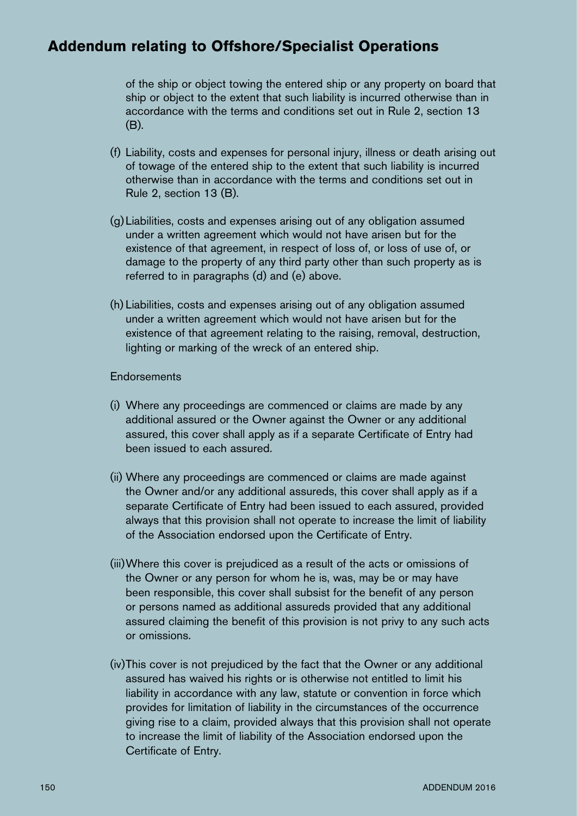of the ship or object towing the entered ship or any property on board that ship or object to the extent that such liability is incurred otherwise than in accordance with the terms and conditions set out in Rule 2, section 13 (B).

- (f) Liability, costs and expenses for personal injury, illness or death arising out of towage of the entered ship to the extent that such liability is incurred otherwise than in accordance with the terms and conditions set out in Rule 2, section 13 (B).
- (g) Liabilities, costs and expenses arising out of any obligation assumed under a written agreement which would not have arisen but for the existence of that agreement, in respect of loss of, or loss of use of, or damage to the property of any third party other than such property as is referred to in paragraphs (d) and (e) above.
- (h) Liabilities, costs and expenses arising out of any obligation assumed under a written agreement which would not have arisen but for the existence of that agreement relating to the raising, removal, destruction, lighting or marking of the wreck of an entered ship.

#### **Endorsements**

- (i) Where any proceedings are commenced or claims are made by any additional assured or the Owner against the Owner or any additional assured, this cover shall apply as if a separate Certificate of Entry had been issued to each assured.
- (ii) Where any proceedings are commenced or claims are made against the Owner and/or any additional assureds, this cover shall apply as if a separate Certificate of Entry had been issued to each assured, provided always that this provision shall not operate to increase the limit of liability of the Association endorsed upon the Certificate of Entry.
- (iii)Where this cover is prejudiced as a result of the acts or omissions of the Owner or any person for whom he is, was, may be or may have been responsible, this cover shall subsist for the benefit of any person or persons named as additional assureds provided that any additional assured claiming the benefit of this provision is not privy to any such acts or omissions.
- (iv)This cover is not prejudiced by the fact that the Owner or any additional assured has waived his rights or is otherwise not entitled to limit his liability in accordance with any law, statute or convention in force which provides for limitation of liability in the circumstances of the occurrence giving rise to a claim, provided always that this provision shall not operate to increase the limit of liability of the Association endorsed upon the Certificate of Entry.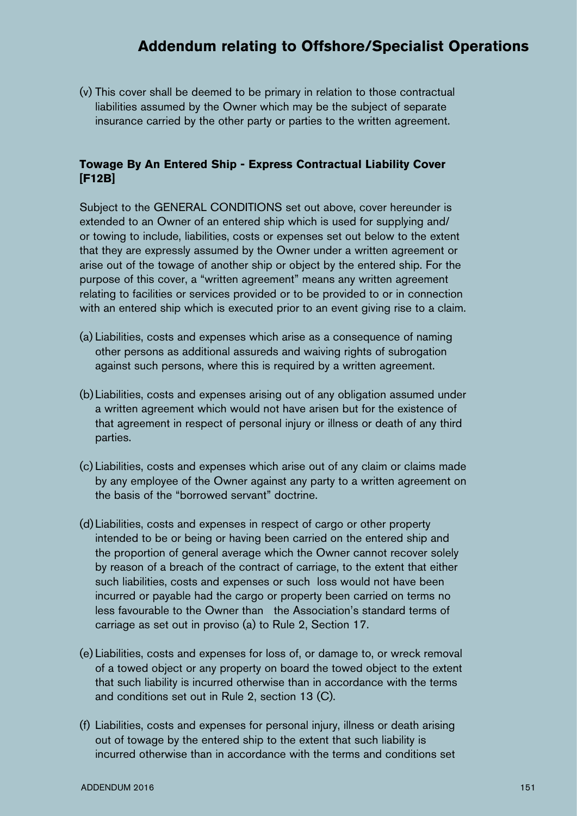(v) This cover shall be deemed to be primary in relation to those contractual liabilities assumed by the Owner which may be the subject of separate insurance carried by the other party or parties to the written agreement.

#### **Towage By An Entered Ship - Express Contractual Liability Cover [F12B]**

Subject to the GENERAL CONDITIONS set out above, cover hereunder is extended to an Owner of an entered ship which is used for supplying and/ or towing to include, liabilities, costs or expenses set out below to the extent that they are expressly assumed by the Owner under a written agreement or arise out of the towage of another ship or object by the entered ship. For the purpose of this cover, a "written agreement" means any written agreement relating to facilities or services provided or to be provided to or in connection with an entered ship which is executed prior to an event giving rise to a claim.

- (a) Liabilities, costs and expenses which arise as a consequence of naming other persons as additional assureds and waiving rights of subrogation against such persons, where this is required by a written agreement.
- (b) Liabilities, costs and expenses arising out of any obligation assumed under a written agreement which would not have arisen but for the existence of that agreement in respect of personal injury or illness or death of any third parties.
- (c) Liabilities, costs and expenses which arise out of any claim or claims made by any employee of the Owner against any party to a written agreement on the basis of the "borrowed servant" doctrine.
- (d) Liabilities, costs and expenses in respect of cargo or other property intended to be or being or having been carried on the entered ship and the proportion of general average which the Owner cannot recover solely by reason of a breach of the contract of carriage, to the extent that either such liabilities, costs and expenses or such loss would not have been incurred or payable had the cargo or property been carried on terms no less favourable to the Owner than the Association's standard terms of carriage as set out in proviso (a) to Rule 2, Section 17.
- (e) Liabilities, costs and expenses for loss of, or damage to, or wreck removal of a towed object or any property on board the towed object to the extent that such liability is incurred otherwise than in accordance with the terms and conditions set out in Rule 2, section 13 (C).
- (f) Liabilities, costs and expenses for personal injury, illness or death arising out of towage by the entered ship to the extent that such liability is incurred otherwise than in accordance with the terms and conditions set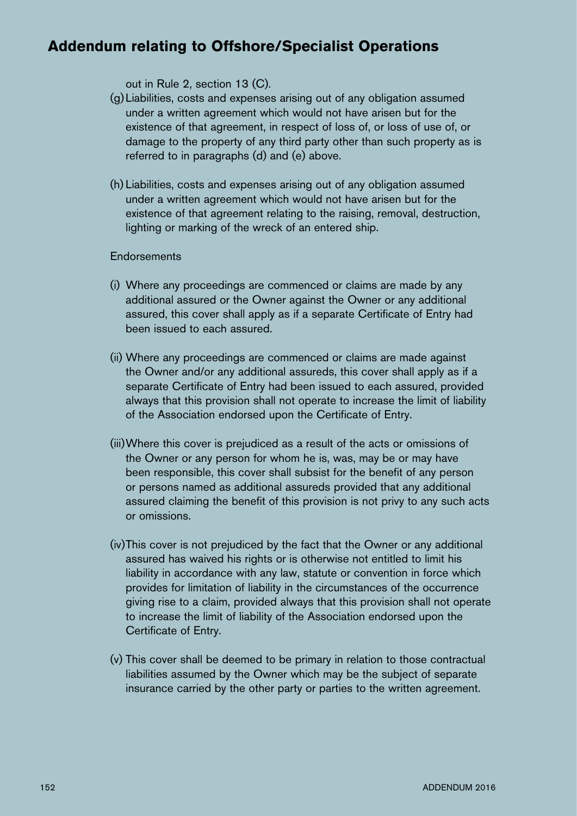out in Rule 2, section 13 (C).

- (g) Liabilities, costs and expenses arising out of any obligation assumed under a written agreement which would not have arisen but for the existence of that agreement, in respect of loss of, or loss of use of, or damage to the property of any third party other than such property as is referred to in paragraphs (d) and (e) above.
- (h) Liabilities, costs and expenses arising out of any obligation assumed under a written agreement which would not have arisen but for the existence of that agreement relating to the raising, removal, destruction, lighting or marking of the wreck of an entered ship.

#### **Endorsements**

- (i) Where any proceedings are commenced or claims are made by any additional assured or the Owner against the Owner or any additional assured, this cover shall apply as if a separate Certificate of Entry had been issued to each assured.
- (ii) Where any proceedings are commenced or claims are made against the Owner and/or any additional assureds, this cover shall apply as if a separate Certificate of Entry had been issued to each assured, provided always that this provision shall not operate to increase the limit of liability of the Association endorsed upon the Certificate of Entry.
- (iii)Where this cover is prejudiced as a result of the acts or omissions of the Owner or any person for whom he is, was, may be or may have been responsible, this cover shall subsist for the benefit of any person or persons named as additional assureds provided that any additional assured claiming the benefit of this provision is not privy to any such acts or omissions.
- (iv)This cover is not prejudiced by the fact that the Owner or any additional assured has waived his rights or is otherwise not entitled to limit his liability in accordance with any law, statute or convention in force which provides for limitation of liability in the circumstances of the occurrence giving rise to a claim, provided always that this provision shall not operate to increase the limit of liability of the Association endorsed upon the Certificate of Entry.
- (v) This cover shall be deemed to be primary in relation to those contractual liabilities assumed by the Owner which may be the subject of separate insurance carried by the other party or parties to the written agreement.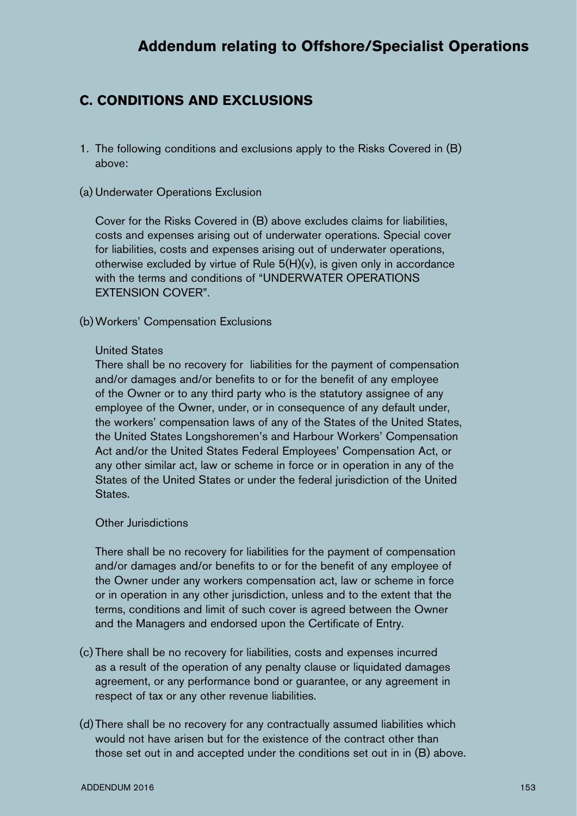### **C. CONDITIONS AND EXCLUSIONS**

- 1. The following conditions and exclusions apply to the Risks Covered in (B) above:
- (a) Underwater Operations Exclusion

Cover for the Risks Covered in (B) above excludes claims for liabilities, costs and expenses arising out of underwater operations. Special cover for liabilities, costs and expenses arising out of underwater operations, otherwise excluded by virtue of Rule 5(H)(v), is given only in accordance with the terms and conditions of "UNDERWATER OPERATIONS EXTENSION COVER".

(b)Workers' Compensation Exclusions

#### United States

There shall be no recovery for liabilities for the payment of compensation and/or damages and/or benefits to or for the benefit of any employee of the Owner or to any third party who is the statutory assignee of any employee of the Owner, under, or in consequence of any default under, the workers' compensation laws of any of the States of the United States, the United States Longshoremen's and Harbour Workers' Compensation Act and/or the United States Federal Employees' Compensation Act, or any other similar act, law or scheme in force or in operation in any of the States of the United States or under the federal jurisdiction of the United States.

#### Other Jurisdictions

There shall be no recovery for liabilities for the payment of compensation and/or damages and/or benefits to or for the benefit of any employee of the Owner under any workers compensation act, law or scheme in force or in operation in any other jurisdiction, unless and to the extent that the terms, conditions and limit of such cover is agreed between the Owner and the Managers and endorsed upon the Certificate of Entry.

- (c) There shall be no recovery for liabilities, costs and expenses incurred as a result of the operation of any penalty clause or liquidated damages agreement, or any performance bond or guarantee, or any agreement in respect of tax or any other revenue liabilities.
- (d) There shall be no recovery for any contractually assumed liabilities which would not have arisen but for the existence of the contract other than those set out in and accepted under the conditions set out in in (B) above.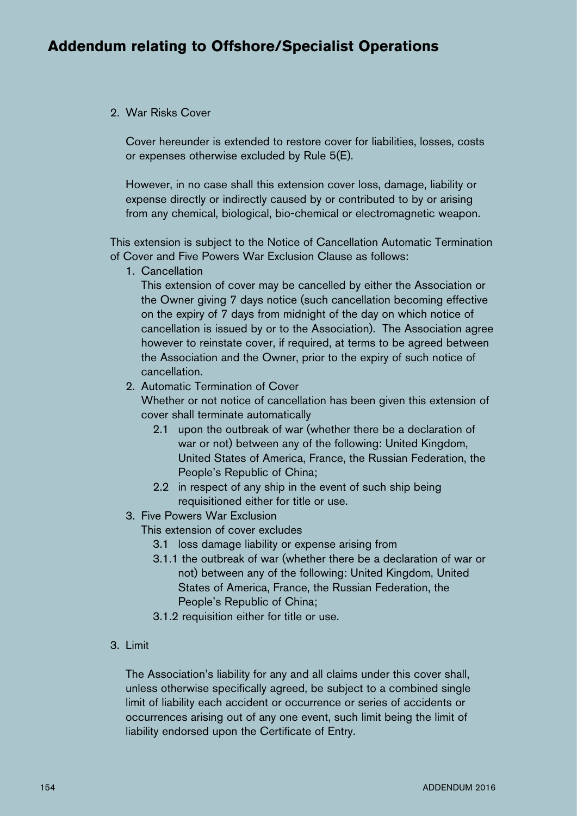#### 2. War Risks Cover

Cover hereunder is extended to restore cover for liabilities, losses, costs or expenses otherwise excluded by Rule 5(E).

However, in no case shall this extension cover loss, damage, liability or expense directly or indirectly caused by or contributed to by or arising from any chemical, biological, bio-chemical or electromagnetic weapon.

This extension is subject to the Notice of Cancellation Automatic Termination of Cover and Five Powers War Exclusion Clause as follows:

1. Cancellation

 This extension of cover may be cancelled by either the Association or the Owner giving 7 days notice (such cancellation becoming effective on the expiry of 7 days from midnight of the day on which notice of cancellation is issued by or to the Association). The Association agree however to reinstate cover, if required, at terms to be agreed between the Association and the Owner, prior to the expiry of such notice of cancellation.

#### 2. Automatic Termination of Cover

 Whether or not notice of cancellation has been given this extension of cover shall terminate automatically

- 2.1 upon the outbreak of war (whether there be a declaration of war or not) between any of the following: United Kingdom, United States of America, France, the Russian Federation, the People's Republic of China;
- 2.2 in respect of any ship in the event of such ship being requisitioned either for title or use.
- 3. Five Powers War Exclusion

This extension of cover excludes

- 3.1 loss damage liability or expense arising from
- 3.1.1 the outbreak of war (whether there be a declaration of war or not) between any of the following: United Kingdom, United States of America, France, the Russian Federation, the People's Republic of China;
- 3.1.2 requisition either for title or use.
- 3. Limit

The Association's liability for any and all claims under this cover shall, unless otherwise specifically agreed, be subject to a combined single limit of liability each accident or occurrence or series of accidents or occurrences arising out of any one event, such limit being the limit of liability endorsed upon the Certificate of Entry.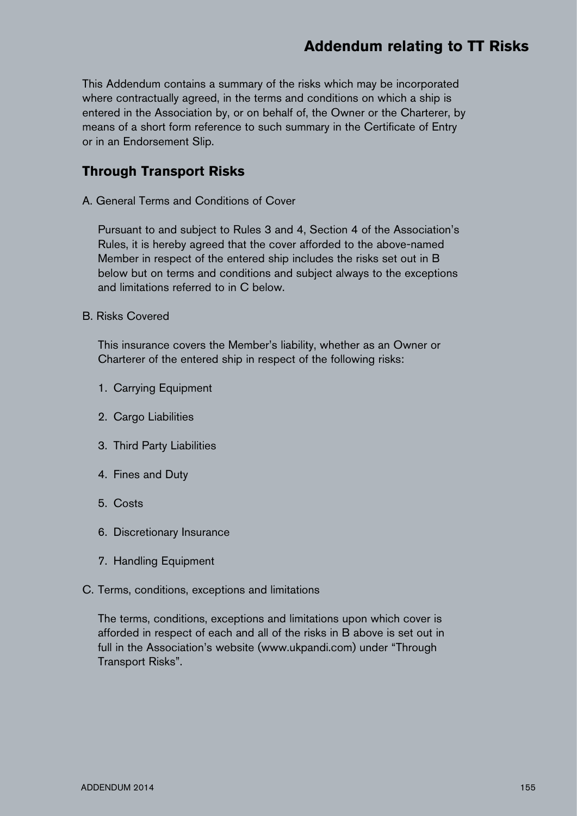# **Addendum relating to TT Risks**

This Addendum contains a summary of the risks which may be incorporated where contractually agreed, in the terms and conditions on which a ship is entered in the Association by, or on behalf of, the Owner or the Charterer, by means of a short form reference to such summary in the Certificate of Entry or in an Endorsement Slip.

#### **Through Transport Risks**

A. General Terms and Conditions of Cover

Pursuant to and subject to Rules 3 and 4, Section 4 of the Association's Rules, it is hereby agreed that the cover afforded to the above-named Member in respect of the entered ship includes the risks set out in B below but on terms and conditions and subject always to the exceptions and limitations referred to in C below.

#### B. Risks Covered

This insurance covers the Member's liability, whether as an Owner or Charterer of the entered ship in respect of the following risks:

- 1. Carrying Equipment
- 2. Cargo Liabilities
- 3. Third Party Liabilities
- 4. Fines and Duty
- 5. Costs
- 6. Discretionary Insurance
- 7. Handling Equipment
- C. Terms, conditions, exceptions and limitations

The terms, conditions, exceptions and limitations upon which cover is afforded in respect of each and all of the risks in B above is set out in full in the Association's website (www.ukpandi.com) under "Through Transport Risks".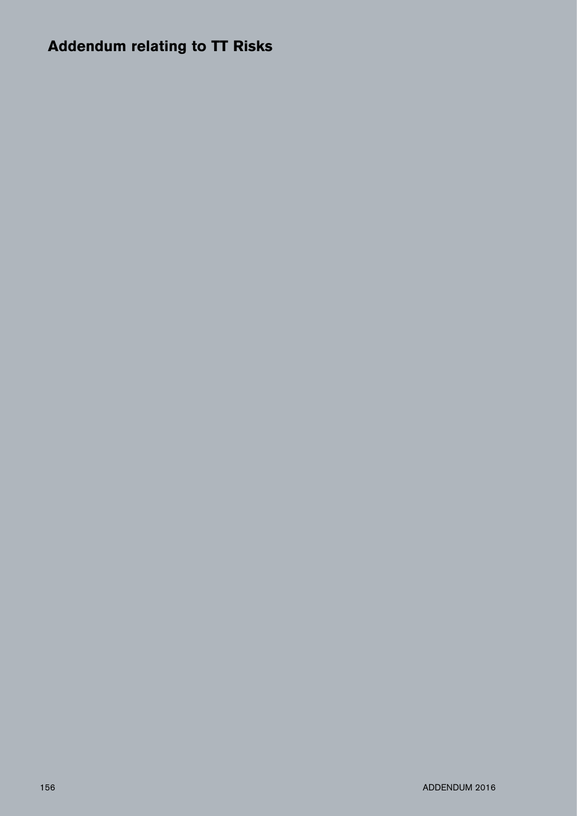# **Addendum relating to TT Risks**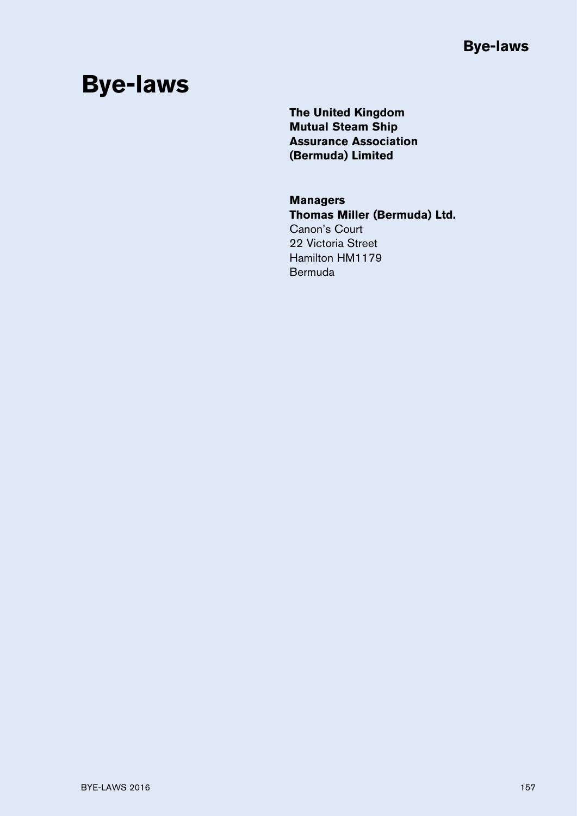# **Bye-laws**

**The United Kingdom Mutual Steam Ship Assurance Association (Bermuda) Limited**

### **Managers Thomas Miller (Bermuda) Ltd.** Canon's Court

22 Victoria Street Hamilton HM1179 Bermuda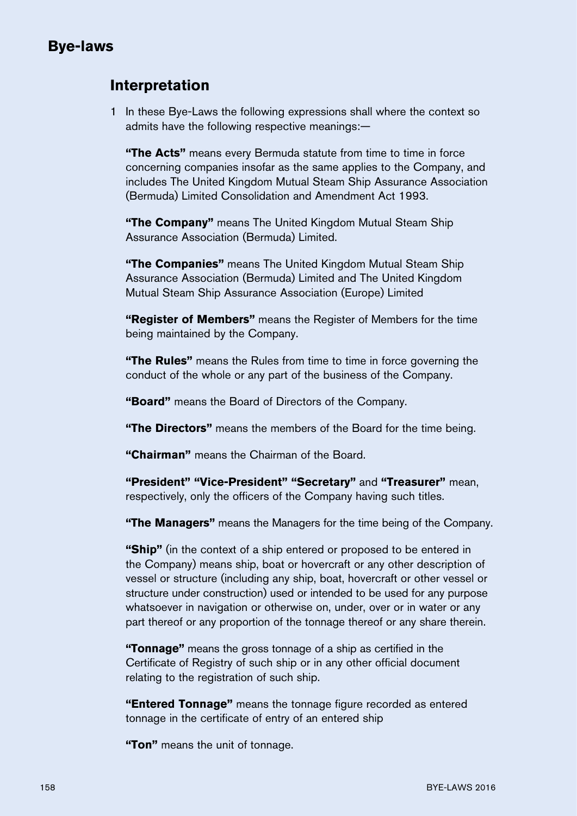# **Interpretation**

1 In these Bye-Laws the following expressions shall where the context so admits have the following respective meanings:—

**"The Acts"** means every Bermuda statute from time to time in force concerning companies insofar as the same applies to the Company, and includes The United Kingdom Mutual Steam Ship Assurance Association (Bermuda) Limited Consolidation and Amendment Act 1993.

**"The Company"** means The United Kingdom Mutual Steam Ship Assurance Association (Bermuda) Limited.

**"The Companies"** means The United Kingdom Mutual Steam Ship Assurance Association (Bermuda) Limited and The United Kingdom Mutual Steam Ship Assurance Association (Europe) Limited

**"Register of Members"** means the Register of Members for the time being maintained by the Company.

**"The Rules"** means the Rules from time to time in force governing the conduct of the whole or any part of the business of the Company.

**"Board"** means the Board of Directors of the Company.

**"The Directors"** means the members of the Board for the time being.

**"Chairman"** means the Chairman of the Board.

**"President" "Vice-President" "Secretary"** and **"Treasurer"** mean, respectively, only the officers of the Company having such titles.

**"The Managers"** means the Managers for the time being of the Company.

**"Ship"** (in the context of a ship entered or proposed to be entered in the Company) means ship, boat or hovercraft or any other description of vessel or structure (including any ship, boat, hovercraft or other vessel or structure under construction) used or intended to be used for any purpose whatsoever in navigation or otherwise on, under, over or in water or any part thereof or any proportion of the tonnage thereof or any share therein.

**"Tonnage"** means the gross tonnage of a ship as certified in the Certificate of Registry of such ship or in any other official document relating to the registration of such ship.

**"Entered Tonnage"** means the tonnage figure recorded as entered tonnage in the certificate of entry of an entered ship

**"Ton"** means the unit of tonnage.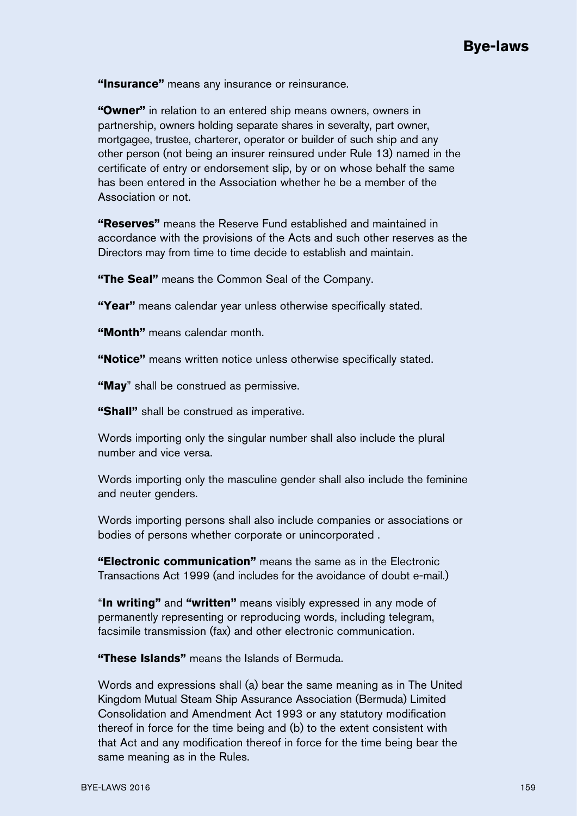**"Insurance"** means any insurance or reinsurance.

**"Owner"** in relation to an entered ship means owners, owners in partnership, owners holding separate shares in severalty, part owner, mortgagee, trustee, charterer, operator or builder of such ship and any other person (not being an insurer reinsured under Rule 13) named in the certificate of entry or endorsement slip, by or on whose behalf the same has been entered in the Association whether he be a member of the Association or not.

**"Reserves"** means the Reserve Fund established and maintained in accordance with the provisions of the Acts and such other reserves as the Directors may from time to time decide to establish and maintain.

**"The Seal"** means the Common Seal of the Company.

**"Year"** means calendar year unless otherwise specifically stated.

**"Month"** means calendar month.

**"Notice"** means written notice unless otherwise specifically stated.

**"May**" shall be construed as permissive.

**"Shall"** shall be construed as imperative.

Words importing only the singular number shall also include the plural number and vice versa.

Words importing only the masculine gender shall also include the feminine and neuter genders.

Words importing persons shall also include companies or associations or bodies of persons whether corporate or unincorporated .

**"Electronic communication"** means the same as in the Electronic Transactions Act 1999 (and includes for the avoidance of doubt e-mail.)

"**In writing"** and **"written"** means visibly expressed in any mode of permanently representing or reproducing words, including telegram, facsimile transmission (fax) and other electronic communication.

**"These Islands"** means the Islands of Bermuda.

Words and expressions shall (a) bear the same meaning as in The United Kingdom Mutual Steam Ship Assurance Association (Bermuda) Limited Consolidation and Amendment Act 1993 or any statutory modification thereof in force for the time being and (b) to the extent consistent with that Act and any modification thereof in force for the time being bear the same meaning as in the Rules.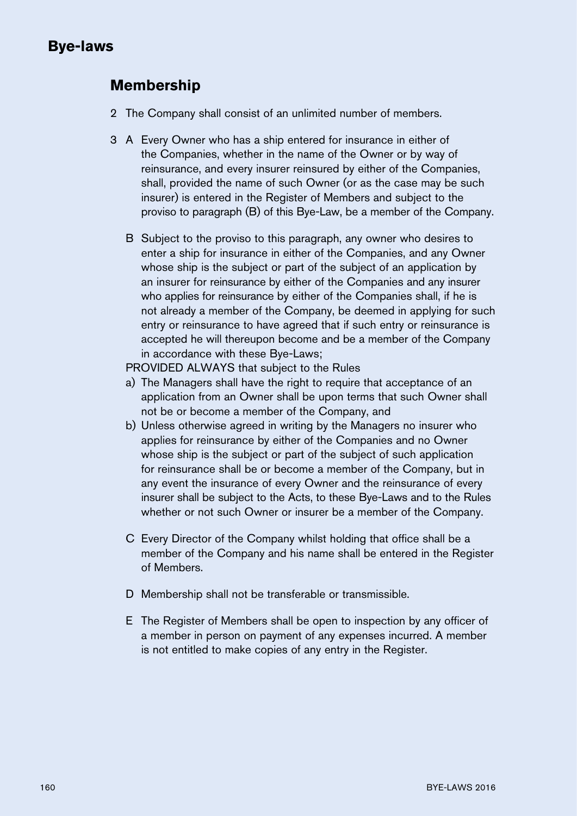# **Membership**

- 2 The Company shall consist of an unlimited number of members.
- 3 A Every Owner who has a ship entered for insurance in either of the Companies, whether in the name of the Owner or by way of reinsurance, and every insurer reinsured by either of the Companies, shall, provided the name of such Owner (or as the case may be such insurer) is entered in the Register of Members and subject to the proviso to paragraph (B) of this Bye-Law, be a member of the Company.
	- B Subject to the proviso to this paragraph, any owner who desires to enter a ship for insurance in either of the Companies, and any Owner whose ship is the subject or part of the subject of an application by an insurer for reinsurance by either of the Companies and any insurer who applies for reinsurance by either of the Companies shall, if he is not already a member of the Company, be deemed in applying for such entry or reinsurance to have agreed that if such entry or reinsurance is accepted he will thereupon become and be a member of the Company in accordance with these Bye-Laws;

PROVIDED ALWAYS that subject to the Rules

- a) The Managers shall have the right to require that acceptance of an application from an Owner shall be upon terms that such Owner shall not be or become a member of the Company, and
- b) Unless otherwise agreed in writing by the Managers no insurer who applies for reinsurance by either of the Companies and no Owner whose ship is the subject or part of the subject of such application for reinsurance shall be or become a member of the Company, but in any event the insurance of every Owner and the reinsurance of every insurer shall be subject to the Acts, to these Bye-Laws and to the Rules whether or not such Owner or insurer be a member of the Company.
- C Every Director of the Company whilst holding that office shall be a member of the Company and his name shall be entered in the Register of Members.
- D Membership shall not be transferable or transmissible.
- E The Register of Members shall be open to inspection by any officer of a member in person on payment of any expenses incurred. A member is not entitled to make copies of any entry in the Register.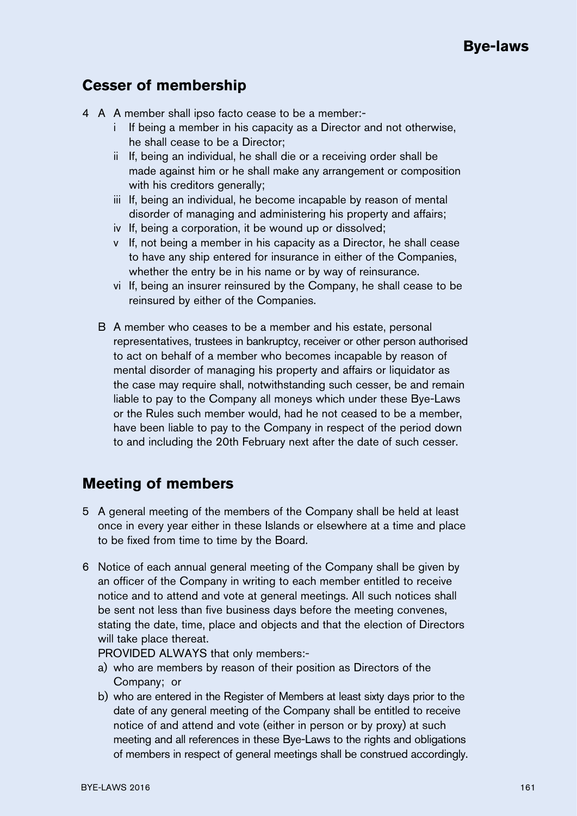# **Cesser of membership**

- 4 A A member shall ipso facto cease to be a member:
	- i If being a member in his capacity as a Director and not otherwise, he shall cease to be a Director;
	- ii If, being an individual, he shall die or a receiving order shall be made against him or he shall make any arrangement or composition with his creditors generally;
	- iii If, being an individual, he become incapable by reason of mental disorder of managing and administering his property and affairs;
	- iv If, being a corporation, it be wound up or dissolved;
	- v If, not being a member in his capacity as a Director, he shall cease to have any ship entered for insurance in either of the Companies, whether the entry be in his name or by way of reinsurance.
	- vi If, being an insurer reinsured by the Company, he shall cease to be reinsured by either of the Companies.
	- B A member who ceases to be a member and his estate, personal representatives, trustees in bankruptcy, receiver or other person authorised to act on behalf of a member who becomes incapable by reason of mental disorder of managing his property and affairs or liquidator as the case may require shall, notwithstanding such cesser, be and remain liable to pay to the Company all moneys which under these Bye-Laws or the Rules such member would, had he not ceased to be a member, have been liable to pay to the Company in respect of the period down to and including the 20th February next after the date of such cesser.

### **Meeting of members**

- 5 A general meeting of the members of the Company shall be held at least once in every year either in these Islands or elsewhere at a time and place to be fixed from time to time by the Board.
- 6 Notice of each annual general meeting of the Company shall be given by an officer of the Company in writing to each member entitled to receive notice and to attend and vote at general meetings. All such notices shall be sent not less than five business days before the meeting convenes, stating the date, time, place and objects and that the election of Directors will take place thereat.

PROVIDED ALWAYS that only members:-

- a) who are members by reason of their position as Directors of the Company; or
- b) who are entered in the Register of Members at least sixty days prior to the date of any general meeting of the Company shall be entitled to receive notice of and attend and vote (either in person or by proxy) at such meeting and all references in these Bye-Laws to the rights and obligations of members in respect of general meetings shall be construed accordingly.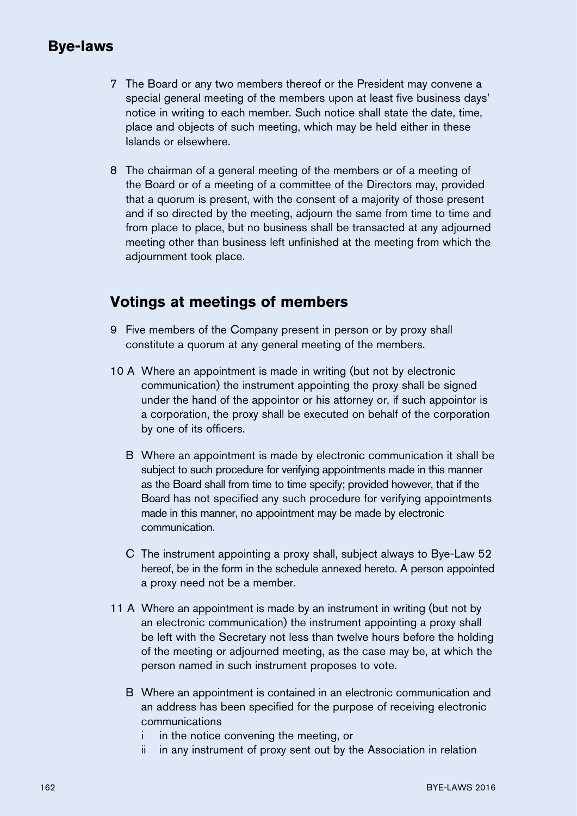# **Bye-laws**

- 7 The Board or any two members thereof or the President may convene a special general meeting of the members upon at least five business days' notice in writing to each member. Such notice shall state the date, time, place and objects of such meeting, which may be held either in these Islands or elsewhere.
- 8 The chairman of a general meeting of the members or of a meeting of the Board or of a meeting of a committee of the Directors may, provided that a quorum is present, with the consent of a majority of those present and if so directed by the meeting, adjourn the same from time to time and from place to place, but no business shall be transacted at any adjourned meeting other than business left unfinished at the meeting from which the adjournment took place.

# **Votings at meetings of members**

- 9 Five members of the Company present in person or by proxy shall constitute a quorum at any general meeting of the members.
- 10 A Where an appointment is made in writing (but not by electronic communication) the instrument appointing the proxy shall be signed under the hand of the appointor or his attorney or, if such appointor is a corporation, the proxy shall be executed on behalf of the corporation by one of its officers.
	- B Where an appointment is made by electronic communication it shall be subject to such procedure for verifying appointments made in this manner as the Board shall from time to time specify; provided however, that if the Board has not specified any such procedure for verifying appointments made in this manner, no appointment may be made by electronic communication.
	- C The instrument appointing a proxy shall, subject always to Bye-Law 52 hereof, be in the form in the schedule annexed hereto. A person appointed a proxy need not be a member.
- 11 A Where an appointment is made by an instrument in writing (but not by an electronic communication) the instrument appointing a proxy shall be left with the Secretary not less than twelve hours before the holding of the meeting or adjourned meeting, as the case may be, at which the person named in such instrument proposes to vote.
	- B Where an appointment is contained in an electronic communication and an address has been specified for the purpose of receiving electronic communications
		- i in the notice convening the meeting, or
		- ii in any instrument of proxy sent out by the Association in relation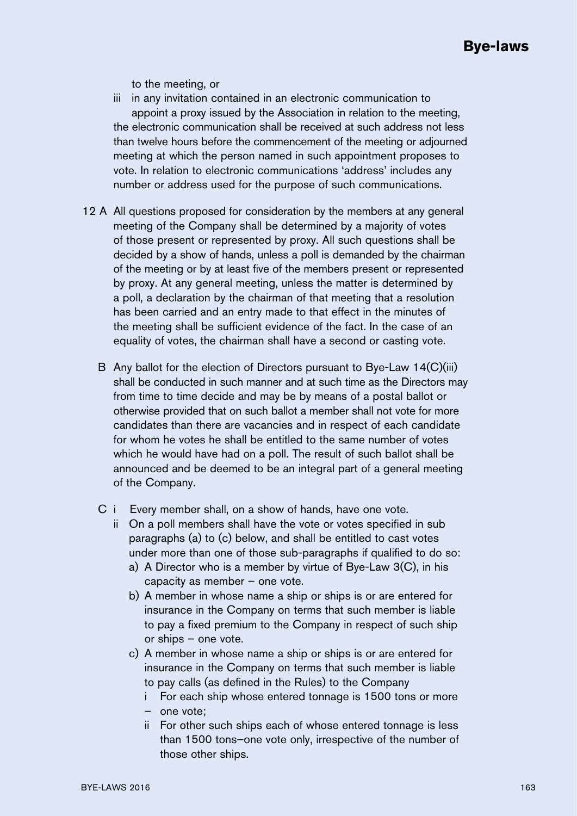to the meeting, or

- iii in any invitation contained in an electronic communication to appoint a proxy issued by the Association in relation to the meeting, the electronic communication shall be received at such address not less than twelve hours before the commencement of the meeting or adjourned meeting at which the person named in such appointment proposes to vote. In relation to electronic communications 'address' includes any number or address used for the purpose of such communications.
- 12 A All questions proposed for consideration by the members at any general meeting of the Company shall be determined by a majority of votes of those present or represented by proxy. All such questions shall be decided by a show of hands, unless a poll is demanded by the chairman of the meeting or by at least five of the members present or represented by proxy. At any general meeting, unless the matter is determined by a poll, a declaration by the chairman of that meeting that a resolution has been carried and an entry made to that effect in the minutes of the meeting shall be sufficient evidence of the fact. In the case of an equality of votes, the chairman shall have a second or casting vote.
	- B Any ballot for the election of Directors pursuant to Bye-Law 14(C)(iii) shall be conducted in such manner and at such time as the Directors may from time to time decide and may be by means of a postal ballot or otherwise provided that on such ballot a member shall not vote for more candidates than there are vacancies and in respect of each candidate for whom he votes he shall be entitled to the same number of votes which he would have had on a poll. The result of such ballot shall be announced and be deemed to be an integral part of a general meeting of the Company.
	- C i Every member shall, on a show of hands, have one vote.
		- ii On a poll members shall have the vote or votes specified in sub paragraphs (a) to (c) below, and shall be entitled to cast votes under more than one of those sub-paragraphs if qualified to do so:
			- a) A Director who is a member by virtue of Bye-Law 3(C), in his capacity as member – one vote.
			- b) A member in whose name a ship or ships is or are entered for insurance in the Company on terms that such member is liable to pay a fixed premium to the Company in respect of such ship or ships – one vote.
			- c) A member in whose name a ship or ships is or are entered for insurance in the Company on terms that such member is liable to pay calls (as defined in the Rules) to the Company
				- i For each ship whose entered tonnage is 1500 tons or more
				- one vote;
				- ii For other such ships each of whose entered tonnage is less than 1500 tons–one vote only, irrespective of the number of those other ships.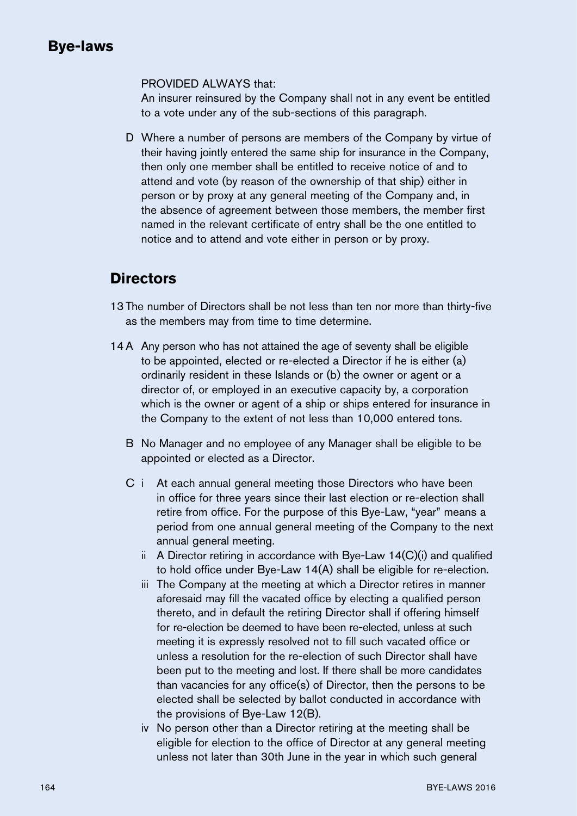## **Bye-laws**

#### PROVIDED ALWAYS that:

 An insurer reinsured by the Company shall not in any event be entitled to a vote under any of the sub-sections of this paragraph.

D Where a number of persons are members of the Company by virtue of their having jointly entered the same ship for insurance in the Company, then only one member shall be entitled to receive notice of and to attend and vote (by reason of the ownership of that ship) either in person or by proxy at any general meeting of the Company and, in the absence of agreement between those members, the member first named in the relevant certificate of entry shall be the one entitled to notice and to attend and vote either in person or by proxy.

### **Directors**

- 13 The number of Directors shall be not less than ten nor more than thirty-five as the members may from time to time determine.
- 14 A Any person who has not attained the age of seventy shall be eligible to be appointed, elected or re-elected a Director if he is either (a) ordinarily resident in these Islands or (b) the owner or agent or a director of, or employed in an executive capacity by, a corporation which is the owner or agent of a ship or ships entered for insurance in the Company to the extent of not less than 10,000 entered tons.
	- B No Manager and no employee of any Manager shall be eligible to be appointed or elected as a Director.
	- C i At each annual general meeting those Directors who have been in office for three years since their last election or re-election shall retire from office. For the purpose of this Bye-Law, "year" means a period from one annual general meeting of the Company to the next annual general meeting.
		- ii A Director retiring in accordance with Bye-Law 14(C)(i) and qualified to hold office under Bye-Law 14(A) shall be eligible for re-election.
		- iii The Company at the meeting at which a Director retires in manner aforesaid may fill the vacated office by electing a qualified person thereto, and in default the retiring Director shall if offering himself for re-election be deemed to have been re-elected, unless at such meeting it is expressly resolved not to fill such vacated office or unless a resolution for the re-election of such Director shall have been put to the meeting and lost. If there shall be more candidates than vacancies for any office(s) of Director, then the persons to be elected shall be selected by ballot conducted in accordance with the provisions of Bye-Law 12(B).
		- iv No person other than a Director retiring at the meeting shall be eligible for election to the office of Director at any general meeting unless not later than 30th June in the year in which such general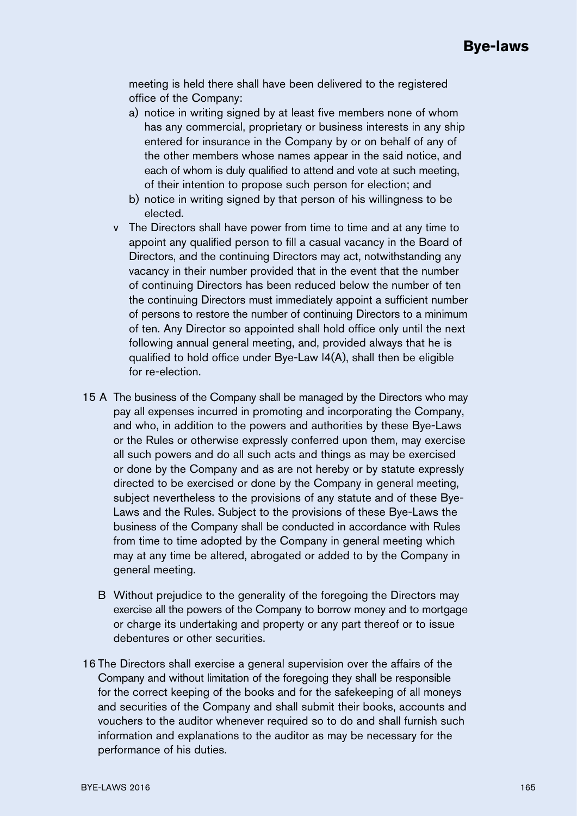meeting is held there shall have been delivered to the registered office of the Company:

- a) notice in writing signed by at least five members none of whom has any commercial, proprietary or business interests in any ship entered for insurance in the Company by or on behalf of any of the other members whose names appear in the said notice, and each of whom is duly qualified to attend and vote at such meeting, of their intention to propose such person for election; and
- b) notice in writing signed by that person of his willingness to be elected.
- v The Directors shall have power from time to time and at any time to appoint any qualified person to fill a casual vacancy in the Board of Directors, and the continuing Directors may act, notwithstanding any vacancy in their number provided that in the event that the number of continuing Directors has been reduced below the number of ten the continuing Directors must immediately appoint a sufficient number of persons to restore the number of continuing Directors to a minimum of ten. Any Director so appointed shall hold office only until the next following annual general meeting, and, provided always that he is qualified to hold office under Bye-Law l4(A), shall then be eligible for re-election.
- 15 A The business of the Company shall be managed by the Directors who may pay all expenses incurred in promoting and incorporating the Company, and who, in addition to the powers and authorities by these Bye-Laws or the Rules or otherwise expressly conferred upon them, may exercise all such powers and do all such acts and things as may be exercised or done by the Company and as are not hereby or by statute expressly directed to be exercised or done by the Company in general meeting, subject nevertheless to the provisions of any statute and of these Bye-Laws and the Rules. Subject to the provisions of these Bye-Laws the business of the Company shall be conducted in accordance with Rules from time to time adopted by the Company in general meeting which may at any time be altered, abrogated or added to by the Company in general meeting.
	- B Without prejudice to the generality of the foregoing the Directors may exercise all the powers of the Company to borrow money and to mortgage or charge its undertaking and property or any part thereof or to issue debentures or other securities.
- 16 The Directors shall exercise a general supervision over the affairs of the Company and without limitation of the foregoing they shall be responsible for the correct keeping of the books and for the safekeeping of all moneys and securities of the Company and shall submit their books, accounts and vouchers to the auditor whenever required so to do and shall furnish such information and explanations to the auditor as may be necessary for the performance of his duties.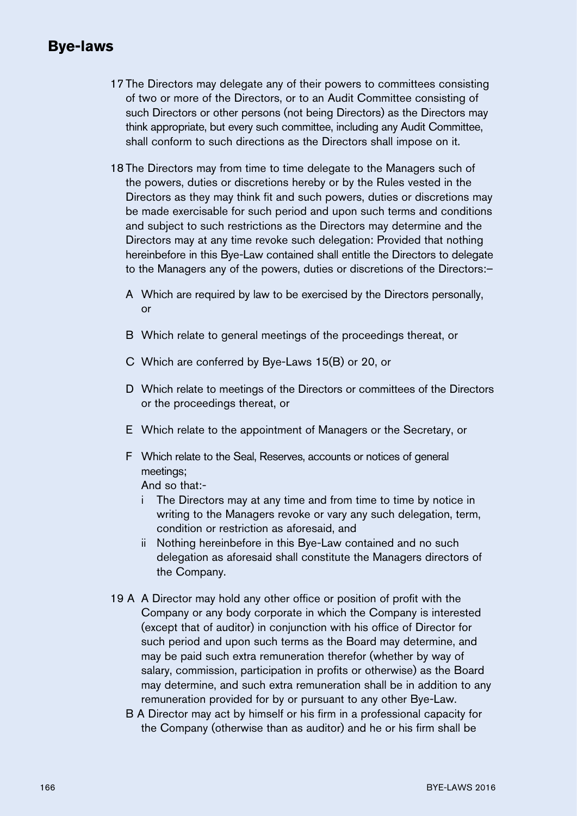# **Bye-laws**

- 17 The Directors may delegate any of their powers to committees consisting of two or more of the Directors, or to an Audit Committee consisting of such Directors or other persons (not being Directors) as the Directors may think appropriate, but every such committee, including any Audit Committee, shall conform to such directions as the Directors shall impose on it.
- 18 The Directors may from time to time delegate to the Managers such of the powers, duties or discretions hereby or by the Rules vested in the Directors as they may think fit and such powers, duties or discretions may be made exercisable for such period and upon such terms and conditions and subject to such restrictions as the Directors may determine and the Directors may at any time revoke such delegation: Provided that nothing hereinbefore in this Bye-Law contained shall entitle the Directors to delegate to the Managers any of the powers, duties or discretions of the Directors:–
	- A Which are required by law to be exercised by the Directors personally, or
	- B Which relate to general meetings of the proceedings thereat, or
	- C Which are conferred by Bye-Laws 15(B) or 20, or
	- D Which relate to meetings of the Directors or committees of the Directors or the proceedings thereat, or
	- E Which relate to the appointment of Managers or the Secretary, or
	- F Which relate to the Seal, Reserves, accounts or notices of general meetings;

And so that:-

- The Directors may at any time and from time to time by notice in writing to the Managers revoke or vary any such delegation, term, condition or restriction as aforesaid, and
- ii Nothing hereinbefore in this Bye-Law contained and no such delegation as aforesaid shall constitute the Managers directors of the Company.
- 19 A A Director may hold any other office or position of profit with the Company or any body corporate in which the Company is interested (except that of auditor) in conjunction with his office of Director for such period and upon such terms as the Board may determine, and may be paid such extra remuneration therefor (whether by way of salary, commission, participation in profits or otherwise) as the Board may determine, and such extra remuneration shall be in addition to any remuneration provided for by or pursuant to any other Bye-Law.
	- B A Director may act by himself or his firm in a professional capacity for the Company (otherwise than as auditor) and he or his firm shall be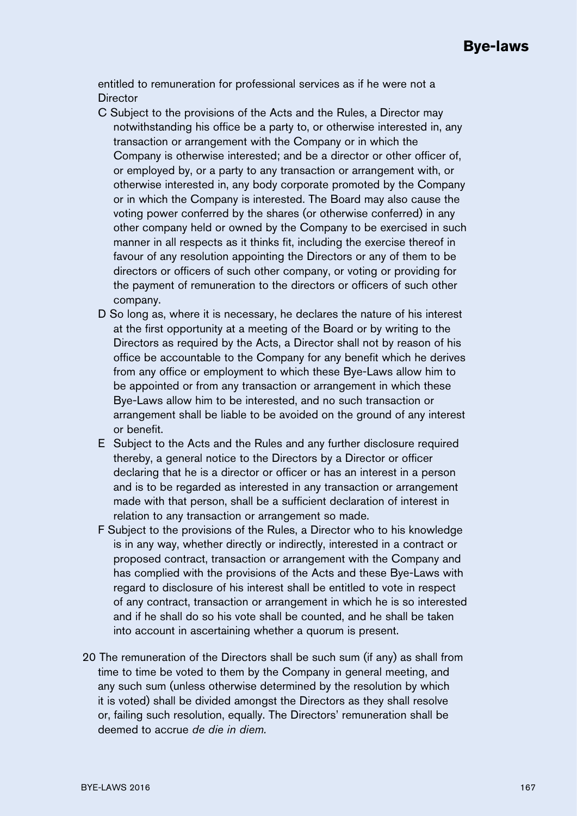entitled to remuneration for professional services as if he were not a **Director** 

- C Subject to the provisions of the Acts and the Rules, a Director may notwithstanding his office be a party to, or otherwise interested in, any transaction or arrangement with the Company or in which the Company is otherwise interested; and be a director or other officer of, or employed by, or a party to any transaction or arrangement with, or otherwise interested in, any body corporate promoted by the Company or in which the Company is interested. The Board may also cause the voting power conferred by the shares (or otherwise conferred) in any other company held or owned by the Company to be exercised in such manner in all respects as it thinks fit, including the exercise thereof in favour of any resolution appointing the Directors or any of them to be directors or officers of such other company, or voting or providing for the payment of remuneration to the directors or officers of such other company.
- D So long as, where it is necessary, he declares the nature of his interest at the first opportunity at a meeting of the Board or by writing to the Directors as required by the Acts, a Director shall not by reason of his office be accountable to the Company for any benefit which he derives from any office or employment to which these Bye-Laws allow him to be appointed or from any transaction or arrangement in which these Bye-Laws allow him to be interested, and no such transaction or arrangement shall be liable to be avoided on the ground of any interest or benefit.
- E Subject to the Acts and the Rules and any further disclosure required thereby, a general notice to the Directors by a Director or officer declaring that he is a director or officer or has an interest in a person and is to be regarded as interested in any transaction or arrangement made with that person, shall be a sufficient declaration of interest in relation to any transaction or arrangement so made.
- F Subject to the provisions of the Rules, a Director who to his knowledge is in any way, whether directly or indirectly, interested in a contract or proposed contract, transaction or arrangement with the Company and has complied with the provisions of the Acts and these Bye-Laws with regard to disclosure of his interest shall be entitled to vote in respect of any contract, transaction or arrangement in which he is so interested and if he shall do so his vote shall be counted, and he shall be taken into account in ascertaining whether a quorum is present.
- 20 The remuneration of the Directors shall be such sum (if any) as shall from time to time be voted to them by the Company in general meeting, and any such sum (unless otherwise determined by the resolution by which it is voted) shall be divided amongst the Directors as they shall resolve or, failing such resolution, equally. The Directors' remuneration shall be deemed to accrue *de die in diem.*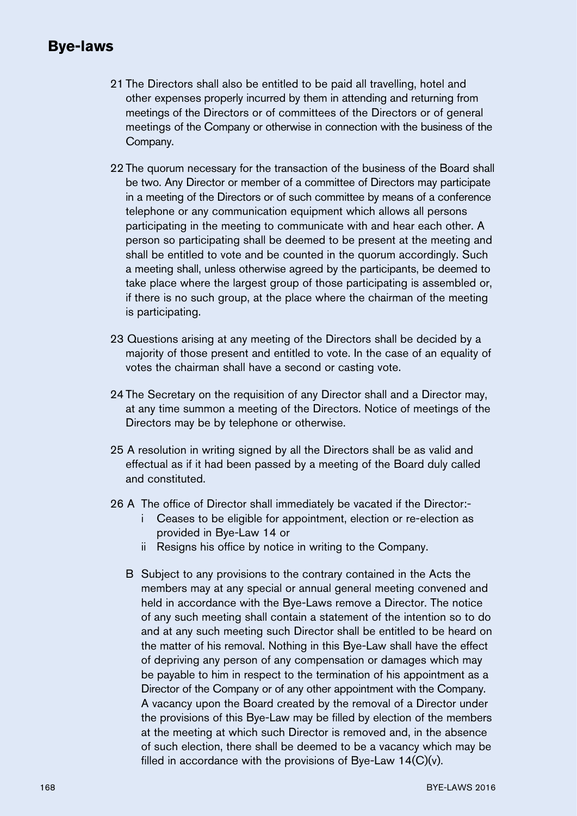# **Bye-laws**

- 21 The Directors shall also be entitled to be paid all travelling, hotel and other expenses properly incurred by them in attending and returning from meetings of the Directors or of committees of the Directors or of general meetings of the Company or otherwise in connection with the business of the Company.
- 22 The quorum necessary for the transaction of the business of the Board shall be two. Any Director or member of a committee of Directors may participate in a meeting of the Directors or of such committee by means of a conference telephone or any communication equipment which allows all persons participating in the meeting to communicate with and hear each other. A person so participating shall be deemed to be present at the meeting and shall be entitled to vote and be counted in the quorum accordingly. Such a meeting shall, unless otherwise agreed by the participants, be deemed to take place where the largest group of those participating is assembled or, if there is no such group, at the place where the chairman of the meeting is participating.
- 23 Questions arising at any meeting of the Directors shall be decided by a majority of those present and entitled to vote. In the case of an equality of votes the chairman shall have a second or casting vote.
- 24 The Secretary on the requisition of any Director shall and a Director may, at any time summon a meeting of the Directors. Notice of meetings of the Directors may be by telephone or otherwise.
- 25 A resolution in writing signed by all the Directors shall be as valid and effectual as if it had been passed by a meeting of the Board duly called and constituted.
- 26 A The office of Director shall immediately be vacated if the Director:
	- i Ceases to be eligible for appointment, election or re-election as provided in Bye-Law 14 or
	- ii Resigns his office by notice in writing to the Company.
	- B Subject to any provisions to the contrary contained in the Acts the members may at any special or annual general meeting convened and held in accordance with the Bye-Laws remove a Director. The notice of any such meeting shall contain a statement of the intention so to do and at any such meeting such Director shall be entitled to be heard on the matter of his removal. Nothing in this Bye-Law shall have the effect of depriving any person of any compensation or damages which may be payable to him in respect to the termination of his appointment as a Director of the Company or of any other appointment with the Company. A vacancy upon the Board created by the removal of a Director under the provisions of this Bye-Law may be filled by election of the members at the meeting at which such Director is removed and, in the absence of such election, there shall be deemed to be a vacancy which may be filled in accordance with the provisions of Bye-Law  $14(C)(v)$ .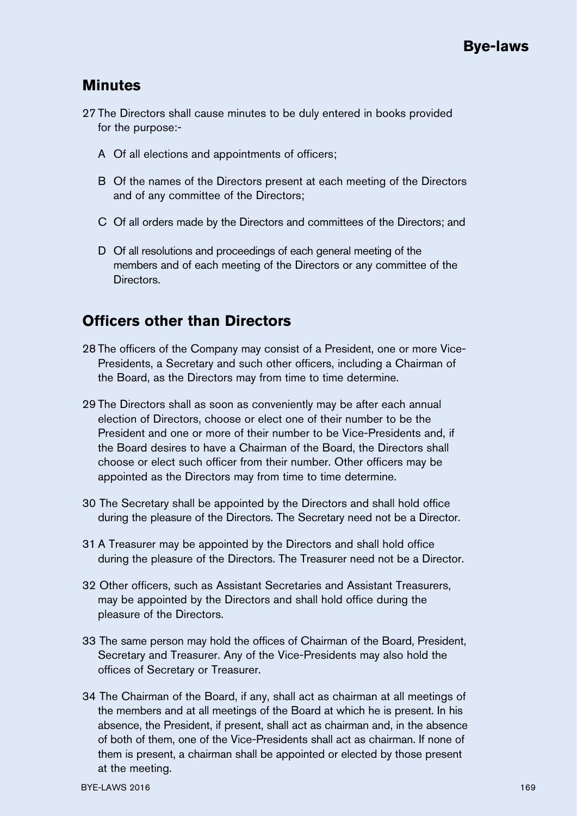### **Minutes**

- 27 The Directors shall cause minutes to be duly entered in books provided for the purpose:-
	- A Of all elections and appointments of officers;
	- B Of the names of the Directors present at each meeting of the Directors and of any committee of the Directors;
	- C Of all orders made by the Directors and committees of the Directors; and
	- D Of all resolutions and proceedings of each general meeting of the members and of each meeting of the Directors or any committee of the **Directors**

# **Officers other than Directors**

- 28 The officers of the Company may consist of a President, one or more Vice-Presidents, a Secretary and such other officers, including a Chairman of the Board, as the Directors may from time to time determine.
- 29 The Directors shall as soon as conveniently may be after each annual election of Directors, choose or elect one of their number to be the President and one or more of their number to be Vice-Presidents and, if the Board desires to have a Chairman of the Board, the Directors shall choose or elect such officer from their number. Other officers may be appointed as the Directors may from time to time determine.
- 30 The Secretary shall be appointed by the Directors and shall hold office during the pleasure of the Directors. The Secretary need not be a Director.
- 31 A Treasurer may be appointed by the Directors and shall hold office during the pleasure of the Directors. The Treasurer need not be a Director.
- 32 Other officers, such as Assistant Secretaries and Assistant Treasurers, may be appointed by the Directors and shall hold office during the pleasure of the Directors.
- 33 The same person may hold the offices of Chairman of the Board, President, Secretary and Treasurer. Any of the Vice-Presidents may also hold the offices of Secretary or Treasurer.
- 34 The Chairman of the Board, if any, shall act as chairman at all meetings of the members and at all meetings of the Board at which he is present. In his absence, the President, if present, shall act as chairman and, in the absence of both of them, one of the Vice-Presidents shall act as chairman. If none of them is present, a chairman shall be appointed or elected by those present at the meeting.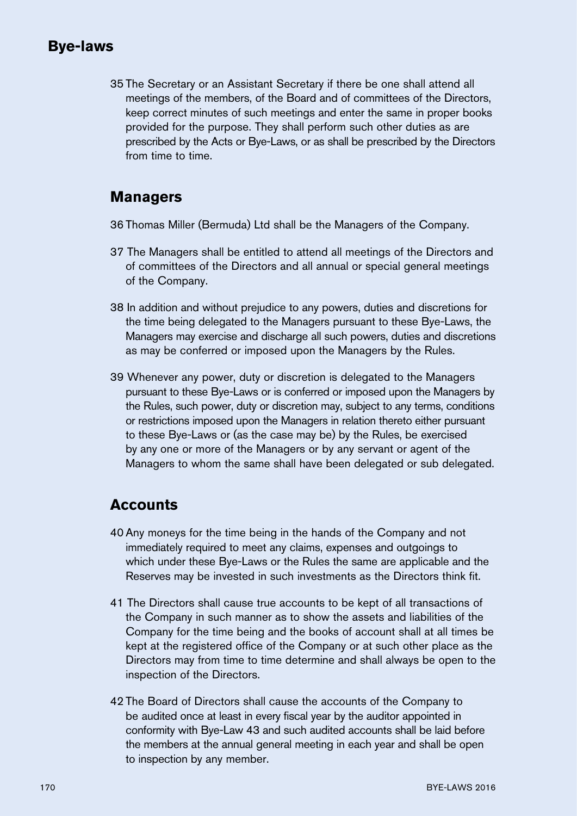35 The Secretary or an Assistant Secretary if there be one shall attend all meetings of the members, of the Board and of committees of the Directors, keep correct minutes of such meetings and enter the same in proper books provided for the purpose. They shall perform such other duties as are prescribed by the Acts or Bye-Laws, or as shall be prescribed by the Directors from time to time.

# **Managers**

- 36 Thomas Miller (Bermuda) Ltd shall be the Managers of the Company.
- 37 The Managers shall be entitled to attend all meetings of the Directors and of committees of the Directors and all annual or special general meetings of the Company.
- 38 In addition and without prejudice to any powers, duties and discretions for the time being delegated to the Managers pursuant to these Bye-Laws, the Managers may exercise and discharge all such powers, duties and discretions as may be conferred or imposed upon the Managers by the Rules.
- 39 Whenever any power, duty or discretion is delegated to the Managers pursuant to these Bye-Laws or is conferred or imposed upon the Managers by the Rules, such power, duty or discretion may, subject to any terms, conditions or restrictions imposed upon the Managers in relation thereto either pursuant to these Bye-Laws or (as the case may be) by the Rules, be exercised by any one or more of the Managers or by any servant or agent of the Managers to whom the same shall have been delegated or sub delegated.

# **Accounts**

- 40 Any moneys for the time being in the hands of the Company and not immediately required to meet any claims, expenses and outgoings to which under these Bye-Laws or the Rules the same are applicable and the Reserves may be invested in such investments as the Directors think fit.
- 41 The Directors shall cause true accounts to be kept of all transactions of the Company in such manner as to show the assets and liabilities of the Company for the time being and the books of account shall at all times be kept at the registered office of the Company or at such other place as the Directors may from time to time determine and shall always be open to the inspection of the Directors.
- 42 The Board of Directors shall cause the accounts of the Company to be audited once at least in every fiscal year by the auditor appointed in conformity with Bye-Law 43 and such audited accounts shall be laid before the members at the annual general meeting in each year and shall be open to inspection by any member.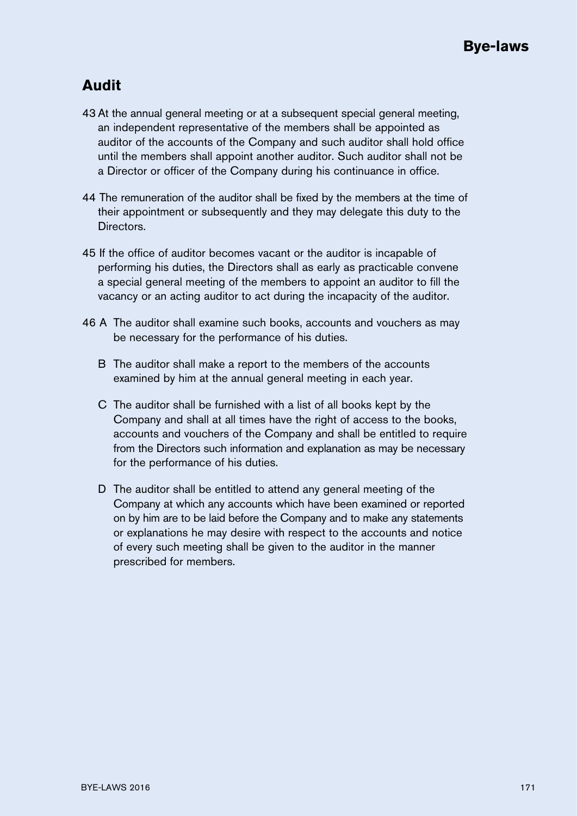# **Audit**

- 43 At the annual general meeting or at a subsequent special general meeting, an independent representative of the members shall be appointed as auditor of the accounts of the Company and such auditor shall hold office until the members shall appoint another auditor. Such auditor shall not be a Director or officer of the Company during his continuance in office.
- 44 The remuneration of the auditor shall be fixed by the members at the time of their appointment or subsequently and they may delegate this duty to the Directors.
- 45 If the office of auditor becomes vacant or the auditor is incapable of performing his duties, the Directors shall as early as practicable convene a special general meeting of the members to appoint an auditor to fill the vacancy or an acting auditor to act during the incapacity of the auditor.
- 46 A The auditor shall examine such books, accounts and vouchers as may be necessary for the performance of his duties.
	- B The auditor shall make a report to the members of the accounts examined by him at the annual general meeting in each year.
	- C The auditor shall be furnished with a list of all books kept by the Company and shall at all times have the right of access to the books, accounts and vouchers of the Company and shall be entitled to require from the Directors such information and explanation as may be necessary for the performance of his duties.
	- D The auditor shall be entitled to attend any general meeting of the Company at which any accounts which have been examined or reported on by him are to be laid before the Company and to make any statements or explanations he may desire with respect to the accounts and notice of every such meeting shall be given to the auditor in the manner prescribed for members.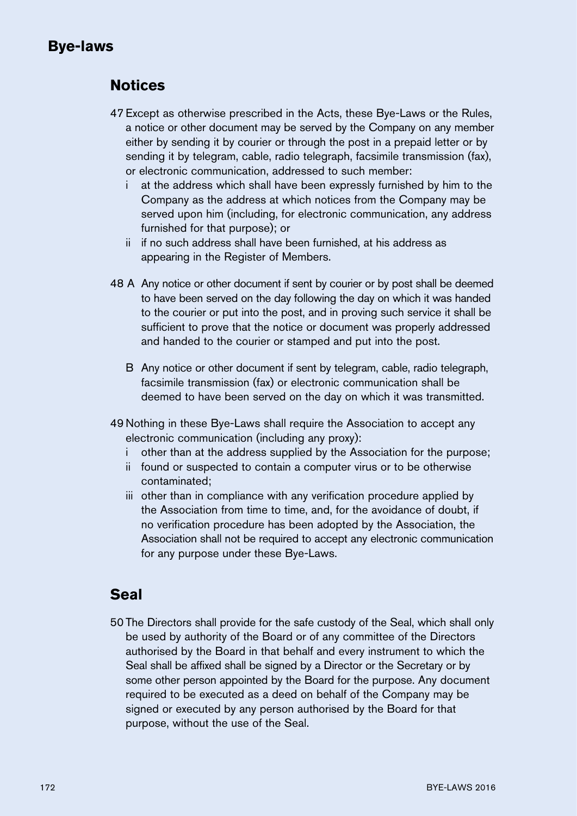# **Notices**

- 47 Except as otherwise prescribed in the Acts, these Bye-Laws or the Rules, a notice or other document may be served by the Company on any member either by sending it by courier or through the post in a prepaid letter or by sending it by telegram, cable, radio telegraph, facsimile transmission (fax), or electronic communication, addressed to such member:
	- at the address which shall have been expressly furnished by him to the Company as the address at which notices from the Company may be served upon him (including, for electronic communication, any address furnished for that purpose); or
	- ii if no such address shall have been furnished, at his address as appearing in the Register of Members.
- 48 A Any notice or other document if sent by courier or by post shall be deemed to have been served on the day following the day on which it was handed to the courier or put into the post, and in proving such service it shall be sufficient to prove that the notice or document was properly addressed and handed to the courier or stamped and put into the post.
	- B Any notice or other document if sent by telegram, cable, radio telegraph, facsimile transmission (fax) or electronic communication shall be deemed to have been served on the day on which it was transmitted.
- 49 Nothing in these Bye-Laws shall require the Association to accept any electronic communication (including any proxy):
	- i other than at the address supplied by the Association for the purpose;
	- ii found or suspected to contain a computer virus or to be otherwise contaminated;
	- iii other than in compliance with any verification procedure applied by the Association from time to time, and, for the avoidance of doubt, if no verification procedure has been adopted by the Association, the Association shall not be required to accept any electronic communication for any purpose under these Bye-Laws.

# **Seal**

50 The Directors shall provide for the safe custody of the Seal, which shall only be used by authority of the Board or of any committee of the Directors authorised by the Board in that behalf and every instrument to which the Seal shall be affixed shall be signed by a Director or the Secretary or by some other person appointed by the Board for the purpose. Any document required to be executed as a deed on behalf of the Company may be signed or executed by any person authorised by the Board for that purpose, without the use of the Seal.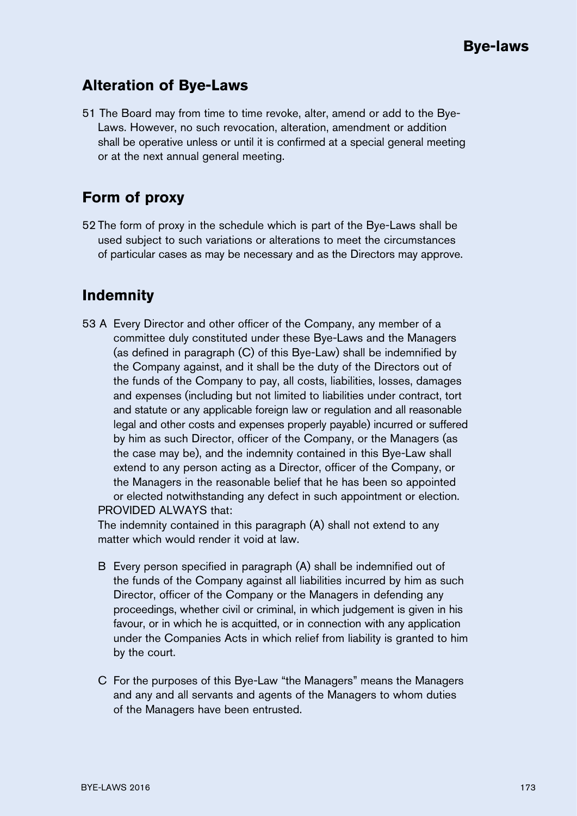### **Alteration of Bye-Laws**

51 The Board may from time to time revoke, alter, amend or add to the Bye-Laws. However, no such revocation, alteration, amendment or addition shall be operative unless or until it is confirmed at a special general meeting or at the next annual general meeting.

# **Form of proxy**

52 The form of proxy in the schedule which is part of the Bye-Laws shall be used subject to such variations or alterations to meet the circumstances of particular cases as may be necessary and as the Directors may approve.

## **Indemnity**

53 A Every Director and other officer of the Company, any member of a committee duly constituted under these Bye-Laws and the Managers (as defined in paragraph (C) of this Bye-Law) shall be indemnified by the Company against, and it shall be the duty of the Directors out of the funds of the Company to pay, all costs, liabilities, losses, damages and expenses (including but not limited to liabilities under contract, tort and statute or any applicable foreign law or regulation and all reasonable legal and other costs and expenses properly payable) incurred or suffered by him as such Director, officer of the Company, or the Managers (as the case may be), and the indemnity contained in this Bye-Law shall extend to any person acting as a Director, officer of the Company, or the Managers in the reasonable belief that he has been so appointed or elected notwithstanding any defect in such appointment or election. PROVIDED ALWAYS that:

The indemnity contained in this paragraph (A) shall not extend to any matter which would render it void at law.

- B Every person specified in paragraph (A) shall be indemnified out of the funds of the Company against all liabilities incurred by him as such Director, officer of the Company or the Managers in defending any proceedings, whether civil or criminal, in which judgement is given in his favour, or in which he is acquitted, or in connection with any application under the Companies Acts in which relief from liability is granted to him by the court.
- C For the purposes of this Bye-Law "the Managers" means the Managers and any and all servants and agents of the Managers to whom duties of the Managers have been entrusted.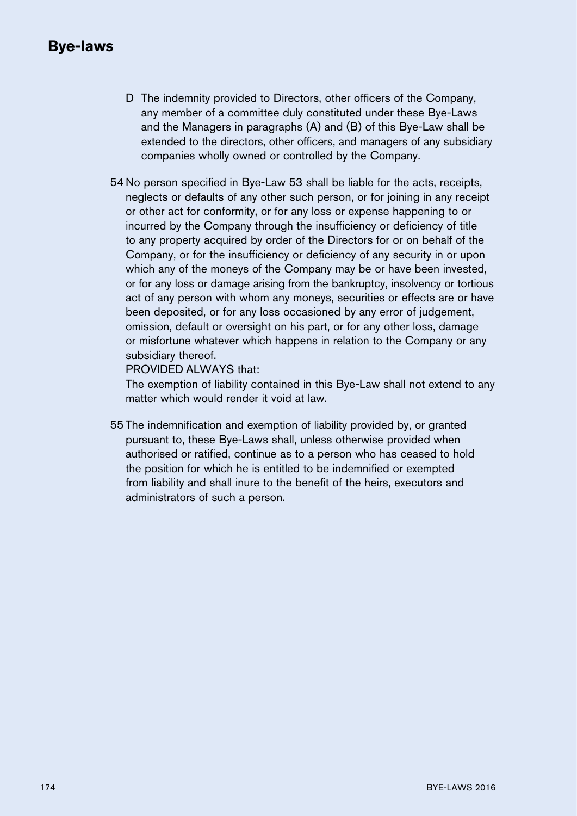- D The indemnity provided to Directors, other officers of the Company, any member of a committee duly constituted under these Bye-Laws and the Managers in paragraphs (A) and (B) of this Bye-Law shall be extended to the directors, other officers, and managers of any subsidiary companies wholly owned or controlled by the Company.
- 54 No person specified in Bye-Law 53 shall be liable for the acts, receipts, neglects or defaults of any other such person, or for joining in any receipt or other act for conformity, or for any loss or expense happening to or incurred by the Company through the insufficiency or deficiency of title to any property acquired by order of the Directors for or on behalf of the Company, or for the insufficiency or deficiency of any security in or upon which any of the moneys of the Company may be or have been invested. or for any loss or damage arising from the bankruptcy, insolvency or tortious act of any person with whom any moneys, securities or effects are or have been deposited, or for any loss occasioned by any error of judgement, omission, default or oversight on his part, or for any other loss, damage or misfortune whatever which happens in relation to the Company or any subsidiary thereof.

PROVIDED AI WAYS that:

The exemption of liability contained in this Bye-Law shall not extend to any matter which would render it void at law.

55 The indemnification and exemption of liability provided by, or granted pursuant to, these Bye-Laws shall, unless otherwise provided when authorised or ratified, continue as to a person who has ceased to hold the position for which he is entitled to be indemnified or exempted from liability and shall inure to the benefit of the heirs, executors and administrators of such a person.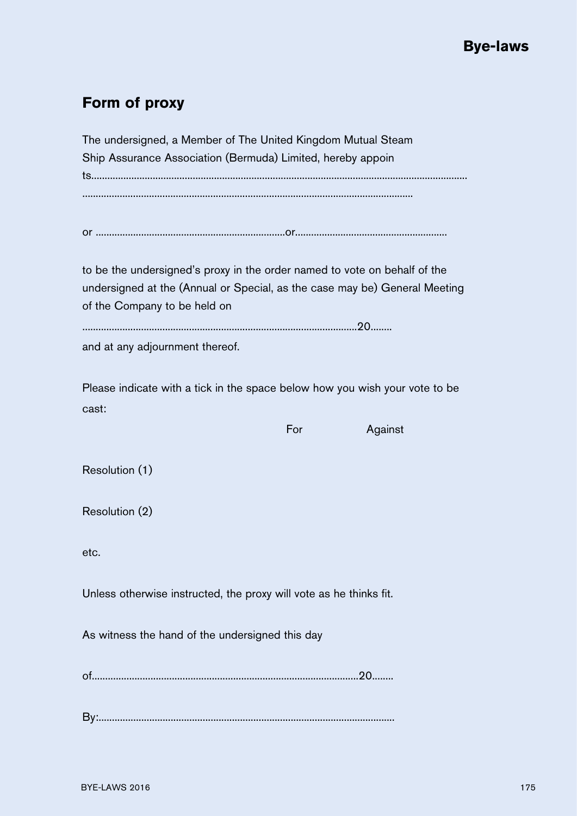# **Form of proxy**

The undersigned, a Member of The United Kingdom Mutual Steam Ship Assurance Association (Bermuda) Limited, hereby appoin ts.............................................................................................................................................

or .......................................................................or.........................................................

to be the undersigned's proxy in the order named to vote on behalf of the undersigned at the (Annual or Special, as the case may be) General Meeting of the Company to be held on

.......................................................................................................20........

and at any adjournment thereof.

Please indicate with a tick in the space below how you wish your vote to be cast:

For Against

Resolution (1)

Resolution (2)

etc.

Unless otherwise instructed, the proxy will vote as he thinks fit.

As witness the hand of the undersigned this day

of....................................................................................................20........

By:...............................................................................................................